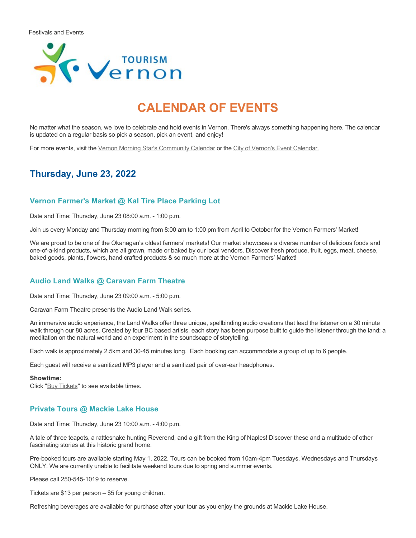

# **CALENDAR OF EVENTS**

No matter what the season, we love to celebrate and hold events in Vernon. There's always something happening here. The calendar is updated on a regular basis so pick a season, pick an event, and enjoy!

For more events, visit the [Vernon Morning Star's Community Calendar](http://www.vernonmorningstar.com/calendar/) or the [City of Vernon's Event Calendar.](https://www.vernon.ca/activities-events/news-events/events-calendar)

# **Thursday, June 23, 2022**

### **Vernon Farmer's Market @ Kal Tire Place Parking Lot**

Date and Time: Thursday, June 23 08:00 a.m. - 1:00 p.m.

Join us every Monday and Thursday morning from 8:00 am to 1:00 pm from April to October for the Vernon Farmers' Market!

We are proud to be one of the Okanagan's oldest farmers' markets! Our market showcases a diverse number of delicious foods and one-of-a-kind products, which are all grown, made or baked by our local vendors. Discover fresh produce, fruit, eggs, meat, cheese, baked goods, plants, flowers, hand crafted products & so much more at the Vernon Farmers' Market!

#### **Audio Land Walks @ Caravan Farm Theatre**

Date and Time: Thursday, June 23 09:00 a.m. - 5:00 p.m.

Caravan Farm Theatre presents the Audio Land Walk series.

An immersive audio experience, the Land Walks offer three unique, spellbinding audio creations that lead the listener on a 30 minute walk through our 80 acres. Created by four BC based artists, each story has been purpose built to guide the listener through the land: a meditation on the natural world and an experiment in the soundscape of storytelling.

Each walk is approximately 2.5km and 30-45 minutes long. Each booking can accommodate a group of up to 6 people.

Each guest will receive a sanitized MP3 player and a sanitized pair of over-ear headphones.

#### **Showtime:**

Click "[Buy Tickets](https://caravanfarmtheatre.com/show/the-land-walks/?ct=t%28EMAIL_CAMPAIGN_4_19_2022_13_43SEASON+2022%29&mc_cid=c02afad356&mc_eid=4778eb8892)" to see available times.

### **Private Tours @ Mackie Lake House**

Date and Time: Thursday, June 23 10:00 a.m. - 4:00 p.m.

A tale of three teapots, a rattlesnake hunting Reverend, and a gift from the King of Naples! Discover these and a multitude of other fascinating stories at this historic grand home.

Pre-booked tours are available starting May 1, 2022. Tours can be booked from 10am-4pm Tuesdays, Wednesdays and Thursdays ONLY. We are currently unable to facilitate weekend tours due to spring and summer events.

Please call 250-545-1019 to reserve.

Tickets are \$13 per person – \$5 for young children.

Refreshing beverages are available for purchase after your tour as you enjoy the grounds at Mackie Lake House.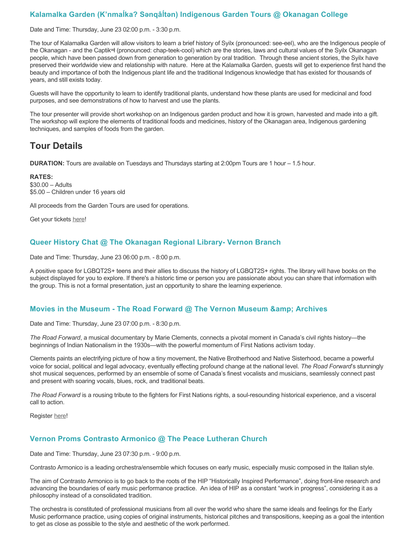# **Kalamalka Garden (K'nmaĺka? Sәnqâĺtәn) Indigenous Garden Tours @ Okanagan College**

Date and Time: Thursday, June 23 02:00 p.m. - 3:30 p.m.

The tour of Kalamalka Garden will allow visitors to learn a brief history of Syilx (pronounced: see-eel), who are the Indigenous people of the Okanagan - and the Captikʷł (pronounced: chap-teek-cool) which are the stories, laws and cultural values of the Syilx Okanagan people, which have been passed down from generation to generation by oral tradition. Through these ancient stories, the Syilx have preserved their worldwide view and relationship with nature. Here at the Kalamalka Garden, guests will get to experience first hand the beauty and importance of both the Indigenous plant life and the traditional Indigenous knowledge that has existed for thousands of years, and still exists today.

Guests will have the opportunity to learn to identify traditional plants, understand how these plants are used for medicinal and food purposes, and see demonstrations of how to harvest and use the plants.

The tour presenter will provide short workshop on an Indigenous garden product and how it is grown, harvested and made into a gift. The workshop will explore the elements of traditional foods and medicines, history of the Okanagan area, Indigenous gardening techniques, and samples of foods from the garden.

# **Tour Details**

**DURATION:** Tours are available on Tuesdays and Thursdays starting at 2:00pm Tours are 1 hour – 1.5 hour.

**RATES:** \$30.00 – Adults \$5.00 – Children under 16 years old

All proceeds from the Garden Tours are used for operations.

Get your tickets [here!](https://www.eventbrite.ca/e/kalamalka-garden-tour-tickets-158617843239)

### **Queer History Chat @ The Okanagan Regional Library- Vernon Branch**

Date and Time: Thursday, June 23 06:00 p.m. - 8:00 p.m.

A positive space for LGBQT2S+ teens and their allies to discuss the history of LGBQT2S+ rights. The library will have books on the subject displayed for you to explore. If there's a historic time or person you are passionate about you can share that information with the group. This is not a formal presentation, just an opportunity to share the learning experience.

### **Movies in the Museum - The Road Forward @ The Vernon Museum & Archives**

Date and Time: Thursday, June 23 07:00 p.m. - 8:30 p.m.

*The Road Forward*, a musical documentary by Marie Clements, connects a pivotal moment in Canada's civil rights history—the beginnings of Indian Nationalism in the 1930s—with the powerful momentum of First Nations activism today.

Clements paints an electrifying picture of how a tiny movement, the Native Brotherhood and Native Sisterhood, became a powerful voice for social, political and legal advocacy, eventually effecting profound change at the national level. *The Road Forward*'s stunningly shot musical sequences, performed by an ensemble of some of Canada's finest vocalists and musicians, seamlessly connect past and present with soaring vocals, blues, rock, and traditional beats.

*The Road Forward* is a rousing tribute to the fighters for First Nations rights, a soul-resounding historical experience, and a visceral call to action.

Register [here](https://www.eventbrite.ca/e/the-road-forward-registration-351301701847)!

### **Vernon Proms Contrasto Armonico @ The Peace Lutheran Church**

Date and Time: Thursday, June 23 07:30 p.m. - 9:00 p.m.

Contrasto Armonico is a leading orchestra/ensemble which focuses on early music, especially music composed in the Italian style.

The aim of Contrasto Armonico is to go back to the roots of the HIP "Historically Inspired Performance", doing front-line research and advancing the boundaries of early music performance practice. An idea of HIP as a constant "work in progress", considering it as a philosophy instead of a consolidated tradition.

The orchestra is constituted of professional musicians from all over the world who share the same ideals and feelings for the Early Music performance practice, using copies of original instruments, historical pitches and transpositions, keeping as a goal the intention to get as close as possible to the style and aesthetic of the work performed.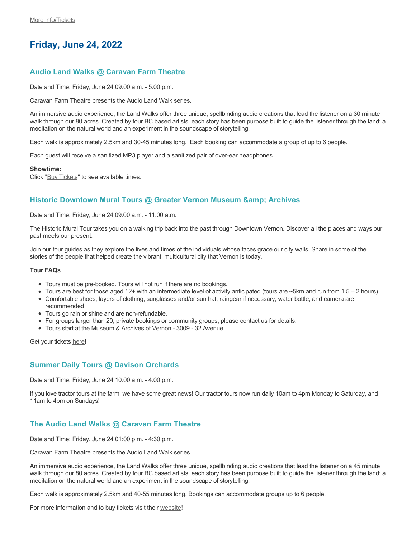# **Friday, June 24, 2022**

### **Audio Land Walks @ Caravan Farm Theatre**

Date and Time: Friday, June 24 09:00 a.m. - 5:00 p.m.

Caravan Farm Theatre presents the Audio Land Walk series.

An immersive audio experience, the Land Walks offer three unique, spellbinding audio creations that lead the listener on a 30 minute walk through our 80 acres. Created by four BC based artists, each story has been purpose built to guide the listener through the land: a meditation on the natural world and an experiment in the soundscape of storytelling.

Each walk is approximately 2.5km and 30-45 minutes long. Each booking can accommodate a group of up to 6 people.

Each guest will receive a sanitized MP3 player and a sanitized pair of over-ear headphones.

**Showtime:**

Click "[Buy Tickets](https://caravanfarmtheatre.com/show/the-land-walks/?ct=t%28EMAIL_CAMPAIGN_4_19_2022_13_43SEASON+2022%29&mc_cid=c02afad356&mc_eid=4778eb8892)" to see available times.

### **Historic Downtown Mural Tours @ Greater Vernon Museum & Archives**

Date and Time: Friday, June 24 09:00 a.m. - 11:00 a.m.

The Historic Mural Tour takes you on a walking trip back into the past through Downtown Vernon. Discover all the places and ways our past meets our present.

Join our tour guides as they explore the lives and times of the individuals whose faces grace our city walls. Share in some of the stories of the people that helped create the vibrant, multicultural city that Vernon is today.

#### **Tour FAQs**

- Tours must be pre-booked. Tours will not run if there are no bookings.
- Tours are best for those aged 12+ with an intermediate level of activity anticipated (tours are  $\sim$ 5km and run from 1.5 2 hours).
- Comfortable shoes, layers of clothing, sunglasses and/or sun hat, raingear if necessary, water bottle, and camera are
- recommended. Tours go rain or shine and are non-refundable.
- For groups larger than 20, private bookings or community groups, please contact us for details.
- Tours start at the Museum & Archives of Vernon 3009 32 Avenue

Get your tickets [here!](https://www.eventbrite.com/e/historic-downtown-mural-tours-tickets-304983342387)

#### **Summer Daily Tours @ Davison Orchards**

Date and Time: Friday, June 24 10:00 a.m. - 4:00 p.m.

If you love tractor tours at the farm, we have some great news! Our tractor tours now run daily 10am to 4pm Monday to Saturday, and 11am to 4pm on Sundays!

### **The Audio Land Walks @ Caravan Farm Theatre**

Date and Time: Friday, June 24 01:00 p.m. - 4:30 p.m.

Caravan Farm Theatre presents the Audio Land Walk series.

An immersive audio experience, the Land Walks offer three unique, spellbinding audio creations that lead the listener on a 45 minute walk through our 80 acres. Created by four BC based artists, each story has been purpose built to guide the listener through the land: a meditation on the natural world and an experiment in the soundscape of storytelling.

Each walk is approximately 2.5km and 40-55 minutes long. Bookings can accommodate groups up to 6 people.

For more information and to buy tickets visit their [website!](https://caravanfarmtheatre.com/show/the-land-walks/)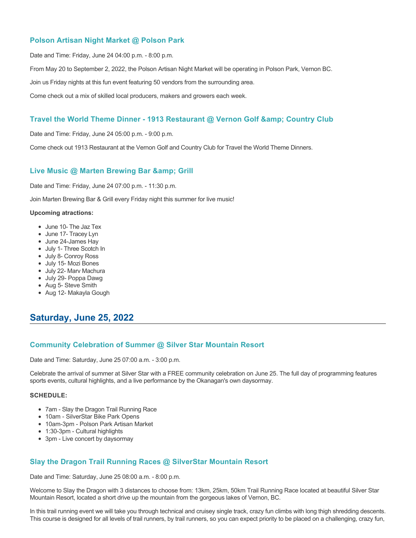### **Polson Artisan Night Market @ Polson Park**

Date and Time: Friday, June 24 04:00 p.m. - 8:00 p.m.

From May 20 to September 2, 2022, the Polson Artisan Night Market will be operating in Polson Park, Vernon BC.

Join us Friday nights at this fun event featuring 50 vendors from the surrounding area.

Come check out a mix of skilled local producers, makers and growers each week.

# Travel the World Theme Dinner - 1913 Restaurant @ Vernon Golf & Country Club

Date and Time: Friday, June 24 05:00 p.m. - 9:00 p.m.

Come check out 1913 Restaurant at the Vernon Golf and Country Club for Travel the World Theme Dinners.

# **Live Music @ Marten Brewing Bar & amp; Grill**

Date and Time: Friday, June 24 07:00 p.m. - 11:30 p.m.

Join Marten Brewing Bar & Grill every Friday night this summer for live music!

#### **Upcoming atractions:**

- June 10- The Jaz Tex
- June 17- Tracey Lyn
- June 24-James Hay
- July 1- Three Scotch In
- July 8- Conroy Ross
- July 15- Mozi Bones
- July 22- Marv Machura
- July 29- Poppa Dawg
- Aug 5- Steve Smith
- Aug 12- Makayla Gough

# **Saturday, June 25, 2022**

### **Community Celebration of Summer @ Silver Star Mountain Resort**

Date and Time: Saturday, June 25 07:00 a.m. - 3:00 p.m.

Celebrate the arrival of summer at Silver Star with a FREE community celebration on June 25. The full day of programming features sports events, cultural highlights, and a live performance by the Okanagan's own daysormay.

#### **SCHEDULE:**

- 7am Slay the Dragon Trail Running Race
- 10am SilverStar Bike Park Opens
- 10am-3pm Polson Park Artisan Market
- 1:30-3pm Cultural highlights
- 3pm Live concert by daysormay

# **Slay the Dragon Trail Running Races @ SilverStar Mountain Resort**

Date and Time: Saturday, June 25 08:00 a.m. - 8:00 p.m.

Welcome to Slay the Dragon with 3 distances to choose from: 13km, 25km, 50km Trail Running Race located at beautiful Silver Star Mountain Resort, located a short drive up the mountain from the gorgeous lakes of Vernon, BC.

In this trail running event we will take you through technical and cruisey single track, crazy fun climbs with long thigh shredding descents. This course is designed for all levels of trail runners, by trail runners, so you can expect priority to be placed on a challenging, crazy fun,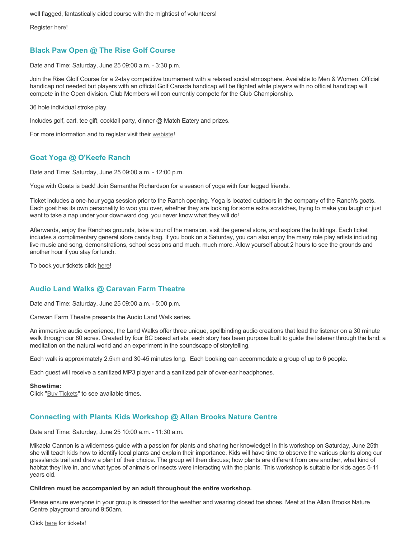well flagged, fantastically aided course with the mightiest of volunteers!

Register [here](https://ultrasignup.com/register.aspx?did=88718)!

### **Black Paw Open @ The Rise Golf Course**

Date and Time: Saturday, June 25 09:00 a.m. - 3:30 p.m.

Join the Rise Glolf Course for a 2-day competitive tournament with a relaxed social atmosphere. Available to Men & Women. Official handicap not needed but players with an official Golf Canada handicap will be flighted while players with no official handicap will compete in the Open division. Club Members will con currently compete for the Club Championship.

36 hole individual stroke play.

Includes golf, cart, tee gift, cocktail party, dinner @ Match Eatery and prizes.

For more information and to registar visit their [webiste](https://www.therisegolf.ca/black-paw-open/)!

### **Goat Yoga @ O'Keefe Ranch**

Date and Time: Saturday, June 25 09:00 a.m. - 12:00 p.m.

Yoga with Goats is back! Join Samantha Richardson for a season of yoga with four legged friends.

Ticket includes a one-hour yoga session prior to the Ranch opening. Yoga is located outdoors in the company of the Ranch's goats. Each goat has its own personality to woo you over, whether they are looking for some extra scratches, trying to make you laugh or just want to take a nap under your downward dog, you never know what they will do!

Afterwards, enjoy the Ranches grounds, take a tour of the mansion, visit the general store, and explore the buildings. Each ticket includes a complimentary general store candy bag. If you book on a Saturday, you can also enjoy the many role play artists including live music and song, demonstrations, school sessions and much, much more. Allow yourself about 2 hours to see the grounds and another hour if you stay for lunch.

To book your tickets click [here!](https://tickets.ticketseller.ca/TheatreManager/1/login&event=3417)

# **Audio Land Walks @ Caravan Farm Theatre**

Date and Time: Saturday, June 25 09:00 a.m. - 5:00 p.m.

Caravan Farm Theatre presents the Audio Land Walk series.

An immersive audio experience, the Land Walks offer three unique, spellbinding audio creations that lead the listener on a 30 minute walk through our 80 acres. Created by four BC based artists, each story has been purpose built to guide the listener through the land: a meditation on the natural world and an experiment in the soundscape of storytelling.

Each walk is approximately 2.5km and 30-45 minutes long. Each booking can accommodate a group of up to 6 people.

Each guest will receive a sanitized MP3 player and a sanitized pair of over-ear headphones.

#### **Showtime:**

Click "[Buy Tickets](https://caravanfarmtheatre.com/show/the-land-walks/?ct=t%28EMAIL_CAMPAIGN_4_19_2022_13_43SEASON+2022%29&mc_cid=c02afad356&mc_eid=4778eb8892)" to see available times.

# **Connecting with Plants Kids Workshop @ Allan Brooks Nature Centre**

Date and Time: Saturday, June 25 10:00 a.m. - 11:30 a.m.

Mikaela Cannon is a wilderness guide with a passion for plants and sharing her knowledge! In this workshop on Saturday, June 25th she will teach kids how to identify local plants and explain their importance. Kids will have time to observe the various plants along our grasslands trail and draw a plant of their choice. The group will then discuss; how plants are different from one another, what kind of habitat they live in, and what types of animals or insects were interacting with the plants. This workshop is suitable for kids ages 5-11 years old.

#### **Children must be accompanied by an adult throughout the entire workshop.**

Please ensure everyone in your group is dressed for the weather and wearing closed toe shoes. Meet at the Allan Brooks Nature Centre playground around 9:50am.

#### Click [here](https://abnc.ca/abnc-event/connecting-with-plants-kids-workshop/) for tickets!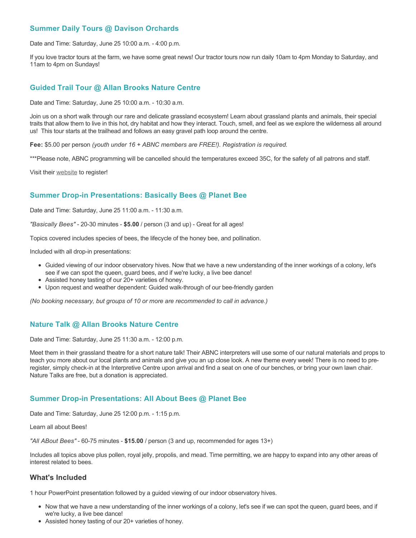# **Summer Daily Tours @ Davison Orchards**

Date and Time: Saturday, June 25 10:00 a.m. - 4:00 p.m.

If you love tractor tours at the farm, we have some great news! Our tractor tours now run daily 10am to 4pm Monday to Saturday, and 11am to 4pm on Sundays!

#### **Guided Trail Tour @ Allan Brooks Nature Centre**

Date and Time: Saturday, June 25 10:00 a.m. - 10:30 a.m.

Join us on a short walk through our rare and delicate grassland ecosystem! Learn about grassland plants and animals, their special traits that allow them to live in this hot, dry habitat and how they interact. Touch, smell, and feel as we explore the wilderness all around us! This tour starts at the trailhead and follows an easy gravel path loop around the centre.

**Fee:** \$5.00 per person *(youth under 16 + ABNC members are FREE!). Registration is required.* 

\*\*\*Please note, ABNC programming will be cancelled should the temperatures exceed 35C, for the safety of all patrons and staff.

Visit their [website](https://abnc.ca/events/events-calendar/) to register!

### **Summer Drop-in Presentations: Basically Bees @ Planet Bee**

Date and Time: Saturday, June 25 11:00 a.m. - 11:30 a.m.

*"Basically Bees"* - 20-30 minutes - **\$5.00** / person (3 and up) - Great for all ages!

Topics covered includes species of bees, the lifecycle of the honey bee, and pollination.

Included with all drop-in presentations:

- Guided viewing of our indoor observatory hives. Now that we have a new understanding of the inner workings of a colony, let's see if we can spot the queen, guard bees, and if we're lucky, a live bee dance!
- Assisted honey tasting of our 20+ varieties of honey.
- Upon request and weather dependent: Guided walk-through of our bee-friendly garden

*(No booking necessary, but groups of 10 or more are recommended to call in advance.)*

### **Nature Talk @ Allan Brooks Nature Centre**

Date and Time: Saturday, June 25 11:30 a.m. - 12:00 p.m.

Meet them in their grassland theatre for a short nature talk! Their ABNC interpreters will use some of our natural materials and props to teach you more about our local plants and animals and give you an up close look. A new theme every week! There is no need to preregister, simply check-in at the Interpretive Centre upon arrival and find a seat on one of our benches, or bring your own lawn chair. Nature Talks are free, but a donation is appreciated.

### **Summer Drop-in Presentations: All About Bees @ Planet Bee**

Date and Time: Saturday, June 25 12:00 p.m. - 1:15 p.m.

Learn all about Bees!

*"All ABout Bees"* - 60-75 minutes - **\$15.00** / person (3 and up, recommended for ages 13+)

Includes all topics above plus pollen, royal jelly, propolis, and mead. Time permitting, we are happy to expand into any other areas of interest related to bees.

#### **What's Included**

1 hour PowerPoint presentation followed by a guided viewing of our indoor observatory hives.

- Now that we have a new understanding of the inner workings of a colony, let's see if we can spot the queen, guard bees, and if we're lucky, a live bee dance!
- Assisted honey tasting of our 20+ varieties of honey.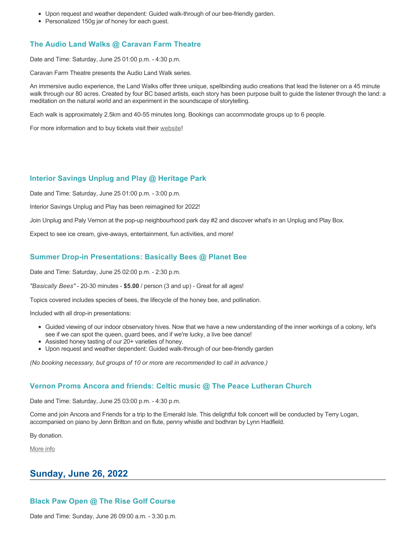- Upon request and weather dependent: Guided walk-through of our bee-friendly garden.
- Personalized 150g jar of honey for each guest.

## **The Audio Land Walks @ Caravan Farm Theatre**

Date and Time: Saturday, June 25 01:00 p.m. - 4:30 p.m.

Caravan Farm Theatre presents the Audio Land Walk series.

An immersive audio experience, the Land Walks offer three unique, spellbinding audio creations that lead the listener on a 45 minute walk through our 80 acres. Created by four BC based artists, each story has been purpose built to guide the listener through the land: a meditation on the natural world and an experiment in the soundscape of storytelling.

Each walk is approximately 2.5km and 40-55 minutes long. Bookings can accommodate groups up to 6 people.

For more information and to buy tickets visit their [website!](https://caravanfarmtheatre.com/show/the-land-walks/)

#### **Interior Savings Unplug and Play @ Heritage Park**

Date and Time: Saturday, June 25 01:00 p.m. - 3:00 p.m.

Interior Savings Unplug and Play has been reimagined for 2022!

Join Unplug and Paly Vernon at the pop-up neighbourhood park day #2 and discover what's in an Unplug and Play Box.

Expect to see ice cream, give-aways, entertainment, fun activities, and more!

### **Summer Drop-in Presentations: Basically Bees @ Planet Bee**

Date and Time: Saturday, June 25 02:00 p.m. - 2:30 p.m.

*"Basically Bees"* - 20-30 minutes - **\$5.00** / person (3 and up) - Great for all ages!

Topics covered includes species of bees, the lifecycle of the honey bee, and pollination.

Included with all drop-in presentations:

- Guided viewing of our indoor observatory hives. Now that we have a new understanding of the inner workings of a colony, let's see if we can spot the queen, guard bees, and if we're lucky, a live bee dance!
- Assisted honey tasting of our 20+ varieties of honey.
- Upon request and weather dependent: Guided walk-through of our bee-friendly garden

*(No booking necessary, but groups of 10 or more are recommended to call in advance.)*

### **Vernon Proms Ancora and friends: Celtic music @ The Peace Lutheran Church**

Date and Time: Saturday, June 25 03:00 p.m. - 4:30 p.m.

Come and join Ancora and Friends for a trip to the Emerald Isle. This delightful folk concert will be conducted by Terry Logan, accompanied on piano by Jenn Britton and on flute, penny whistle and bodhran by Lynn Hadfield.

By donation.

[More info](https://proms.eventcalendarapp.com/u/36415/evt_external_62845d7084cce5260a3f538b?repeatId=evt_external_62845d7084cce5260a3f538b)

# **Sunday, June 26, 2022**

# **Black Paw Open @ The Rise Golf Course**

Date and Time: Sunday, June 26 09:00 a.m. - 3:30 p.m.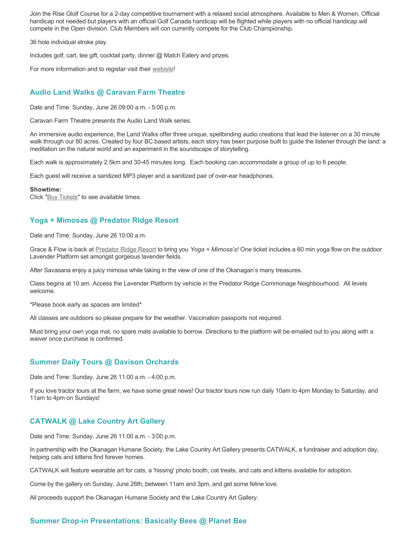Join the Rise Glolf Course for a 2-day competitive tournament with a relaxed social atmosphere. Available to Men & Women. Official handicap not needed but players with an official Golf Canada handicap will be flighted while players with no official handicap will compete in the Open division. Club Members will con currently compete for the Club Championship.

36 hole individual stroke play.

Includes golf, cart, tee gift, cocktail party, dinner @ Match Eatery and prizes.

For more information and to registar visit their [webiste](https://www.therisegolf.ca/black-paw-open/)!

# **Audio Land Walks @ Caravan Farm Theatre**

Date and Time: Sunday, June 26 09:00 a.m. - 5:00 p.m.

Caravan Farm Theatre presents the Audio Land Walk series.

An immersive audio experience, the Land Walks offer three unique, spellbinding audio creations that lead the listener on a 30 minute walk through our 80 acres. Created by four BC based artists, each story has been purpose built to guide the listener through the land: a meditation on the natural world and an experiment in the soundscape of storytelling.

Each walk is approximately 2.5km and 30-45 minutes long. Each booking can accommodate a group of up to 6 people.

Each guest will receive a sanitized MP3 player and a sanitized pair of over-ear headphones.

#### **Showtime:**

Click "[Buy Tickets](https://caravanfarmtheatre.com/show/the-land-walks/?ct=t%28EMAIL_CAMPAIGN_4_19_2022_13_43SEASON+2022%29&mc_cid=c02afad356&mc_eid=4778eb8892)" to see available times.

# **Yoga + Mimosas @ Predator Ridge Resort**

Date and Time: Sunday, June 26 10:00 a.m.

Grace & Flow is back at [Predator Ridge Resort](https://www.predatorridge.com/events) to bring you *Yoga + Mimosa's!* One ticket includes a 60 min yoga flow on the outdoor Lavender Platform set amongst gorgeous lavender fields.

After Savasana enjoy a juicy mimosa while taking in the view of one of the Okanagan's many treasures.

Class begins at 10 am. Access the Lavender Platform by vehicle in the Predator Ridge Commonage Neighbourhood. All levels welcome.

\*Please book early as spaces are limited\*

All classes are outdoors so please prepare for the weather. Vaccination passports not required.

Must bring your own yoga mat, no spare mats available to borrow. Directions to the platform will be emailed out to you along with a waiver once purchase is confirmed.

### **Summer Daily Tours @ Davison Orchards**

Date and Time: Sunday, June 26 11:00 a.m. - 4:00 p.m.

If you love tractor tours at the farm, we have some great news! Our tractor tours now run daily 10am to 4pm Monday to Saturday, and 11am to 4pm on Sundays!

### **CATWALK @ Lake Country Art Gallery**

Date and Time: Sunday, June 26 11:00 a.m. - 3:00 p.m.

In partnership with the Okanagan Humane Society, the Lake Country Art Gallery presents CATWALK, a fundraiser and adoption day, helping cats and kittens find forever homes.

CATWALK will feature wearable art for cats, a 'hissing' photo booth, cat treats, and cats and kittens available for adoption.

Come by the gallery on Sunday, June 26th, between 11am and 3pm, and get some feline love.

All proceeds support the Okanagan Humane Society and the Lake Country Art Gallery.

# **Summer Drop-in Presentations: Basically Bees @ Planet Bee**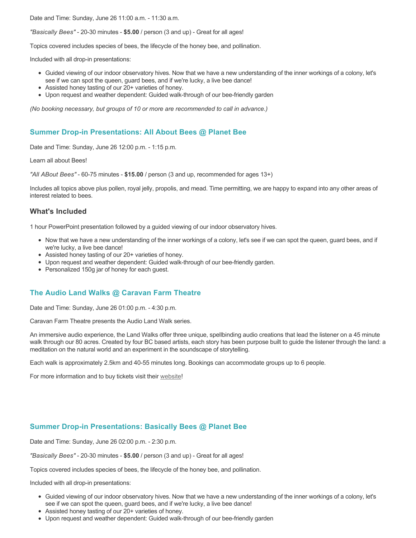Date and Time: Sunday, June 26 11:00 a.m. - 11:30 a.m.

*"Basically Bees"* - 20-30 minutes - **\$5.00** / person (3 and up) - Great for all ages!

Topics covered includes species of bees, the lifecycle of the honey bee, and pollination.

Included with all drop-in presentations:

- Guided viewing of our indoor observatory hives. Now that we have a new understanding of the inner workings of a colony, let's see if we can spot the queen, guard bees, and if we're lucky, a live bee dance!
- Assisted honey tasting of our 20+ varieties of honey.
- Upon request and weather dependent: Guided walk-through of our bee-friendly garden

*(No booking necessary, but groups of 10 or more are recommended to call in advance.)*

#### **Summer Drop-in Presentations: All About Bees @ Planet Bee**

Date and Time: Sunday, June 26 12:00 p.m. - 1:15 p.m.

Learn all about Bees!

*"All ABout Bees"* - 60-75 minutes - **\$15.00** / person (3 and up, recommended for ages 13+)

Includes all topics above plus pollen, royal jelly, propolis, and mead. Time permitting, we are happy to expand into any other areas of interest related to bees.

#### **What's Included**

1 hour PowerPoint presentation followed by a guided viewing of our indoor observatory hives.

- Now that we have a new understanding of the inner workings of a colony, let's see if we can spot the queen, guard bees, and if we're lucky, a live bee dance!
- Assisted honey tasting of our 20+ varieties of honey.
- Upon request and weather dependent: Guided walk-through of our bee-friendly garden.
- Personalized 150g jar of honey for each guest.

#### **The Audio Land Walks @ Caravan Farm Theatre**

Date and Time: Sunday, June 26 01:00 p.m. - 4:30 p.m.

Caravan Farm Theatre presents the Audio Land Walk series.

An immersive audio experience, the Land Walks offer three unique, spellbinding audio creations that lead the listener on a 45 minute walk through our 80 acres. Created by four BC based artists, each story has been purpose built to guide the listener through the land: a meditation on the natural world and an experiment in the soundscape of storytelling.

Each walk is approximately 2.5km and 40-55 minutes long. Bookings can accommodate groups up to 6 people.

For more information and to buy tickets visit their [website!](https://caravanfarmtheatre.com/show/the-land-walks/)

#### **Summer Drop-in Presentations: Basically Bees @ Planet Bee**

Date and Time: Sunday, June 26 02:00 p.m. - 2:30 p.m.

*"Basically Bees"* - 20-30 minutes - **\$5.00** / person (3 and up) - Great for all ages!

Topics covered includes species of bees, the lifecycle of the honey bee, and pollination.

Included with all drop-in presentations:

- Guided viewing of our indoor observatory hives. Now that we have a new understanding of the inner workings of a colony, let's see if we can spot the queen, guard bees, and if we're lucky, a live bee dance!
- Assisted honey tasting of our 20+ varieties of honey.
- Upon request and weather dependent: Guided walk-through of our bee-friendly garden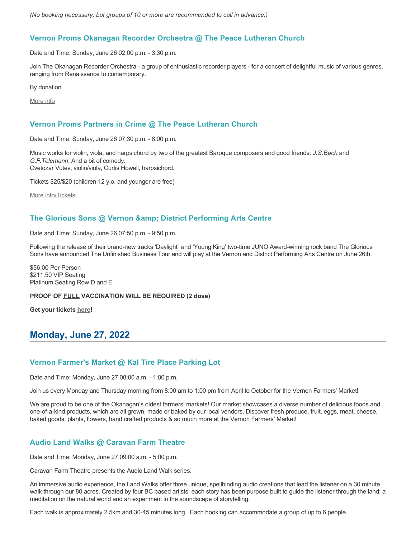*(No booking necessary, but groups of 10 or more are recommended to call in advance.)*

### **Vernon Proms Okanagan Recorder Orchestra @ The Peace Lutheran Church**

Date and Time: Sunday, June 26 02:00 p.m. - 3:30 p.m.

Join The Okanagan Recorder Orchestra - a group of enthusiastic recorder players - for a concert of delightful music of various genres, ranging from Renaissance to contemporary.

By donation.

[More info](https://proms.eventcalendarapp.com/u/36415/evt_external_62845d7184cce5260a3f539d?repeatId=evt_external_62845d7184cce5260a3f539d)

### **Vernon Proms Partners in Crime @ The Peace Lutheran Church**

Date and Time: Sunday, June 26 07:30 p.m. - 8:00 p.m.

Music works for violin, viola, and harpsichord by two of the greatest Baroque composers and good friends: *J.S.Bach* and *G.F.Telemann*. And a bit of comedy. Cvetozar Vutev, violin/viola, Curtis Howell, harpsichord.

Tickets \$25/\$20 (children 12 y.o. and younger are free)

[More info/Tickets](https://proms.eventcalendarapp.com/u/36415/evt_external_62845d7084cce5260a3f5389?repeatId=evt_external_62845d7084cce5260a3f5389)

# The Glorious Sons @ Vernon & amp; District Performing Arts Centre

Date and Time: Sunday, June 26 07:50 p.m. - 9:50 p.m.

Following the release of their brand-new tracks 'Daylight" and 'Young King' two-time JUNO Award-winning rock band The Glorious Sons have announced The Unfinished Business Tour and will play at the Vernon and District Performing Arts Centre on June 26th.

\$56.00 Per Person \$211.50 VIP Seating Platinum Seating Row D and E

#### **PROOF OF FULL VACCINATION WILL BE REQUIRED (2 dose)**

**Get your tickets [here](https://tickets.ticketseller.ca/TheatreManager/1/login&event=3139)!**

# **Monday, June 27, 2022**

### **Vernon Farmer's Market @ Kal Tire Place Parking Lot**

Date and Time: Monday, June 27 08:00 a.m. - 1:00 p.m.

Join us every Monday and Thursday morning from 8:00 am to 1:00 pm from April to October for the Vernon Farmers' Market!

We are proud to be one of the Okanagan's oldest farmers' markets! Our market showcases a diverse number of delicious foods and one-of-a-kind products, which are all grown, made or baked by our local vendors. Discover fresh produce, fruit, eggs, meat, cheese, baked goods, plants, flowers, hand crafted products & so much more at the Vernon Farmers' Market!

# **Audio Land Walks @ Caravan Farm Theatre**

Date and Time: Monday, June 27 09:00 a.m. - 5:00 p.m.

Caravan Farm Theatre presents the Audio Land Walk series.

An immersive audio experience, the Land Walks offer three unique, spellbinding audio creations that lead the listener on a 30 minute walk through our 80 acres. Created by four BC based artists, each story has been purpose built to guide the listener through the land: a meditation on the natural world and an experiment in the soundscape of storytelling.

Each walk is approximately 2.5km and 30-45 minutes long. Each booking can accommodate a group of up to 6 people.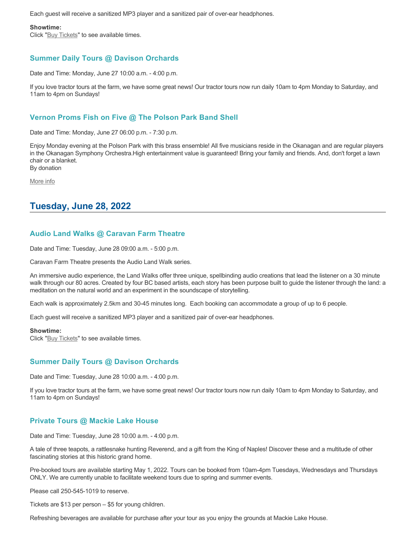Each guest will receive a sanitized MP3 player and a sanitized pair of over-ear headphones.

#### **Showtime:**

Click "[Buy Tickets](https://caravanfarmtheatre.com/show/the-land-walks/?ct=t%28EMAIL_CAMPAIGN_4_19_2022_13_43SEASON+2022%29&mc_cid=c02afad356&mc_eid=4778eb8892)" to see available times.

# **Summer Daily Tours @ Davison Orchards**

Date and Time: Monday, June 27 10:00 a.m. - 4:00 p.m.

If you love tractor tours at the farm, we have some great news! Our tractor tours now run daily 10am to 4pm Monday to Saturday, and 11am to 4pm on Sundays!

# **Vernon Proms Fish on Five @ The Polson Park Band Shell**

Date and Time: Monday, June 27 06:00 p.m. - 7:30 p.m.

Enjoy Monday evening at the Polson Park with this brass ensemble! All five musicians reside in the Okanagan and are regular players in the Okanagan Symphony Orchestra.High entertainment value is guaranteed! Bring your family and friends. And, don't forget a lawn chair or a blanket. By donation

[More info](https://proms.eventcalendarapp.com/u/36415/evt_external_62845d7084cce5260a3f5388?repeatId=evt_external_62845d7084cce5260a3f5388)

# **Tuesday, June 28, 2022**

# **Audio Land Walks @ Caravan Farm Theatre**

Date and Time: Tuesday, June 28 09:00 a.m. - 5:00 p.m.

Caravan Farm Theatre presents the Audio Land Walk series.

An immersive audio experience, the Land Walks offer three unique, spellbinding audio creations that lead the listener on a 30 minute walk through our 80 acres. Created by four BC based artists, each story has been purpose built to guide the listener through the land: a meditation on the natural world and an experiment in the soundscape of storytelling.

Each walk is approximately 2.5km and 30-45 minutes long. Each booking can accommodate a group of up to 6 people.

Each guest will receive a sanitized MP3 player and a sanitized pair of over-ear headphones.

#### **Showtime:**

Click "[Buy Tickets](https://caravanfarmtheatre.com/show/the-land-walks/?ct=t%28EMAIL_CAMPAIGN_4_19_2022_13_43SEASON+2022%29&mc_cid=c02afad356&mc_eid=4778eb8892)" to see available times.

### **Summer Daily Tours @ Davison Orchards**

Date and Time: Tuesday, June 28 10:00 a.m. - 4:00 p.m.

If you love tractor tours at the farm, we have some great news! Our tractor tours now run daily 10am to 4pm Monday to Saturday, and 11am to 4pm on Sundays!

### **Private Tours @ Mackie Lake House**

Date and Time: Tuesday, June 28 10:00 a.m. - 4:00 p.m.

A tale of three teapots, a rattlesnake hunting Reverend, and a gift from the King of Naples! Discover these and a multitude of other fascinating stories at this historic grand home.

Pre-booked tours are available starting May 1, 2022. Tours can be booked from 10am-4pm Tuesdays, Wednesdays and Thursdays ONLY. We are currently unable to facilitate weekend tours due to spring and summer events.

Please call 250-545-1019 to reserve.

Tickets are \$13 per person – \$5 for young children.

Refreshing beverages are available for purchase after your tour as you enjoy the grounds at Mackie Lake House.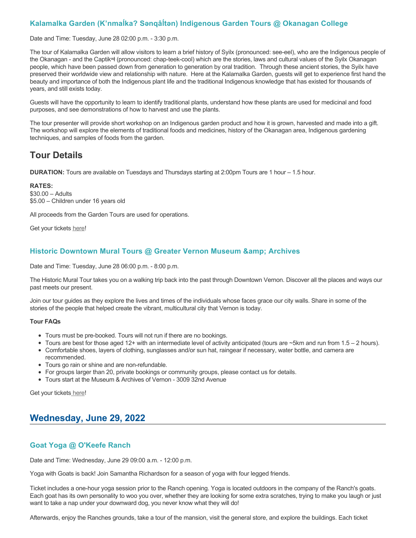### **Kalamalka Garden (K'nmaĺka? Sәnqâĺtәn) Indigenous Garden Tours @ Okanagan College**

Date and Time: Tuesday, June 28 02:00 p.m. - 3:30 p.m.

The tour of Kalamalka Garden will allow visitors to learn a brief history of Syilx (pronounced: see-eel), who are the Indigenous people of the Okanagan - and the Captikʷł (pronounced: chap-teek-cool) which are the stories, laws and cultural values of the Syilx Okanagan people, which have been passed down from generation to generation by oral tradition. Through these ancient stories, the Syilx have preserved their worldwide view and relationship with nature. Here at the Kalamalka Garden, guests will get to experience first hand the beauty and importance of both the Indigenous plant life and the traditional Indigenous knowledge that has existed for thousands of years, and still exists today.

Guests will have the opportunity to learn to identify traditional plants, understand how these plants are used for medicinal and food purposes, and see demonstrations of how to harvest and use the plants.

The tour presenter will provide short workshop on an Indigenous garden product and how it is grown, harvested and made into a gift. The workshop will explore the elements of traditional foods and medicines, history of the Okanagan area, Indigenous gardening techniques, and samples of foods from the garden.

# **Tour Details**

**DURATION:** Tours are available on Tuesdays and Thursdays starting at 2:00pm Tours are 1 hour – 1.5 hour.

#### **RATES:**

\$30.00 – Adults \$5.00 – Children under 16 years old

All proceeds from the Garden Tours are used for operations.

Get your tickets [here!](https://www.eventbrite.ca/e/kalamalka-garden-tour-tickets-158617843239)

#### **Historic Downtown Mural Tours @ Greater Vernon Museum & Archives**

Date and Time: Tuesday, June 28 06:00 p.m. - 8:00 p.m.

The Historic Mural Tour takes you on a walking trip back into the past through Downtown Vernon. Discover all the places and ways our past meets our present.

Join our tour guides as they explore the lives and times of the individuals whose faces grace our city walls. Share in some of the stories of the people that helped create the vibrant, multicultural city that Vernon is today.

#### **Tour FAQs**

- Tours must be pre-booked. Tours will not run if there are no bookings.
- Tours are best for those aged 12+ with an intermediate level of activity anticipated (tours are  $\sim$ 5km and run from 1.5 2 hours).
- Comfortable shoes, layers of clothing, sunglasses and/or sun hat, raingear if necessary, water bottle, and camera are recommended.
- Tours go rain or shine and are non-refundable.
- For groups larger than 20, private bookings or community groups, please contact us for details.
- Tours start at the Museum & Archives of Vernon 3009 32nd Avenue

Get your tickets [here!](https://www.eventbrite.com/e/historic-downtown-mural-tours-tickets-304983342387)

# **Wednesday, June 29, 2022**

### **Goat Yoga @ O'Keefe Ranch**

Date and Time: Wednesday, June 29 09:00 a.m. - 12:00 p.m.

Yoga with Goats is back! Join Samantha Richardson for a season of yoga with four legged friends.

Ticket includes a one-hour yoga session prior to the Ranch opening. Yoga is located outdoors in the company of the Ranch's goats. Each goat has its own personality to woo you over, whether they are looking for some extra scratches, trying to make you laugh or just want to take a nap under your downward dog, you never know what they will do!

Afterwards, enjoy the Ranches grounds, take a tour of the mansion, visit the general store, and explore the buildings. Each ticket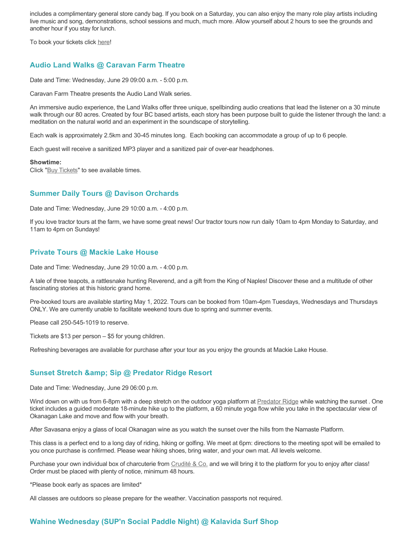includes a complimentary general store candy bag. If you book on a Saturday, you can also enjoy the many role play artists including live music and song, demonstrations, school sessions and much, much more. Allow yourself about 2 hours to see the grounds and another hour if you stay for lunch.

To book your tickets click [here!](https://tickets.ticketseller.ca/TheatreManager/1/login&event=3417)

## **Audio Land Walks @ Caravan Farm Theatre**

Date and Time: Wednesday, June 29 09:00 a.m. - 5:00 p.m.

Caravan Farm Theatre presents the Audio Land Walk series.

An immersive audio experience, the Land Walks offer three unique, spellbinding audio creations that lead the listener on a 30 minute walk through our 80 acres. Created by four BC based artists, each story has been purpose built to guide the listener through the land: a meditation on the natural world and an experiment in the soundscape of storytelling.

Each walk is approximately 2.5km and 30-45 minutes long. Each booking can accommodate a group of up to 6 people.

Each guest will receive a sanitized MP3 player and a sanitized pair of over-ear headphones.

#### **Showtime:**

Click "[Buy Tickets](https://caravanfarmtheatre.com/show/the-land-walks/?ct=t%28EMAIL_CAMPAIGN_4_19_2022_13_43SEASON+2022%29&mc_cid=c02afad356&mc_eid=4778eb8892)" to see available times.

#### **Summer Daily Tours @ Davison Orchards**

Date and Time: Wednesday, June 29 10:00 a.m. - 4:00 p.m.

If you love tractor tours at the farm, we have some great news! Our tractor tours now run daily 10am to 4pm Monday to Saturday, and 11am to 4pm on Sundays!

#### **Private Tours @ Mackie Lake House**

Date and Time: Wednesday, June 29 10:00 a.m. - 4:00 p.m.

A tale of three teapots, a rattlesnake hunting Reverend, and a gift from the King of Naples! Discover these and a multitude of other fascinating stories at this historic grand home.

Pre-booked tours are available starting May 1, 2022. Tours can be booked from 10am-4pm Tuesdays, Wednesdays and Thursdays ONLY. We are currently unable to facilitate weekend tours due to spring and summer events.

Please call 250-545-1019 to reserve.

Tickets are \$13 per person – \$5 for young children.

Refreshing beverages are available for purchase after your tour as you enjoy the grounds at Mackie Lake House.

### **Sunset Stretch & amp; Sip @ Predator Ridge Resort**

Date and Time: Wednesday, June 29 06:00 p.m.

Wind down on with us from 6-8pm with a deep stretch on the outdoor yoga platform at [Predator Ridge](https://www.predatorridge.com/events) while watching the sunset . One ticket includes a guided moderate 18-minute hike up to the platform, a 60 minute yoga flow while you take in the spectacular view of Okanagan Lake and move and flow with your breath.

After Savasana enjoy a glass of local Okanagan wine as you watch the sunset over the hills from the Namaste Platform.

This class is a perfect end to a long day of riding, hiking or golfing. We meet at 6pm: directions to the meeting spot will be emailed to you once purchase is confirmed. Please wear hiking shoes, bring water, and your own mat. All levels welcome.

Purchase your own individual box of charcuterie from [Crudité & Co.](https://cruditeandco.com/product/picnic-platter/) and we will bring it to the platform for you to enjoy after class! Order must be placed with plenty of notice, minimum 48 hours.

\*Please book early as spaces are limited\*

All classes are outdoors so please prepare for the weather. Vaccination passports not required.

### **Wahine Wednesday (SUP'n Social Paddle Night) @ Kalavida Surf Shop**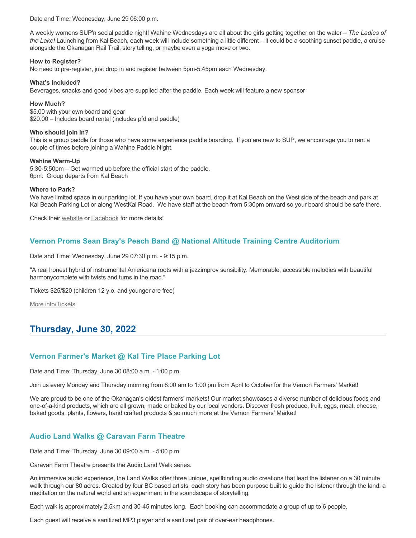Date and Time: Wednesday, June 29 06:00 p.m.

A weekly womens SUP'n social paddle night! Wahine Wednesdays are all about the girls getting together on the water – *The Ladies of the Lake!* Launching from Kal Beach, each week will include something a little different – it could be a soothing sunset paddle, a cruise alongside the Okanagan Rail Trail, story telling, or maybe even a yoga move or two.

#### **How to Register?**

No need to pre-register, just drop in and register between 5pm-5:45pm each Wednesday.

#### **What's Included?**

Beverages, snacks and good vibes are supplied after the paddle. Each week will feature a new sponsor

#### **How Much?**

\$5.00 with your own board and gear \$20.00 – Includes board rental (includes pfd and paddle)

#### **Who should join in?**

This is a group paddle for those who have some experience paddle boarding. If you are new to SUP, we encourage you to rent a couple of times before joining a Wahine Paddle Night.

#### **Wahine Warm-Up**

5:30-5:50pm – Get warmed up before the official start of the paddle. 6pm: Group departs from Kal Beach

#### **Where to Park?**

We have limited space in our parking lot. If you have your own board, drop it at Kal Beach on the West side of the beach and park at Kal Beach Parking Lot or along WestKal Road. We have staff at the beach from 5:30pm onward so your board should be safe there.

Check their [website](https://kalavidasurfshop.com/wahine-wednesday-kalavida/) or [Facebook](https://www.facebook.com/kalavidasurfshop/) for more details!

# **Vernon Proms Sean Bray's Peach Band @ National Altitude Training Centre Auditorium**

Date and Time: Wednesday, June 29 07:30 p.m. - 9:15 p.m.

"A real honest hybrid of instrumental Americana roots with a jazzimprov sensibility. Memorable, accessible melodies with beautiful harmonycomplete with twists and turns in the road."

Tickets \$25/\$20 (children 12 y.o. and younger are free)

[More info/Tickets](https://proms.eventcalendarapp.com/u/36415/evt_external_62845d7084cce5260a3f5394?repeatId=evt_external_62845d7084cce5260a3f5394)

# **Thursday, June 30, 2022**

### **Vernon Farmer's Market @ Kal Tire Place Parking Lot**

Date and Time: Thursday, June 30 08:00 a.m. - 1:00 p.m.

Join us every Monday and Thursday morning from 8:00 am to 1:00 pm from April to October for the Vernon Farmers' Market!

We are proud to be one of the Okanagan's oldest farmers' markets! Our market showcases a diverse number of delicious foods and one-of-a-kind products, which are all grown, made or baked by our local vendors. Discover fresh produce, fruit, eggs, meat, cheese, baked goods, plants, flowers, hand crafted products & so much more at the Vernon Farmers' Market!

# **Audio Land Walks @ Caravan Farm Theatre**

Date and Time: Thursday, June 30 09:00 a.m. - 5:00 p.m.

Caravan Farm Theatre presents the Audio Land Walk series.

An immersive audio experience, the Land Walks offer three unique, spellbinding audio creations that lead the listener on a 30 minute walk through our 80 acres. Created by four BC based artists, each story has been purpose built to guide the listener through the land: a meditation on the natural world and an experiment in the soundscape of storytelling.

Each walk is approximately 2.5km and 30-45 minutes long. Each booking can accommodate a group of up to 6 people.

Each guest will receive a sanitized MP3 player and a sanitized pair of over-ear headphones.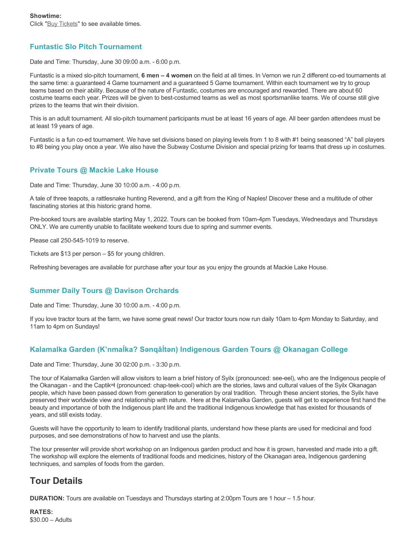# **Funtastic Slo Pitch Tournament**

Date and Time: Thursday, June 30 09:00 a.m. - 6:00 p.m.

Funtastic is a mixed slo-pitch tournament, **6 men – 4 women** on the field at all times. In Vernon we run 2 different co-ed tournaments at the same time: a guaranteed 4 Game tournament and a guaranteed 5 Game tournament. Within each tournament we try to group teams based on their ability. Because of the nature of Funtastic, costumes are encouraged and rewarded. There are about 60 costume teams each year. Prizes will be given to best-costumed teams as well as most sportsmanlike teams. We of course still give prizes to the teams that win their division.

This is an adult tournament. All slo-pitch tournament participants must be at least 16 years of age. All beer garden attendees must be at least 19 years of age.

Funtastic is a fun co-ed tournament. We have set divisions based on playing levels from 1 to 8 with #1 being seasoned "A" ball players to #8 being you play once a year. We also have the Subway Costume Division and special prizing for teams that dress up in costumes.

# **Private Tours @ Mackie Lake House**

Date and Time: Thursday, June 30 10:00 a.m. - 4:00 p.m.

A tale of three teapots, a rattlesnake hunting Reverend, and a gift from the King of Naples! Discover these and a multitude of other fascinating stories at this historic grand home.

Pre-booked tours are available starting May 1, 2022. Tours can be booked from 10am-4pm Tuesdays, Wednesdays and Thursdays ONLY. We are currently unable to facilitate weekend tours due to spring and summer events.

Please call 250-545-1019 to reserve.

Tickets are \$13 per person – \$5 for young children.

Refreshing beverages are available for purchase after your tour as you enjoy the grounds at Mackie Lake House.

# **Summer Daily Tours @ Davison Orchards**

Date and Time: Thursday, June 30 10:00 a.m. - 4:00 p.m.

If you love tractor tours at the farm, we have some great news! Our tractor tours now run daily 10am to 4pm Monday to Saturday, and 11am to 4pm on Sundays!

# **Kalamalka Garden (K'nmaĺka? Sәnqâĺtәn) Indigenous Garden Tours @ Okanagan College**

Date and Time: Thursday, June 30 02:00 p.m. - 3:30 p.m.

The tour of Kalamalka Garden will allow visitors to learn a brief history of Syilx (pronounced: see-eel), who are the Indigenous people of the Okanagan - and the Captikʷł (pronounced: chap-teek-cool) which are the stories, laws and cultural values of the Syilx Okanagan people, which have been passed down from generation to generation by oral tradition. Through these ancient stories, the Syilx have preserved their worldwide view and relationship with nature. Here at the Kalamalka Garden, guests will get to experience first hand the beauty and importance of both the Indigenous plant life and the traditional Indigenous knowledge that has existed for thousands of years, and still exists today.

Guests will have the opportunity to learn to identify traditional plants, understand how these plants are used for medicinal and food purposes, and see demonstrations of how to harvest and use the plants.

The tour presenter will provide short workshop on an Indigenous garden product and how it is grown, harvested and made into a gift. The workshop will explore the elements of traditional foods and medicines, history of the Okanagan area, Indigenous gardening techniques, and samples of foods from the garden.

# **Tour Details**

**DURATION:** Tours are available on Tuesdays and Thursdays starting at 2:00pm Tours are 1 hour – 1.5 hour.

**RATES:** \$30.00 – Adults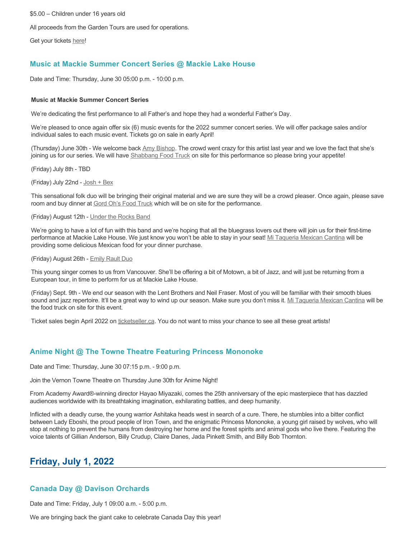\$5.00 – Children under 16 years old

All proceeds from the Garden Tours are used for operations.

Get your tickets [here!](https://www.eventbrite.ca/e/kalamalka-garden-tour-tickets-158617843239)

# **Music at Mackie Summer Concert Series @ Mackie Lake House**

Date and Time: Thursday, June 30 05:00 p.m. - 10:00 p.m.

#### **Music at Mackie Summer Concert Series**

We're dedicating the first performance to all Father's and hope they had a wonderful Father's Day.

We're pleased to once again offer six (6) music events for the 2022 summer concert series. We will offer package sales and/or individual sales to each music event. Tickets go on sale in early April!

(Thursday) June 30th - We welcome back [Amy Bishop.](https://protect-ca.mimecast.com/s/97KDCk8v46IYY8Pc4eTtT?domain=mackiehouse.us3.list-manage.com) The crowd went crazy for this artist last year and we love the fact that she's joining us for our series. We will have [Shabbang Food Truck](https://protect-ca.mimecast.com/s/hGWiClxw48FOO0jTKiFD6?domain=mackiehouse.us3.list-manage.com) on site for this performance so please bring your appetite!

(Friday) July 8th - TBD

(Friday) July 22nd - [Josh + Bex](https://protect-ca.mimecast.com/s/LfcBCmOx47s11B9u0QwFr?domain=mackiehouse.us3.list-manage.com)

This sensational folk duo will be bringing their original material and we are sure they will be a crowd pleaser. Once again, please save room and buy dinner at [Gord Oh's Food Truck](https://protect-ca.mimecast.com/s/oREECnxy4GFllAkujC-Hs?domain=mackiehouse.us3.list-manage.com) which will be on site for the performance.

#### (Friday) August 12th - [Under the Rocks Band](https://protect-ca.mimecast.com/s/wmzjCoVz4AhlljQujeM8P?domain=mackiehouse.us3.list-manage.com)

We're going to have a lot of fun with this band and we're hoping that all the bluegrass lovers out there will join us for their first-time performance at Mackie Lake House. We just know you won't be able to stay in your seat! [Mi Taqueria Mexican Cantina](https://protect-ca.mimecast.com/s/IidvCp8A59IQQ17s1mbiS?domain=mackiehouse.us3.list-manage.com) will be providing some delicious Mexican food for your dinner purchase.

(Friday) August 26th - [Emily Rault Duo](https://protect-ca.mimecast.com/s/1ZJZCq7B4AsLLKVczxAAc?domain=mackiehouse.us3.list-manage.com)

This young singer comes to us from Vancouver. She'll be offering a bit of Motown, a bit of Jazz, and will just be returning from a European tour, in time to perform for us at Mackie Lake House.

(Friday) Sept. 9th - We end our season with the Lent Brothers and Neil Fraser. Most of you will be familiar with their smooth blues sound and jazz repertoire. It'll be a great way to wind up our season. Make sure you don't miss it. [Mi Taqueria Mexican Cantina](https://protect-ca.mimecast.com/s/mUjmCr8D4gIwwPWTPinKw?domain=mackiehouse.us3.list-manage.com) will be the food truck on site for this event.

Ticket sales begin April 2022 on [ticketseller.ca.](https://ticketseller.ca/) You do not want to miss your chance to see all these great artists!

### **Anime Night @ The Towne Theatre Featuring Princess Mononoke**

Date and Time: Thursday, June 30 07:15 p.m. - 9:00 p.m.

Join the Vernon Towne Theatre on Thursday June 30th for Anime Night!

From Academy Award®-winning director Hayao Miyazaki, comes the 25th anniversary of the epic masterpiece that has dazzled audiences worldwide with its breathtaking imagination, exhilarating battles, and deep humanity.

Inflicted with a deadly curse, the young warrior Ashitaka heads west in search of a cure. There, he stumbles into a bitter conflict between Lady Eboshi, the proud people of Iron Town, and the enigmatic Princess Mononoke, a young girl raised by wolves, who will stop at nothing to prevent the humans from destroying her home and the forest spirits and animal gods who live there. Featuring the voice talents of Gillian Anderson, Billy Crudup, Claire Danes, Jada Pinkett Smith, and Billy Bob Thornton.

# **Friday, July 1, 2022**

### **Canada Day @ Davison Orchards**

Date and Time: Friday, July 1 09:00 a.m. - 5:00 p.m.

We are bringing back the giant cake to celebrate Canada Day this year!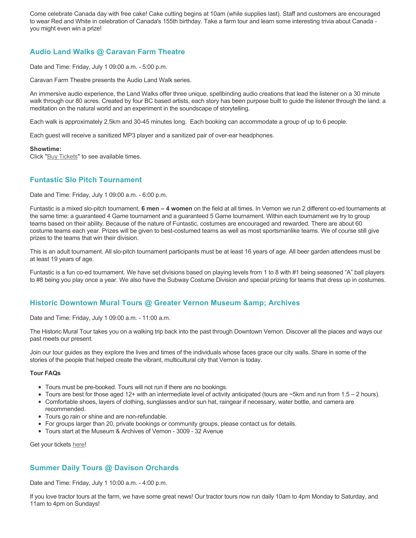Come celebrate Canada day with free cake! Cake cutting begins at 10am (while supplies last). Staff and customers are encouraged to wear Red and White in celebration of Canada's 155th birthday. Take a farm tour and learn some interesting trivia about Canada you might even win a prize!

## **Audio Land Walks @ Caravan Farm Theatre**

Date and Time: Friday, July 1 09:00 a.m. - 5:00 p.m.

Caravan Farm Theatre presents the Audio Land Walk series.

An immersive audio experience, the Land Walks offer three unique, spellbinding audio creations that lead the listener on a 30 minute walk through our 80 acres. Created by four BC based artists, each story has been purpose built to guide the listener through the land: a meditation on the natural world and an experiment in the soundscape of storytelling.

Each walk is approximately 2.5km and 30-45 minutes long. Each booking can accommodate a group of up to 6 people.

Each guest will receive a sanitized MP3 player and a sanitized pair of over-ear headphones.

#### **Showtime:**

Click "[Buy Tickets](https://caravanfarmtheatre.com/show/the-land-walks/?ct=t%28EMAIL_CAMPAIGN_4_19_2022_13_43SEASON+2022%29&mc_cid=c02afad356&mc_eid=4778eb8892)" to see available times.

## **Funtastic Slo Pitch Tournament**

Date and Time: Friday, July 1 09:00 a.m. - 6:00 p.m.

Funtastic is a mixed slo-pitch tournament, **6 men – 4 women** on the field at all times. In Vernon we run 2 different co-ed tournaments at the same time: a guaranteed 4 Game tournament and a guaranteed 5 Game tournament. Within each tournament we try to group teams based on their ability. Because of the nature of Funtastic, costumes are encouraged and rewarded. There are about 60 costume teams each year. Prizes will be given to best-costumed teams as well as most sportsmanlike teams. We of course still give prizes to the teams that win their division.

This is an adult tournament. All slo-pitch tournament participants must be at least 16 years of age. All beer garden attendees must be at least 19 years of age.

Funtastic is a fun co-ed tournament. We have set divisions based on playing levels from 1 to 8 with #1 being seasoned "A" ball players to #8 being you play once a year. We also have the Subway Costume Division and special prizing for teams that dress up in costumes.

### **Historic Downtown Mural Tours @ Greater Vernon Museum & Archives**

Date and Time: Friday, July 1 09:00 a.m. - 11:00 a.m.

The Historic Mural Tour takes you on a walking trip back into the past through Downtown Vernon. Discover all the places and ways our past meets our present.

Join our tour guides as they explore the lives and times of the individuals whose faces grace our city walls. Share in some of the stories of the people that helped create the vibrant, multicultural city that Vernon is today.

#### **Tour FAQs**

- Tours must be pre-booked. Tours will not run if there are no bookings.
- $\bullet$  Tours are best for those aged 12+ with an intermediate level of activity anticipated (tours are  $\sim$ 5km and run from 1.5 2 hours).
- Comfortable shoes, layers of clothing, sunglasses and/or sun hat, raingear if necessary, water bottle, and camera are recommended.
- Tours go rain or shine and are non-refundable.
- For groups larger than 20, private bookings or community groups, please contact us for details.
- Tours start at the Museum & Archives of Vernon 3009 32 Avenue

Get your tickets [here!](https://www.eventbrite.com/e/historic-downtown-mural-tours-tickets-304983342387)

### **Summer Daily Tours @ Davison Orchards**

Date and Time: Friday, July 1 10:00 a.m. - 4:00 p.m.

If you love tractor tours at the farm, we have some great news! Our tractor tours now run daily 10am to 4pm Monday to Saturday, and 11am to 4pm on Sundays!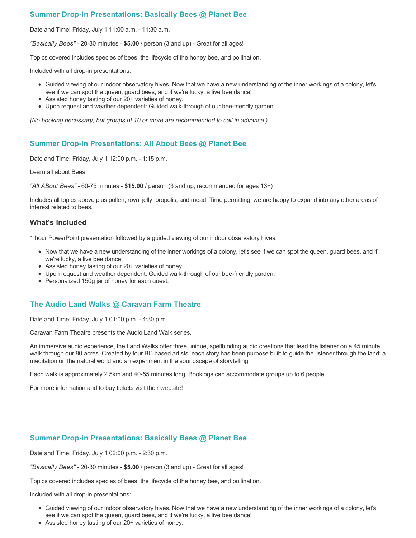## **Summer Drop-in Presentations: Basically Bees @ Planet Bee**

Date and Time: Friday, July 1 11:00 a.m. - 11:30 a.m.

*"Basically Bees"* - 20-30 minutes - **\$5.00** / person (3 and up) - Great for all ages!

Topics covered includes species of bees, the lifecycle of the honey bee, and pollination.

Included with all drop-in presentations:

- Guided viewing of our indoor observatory hives. Now that we have a new understanding of the inner workings of a colony, let's see if we can spot the queen, guard bees, and if we're lucky, a live bee dance!
- Assisted honey tasting of our 20+ varieties of honey.
- Upon request and weather dependent: Guided walk-through of our bee-friendly garden

*(No booking necessary, but groups of 10 or more are recommended to call in advance.)*

### **Summer Drop-in Presentations: All About Bees @ Planet Bee**

Date and Time: Friday, July 1 12:00 p.m. - 1:15 p.m.

Learn all about Bees!

*"All ABout Bees"* - 60-75 minutes - **\$15.00** / person (3 and up, recommended for ages 13+)

Includes all topics above plus pollen, royal jelly, propolis, and mead. Time permitting, we are happy to expand into any other areas of interest related to bees.

#### **What's Included**

1 hour PowerPoint presentation followed by a guided viewing of our indoor observatory hives.

- Now that we have a new understanding of the inner workings of a colony, let's see if we can spot the queen, guard bees, and if we're lucky, a live bee dance!
- Assisted honey tasting of our 20+ varieties of honey.
- Upon request and weather dependent: Guided walk-through of our bee-friendly garden.
- Personalized 150g jar of honey for each guest.

### **The Audio Land Walks @ Caravan Farm Theatre**

Date and Time: Friday, July 1 01:00 p.m. - 4:30 p.m.

Caravan Farm Theatre presents the Audio Land Walk series.

An immersive audio experience, the Land Walks offer three unique, spellbinding audio creations that lead the listener on a 45 minute walk through our 80 acres. Created by four BC based artists, each story has been purpose built to guide the listener through the land: a meditation on the natural world and an experiment in the soundscape of storytelling.

Each walk is approximately 2.5km and 40-55 minutes long. Bookings can accommodate groups up to 6 people.

For more information and to buy tickets visit their [website!](https://caravanfarmtheatre.com/show/the-land-walks/)

### **Summer Drop-in Presentations: Basically Bees @ Planet Bee**

Date and Time: Friday, July 1 02:00 p.m. - 2:30 p.m.

*"Basically Bees"* - 20-30 minutes - **\$5.00** / person (3 and up) - Great for all ages!

Topics covered includes species of bees, the lifecycle of the honey bee, and pollination.

Included with all drop-in presentations:

- Guided viewing of our indoor observatory hives. Now that we have a new understanding of the inner workings of a colony, let's see if we can spot the queen, guard bees, and if we're lucky, a live bee dance!
- Assisted honey tasting of our 20+ varieties of honey.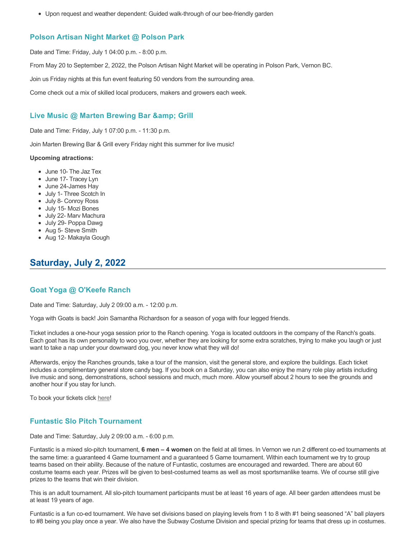Upon request and weather dependent: Guided walk-through of our bee-friendly garden

#### **Polson Artisan Night Market @ Polson Park**

Date and Time: Friday, July 1 04:00 p.m. - 8:00 p.m.

From May 20 to September 2, 2022, the Polson Artisan Night Market will be operating in Polson Park, Vernon BC.

Join us Friday nights at this fun event featuring 50 vendors from the surrounding area.

Come check out a mix of skilled local producers, makers and growers each week.

#### **Live Music @ Marten Brewing Bar & amp; Grill**

Date and Time: Friday, July 1 07:00 p.m. - 11:30 p.m.

Join Marten Brewing Bar & Grill every Friday night this summer for live music!

#### **Upcoming atractions:**

- June 10- The Jaz Tex
- June 17- Tracey Lyn
- June 24-James Hay
- July 1- Three Scotch In
- July 8- Conroy Ross
- July 15- Mozi Bones
- July 22- Marv Machura
- July 29- Poppa Dawg
- Aug 5- Steve Smith
- Aug 12- Makayla Gough

# **Saturday, July 2, 2022**

#### **Goat Yoga @ O'Keefe Ranch**

Date and Time: Saturday, July 2 09:00 a.m. - 12:00 p.m.

Yoga with Goats is back! Join Samantha Richardson for a season of yoga with four legged friends.

Ticket includes a one-hour yoga session prior to the Ranch opening. Yoga is located outdoors in the company of the Ranch's goats. Each goat has its own personality to woo you over, whether they are looking for some extra scratches, trying to make you laugh or just want to take a nap under your downward dog, you never know what they will do!

Afterwards, enjoy the Ranches grounds, take a tour of the mansion, visit the general store, and explore the buildings. Each ticket includes a complimentary general store candy bag. If you book on a Saturday, you can also enjoy the many role play artists including live music and song, demonstrations, school sessions and much, much more. Allow yourself about 2 hours to see the grounds and another hour if you stay for lunch.

To book your tickets click [here!](https://tickets.ticketseller.ca/TheatreManager/1/login&event=3417)

#### **Funtastic Slo Pitch Tournament**

Date and Time: Saturday, July 2 09:00 a.m. - 6:00 p.m.

Funtastic is a mixed slo-pitch tournament, **6 men – 4 women** on the field at all times. In Vernon we run 2 different co-ed tournaments at the same time: a guaranteed 4 Game tournament and a guaranteed 5 Game tournament. Within each tournament we try to group teams based on their ability. Because of the nature of Funtastic, costumes are encouraged and rewarded. There are about 60 costume teams each year. Prizes will be given to best-costumed teams as well as most sportsmanlike teams. We of course still give prizes to the teams that win their division.

This is an adult tournament. All slo-pitch tournament participants must be at least 16 years of age. All beer garden attendees must be at least 19 years of age.

Funtastic is a fun co-ed tournament. We have set divisions based on playing levels from 1 to 8 with #1 being seasoned "A" ball players to #8 being you play once a year. We also have the Subway Costume Division and special prizing for teams that dress up in costumes.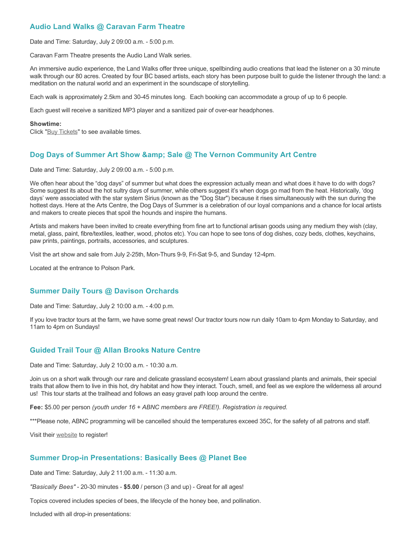## **Audio Land Walks @ Caravan Farm Theatre**

Date and Time: Saturday, July 2 09:00 a.m. - 5:00 p.m.

Caravan Farm Theatre presents the Audio Land Walk series.

An immersive audio experience, the Land Walks offer three unique, spellbinding audio creations that lead the listener on a 30 minute walk through our 80 acres. Created by four BC based artists, each story has been purpose built to guide the listener through the land: a meditation on the natural world and an experiment in the soundscape of storytelling.

Each walk is approximately 2.5km and 30-45 minutes long. Each booking can accommodate a group of up to 6 people.

Each guest will receive a sanitized MP3 player and a sanitized pair of over-ear headphones.

#### **Showtime:**

Click "[Buy Tickets](https://caravanfarmtheatre.com/show/the-land-walks/?ct=t%28EMAIL_CAMPAIGN_4_19_2022_13_43SEASON+2022%29&mc_cid=c02afad356&mc_eid=4778eb8892)" to see available times.

### **Dog Days of Summer Art Show & amp: Sale @ The Vernon Community Art Centre**

Date and Time: Saturday, July 2 09:00 a.m. - 5:00 p.m.

We often hear about the "dog days" of summer but what does the expression actually mean and what does it have to do with dogs? Some suggest its about the hot sultry days of summer, while others suggest it's when dogs go mad from the heat. Historically, 'dog days' were associated with the star system Sirius (known as the "Dog Star") because it rises simultaneously with the sun during the hottest days. Here at the Arts Centre, the Dog Days of Summer is a celebration of our loyal companions and a chance for local artists and makers to create pieces that spoil the hounds and inspire the humans.

Artists and makers have been invited to create everything from fine art to functional artisan goods using any medium they wish (clay, metal, glass, paint, fibre/textiles, leather, wood, photos etc). You can hope to see tons of dog dishes, cozy beds, clothes, keychains, paw prints, paintings, portraits, accessories, and sculptures.

Visit the art show and sale from July 2-25th, Mon-Thurs 9-9, Fri-Sat 9-5, and Sunday 12-4pm.

Located at the entrance to Polson Park.

#### **Summer Daily Tours @ Davison Orchards**

Date and Time: Saturday, July 2 10:00 a.m. - 4:00 p.m.

If you love tractor tours at the farm, we have some great news! Our tractor tours now run daily 10am to 4pm Monday to Saturday, and 11am to 4pm on Sundays!

#### **Guided Trail Tour @ Allan Brooks Nature Centre**

Date and Time: Saturday, July 2 10:00 a.m. - 10:30 a.m.

Join us on a short walk through our rare and delicate grassland ecosystem! Learn about grassland plants and animals, their special traits that allow them to live in this hot, dry habitat and how they interact. Touch, smell, and feel as we explore the wilderness all around us! This tour starts at the trailhead and follows an easy gravel path loop around the centre.

**Fee:** \$5.00 per person *(youth under 16 + ABNC members are FREE!). Registration is required.* 

\*\*\*Please note, ABNC programming will be cancelled should the temperatures exceed 35C, for the safety of all patrons and staff.

Visit their [website](https://abnc.ca/events/events-calendar/) to register!

#### **Summer Drop-in Presentations: Basically Bees @ Planet Bee**

Date and Time: Saturday, July 2 11:00 a.m. - 11:30 a.m.

*"Basically Bees"* - 20-30 minutes - **\$5.00** / person (3 and up) - Great for all ages!

Topics covered includes species of bees, the lifecycle of the honey bee, and pollination.

Included with all drop-in presentations: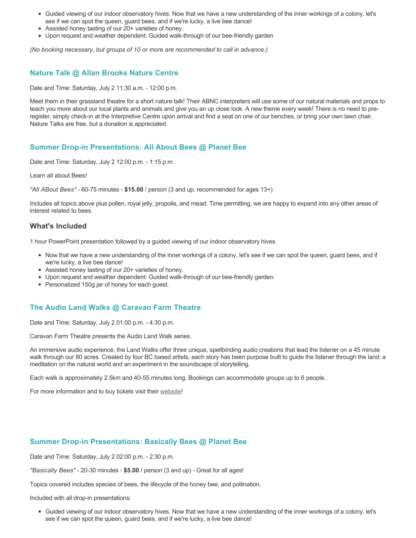- Guided viewing of our indoor observatory hives. Now that we have a new understanding of the inner workings of a colony, let's see if we can spot the queen, guard bees, and if we're lucky, a live bee dance!
- Assisted honey tasting of our 20+ varieties of honey.
- Upon request and weather dependent: Guided walk-through of our bee-friendly garden

*(No booking necessary, but groups of 10 or more are recommended to call in advance.)*

### **Nature Talk @ Allan Brooks Nature Centre**

Date and Time: Saturday, July 2 11:30 a.m. - 12:00 p.m.

Meet them in their grassland theatre for a short nature talk! Their ABNC interpreters will use some of our natural materials and props to teach you more about our local plants and animals and give you an up close look. A new theme every week! There is no need to preregister, simply check-in at the Interpretive Centre upon arrival and find a seat on one of our benches, or bring your own lawn chair. Nature Talks are free, but a donation is appreciated.

### **Summer Drop-in Presentations: All About Bees @ Planet Bee**

Date and Time: Saturday, July 2 12:00 p.m. - 1:15 p.m.

Learn all about Bees!

*"All ABout Bees"* - 60-75 minutes - **\$15.00** / person (3 and up, recommended for ages 13+)

Includes all topics above plus pollen, royal jelly, propolis, and mead. Time permitting, we are happy to expand into any other areas of interest related to bees.

#### **What's Included**

1 hour PowerPoint presentation followed by a guided viewing of our indoor observatory hives.

- Now that we have a new understanding of the inner workings of a colony, let's see if we can spot the queen, guard bees, and if we're lucky, a live bee dance!
- Assisted honey tasting of our 20+ varieties of honey.
- Upon request and weather dependent: Guided walk-through of our bee-friendly garden.
- Personalized 150g jar of honey for each guest.

### **The Audio Land Walks @ Caravan Farm Theatre**

Date and Time: Saturday, July 2 01:00 p.m. - 4:30 p.m.

Caravan Farm Theatre presents the Audio Land Walk series.

An immersive audio experience, the Land Walks offer three unique, spellbinding audio creations that lead the listener on a 45 minute walk through our 80 acres. Created by four BC based artists, each story has been purpose built to guide the listener through the land: a meditation on the natural world and an experiment in the soundscape of storytelling.

Each walk is approximately 2.5km and 40-55 minutes long. Bookings can accommodate groups up to 6 people.

For more information and to buy tickets visit their [website!](https://caravanfarmtheatre.com/show/the-land-walks/)

#### **Summer Drop-in Presentations: Basically Bees @ Planet Bee**

Date and Time: Saturday, July 2 02:00 p.m. - 2:30 p.m.

*"Basically Bees"* - 20-30 minutes - **\$5.00** / person (3 and up) - Great for all ages!

Topics covered includes species of bees, the lifecycle of the honey bee, and pollination.

Included with all drop-in presentations:

Guided viewing of our indoor observatory hives. Now that we have a new understanding of the inner workings of a colony, let's see if we can spot the queen, guard bees, and if we're lucky, a live bee dance!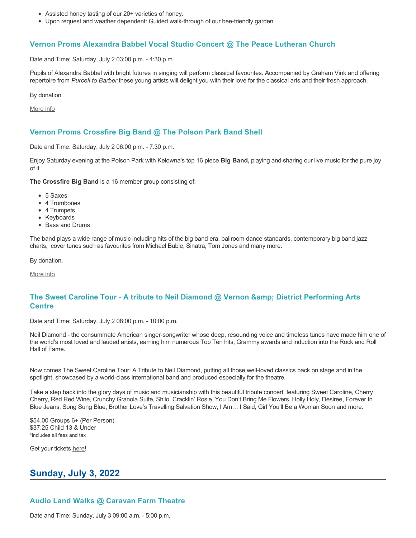- Assisted honey tasting of our 20+ varieties of honey.
- Upon request and weather dependent: Guided walk-through of our bee-friendly garden

#### **Vernon Proms Alexandra Babbel Vocal Studio Concert @ The Peace Lutheran Church**

Date and Time: Saturday, July 2 03:00 p.m. - 4:30 p.m.

Pupils of Alexandra Babbel with bright futures in singing will perform classical favourites. Accompanied by Graham Vink and offering repertoire from *Purcell to Barber* these young artists will delight you with their love for the classical arts and their fresh approach.

By donation.

[More info](https://proms.eventcalendarapp.com/u/36415/evt_external_62845d7084cce5260a3f5387?repeatId=evt_external_62845d7084cce5260a3f5387)

### **Vernon Proms Crossfire Big Band @ The Polson Park Band Shell**

Date and Time: Saturday, July 2 06:00 p.m. - 7:30 p.m.

Enjoy Saturday evening at the Polson Park with Kelowna's top 16 piece **Big Band,** playing and sharing our live music for the pure joy of it.

**The Crossfire Big Band** is a 16 member group consisting of:

- 5 Saxes
- 4 Trombones
- 4 Trumpets
- Keyboards
- Bass and Drums

The band plays a wide range of music including hits of the big band era, ballroom dance standards, contemporary big band jazz charts, cover tunes such as favourites from Michael Buble, Sinatra, Tom Jones and many more.

By donation.

[More info](https://proms.eventcalendarapp.com/u/36415/evt_external_62845d7084cce5260a3f5387?repeatId=evt_external_62845d7084cce5260a3f5387)

# **The Sweet Caroline Tour - A tribute to Neil Diamond @ Vernon & District Performing Arts Centre**

Date and Time: Saturday, July 2 08:00 p.m. - 10:00 p.m.

Neil Diamond - the consummate American singer-songwriter whose deep, resounding voice and timeless tunes have made him one of the world's most loved and lauded artists, earning him numerous Top Ten hits, Grammy awards and induction into the Rock and Roll Hall of Fame.

Now comes The Sweet Caroline Tour: A Tribute to Neil Diamond, putting all those well-loved classics back on stage and in the spotlight, showcased by a world-class international band and produced especially for the theatre.

Take a step back into the glory days of music and musicianship with this beautiful tribute concert, featuring Sweet Caroline, Cherry Cherry, Red Red Wine, Crunchy Granola Suite, Shilo, Cracklin' Rosie, You Don't Bring Me Flowers, Holly Holy, Desiree, Forever In Blue Jeans, Song Sung Blue, Brother Love's Travelling Salvation Show, I Am… I Said, Girl You'll Be a Woman Soon and more.

\$54.00 Groups 6+ (Per Person) \$37.25 Child 13 & Under \*includes all fees and tax

Get your tickets [here!](https://tickets.ticketseller.ca/TheatreManager/1/login&event=3352)

# **Sunday, July 3, 2022**

# **Audio Land Walks @ Caravan Farm Theatre**

Date and Time: Sunday, July 3 09:00 a.m. - 5:00 p.m.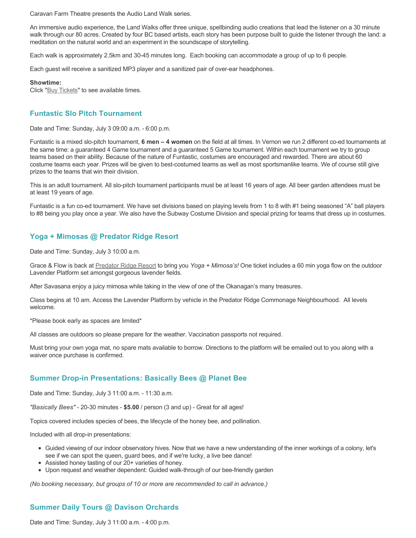Caravan Farm Theatre presents the Audio Land Walk series.

An immersive audio experience, the Land Walks offer three unique, spellbinding audio creations that lead the listener on a 30 minute walk through our 80 acres. Created by four BC based artists, each story has been purpose built to guide the listener through the land: a meditation on the natural world and an experiment in the soundscape of storytelling.

Each walk is approximately 2.5km and 30-45 minutes long. Each booking can accommodate a group of up to 6 people.

Each guest will receive a sanitized MP3 player and a sanitized pair of over-ear headphones.

#### **Showtime:**

Click "[Buy Tickets](https://caravanfarmtheatre.com/show/the-land-walks/?ct=t%28EMAIL_CAMPAIGN_4_19_2022_13_43SEASON+2022%29&mc_cid=c02afad356&mc_eid=4778eb8892)" to see available times.

#### **Funtastic Slo Pitch Tournament**

Date and Time: Sunday, July 3 09:00 a.m. - 6:00 p.m.

Funtastic is a mixed slo-pitch tournament, **6 men – 4 women** on the field at all times. In Vernon we run 2 different co-ed tournaments at the same time: a guaranteed 4 Game tournament and a guaranteed 5 Game tournament. Within each tournament we try to group teams based on their ability. Because of the nature of Funtastic, costumes are encouraged and rewarded. There are about 60 costume teams each year. Prizes will be given to best-costumed teams as well as most sportsmanlike teams. We of course still give prizes to the teams that win their division.

This is an adult tournament. All slo-pitch tournament participants must be at least 16 years of age. All beer garden attendees must be at least 19 years of age.

Funtastic is a fun co-ed tournament. We have set divisions based on playing levels from 1 to 8 with #1 being seasoned "A" ball players to #8 being you play once a year. We also have the Subway Costume Division and special prizing for teams that dress up in costumes.

#### **Yoga + Mimosas @ Predator Ridge Resort**

Date and Time: Sunday, July 3 10:00 a.m.

Grace & Flow is back at [Predator Ridge Resort](https://www.predatorridge.com/events) to bring you *Yoga + Mimosa's!* One ticket includes a 60 min yoga flow on the outdoor Lavender Platform set amongst gorgeous lavender fields.

After Savasana enjoy a juicy mimosa while taking in the view of one of the Okanagan's many treasures.

Class begins at 10 am. Access the Lavender Platform by vehicle in the Predator Ridge Commonage Neighbourhood. All levels welcome.

\*Please book early as spaces are limited\*

All classes are outdoors so please prepare for the weather. Vaccination passports not required.

Must bring your own yoga mat, no spare mats available to borrow. Directions to the platform will be emailed out to you along with a waiver once purchase is confirmed.

#### **Summer Drop-in Presentations: Basically Bees @ Planet Bee**

Date and Time: Sunday, July 3 11:00 a.m. - 11:30 a.m.

*"Basically Bees"* - 20-30 minutes - **\$5.00** / person (3 and up) - Great for all ages!

Topics covered includes species of bees, the lifecycle of the honey bee, and pollination.

Included with all drop-in presentations:

- Guided viewing of our indoor observatory hives. Now that we have a new understanding of the inner workings of a colony, let's see if we can spot the queen, guard bees, and if we're lucky, a live bee dance!
- Assisted honey tasting of our 20+ varieties of honey.
- Upon request and weather dependent: Guided walk-through of our bee-friendly garden

*(No booking necessary, but groups of 10 or more are recommended to call in advance.)*

#### **Summer Daily Tours @ Davison Orchards**

Date and Time: Sunday, July 3 11:00 a.m. - 4:00 p.m.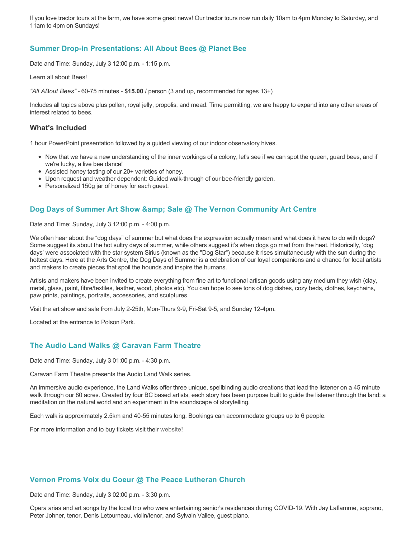If you love tractor tours at the farm, we have some great news! Our tractor tours now run daily 10am to 4pm Monday to Saturday, and 11am to 4pm on Sundays!

### **Summer Drop-in Presentations: All About Bees @ Planet Bee**

Date and Time: Sunday, July 3 12:00 p.m. - 1:15 p.m.

Learn all about Bees!

*"All ABout Bees"* - 60-75 minutes - **\$15.00** / person (3 and up, recommended for ages 13+)

Includes all topics above plus pollen, royal jelly, propolis, and mead. Time permitting, we are happy to expand into any other areas of interest related to bees.

#### **What's Included**

1 hour PowerPoint presentation followed by a guided viewing of our indoor observatory hives.

- Now that we have a new understanding of the inner workings of a colony, let's see if we can spot the queen, guard bees, and if we're lucky, a live bee dance!
- Assisted honey tasting of our 20+ varieties of honey.
- Upon request and weather dependent: Guided walk-through of our bee-friendly garden.
- Personalized 150g jar of honey for each guest.

### **Dog Days of Summer Art Show & amp; Sale @ The Vernon Community Art Centre**

Date and Time: Sunday, July 3 12:00 p.m. - 4:00 p.m.

We often hear about the "dog days" of summer but what does the expression actually mean and what does it have to do with dogs? Some suggest its about the hot sultry days of summer, while others suggest it's when dogs go mad from the heat. Historically, 'dog days' were associated with the star system Sirius (known as the "Dog Star") because it rises simultaneously with the sun during the hottest days. Here at the Arts Centre, the Dog Days of Summer is a celebration of our loyal companions and a chance for local artists and makers to create pieces that spoil the hounds and inspire the humans.

Artists and makers have been invited to create everything from fine art to functional artisan goods using any medium they wish (clay, metal, glass, paint, fibre/textiles, leather, wood, photos etc). You can hope to see tons of dog dishes, cozy beds, clothes, keychains, paw prints, paintings, portraits, accessories, and sculptures.

Visit the art show and sale from July 2-25th, Mon-Thurs 9-9, Fri-Sat 9-5, and Sunday 12-4pm.

Located at the entrance to Polson Park.

### **The Audio Land Walks @ Caravan Farm Theatre**

Date and Time: Sunday, July 3 01:00 p.m. - 4:30 p.m.

Caravan Farm Theatre presents the Audio Land Walk series.

An immersive audio experience, the Land Walks offer three unique, spellbinding audio creations that lead the listener on a 45 minute walk through our 80 acres. Created by four BC based artists, each story has been purpose built to guide the listener through the land: a meditation on the natural world and an experiment in the soundscape of storytelling.

Each walk is approximately 2.5km and 40-55 minutes long. Bookings can accommodate groups up to 6 people.

For more information and to buy tickets visit their [website!](https://caravanfarmtheatre.com/show/the-land-walks/)

#### **Vernon Proms Voix du Coeur @ The Peace Lutheran Church**

Date and Time: Sunday, July 3 02:00 p.m. - 3:30 p.m.

Opera arias and art songs by the local trio who were entertaining senior's residences during COVID-19. With Jay Laflamme, soprano, Peter Johner, tenor, Denis Letourneau, violin/tenor, and Sylvain Vallee, guest piano.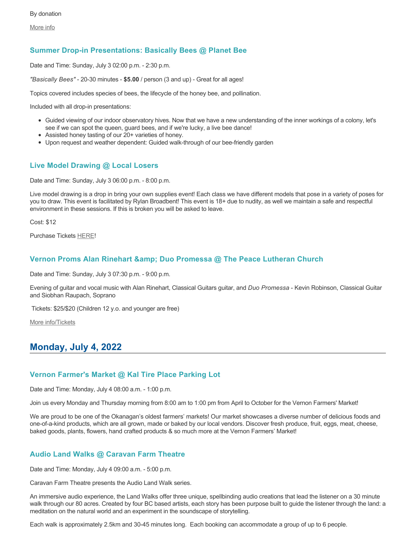[More info](https://proms.eventcalendarapp.com/u/36415/evt_external_62845d7084cce5260a3f5396?repeatId=evt_external_62845d7084cce5260a3f5396)

### **Summer Drop-in Presentations: Basically Bees @ Planet Bee**

Date and Time: Sunday, July 3 02:00 p.m. - 2:30 p.m.

*"Basically Bees"* - 20-30 minutes - **\$5.00** / person (3 and up) - Great for all ages!

Topics covered includes species of bees, the lifecycle of the honey bee, and pollination.

Included with all drop-in presentations:

- Guided viewing of our indoor observatory hives. Now that we have a new understanding of the inner workings of a colony, let's see if we can spot the queen, guard bees, and if we're lucky, a live bee dance!
- Assisted honey tasting of our 20+ varieties of honey.
- Upon request and weather dependent: Guided walk-through of our bee-friendly garden

#### **Live Model Drawing @ Local Losers**

Date and Time: Sunday, July 3 06:00 p.m. - 8:00 p.m.

Live model drawing is a drop in bring your own supplies event! Each class we have different models that pose in a variety of poses for you to draw. This event is facilitated by Rylan Broadbent! This event is 18+ due to nudity, as well we maintain a safe and respectful environment in these sessions. If this is broken you will be asked to leave.

Cost: \$12

Purchase Tickets [HERE!](https://www.locallosers.ca/events)

#### **Vernon Proms Alan Rinehart & Duo Promessa @ The Peace Lutheran Church**

Date and Time: Sunday, July 3 07:30 p.m. - 9:00 p.m.

Evening of guitar and vocal music with Alan Rinehart, Classical Guitars guitar, and *Duo Promessa* - Kevin Robinson, Classical Guitar and Siobhan Raupach, Soprano

Tickets: \$25/\$20 (Children 12 y.o. and younger are free)

[More info/Tickets](https://proms.eventcalendarapp.com/u/36415/evt_external_62845d7184cce5260a3f539a?repeatId=evt_external_62845d7184cce5260a3f539a)

# **Monday, July 4, 2022**

#### **Vernon Farmer's Market @ Kal Tire Place Parking Lot**

Date and Time: Monday, July 4 08:00 a.m. - 1:00 p.m.

Join us every Monday and Thursday morning from 8:00 am to 1:00 pm from April to October for the Vernon Farmers' Market!

We are proud to be one of the Okanagan's oldest farmers' markets! Our market showcases a diverse number of delicious foods and one-of-a-kind products, which are all grown, made or baked by our local vendors. Discover fresh produce, fruit, eggs, meat, cheese, baked goods, plants, flowers, hand crafted products & so much more at the Vernon Farmers' Market!

#### **Audio Land Walks @ Caravan Farm Theatre**

Date and Time: Monday, July 4 09:00 a.m. - 5:00 p.m.

Caravan Farm Theatre presents the Audio Land Walk series.

An immersive audio experience, the Land Walks offer three unique, spellbinding audio creations that lead the listener on a 30 minute walk through our 80 acres. Created by four BC based artists, each story has been purpose built to guide the listener through the land: a meditation on the natural world and an experiment in the soundscape of storytelling.

Each walk is approximately 2.5km and 30-45 minutes long. Each booking can accommodate a group of up to 6 people.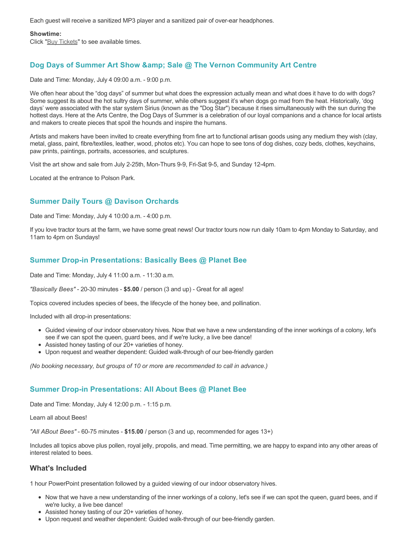Each guest will receive a sanitized MP3 player and a sanitized pair of over-ear headphones.

#### **Showtime:**

Click "[Buy Tickets](https://caravanfarmtheatre.com/show/the-land-walks/?ct=t%28EMAIL_CAMPAIGN_4_19_2022_13_43SEASON+2022%29&mc_cid=c02afad356&mc_eid=4778eb8892)" to see available times.

# **Dog Days of Summer Art Show & amp: Sale @ The Vernon Community Art Centre**

Date and Time: Monday, July 4 09:00 a.m. - 9:00 p.m.

We often hear about the "dog days" of summer but what does the expression actually mean and what does it have to do with dogs? Some suggest its about the hot sultry days of summer, while others suggest it's when dogs go mad from the heat. Historically, 'dog days' were associated with the star system Sirius (known as the "Dog Star") because it rises simultaneously with the sun during the hottest days. Here at the Arts Centre, the Dog Days of Summer is a celebration of our loyal companions and a chance for local artists and makers to create pieces that spoil the hounds and inspire the humans.

Artists and makers have been invited to create everything from fine art to functional artisan goods using any medium they wish (clay, metal, glass, paint, fibre/textiles, leather, wood, photos etc). You can hope to see tons of dog dishes, cozy beds, clothes, keychains, paw prints, paintings, portraits, accessories, and sculptures.

Visit the art show and sale from July 2-25th, Mon-Thurs 9-9, Fri-Sat 9-5, and Sunday 12-4pm.

Located at the entrance to Polson Park.

### **Summer Daily Tours @ Davison Orchards**

Date and Time: Monday, July 4 10:00 a.m. - 4:00 p.m.

If you love tractor tours at the farm, we have some great news! Our tractor tours now run daily 10am to 4pm Monday to Saturday, and 11am to 4pm on Sundays!

### **Summer Drop-in Presentations: Basically Bees @ Planet Bee**

Date and Time: Monday, July 4 11:00 a.m. - 11:30 a.m.

*"Basically Bees"* - 20-30 minutes - **\$5.00** / person (3 and up) - Great for all ages!

Topics covered includes species of bees, the lifecycle of the honey bee, and pollination.

Included with all drop-in presentations:

- Guided viewing of our indoor observatory hives. Now that we have a new understanding of the inner workings of a colony, let's see if we can spot the queen, guard bees, and if we're lucky, a live bee dance!
- Assisted honey tasting of our 20+ varieties of honey.
- Upon request and weather dependent: Guided walk-through of our bee-friendly garden

*(No booking necessary, but groups of 10 or more are recommended to call in advance.)*

### **Summer Drop-in Presentations: All About Bees @ Planet Bee**

Date and Time: Monday, July 4 12:00 p.m. - 1:15 p.m.

Learn all about Bees!

*"All ABout Bees"* - 60-75 minutes - **\$15.00** / person (3 and up, recommended for ages 13+)

Includes all topics above plus pollen, royal jelly, propolis, and mead. Time permitting, we are happy to expand into any other areas of interest related to bees.

### **What's Included**

1 hour PowerPoint presentation followed by a guided viewing of our indoor observatory hives.

- Now that we have a new understanding of the inner workings of a colony, let's see if we can spot the queen, guard bees, and if we're lucky, a live bee dance!
- Assisted honey tasting of our 20+ varieties of honey.
- Upon request and weather dependent: Guided walk-through of our bee-friendly garden.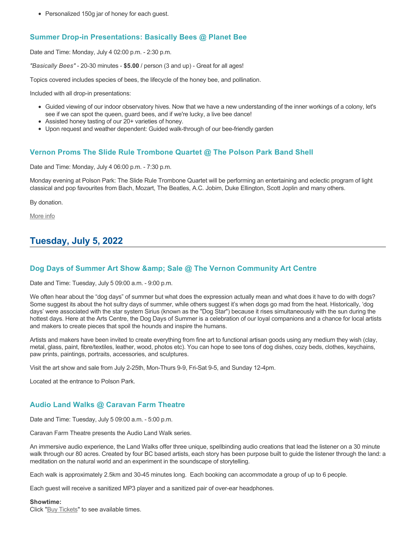• Personalized 150g jar of honey for each guest.

# **Summer Drop-in Presentations: Basically Bees @ Planet Bee**

Date and Time: Monday, July 4 02:00 p.m. - 2:30 p.m.

*"Basically Bees"* - 20-30 minutes - **\$5.00** / person (3 and up) - Great for all ages!

Topics covered includes species of bees, the lifecycle of the honey bee, and pollination.

Included with all drop-in presentations:

- Guided viewing of our indoor observatory hives. Now that we have a new understanding of the inner workings of a colony, let's see if we can spot the queen, guard bees, and if we're lucky, a live bee dance!
- Assisted honey tasting of our 20+ varieties of honey.
- Upon request and weather dependent: Guided walk-through of our bee-friendly garden

### **Vernon Proms The Slide Rule Trombone Quartet @ The Polson Park Band Shell**

Date and Time: Monday, July 4 06:00 p.m. - 7:30 p.m.

Monday evening at Polson Park: The Slide Rule Trombone Quartet will be performing an entertaining and eclectic program of light classical and pop favourites from Bach, Mozart, The Beatles, A.C. Jobim, Duke Ellington, Scott Joplin and many others.

By donation.

[More info](https://proms.eventcalendarapp.com/u/36415/evt_external_62845d7084cce5260a3f5398?repeatId=evt_external_62845d7084cce5260a3f5398)

# **Tuesday, July 5, 2022**

### **Dog Days of Summer Art Show & amp; Sale @ The Vernon Community Art Centre**

Date and Time: Tuesday, July 5 09:00 a.m. - 9:00 p.m.

We often hear about the "dog days" of summer but what does the expression actually mean and what does it have to do with dogs? Some suggest its about the hot sultry days of summer, while others suggest it's when dogs go mad from the heat. Historically, 'dog days' were associated with the star system Sirius (known as the "Dog Star") because it rises simultaneously with the sun during the hottest days. Here at the Arts Centre, the Dog Days of Summer is a celebration of our loyal companions and a chance for local artists and makers to create pieces that spoil the hounds and inspire the humans.

Artists and makers have been invited to create everything from fine art to functional artisan goods using any medium they wish (clay, metal, glass, paint, fibre/textiles, leather, wood, photos etc). You can hope to see tons of dog dishes, cozy beds, clothes, keychains, paw prints, paintings, portraits, accessories, and sculptures.

Visit the art show and sale from July 2-25th, Mon-Thurs 9-9, Fri-Sat 9-5, and Sunday 12-4pm.

Located at the entrance to Polson Park.

### **Audio Land Walks @ Caravan Farm Theatre**

Date and Time: Tuesday, July 5 09:00 a.m. - 5:00 p.m.

Caravan Farm Theatre presents the Audio Land Walk series.

An immersive audio experience, the Land Walks offer three unique, spellbinding audio creations that lead the listener on a 30 minute walk through our 80 acres. Created by four BC based artists, each story has been purpose built to guide the listener through the land: a meditation on the natural world and an experiment in the soundscape of storytelling.

Each walk is approximately 2.5km and 30-45 minutes long. Each booking can accommodate a group of up to 6 people.

Each guest will receive a sanitized MP3 player and a sanitized pair of over-ear headphones.

#### **Showtime:**

Click "[Buy Tickets](https://caravanfarmtheatre.com/show/the-land-walks/?ct=t%28EMAIL_CAMPAIGN_4_19_2022_13_43SEASON+2022%29&mc_cid=c02afad356&mc_eid=4778eb8892)" to see available times.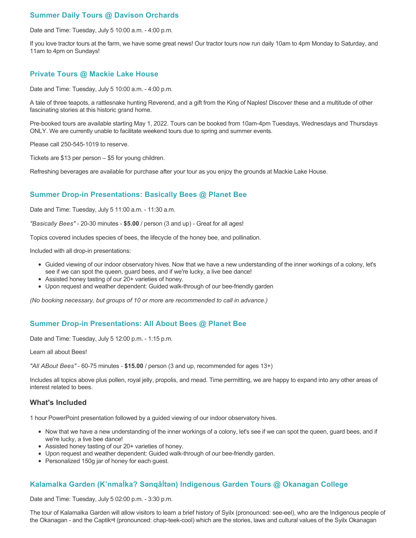# **Summer Daily Tours @ Davison Orchards**

Date and Time: Tuesday, July 5 10:00 a.m. - 4:00 p.m.

If you love tractor tours at the farm, we have some great news! Our tractor tours now run daily 10am to 4pm Monday to Saturday, and 11am to 4pm on Sundays!

## **Private Tours @ Mackie Lake House**

Date and Time: Tuesday, July 5 10:00 a.m. - 4:00 p.m.

A tale of three teapots, a rattlesnake hunting Reverend, and a gift from the King of Naples! Discover these and a multitude of other fascinating stories at this historic grand home.

Pre-booked tours are available starting May 1, 2022. Tours can be booked from 10am-4pm Tuesdays, Wednesdays and Thursdays ONLY. We are currently unable to facilitate weekend tours due to spring and summer events.

Please call 250-545-1019 to reserve.

Tickets are \$13 per person – \$5 for young children.

Refreshing beverages are available for purchase after your tour as you enjoy the grounds at Mackie Lake House.

### **Summer Drop-in Presentations: Basically Bees @ Planet Bee**

Date and Time: Tuesday, July 5 11:00 a.m. - 11:30 a.m.

*"Basically Bees"* - 20-30 minutes - **\$5.00** / person (3 and up) - Great for all ages!

Topics covered includes species of bees, the lifecycle of the honey bee, and pollination.

Included with all drop-in presentations:

- Guided viewing of our indoor observatory hives. Now that we have a new understanding of the inner workings of a colony, let's see if we can spot the queen, guard bees, and if we're lucky, a live bee dance!
- Assisted honey tasting of our 20+ varieties of honey.
- Upon request and weather dependent: Guided walk-through of our bee-friendly garden

*(No booking necessary, but groups of 10 or more are recommended to call in advance.)*

### **Summer Drop-in Presentations: All About Bees @ Planet Bee**

Date and Time: Tuesday, July 5 12:00 p.m. - 1:15 p.m.

Learn all about Bees!

*"All ABout Bees"* - 60-75 minutes - **\$15.00** / person (3 and up, recommended for ages 13+)

Includes all topics above plus pollen, royal jelly, propolis, and mead. Time permitting, we are happy to expand into any other areas of interest related to bees.

#### **What's Included**

1 hour PowerPoint presentation followed by a guided viewing of our indoor observatory hives.

- Now that we have a new understanding of the inner workings of a colony, let's see if we can spot the queen, guard bees, and if we're lucky, a live bee dance!
- Assisted honey tasting of our 20+ varieties of honey.
- Upon request and weather dependent: Guided walk-through of our bee-friendly garden.
- Personalized 150g jar of honey for each guest.

# **Kalamalka Garden (K'nmaĺka? Sәnqâĺtәn) Indigenous Garden Tours @ Okanagan College**

Date and Time: Tuesday, July 5 02:00 p.m. - 3:30 p.m.

The tour of Kalamalka Garden will allow visitors to learn a brief history of Syilx (pronounced: see-eel), who are the Indigenous people of the Okanagan - and the Captikʷł (pronounced: chap-teek-cool) which are the stories, laws and cultural values of the Syilx Okanagan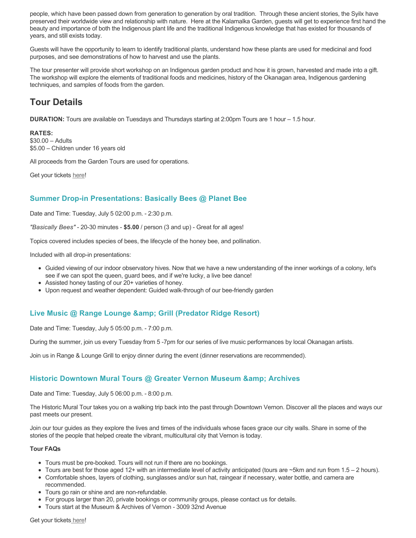people, which have been passed down from generation to generation by oral tradition. Through these ancient stories, the Syilx have preserved their worldwide view and relationship with nature. Here at the Kalamalka Garden, guests will get to experience first hand the beauty and importance of both the Indigenous plant life and the traditional Indigenous knowledge that has existed for thousands of years, and still exists today.

Guests will have the opportunity to learn to identify traditional plants, understand how these plants are used for medicinal and food purposes, and see demonstrations of how to harvest and use the plants.

The tour presenter will provide short workshop on an Indigenous garden product and how it is grown, harvested and made into a gift. The workshop will explore the elements of traditional foods and medicines, history of the Okanagan area, Indigenous gardening techniques, and samples of foods from the garden.

# **Tour Details**

**DURATION:** Tours are available on Tuesdays and Thursdays starting at 2:00pm Tours are 1 hour – 1.5 hour.

#### **RATES:**

\$30.00 – Adults \$5.00 – Children under 16 years old

All proceeds from the Garden Tours are used for operations.

Get your tickets [here!](https://www.eventbrite.ca/e/kalamalka-garden-tour-tickets-158617843239)

# **Summer Drop-in Presentations: Basically Bees @ Planet Bee**

Date and Time: Tuesday, July 5 02:00 p.m. - 2:30 p.m.

*"Basically Bees"* - 20-30 minutes - **\$5.00** / person (3 and up) - Great for all ages!

Topics covered includes species of bees, the lifecycle of the honey bee, and pollination.

Included with all drop-in presentations:

- Guided viewing of our indoor observatory hives. Now that we have a new understanding of the inner workings of a colony, let's see if we can spot the queen, guard bees, and if we're lucky, a live bee dance!
- Assisted honey tasting of our 20+ varieties of honey.
- Upon request and weather dependent: Guided walk-through of our bee-friendly garden

### **Live Music @ Range Lounge & Grill (Predator Ridge Resort)**

Date and Time: Tuesday, July 5 05:00 p.m. - 7:00 p.m.

During the summer, join us every Tuesday from 5 -7pm for our series of live music performances by local Okanagan artists.

Join us in Range & Lounge Grill to enjoy dinner during the event (dinner reservations are recommended).

### **Historic Downtown Mural Tours @ Greater Vernon Museum & Archives**

Date and Time: Tuesday, July 5 06:00 p.m. - 8:00 p.m.

The Historic Mural Tour takes you on a walking trip back into the past through Downtown Vernon. Discover all the places and ways our past meets our present.

Join our tour guides as they explore the lives and times of the individuals whose faces grace our city walls. Share in some of the stories of the people that helped create the vibrant, multicultural city that Vernon is today.

#### **Tour FAQs**

- Tours must be pre-booked. Tours will not run if there are no bookings.
- Tours are best for those aged 12+ with an intermediate level of activity anticipated (tours are ~5km and run from 1.5 2 hours).
- Comfortable shoes, layers of clothing, sunglasses and/or sun hat, raingear if necessary, water bottle, and camera are recommended.
- Tours go rain or shine and are non-refundable.
- For groups larger than 20, private bookings or community groups, please contact us for details.
- Tours start at the Museum & Archives of Vernon 3009 32nd Avenue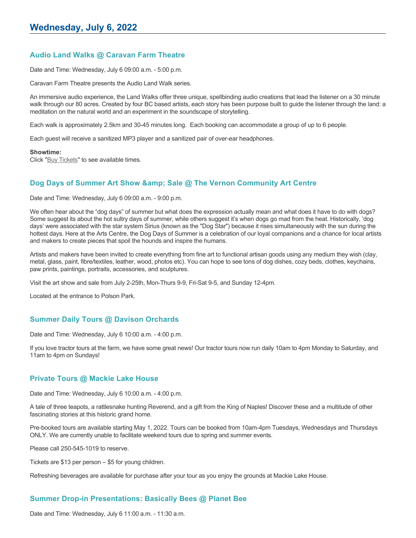# **Audio Land Walks @ Caravan Farm Theatre**

Date and Time: Wednesday, July 6 09:00 a.m. - 5:00 p.m.

Caravan Farm Theatre presents the Audio Land Walk series.

An immersive audio experience, the Land Walks offer three unique, spellbinding audio creations that lead the listener on a 30 minute walk through our 80 acres. Created by four BC based artists, each story has been purpose built to guide the listener through the land: a meditation on the natural world and an experiment in the soundscape of storytelling.

Each walk is approximately 2.5km and 30-45 minutes long. Each booking can accommodate a group of up to 6 people.

Each guest will receive a sanitized MP3 player and a sanitized pair of over-ear headphones.

#### **Showtime:**

Click "[Buy Tickets](https://caravanfarmtheatre.com/show/the-land-walks/?ct=t%28EMAIL_CAMPAIGN_4_19_2022_13_43SEASON+2022%29&mc_cid=c02afad356&mc_eid=4778eb8892)" to see available times.

### **Dog Days of Summer Art Show & amp; Sale @ The Vernon Community Art Centre**

Date and Time: Wednesday, July 6 09:00 a.m. - 9:00 p.m.

We often hear about the "dog days" of summer but what does the expression actually mean and what does it have to do with dogs? Some suggest its about the hot sultry days of summer, while others suggest it's when dogs go mad from the heat. Historically, 'dog days' were associated with the star system Sirius (known as the "Dog Star") because it rises simultaneously with the sun during the hottest days. Here at the Arts Centre, the Dog Days of Summer is a celebration of our loyal companions and a chance for local artists and makers to create pieces that spoil the hounds and inspire the humans.

Artists and makers have been invited to create everything from fine art to functional artisan goods using any medium they wish (clay, metal, glass, paint, fibre/textiles, leather, wood, photos etc). You can hope to see tons of dog dishes, cozy beds, clothes, keychains, paw prints, paintings, portraits, accessories, and sculptures.

Visit the art show and sale from July 2-25th, Mon-Thurs 9-9, Fri-Sat 9-5, and Sunday 12-4pm.

Located at the entrance to Polson Park.

# **Summer Daily Tours @ Davison Orchards**

Date and Time: Wednesday, July 6 10:00 a.m. - 4:00 p.m.

If you love tractor tours at the farm, we have some great news! Our tractor tours now run daily 10am to 4pm Monday to Saturday, and 11am to 4pm on Sundays!

#### **Private Tours @ Mackie Lake House**

Date and Time: Wednesday, July 6 10:00 a.m. - 4:00 p.m.

A tale of three teapots, a rattlesnake hunting Reverend, and a gift from the King of Naples! Discover these and a multitude of other fascinating stories at this historic grand home.

Pre-booked tours are available starting May 1, 2022. Tours can be booked from 10am-4pm Tuesdays, Wednesdays and Thursdays ONLY. We are currently unable to facilitate weekend tours due to spring and summer events.

Please call 250-545-1019 to reserve.

Tickets are \$13 per person – \$5 for young children.

Refreshing beverages are available for purchase after your tour as you enjoy the grounds at Mackie Lake House.

# **Summer Drop-in Presentations: Basically Bees @ Planet Bee**

Date and Time: Wednesday, July 6 11:00 a.m. - 11:30 a.m.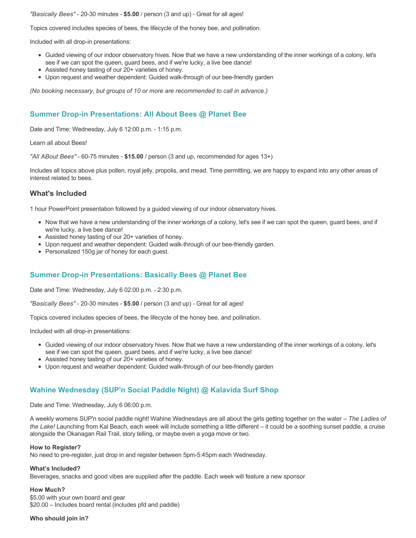*"Basically Bees"* - 20-30 minutes - **\$5.00** / person (3 and up) - Great for all ages!

Topics covered includes species of bees, the lifecycle of the honey bee, and pollination.

Included with all drop-in presentations:

- Guided viewing of our indoor observatory hives. Now that we have a new understanding of the inner workings of a colony, let's see if we can spot the queen, guard bees, and if we're lucky, a live bee dance!
- Assisted honey tasting of our 20+ varieties of honey.
- Upon request and weather dependent: Guided walk-through of our bee-friendly garden

*(No booking necessary, but groups of 10 or more are recommended to call in advance.)*

### **Summer Drop-in Presentations: All About Bees @ Planet Bee**

Date and Time: Wednesday, July 6 12:00 p.m. - 1:15 p.m.

Learn all about Bees!

*"All ABout Bees"* - 60-75 minutes - **\$15.00** / person (3 and up, recommended for ages 13+)

Includes all topics above plus pollen, royal jelly, propolis, and mead. Time permitting, we are happy to expand into any other areas of interest related to bees.

#### **What's Included**

1 hour PowerPoint presentation followed by a guided viewing of our indoor observatory hives.

- Now that we have a new understanding of the inner workings of a colony, let's see if we can spot the queen, guard bees, and if we're lucky, a live bee dance!
- Assisted honey tasting of our 20+ varieties of honey.
- Upon request and weather dependent: Guided walk-through of our bee-friendly garden.
- Personalized 150g jar of honey for each guest.

# **Summer Drop-in Presentations: Basically Bees @ Planet Bee**

Date and Time: Wednesday, July 6 02:00 p.m. - 2:30 p.m.

*"Basically Bees"* - 20-30 minutes - **\$5.00** / person (3 and up) - Great for all ages!

Topics covered includes species of bees, the lifecycle of the honey bee, and pollination.

Included with all drop-in presentations:

- Guided viewing of our indoor observatory hives. Now that we have a new understanding of the inner workings of a colony, let's see if we can spot the queen, guard bees, and if we're lucky, a live bee dance!
- Assisted honey tasting of our 20+ varieties of honey.
- Upon request and weather dependent: Guided walk-through of our bee-friendly garden

### **Wahine Wednesday (SUP'n Social Paddle Night) @ Kalavida Surf Shop**

Date and Time: Wednesday, July 6 06:00 p.m.

A weekly womens SUP'n social paddle night! Wahine Wednesdays are all about the girls getting together on the water – *The Ladies of the Lake!* Launching from Kal Beach, each week will include something a little different – it could be a soothing sunset paddle, a cruise alongside the Okanagan Rail Trail, story telling, or maybe even a yoga move or two.

#### **How to Register?**

No need to pre-register, just drop in and register between 5pm-5:45pm each Wednesday.

#### **What's Included?**

Beverages, snacks and good vibes are supplied after the paddle. Each week will feature a new sponsor

#### **How Much?**

\$5.00 with your own board and gear \$20.00 – Includes board rental (includes pfd and paddle)

#### **Who should join in?**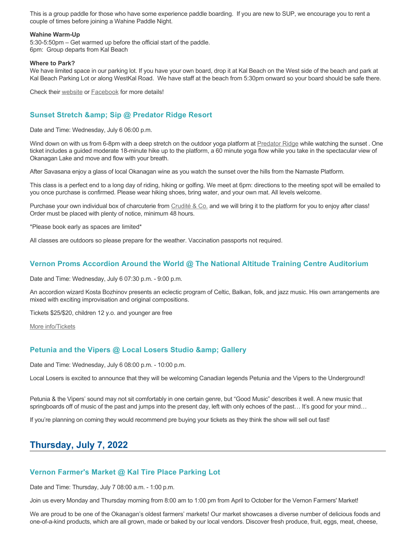This is a group paddle for those who have some experience paddle boarding. If you are new to SUP, we encourage you to rent a couple of times before joining a Wahine Paddle Night.

#### **Wahine Warm-Up**

5:30-5:50pm – Get warmed up before the official start of the paddle. 6pm: Group departs from Kal Beach

#### **Where to Park?**

We have limited space in our parking lot. If you have your own board, drop it at Kal Beach on the West side of the beach and park at Kal Beach Parking Lot or along WestKal Road. We have staff at the beach from 5:30pm onward so your board should be safe there.

Check their [website](https://kalavidasurfshop.com/wahine-wednesday-kalavida/) or [Facebook](https://www.facebook.com/kalavidasurfshop/) for more details!

### **Sunset Stretch & amp; Sip @ Predator Ridge Resort**

Date and Time: Wednesday, July 6 06:00 p.m.

Wind down on with us from 6-8pm with a deep stretch on the outdoor yoga platform at [Predator Ridge](https://www.predatorridge.com/events) while watching the sunset . One ticket includes a guided moderate 18-minute hike up to the platform, a 60 minute yoga flow while you take in the spectacular view of Okanagan Lake and move and flow with your breath.

After Savasana enjoy a glass of local Okanagan wine as you watch the sunset over the hills from the Namaste Platform.

This class is a perfect end to a long day of riding, hiking or golfing. We meet at 6pm: directions to the meeting spot will be emailed to you once purchase is confirmed. Please wear hiking shoes, bring water, and your own mat. All levels welcome.

Purchase your own individual box of charcuterie from [Crudité & Co.](https://cruditeandco.com/product/picnic-platter/) and we will bring it to the platform for you to enjoy after class! Order must be placed with plenty of notice, minimum 48 hours.

\*Please book early as spaces are limited\*

All classes are outdoors so please prepare for the weather. Vaccination passports not required.

#### **Vernon Proms Accordion Around the World @ The National Altitude Training Centre Auditorium**

Date and Time: Wednesday, July 6 07:30 p.m. - 9:00 p.m.

An accordion wizard Kosta Bozhinov presents an eclectic program of Celtic, Balkan, folk, and jazz music. His own arrangements are mixed with exciting improvisation and original compositions.

Tickets \$25/\$20, children 12 y.o. and younger are free

[More info/Tickets](https://proms.eventcalendarapp.com/u/36415/evt_external_62845d7084cce5260a3f5391?repeatId=evt_external_62845d7084cce5260a3f5391)

### **Petunia and the Vipers @ Local Losers Studio & amp: Gallery**

Date and Time: Wednesday, July 6 08:00 p.m. - 10:00 p.m.

Local Losers is excited to announce that they will be welcoming Canadian legends Petunia and the Vipers to the Underground!

Petunia & the Vipers' sound may not sit comfortably in one certain genre, but "Good Music" describes it well. A new music that springboards off of music of the past and jumps into the present day, left with only echoes of the past... It's good for your mind...

If you're planning on coming they would recommend pre buying your tickets as they think the show will sell out fast!

# **Thursday, July 7, 2022**

#### **Vernon Farmer's Market @ Kal Tire Place Parking Lot**

Date and Time: Thursday, July 7 08:00 a.m. - 1:00 p.m.

Join us every Monday and Thursday morning from 8:00 am to 1:00 pm from April to October for the Vernon Farmers' Market!

We are proud to be one of the Okanagan's oldest farmers' markets! Our market showcases a diverse number of delicious foods and one-of-a-kind products, which are all grown, made or baked by our local vendors. Discover fresh produce, fruit, eggs, meat, cheese,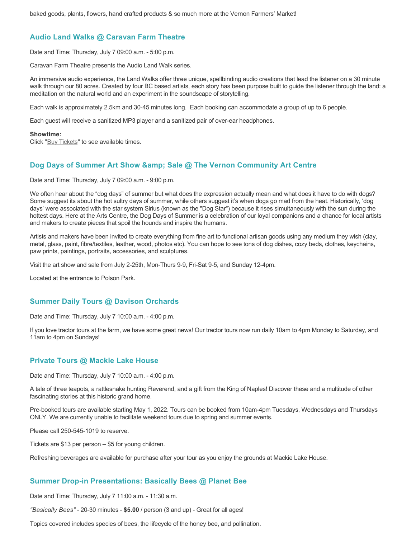### **Audio Land Walks @ Caravan Farm Theatre**

Date and Time: Thursday, July 7 09:00 a.m. - 5:00 p.m.

Caravan Farm Theatre presents the Audio Land Walk series.

An immersive audio experience, the Land Walks offer three unique, spellbinding audio creations that lead the listener on a 30 minute walk through our 80 acres. Created by four BC based artists, each story has been purpose built to guide the listener through the land: a meditation on the natural world and an experiment in the soundscape of storytelling.

Each walk is approximately 2.5km and 30-45 minutes long. Each booking can accommodate a group of up to 6 people.

Each guest will receive a sanitized MP3 player and a sanitized pair of over-ear headphones.

#### **Showtime:**

Click "[Buy Tickets](https://caravanfarmtheatre.com/show/the-land-walks/?ct=t%28EMAIL_CAMPAIGN_4_19_2022_13_43SEASON+2022%29&mc_cid=c02afad356&mc_eid=4778eb8892)" to see available times.

# **Dog Days of Summer Art Show & amp: Sale @ The Vernon Community Art Centre**

Date and Time: Thursday, July 7 09:00 a.m. - 9:00 p.m.

We often hear about the "dog days" of summer but what does the expression actually mean and what does it have to do with dogs? Some suggest its about the hot sultry days of summer, while others suggest it's when dogs go mad from the heat. Historically, 'dog days' were associated with the star system Sirius (known as the "Dog Star") because it rises simultaneously with the sun during the hottest days. Here at the Arts Centre, the Dog Days of Summer is a celebration of our loyal companions and a chance for local artists and makers to create pieces that spoil the hounds and inspire the humans.

Artists and makers have been invited to create everything from fine art to functional artisan goods using any medium they wish (clay, metal, glass, paint, fibre/textiles, leather, wood, photos etc). You can hope to see tons of dog dishes, cozy beds, clothes, keychains, paw prints, paintings, portraits, accessories, and sculptures.

Visit the art show and sale from July 2-25th, Mon-Thurs 9-9, Fri-Sat 9-5, and Sunday 12-4pm.

Located at the entrance to Polson Park.

### **Summer Daily Tours @ Davison Orchards**

Date and Time: Thursday, July 7 10:00 a.m. - 4:00 p.m.

If you love tractor tours at the farm, we have some great news! Our tractor tours now run daily 10am to 4pm Monday to Saturday, and 11am to 4pm on Sundays!

### **Private Tours @ Mackie Lake House**

Date and Time: Thursday, July 7 10:00 a.m. - 4:00 p.m.

A tale of three teapots, a rattlesnake hunting Reverend, and a gift from the King of Naples! Discover these and a multitude of other fascinating stories at this historic grand home.

Pre-booked tours are available starting May 1, 2022. Tours can be booked from 10am-4pm Tuesdays, Wednesdays and Thursdays ONLY. We are currently unable to facilitate weekend tours due to spring and summer events.

Please call 250-545-1019 to reserve.

Tickets are \$13 per person – \$5 for young children.

Refreshing beverages are available for purchase after your tour as you enjoy the grounds at Mackie Lake House.

### **Summer Drop-in Presentations: Basically Bees @ Planet Bee**

Date and Time: Thursday, July 7 11:00 a.m. - 11:30 a.m.

*"Basically Bees"* - 20-30 minutes - **\$5.00** / person (3 and up) - Great for all ages!

Topics covered includes species of bees, the lifecycle of the honey bee, and pollination.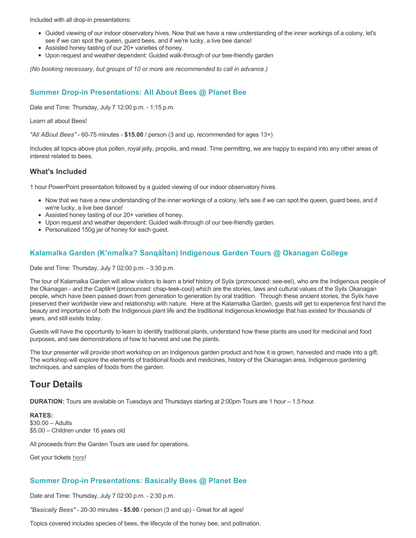Included with all drop-in presentations:

- Guided viewing of our indoor observatory hives. Now that we have a new understanding of the inner workings of a colony, let's see if we can spot the queen, guard bees, and if we're lucky, a live bee dance!
- Assisted honey tasting of our 20+ varieties of honey.
- Upon request and weather dependent: Guided walk-through of our bee-friendly garden

*(No booking necessary, but groups of 10 or more are recommended to call in advance.)*

# **Summer Drop-in Presentations: All About Bees @ Planet Bee**

Date and Time: Thursday, July 7 12:00 p.m. - 1:15 p.m.

#### Learn all about Bees!

*"All ABout Bees"* - 60-75 minutes - **\$15.00** / person (3 and up, recommended for ages 13+)

Includes all topics above plus pollen, royal jelly, propolis, and mead. Time permitting, we are happy to expand into any other areas of interest related to bees.

#### **What's Included**

1 hour PowerPoint presentation followed by a guided viewing of our indoor observatory hives.

- Now that we have a new understanding of the inner workings of a colony, let's see if we can spot the queen, guard bees, and if we're lucky, a live bee dance!
- Assisted honey tasting of our 20+ varieties of honey.
- Upon request and weather dependent: Guided walk-through of our bee-friendly garden.
- Personalized 150g jar of honey for each guest.

# **Kalamalka Garden (K'nmaĺka? Sәnqâĺtәn) Indigenous Garden Tours @ Okanagan College**

Date and Time: Thursday, July 7 02:00 p.m. - 3:30 p.m.

The tour of Kalamalka Garden will allow visitors to learn a brief history of Syilx (pronounced: see-eel), who are the Indigenous people of the Okanagan - and the Captikʷł (pronounced: chap-teek-cool) which are the stories, laws and cultural values of the Syilx Okanagan people, which have been passed down from generation to generation by oral tradition. Through these ancient stories, the Syilx have preserved their worldwide view and relationship with nature. Here at the Kalamalka Garden, guests will get to experience first hand the beauty and importance of both the Indigenous plant life and the traditional Indigenous knowledge that has existed for thousands of years, and still exists today.

Guests will have the opportunity to learn to identify traditional plants, understand how these plants are used for medicinal and food purposes, and see demonstrations of how to harvest and use the plants.

The tour presenter will provide short workshop on an Indigenous garden product and how it is grown, harvested and made into a gift. The workshop will explore the elements of traditional foods and medicines, history of the Okanagan area, Indigenous gardening techniques, and samples of foods from the garden.

# **Tour Details**

**DURATION:** Tours are available on Tuesdays and Thursdays starting at 2:00pm Tours are 1 hour – 1.5 hour.

**RATES:** \$30.00 – Adults \$5.00 – Children under 16 years old

All proceeds from the Garden Tours are used for operations.

Get your tickets [here!](https://www.eventbrite.ca/e/kalamalka-garden-tour-tickets-158617843239)

#### **Summer Drop-in Presentations: Basically Bees @ Planet Bee**

Date and Time: Thursday, July 7 02:00 p.m. - 2:30 p.m.

*"Basically Bees"* - 20-30 minutes - **\$5.00** / person (3 and up) - Great for all ages!

Topics covered includes species of bees, the lifecycle of the honey bee, and pollination.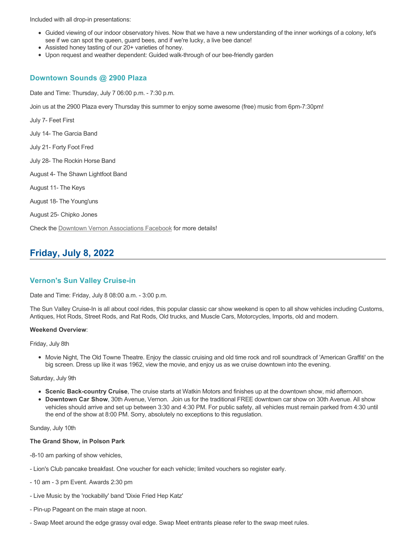Included with all drop-in presentations:

- Guided viewing of our indoor observatory hives. Now that we have a new understanding of the inner workings of a colony, let's see if we can spot the queen, guard bees, and if we're lucky, a live bee dance!
- Assisted honey tasting of our 20+ varieties of honey.
- Upon request and weather dependent: Guided walk-through of our bee-friendly garden

#### **Downtown Sounds @ 2900 Plaza**

Date and Time: Thursday, July 7 06:00 p.m. - 7:30 p.m.

Join us at the 2900 Plaza every Thursday this summer to enjoy some awesome (free) music from 6pm-7:30pm!

July 7- Feet First

July 14- The Garcia Band

July 21- Forty Foot Fred

July 28- The Rockin Horse Band

August 4- The Shawn Lightfoot Band

August 11- The Keys

August 18- The Young'uns

August 25- Chipko Jones

Check the [Downtown Vernon Associations Facebook](https://www.facebook.com/downtownvernon/) for more details!

# **Friday, July 8, 2022**

#### **Vernon's Sun Valley Cruise-in**

Date and Time: Friday, July 8 08:00 a.m. - 3:00 p.m.

The Sun Valley Cruise-In is all about cool rides, this popular classic car show weekend is open to all show vehicles including Customs, Antiques, Hot Rods, Street Rods, and Rat Rods, Old trucks, and Muscle Cars, Motorcycles, Imports, old and modern.

#### **Weekend Overview**:

Friday, July 8th

Movie Night, The Old Towne Theatre. Enjoy the classic cruising and old time rock and roll soundtrack of 'American Graffiti' on the big screen. Dress up like it was 1962, view the movie, and enjoy us as we cruise downtown into the evening.

Saturday, July 9th

- **Scenic Back-country Cruise**, The cruise starts at Watkin Motors and finishes up at the downtown show, mid afternoon.
- **Downtown Car Show**, 30th Avenue, Vernon. Join us for the traditional FREE downtown car show on 30th Avenue. All show vehicles should arrive and set up between 3:30 and 4:30 PM. For public safety, all vehicles must remain parked from 4:30 until the end of the show at 8:00 PM. Sorry, absolutely no exceptions to this reguslation.

Sunday, July 10th

#### **The Grand Show, in Polson Park**

-8-10 am parking of show vehicles,

- Lion's Club pancake breakfast. One voucher for each vehicle; limited vouchers so register early.
- 10 am 3 pm Event. Awards 2:30 pm
- Live Music by the 'rockabilly' band 'Dixie Fried Hep Katz'
- Pin-up Pageant on the main stage at noon.
- Swap Meet around the edge grassy oval edge. Swap Meet entrants please refer to the swap meet rules.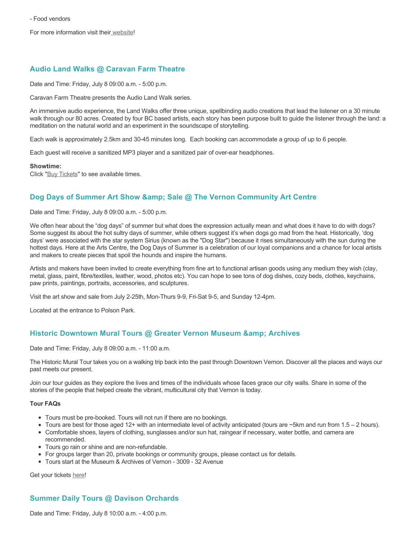For more information visit thei[r website](https://www.vernoncruisein.com/)!

# **Audio Land Walks @ Caravan Farm Theatre**

Date and Time: Friday, July 8 09:00 a.m. - 5:00 p.m.

Caravan Farm Theatre presents the Audio Land Walk series.

An immersive audio experience, the Land Walks offer three unique, spellbinding audio creations that lead the listener on a 30 minute walk through our 80 acres. Created by four BC based artists, each story has been purpose built to guide the listener through the land: a meditation on the natural world and an experiment in the soundscape of storytelling.

Each walk is approximately 2.5km and 30-45 minutes long. Each booking can accommodate a group of up to 6 people.

Each guest will receive a sanitized MP3 player and a sanitized pair of over-ear headphones.

#### **Showtime:**

Click "[Buy Tickets](https://caravanfarmtheatre.com/show/the-land-walks/?ct=t%28EMAIL_CAMPAIGN_4_19_2022_13_43SEASON+2022%29&mc_cid=c02afad356&mc_eid=4778eb8892)" to see available times.

# **Dog Days of Summer Art Show & amp; Sale @ The Vernon Community Art Centre**

Date and Time: Friday, July 8 09:00 a.m. - 5:00 p.m.

We often hear about the "dog days" of summer but what does the expression actually mean and what does it have to do with dogs? Some suggest its about the hot sultry days of summer, while others suggest it's when dogs go mad from the heat. Historically, 'dog days' were associated with the star system Sirius (known as the "Dog Star") because it rises simultaneously with the sun during the hottest days. Here at the Arts Centre, the Dog Days of Summer is a celebration of our loyal companions and a chance for local artists and makers to create pieces that spoil the hounds and inspire the humans.

Artists and makers have been invited to create everything from fine art to functional artisan goods using any medium they wish (clay, metal, glass, paint, fibre/textiles, leather, wood, photos etc). You can hope to see tons of dog dishes, cozy beds, clothes, keychains, paw prints, paintings, portraits, accessories, and sculptures.

Visit the art show and sale from July 2-25th, Mon-Thurs 9-9, Fri-Sat 9-5, and Sunday 12-4pm.

Located at the entrance to Polson Park.

### **Historic Downtown Mural Tours @ Greater Vernon Museum & Archives**

Date and Time: Friday, July 8 09:00 a.m. - 11:00 a.m.

The Historic Mural Tour takes you on a walking trip back into the past through Downtown Vernon. Discover all the places and ways our past meets our present.

Join our tour guides as they explore the lives and times of the individuals whose faces grace our city walls. Share in some of the stories of the people that helped create the vibrant, multicultural city that Vernon is today.

#### **Tour FAQs**

- Tours must be pre-booked. Tours will not run if there are no bookings.
- Tours are best for those aged 12+ with an intermediate level of activity anticipated (tours are  $\sim$ 5km and run from 1.5 2 hours).
- Comfortable shoes, layers of clothing, sunglasses and/or sun hat, raingear if necessary, water bottle, and camera are recommended.
- Tours go rain or shine and are non-refundable.
- For groups larger than 20, private bookings or community groups, please contact us for details.
- Tours start at the Museum & Archives of Vernon 3009 32 Avenue

Get your tickets [here!](https://www.eventbrite.com/e/historic-downtown-mural-tours-tickets-304983342387)

# **Summer Daily Tours @ Davison Orchards**

Date and Time: Friday, July 8 10:00 a.m. - 4:00 p.m.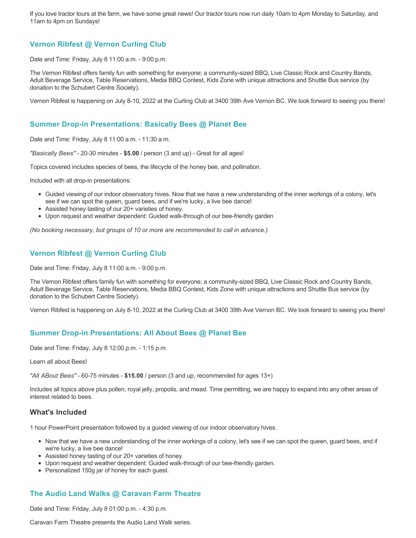If you love tractor tours at the farm, we have some great news! Our tractor tours now run daily 10am to 4pm Monday to Saturday, and 11am to 4pm on Sundays!

# **Vernon Ribfest @ Vernon Curling Club**

Date and Time: Friday, July 8 11:00 a.m. - 9:00 p.m.

The Vernon Ribfest offers family fun with something for everyone; a community-sized BBQ, Live Classic Rock and Country Bands, Adult Beverage Service, Table Reservations, Media BBQ Contest, Kids Zone with unique attractions and Shuttle Bus service (by donation to the Schubert Centre Society).

Vernon Ribfest is happening on July 8-10, 2022 at the Curling Club at 3400 39th Ave Vernon BC. We look forward to seeing you there!

### **Summer Drop-in Presentations: Basically Bees @ Planet Bee**

Date and Time: Friday, July 8 11:00 a.m. - 11:30 a.m.

*"Basically Bees"* - 20-30 minutes - **\$5.00** / person (3 and up) - Great for all ages!

Topics covered includes species of bees, the lifecycle of the honey bee, and pollination.

Included with all drop-in presentations:

- Guided viewing of our indoor observatory hives. Now that we have a new understanding of the inner workings of a colony, let's see if we can spot the queen, guard bees, and if we're lucky, a live bee dance!
- Assisted honey tasting of our 20+ varieties of honey.
- Upon request and weather dependent: Guided walk-through of our bee-friendly garden

*(No booking necessary, but groups of 10 or more are recommended to call in advance.)*

## **Vernon Ribfest @ Vernon Curling Club**

Date and Time: Friday, July 8 11:00 a.m. - 9:00 p.m.

The Vernon Ribfest offers family fun with something for everyone; a community-sized BBQ, Live Classic Rock and Country Bands, Adult Beverage Service, Table Reservations, Media BBQ Contest, Kids Zone with unique attractions and Shuttle Bus service (by donation to the Schubert Centre Society).

Vernon Ribfest is happening on July 8-10, 2022 at the Curling Club at 3400 39th Ave Vernon BC. We look forward to seeing you there!

# **Summer Drop-in Presentations: All About Bees @ Planet Bee**

Date and Time: Friday, July 8 12:00 p.m. - 1:15 p.m.

Learn all about Bees!

*"All ABout Bees"* - 60-75 minutes - **\$15.00** / person (3 and up, recommended for ages 13+)

Includes all topics above plus pollen, royal jelly, propolis, and mead. Time permitting, we are happy to expand into any other areas of interest related to bees.

### **What's Included**

1 hour PowerPoint presentation followed by a guided viewing of our indoor observatory hives.

- Now that we have a new understanding of the inner workings of a colony, let's see if we can spot the queen, guard bees, and if we're lucky, a live bee dance!
- Assisted honey tasting of our 20+ varieties of honey.
- Upon request and weather dependent: Guided walk-through of our bee-friendly garden.
- Personalized 150g jar of honey for each guest.

# **The Audio Land Walks @ Caravan Farm Theatre**

Date and Time: Friday, July 8 01:00 p.m. - 4:30 p.m.

Caravan Farm Theatre presents the Audio Land Walk series.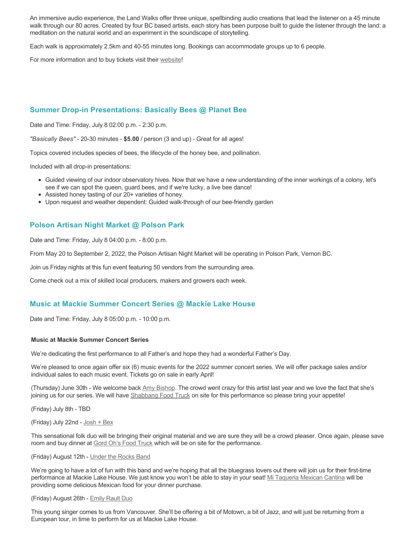An immersive audio experience, the Land Walks offer three unique, spellbinding audio creations that lead the listener on a 45 minute walk through our 80 acres. Created by four BC based artists, each story has been purpose built to guide the listener through the land: a meditation on the natural world and an experiment in the soundscape of storytelling.

Each walk is approximately 2.5km and 40-55 minutes long. Bookings can accommodate groups up to 6 people.

For more information and to buy tickets visit their [website!](https://caravanfarmtheatre.com/show/the-land-walks/)

# **Summer Drop-in Presentations: Basically Bees @ Planet Bee**

Date and Time: Friday, July 8 02:00 p.m. - 2:30 p.m.

*"Basically Bees"* - 20-30 minutes - **\$5.00** / person (3 and up) - Great for all ages!

Topics covered includes species of bees, the lifecycle of the honey bee, and pollination.

Included with all drop-in presentations:

- Guided viewing of our indoor observatory hives. Now that we have a new understanding of the inner workings of a colony, let's see if we can spot the queen, guard bees, and if we're lucky, a live bee dance!
- Assisted honey tasting of our 20+ varieties of honey.
- Upon request and weather dependent: Guided walk-through of our bee-friendly garden

### **Polson Artisan Night Market @ Polson Park**

Date and Time: Friday, July 8 04:00 p.m. - 8:00 p.m.

From May 20 to September 2, 2022, the Polson Artisan Night Market will be operating in Polson Park, Vernon BC.

Join us Friday nights at this fun event featuring 50 vendors from the surrounding area.

Come check out a mix of skilled local producers, makers and growers each week.

### **Music at Mackie Summer Concert Series @ Mackie Lake House**

Date and Time: Friday, July 8 05:00 p.m. - 10:00 p.m.

#### **Music at Mackie Summer Concert Series**

We're dedicating the first performance to all Father's and hope they had a wonderful Father's Day.

We're pleased to once again offer six (6) music events for the 2022 summer concert series. We will offer package sales and/or individual sales to each music event. Tickets go on sale in early April!

(Thursday) June 30th - We welcome back [Amy Bishop.](https://protect-ca.mimecast.com/s/97KDCk8v46IYY8Pc4eTtT?domain=mackiehouse.us3.list-manage.com) The crowd went crazy for this artist last year and we love the fact that she's joining us for our series. We will have [Shabbang Food Truck](https://protect-ca.mimecast.com/s/hGWiClxw48FOO0jTKiFD6?domain=mackiehouse.us3.list-manage.com) on site for this performance so please bring your appetite!

(Friday) July 8th - TBD

(Friday) July 22nd - [Josh + Bex](https://protect-ca.mimecast.com/s/LfcBCmOx47s11B9u0QwFr?domain=mackiehouse.us3.list-manage.com)

This sensational folk duo will be bringing their original material and we are sure they will be a crowd pleaser. Once again, please save room and buy dinner at [Gord Oh's Food Truck](https://protect-ca.mimecast.com/s/oREECnxy4GFllAkujC-Hs?domain=mackiehouse.us3.list-manage.com) which will be on site for the performance.

#### (Friday) August 12th - [Under the Rocks Band](https://protect-ca.mimecast.com/s/wmzjCoVz4AhlljQujeM8P?domain=mackiehouse.us3.list-manage.com)

We're going to have a lot of fun with this band and we're hoping that all the bluegrass lovers out there will join us for their first-time performance at Mackie Lake House. We just know you won't be able to stay in your seat! [Mi Taqueria Mexican Cantina](https://protect-ca.mimecast.com/s/IidvCp8A59IQQ17s1mbiS?domain=mackiehouse.us3.list-manage.com) will be providing some delicious Mexican food for your dinner purchase.

#### (Friday) August 26th - [Emily Rault Duo](https://protect-ca.mimecast.com/s/1ZJZCq7B4AsLLKVczxAAc?domain=mackiehouse.us3.list-manage.com)

This young singer comes to us from Vancouver. She'll be offering a bit of Motown, a bit of Jazz, and will just be returning from a European tour, in time to perform for us at Mackie Lake House.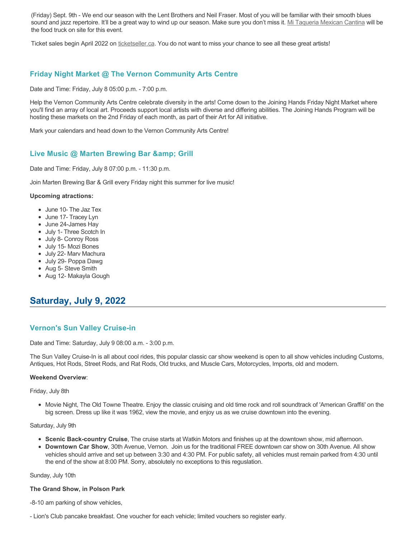(Friday) Sept. 9th - We end our season with the Lent Brothers and Neil Fraser. Most of you will be familiar with their smooth blues sound and jazz repertoire. It'll be a great way to wind up our season. Make sure you don't miss it. [Mi Taqueria Mexican Cantina](https://protect-ca.mimecast.com/s/mUjmCr8D4gIwwPWTPinKw?domain=mackiehouse.us3.list-manage.com) will be the food truck on site for this event.

Ticket sales begin April 2022 on [ticketseller.ca.](https://ticketseller.ca/) You do not want to miss your chance to see all these great artists!

# **Friday Night Market @ The Vernon Community Arts Centre**

Date and Time: Friday, July 8 05:00 p.m. - 7:00 p.m.

Help the Vernon Community Arts Centre celebrate diversity in the arts! Come down to the Joining Hands Friday Night Market where you'll find an array of local art. Proceeds support local artists with diverse and differing abilities. The Joining Hands Program will be hosting these markets on the 2nd Friday of each month, as part of their Art for All initiative.

Mark your calendars and head down to the Vernon Community Arts Centre!

# **Live Music @ Marten Brewing Bar & amp; Grill**

Date and Time: Friday, July 8 07:00 p.m. - 11:30 p.m.

Join Marten Brewing Bar & Grill every Friday night this summer for live music!

#### **Upcoming atractions:**

- June 10- The Jaz Tex
- June 17- Tracey Lyn
- June 24-James Hay
- July 1- Three Scotch In
- July 8- Conroy Ross
- July 15- Mozi Bones
- July 22- Marv Machura
- July 29- Poppa Dawg
- Aug 5- Steve Smith
- Aug 12- Makayla Gough

# **Saturday, July 9, 2022**

## **Vernon's Sun Valley Cruise-in**

Date and Time: Saturday, July 9 08:00 a.m. - 3:00 p.m.

The Sun Valley Cruise-In is all about cool rides, this popular classic car show weekend is open to all show vehicles including Customs, Antiques, Hot Rods, Street Rods, and Rat Rods, Old trucks, and Muscle Cars, Motorcycles, Imports, old and modern.

#### **Weekend Overview**:

Friday, July 8th

Movie Night, The Old Towne Theatre. Enjoy the classic cruising and old time rock and roll soundtrack of 'American Graffiti' on the big screen. Dress up like it was 1962, view the movie, and enjoy us as we cruise downtown into the evening.

Saturday, July 9th

- **Scenic Back-country Cruise**, The cruise starts at Watkin Motors and finishes up at the downtown show, mid afternoon.
- **Downtown Car Show**, 30th Avenue, Vernon. Join us for the traditional FREE downtown car show on 30th Avenue. All show vehicles should arrive and set up between 3:30 and 4:30 PM. For public safety, all vehicles must remain parked from 4:30 until the end of the show at 8:00 PM. Sorry, absolutely no exceptions to this reguslation.

#### Sunday, July 10th

## **The Grand Show, in Polson Park**

-8-10 am parking of show vehicles,

- Lion's Club pancake breakfast. One voucher for each vehicle; limited vouchers so register early.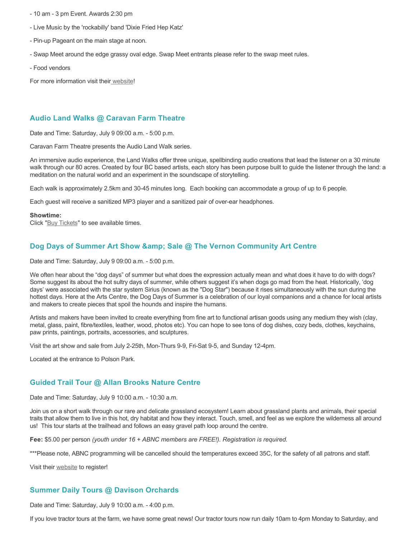- 10 am 3 pm Event. Awards 2:30 pm
- Live Music by the 'rockabilly' band 'Dixie Fried Hep Katz'
- Pin-up Pageant on the main stage at noon.
- Swap Meet around the edge grassy oval edge. Swap Meet entrants please refer to the swap meet rules.
- Food vendors

For more information visit thei[r website](https://www.vernoncruisein.com/)!

## **Audio Land Walks @ Caravan Farm Theatre**

Date and Time: Saturday, July 9 09:00 a.m. - 5:00 p.m.

Caravan Farm Theatre presents the Audio Land Walk series.

An immersive audio experience, the Land Walks offer three unique, spellbinding audio creations that lead the listener on a 30 minute walk through our 80 acres. Created by four BC based artists, each story has been purpose built to guide the listener through the land: a meditation on the natural world and an experiment in the soundscape of storytelling.

Each walk is approximately 2.5km and 30-45 minutes long. Each booking can accommodate a group of up to 6 people.

Each guest will receive a sanitized MP3 player and a sanitized pair of over-ear headphones.

#### **Showtime:**

Click "[Buy Tickets](https://caravanfarmtheatre.com/show/the-land-walks/?ct=t%28EMAIL_CAMPAIGN_4_19_2022_13_43SEASON+2022%29&mc_cid=c02afad356&mc_eid=4778eb8892)" to see available times.

### Dog Days of Summer Art Show & amp; Sale @ The Vernon Community Art Centre

Date and Time: Saturday, July 9 09:00 a.m. - 5:00 p.m.

We often hear about the "dog days" of summer but what does the expression actually mean and what does it have to do with dogs? Some suggest its about the hot sultry days of summer, while others suggest it's when dogs go mad from the heat. Historically, 'dog days' were associated with the star system Sirius (known as the "Dog Star") because it rises simultaneously with the sun during the hottest days. Here at the Arts Centre, the Dog Days of Summer is a celebration of our loyal companions and a chance for local artists and makers to create pieces that spoil the hounds and inspire the humans.

Artists and makers have been invited to create everything from fine art to functional artisan goods using any medium they wish (clay, metal, glass, paint, fibre/textiles, leather, wood, photos etc). You can hope to see tons of dog dishes, cozy beds, clothes, keychains, paw prints, paintings, portraits, accessories, and sculptures.

Visit the art show and sale from July 2-25th, Mon-Thurs 9-9, Fri-Sat 9-5, and Sunday 12-4pm.

Located at the entrance to Polson Park.

### **Guided Trail Tour @ Allan Brooks Nature Centre**

Date and Time: Saturday, July 9 10:00 a.m. - 10:30 a.m.

Join us on a short walk through our rare and delicate grassland ecosystem! Learn about grassland plants and animals, their special traits that allow them to live in this hot, dry habitat and how they interact. Touch, smell, and feel as we explore the wilderness all around us! This tour starts at the trailhead and follows an easy gravel path loop around the centre.

**Fee:** \$5.00 per person *(youth under 16 + ABNC members are FREE!). Registration is required.* 

\*\*\*Please note, ABNC programming will be cancelled should the temperatures exceed 35C, for the safety of all patrons and staff.

Visit their [website](https://abnc.ca/events/events-calendar/) to register!

## **Summer Daily Tours @ Davison Orchards**

Date and Time: Saturday, July 9 10:00 a.m. - 4:00 p.m.

If you love tractor tours at the farm, we have some great news! Our tractor tours now run daily 10am to 4pm Monday to Saturday, and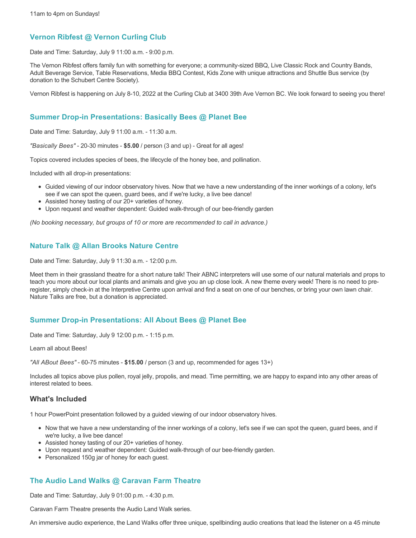## **Vernon Ribfest @ Vernon Curling Club**

Date and Time: Saturday, July 9 11:00 a.m. - 9:00 p.m.

The Vernon Ribfest offers family fun with something for everyone; a community-sized BBQ, Live Classic Rock and Country Bands, Adult Beverage Service, Table Reservations, Media BBQ Contest, Kids Zone with unique attractions and Shuttle Bus service (by donation to the Schubert Centre Society).

Vernon Ribfest is happening on July 8-10, 2022 at the Curling Club at 3400 39th Ave Vernon BC. We look forward to seeing you there!

## **Summer Drop-in Presentations: Basically Bees @ Planet Bee**

Date and Time: Saturday, July 9 11:00 a.m. - 11:30 a.m.

*"Basically Bees"* - 20-30 minutes - **\$5.00** / person (3 and up) - Great for all ages!

Topics covered includes species of bees, the lifecycle of the honey bee, and pollination.

Included with all drop-in presentations:

- Guided viewing of our indoor observatory hives. Now that we have a new understanding of the inner workings of a colony, let's see if we can spot the queen, guard bees, and if we're lucky, a live bee dance!
- Assisted honey tasting of our 20+ varieties of honey.
- Upon request and weather dependent: Guided walk-through of our bee-friendly garden

*(No booking necessary, but groups of 10 or more are recommended to call in advance.)*

# **Nature Talk @ Allan Brooks Nature Centre**

Date and Time: Saturday, July 9 11:30 a.m. - 12:00 p.m.

Meet them in their grassland theatre for a short nature talk! Their ABNC interpreters will use some of our natural materials and props to teach you more about our local plants and animals and give you an up close look. A new theme every week! There is no need to preregister, simply check-in at the Interpretive Centre upon arrival and find a seat on one of our benches, or bring your own lawn chair. Nature Talks are free, but a donation is appreciated.

## **Summer Drop-in Presentations: All About Bees @ Planet Bee**

Date and Time: Saturday, July 9 12:00 p.m. - 1:15 p.m.

Learn all about Bees!

*"All ABout Bees"* - 60-75 minutes - **\$15.00** / person (3 and up, recommended for ages 13+)

Includes all topics above plus pollen, royal jelly, propolis, and mead. Time permitting, we are happy to expand into any other areas of interest related to bees.

### **What's Included**

1 hour PowerPoint presentation followed by a guided viewing of our indoor observatory hives.

- Now that we have a new understanding of the inner workings of a colony, let's see if we can spot the queen, guard bees, and if we're lucky, a live bee dance!
- Assisted honey tasting of our 20+ varieties of honey.
- Upon request and weather dependent: Guided walk-through of our bee-friendly garden.
- Personalized 150g jar of honey for each guest.

# **The Audio Land Walks @ Caravan Farm Theatre**

Date and Time: Saturday, July 9 01:00 p.m. - 4:30 p.m.

Caravan Farm Theatre presents the Audio Land Walk series.

An immersive audio experience, the Land Walks offer three unique, spellbinding audio creations that lead the listener on a 45 minute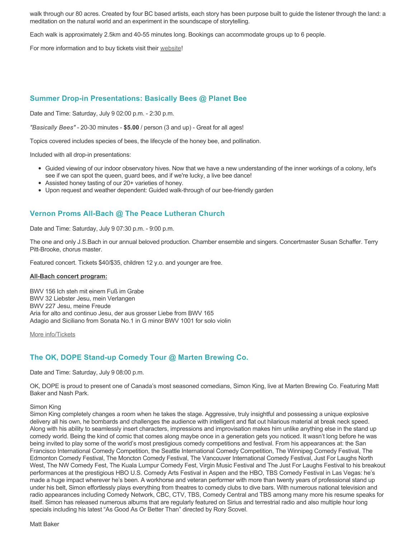walk through our 80 acres. Created by four BC based artists, each story has been purpose built to guide the listener through the land: a meditation on the natural world and an experiment in the soundscape of storytelling.

Each walk is approximately 2.5km and 40-55 minutes long. Bookings can accommodate groups up to 6 people.

For more information and to buy tickets visit their [website!](https://caravanfarmtheatre.com/show/the-land-walks/)

## **Summer Drop-in Presentations: Basically Bees @ Planet Bee**

Date and Time: Saturday, July 9 02:00 p.m. - 2:30 p.m.

*"Basically Bees"* - 20-30 minutes - **\$5.00** / person (3 and up) - Great for all ages!

Topics covered includes species of bees, the lifecycle of the honey bee, and pollination.

Included with all drop-in presentations:

- Guided viewing of our indoor observatory hives. Now that we have a new understanding of the inner workings of a colony, let's see if we can spot the queen, guard bees, and if we're lucky, a live bee dance!
- Assisted honey tasting of our 20+ varieties of honey.
- Upon request and weather dependent: Guided walk-through of our bee-friendly garden

# **Vernon Proms All-Bach @ The Peace Lutheran Church**

Date and Time: Saturday, July 9 07:30 p.m. - 9:00 p.m.

The one and only J.S.Bach in our annual beloved production. Chamber ensemble and singers. Concertmaster Susan Schaffer. Terry Pitt-Brooke, chorus master.

Featured concert. Tickets \$40/\$35, children 12 y.o. and younger are free.

#### **All-Bach concert program:**

BWV 156 Ich steh mit einem Fuß im Grabe BWV 32 Liebster Jesu, mein Verlangen BWV 227 Jesu, meine Freude Aria for alto and continuo Jesu, der aus grosser Liebe from BWV 165 Adagio and Siciliano from Sonata No.1 in G minor BWV 1001 for solo violin

[More info/Tickets](https://proms.eventcalendarapp.com/u/36415/evt_external_62845d7084cce5260a3f538d?repeatId=evt_external_62845d7084cce5260a3f538d)

## **The OK, DOPE Stand-up Comedy Tour @ Marten Brewing Co.**

Date and Time: Saturday, July 9 08:00 p.m.

OK, DOPE is proud to present one of Canada's most seasoned comedians, Simon King, live at Marten Brewing Co. Featuring Matt Baker and Nash Park.

#### Simon King

Simon King completely changes a room when he takes the stage. Aggressive, truly insightful and possessing a unique explosive delivery all his own, he bombards and challenges the audience with intelligent and flat out hilarious material at break neck speed. Along with his ability to seamlessly insert characters, impressions and improvisation makes him unlike anything else in the stand up comedy world. Being the kind of comic that comes along maybe once in a generation gets you noticed. It wasn't long before he was being invited to play some of the world's most prestigious comedy competitions and festival. From his appearances at: the San Francisco International Comedy Competition, the Seattle International Comedy Competition, The Winnipeg Comedy Festival, The Edmonton Comedy Festival, The Moncton Comedy Festival, The Vancouver International Comedy Festival, Just For Laughs North West, The NW Comedy Fest, The Kuala Lumpur Comedy Fest, Virgin Music Festival and The Just For Laughs Festival to his breakout performances at the prestigious HBO U.S. Comedy Arts Festival in Aspen and the HBO, TBS Comedy Festival in Las Vegas: he's made a huge impact wherever he's been. A workhorse and veteran performer with more than twenty years of professional stand up under his belt, Simon effortlessly plays everything from theatres to comedy clubs to dive bars. With numerous national television and radio appearances including Comedy Network, CBC, CTV, TBS, Comedy Central and TBS among many more his resume speaks for itself. Simon has released numerous albums that are regularly featured on Sirius and terrestrial radio and also multiple hour long specials including his latest "As Good As Or Better Than" directed by Rory Scovel.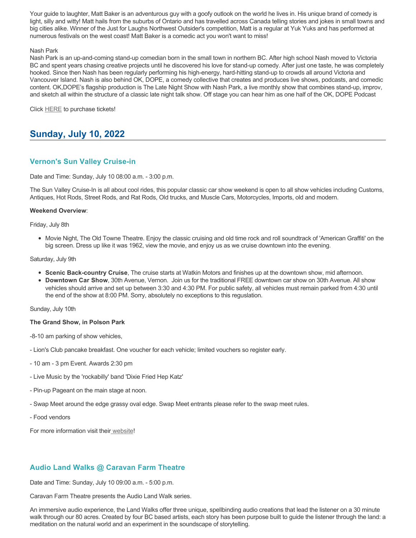Your guide to laughter, Matt Baker is an adventurous guy with a goofy outlook on the world he lives in. His unique brand of comedy is light, silly and witty! Matt hails from the suburbs of Ontario and has travelled across Canada telling stories and jokes in small towns and big cities alike. Winner of the Just for Laughs Northwest Outsider's competition, Matt is a regular at Yuk Yuks and has performed at numerous festivals on the west coast! Matt Baker is a comedic act you won't want to miss!

### Nash Park

Nash Park is an up-and-coming stand-up comedian born in the small town in northern BC. After high school Nash moved to Victoria BC and spent years chasing creative projects until he discovered his love for stand-up comedy. After just one taste, he was completely hooked. Since then Nash has been regularly performing his high-energy, hard-hitting stand-up to crowds all around Victoria and Vancouver Island. Nash is also behind OK, DOPE, a comedy collective that creates and produces live shows, podcasts, and comedic content. OK,DOPE's flagship production is The Late Night Show with Nash Park, a live monthly show that combines stand-up, improv, and sketch all within the structure of a classic late night talk show. Off stage you can hear him as one half of the OK, DOPE Podcast

Click [HERE](https://www.ok-dope.com/shows) to purchase tickets!

# **Sunday, July 10, 2022**

## **Vernon's Sun Valley Cruise-in**

Date and Time: Sunday, July 10 08:00 a.m. - 3:00 p.m.

The Sun Valley Cruise-In is all about cool rides, this popular classic car show weekend is open to all show vehicles including Customs, Antiques, Hot Rods, Street Rods, and Rat Rods, Old trucks, and Muscle Cars, Motorcycles, Imports, old and modern.

#### **Weekend Overview**:

Friday, July 8th

• Movie Night, The Old Towne Theatre. Enjoy the classic cruising and old time rock and roll soundtrack of 'American Graffiti' on the big screen. Dress up like it was 1962, view the movie, and enjoy us as we cruise downtown into the evening.

#### Saturday, July 9th

- **Scenic Back-country Cruise**, The cruise starts at Watkin Motors and finishes up at the downtown show, mid afternoon.
- **Downtown Car Show**, 30th Avenue, Vernon. Join us for the traditional FREE downtown car show on 30th Avenue. All show vehicles should arrive and set up between 3:30 and 4:30 PM. For public safety, all vehicles must remain parked from 4:30 until the end of the show at 8:00 PM. Sorry, absolutely no exceptions to this reguslation.

Sunday, July 10th

#### **The Grand Show, in Polson Park**

-8-10 am parking of show vehicles,

- Lion's Club pancake breakfast. One voucher for each vehicle; limited vouchers so register early.
- 10 am 3 pm Event. Awards 2:30 pm
- Live Music by the 'rockabilly' band 'Dixie Fried Hep Katz'
- Pin-up Pageant on the main stage at noon.
- Swap Meet around the edge grassy oval edge. Swap Meet entrants please refer to the swap meet rules.
- Food vendors

For more information visit thei[r website](https://www.vernoncruisein.com/)!

# **Audio Land Walks @ Caravan Farm Theatre**

Date and Time: Sunday, July 10 09:00 a.m. - 5:00 p.m.

Caravan Farm Theatre presents the Audio Land Walk series.

An immersive audio experience, the Land Walks offer three unique, spellbinding audio creations that lead the listener on a 30 minute walk through our 80 acres. Created by four BC based artists, each story has been purpose built to guide the listener through the land: a meditation on the natural world and an experiment in the soundscape of storytelling.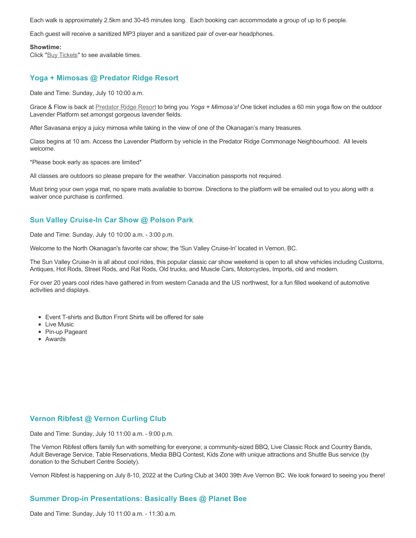Each walk is approximately 2.5km and 30-45 minutes long. Each booking can accommodate a group of up to 6 people.

Each guest will receive a sanitized MP3 player and a sanitized pair of over-ear headphones.

#### **Showtime:**

Click "[Buy Tickets](https://caravanfarmtheatre.com/show/the-land-walks/?ct=t%28EMAIL_CAMPAIGN_4_19_2022_13_43SEASON+2022%29&mc_cid=c02afad356&mc_eid=4778eb8892)" to see available times.

### **Yoga + Mimosas @ Predator Ridge Resort**

Date and Time: Sunday, July 10 10:00 a.m.

Grace & Flow is back at [Predator Ridge Resort](https://www.predatorridge.com/events) to bring you *Yoga + Mimosa's!* One ticket includes a 60 min yoga flow on the outdoor Lavender Platform set amongst gorgeous lavender fields.

After Savasana enjoy a juicy mimosa while taking in the view of one of the Okanagan's many treasures.

Class begins at 10 am. Access the Lavender Platform by vehicle in the Predator Ridge Commonage Neighbourhood. All levels welcome.

\*Please book early as spaces are limited\*

All classes are outdoors so please prepare for the weather. Vaccination passports not required.

Must bring your own yoga mat, no spare mats available to borrow. Directions to the platform will be emailed out to you along with a waiver once purchase is confirmed.

### **Sun Valley Cruise-In Car Show @ Polson Park**

Date and Time: Sunday, July 10 10:00 a.m. - 3:00 p.m.

Welcome to the North Okanagan's favorite car show; the 'Sun Valley Cruise-In' located in Vernon, BC.

The Sun Valley Cruise-In is all about cool rides, this popular classic car show weekend is open to all show vehicles including Customs, Antiques, Hot Rods, Street Rods, and Rat Rods, Old trucks, and Muscle Cars, Motorcycles, Imports, old and modern.

For over 20 years cool rides have gathered in from western Canada and the US northwest, for a fun filled weekend of automotive activities and displays.

- Event T-shirts and Button Front Shirts will be offered for sale
- Live Music
- Pin-up Pageant
- Awards

### **Vernon Ribfest @ Vernon Curling Club**

Date and Time: Sunday, July 10 11:00 a.m. - 9:00 p.m.

The Vernon Ribfest offers family fun with something for everyone; a community-sized BBQ, Live Classic Rock and Country Bands, Adult Beverage Service, Table Reservations, Media BBQ Contest, Kids Zone with unique attractions and Shuttle Bus service (by donation to the Schubert Centre Society).

Vernon Ribfest is happening on July 8-10, 2022 at the Curling Club at 3400 39th Ave Vernon BC. We look forward to seeing you there!

### **Summer Drop-in Presentations: Basically Bees @ Planet Bee**

Date and Time: Sunday, July 10 11:00 a.m. - 11:30 a.m.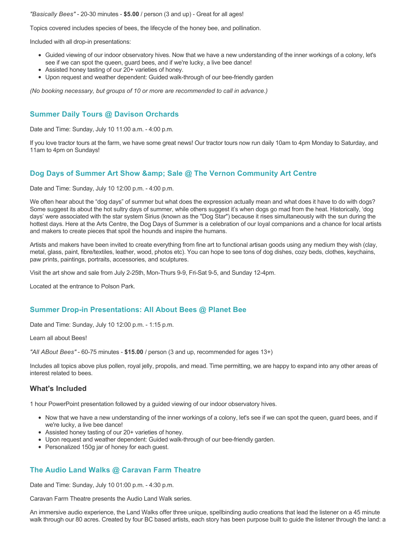*"Basically Bees"* - 20-30 minutes - **\$5.00** / person (3 and up) - Great for all ages!

Topics covered includes species of bees, the lifecycle of the honey bee, and pollination.

Included with all drop-in presentations:

- Guided viewing of our indoor observatory hives. Now that we have a new understanding of the inner workings of a colony, let's see if we can spot the queen, guard bees, and if we're lucky, a live bee dance!
- Assisted honey tasting of our 20+ varieties of honey.
- Upon request and weather dependent: Guided walk-through of our bee-friendly garden

*(No booking necessary, but groups of 10 or more are recommended to call in advance.)*

# **Summer Daily Tours @ Davison Orchards**

Date and Time: Sunday, July 10 11:00 a.m. - 4:00 p.m.

If you love tractor tours at the farm, we have some great news! Our tractor tours now run daily 10am to 4pm Monday to Saturday, and 11am to 4pm on Sundays!

## **Dog Days of Summer Art Show & amp: Sale @ The Vernon Community Art Centre**

Date and Time: Sunday, July 10 12:00 p.m. - 4:00 p.m.

We often hear about the "dog days" of summer but what does the expression actually mean and what does it have to do with dogs? Some suggest its about the hot sultry days of summer, while others suggest it's when dogs go mad from the heat. Historically, 'dog days' were associated with the star system Sirius (known as the "Dog Star") because it rises simultaneously with the sun during the hottest days. Here at the Arts Centre, the Dog Days of Summer is a celebration of our loyal companions and a chance for local artists and makers to create pieces that spoil the hounds and inspire the humans.

Artists and makers have been invited to create everything from fine art to functional artisan goods using any medium they wish (clay, metal, glass, paint, fibre/textiles, leather, wood, photos etc). You can hope to see tons of dog dishes, cozy beds, clothes, keychains, paw prints, paintings, portraits, accessories, and sculptures.

Visit the art show and sale from July 2-25th, Mon-Thurs 9-9, Fri-Sat 9-5, and Sunday 12-4pm.

Located at the entrance to Polson Park.

## **Summer Drop-in Presentations: All About Bees @ Planet Bee**

Date and Time: Sunday, July 10 12:00 p.m. - 1:15 p.m.

Learn all about Bees!

*"All ABout Bees"* - 60-75 minutes - **\$15.00** / person (3 and up, recommended for ages 13+)

Includes all topics above plus pollen, royal jelly, propolis, and mead. Time permitting, we are happy to expand into any other areas of interest related to bees.

## **What's Included**

1 hour PowerPoint presentation followed by a guided viewing of our indoor observatory hives.

- Now that we have a new understanding of the inner workings of a colony, let's see if we can spot the queen, guard bees, and if we're lucky, a live bee dance!
- Assisted honey tasting of our 20+ varieties of honey.
- Upon request and weather dependent: Guided walk-through of our bee-friendly garden.
- Personalized 150g jar of honey for each guest.

## **The Audio Land Walks @ Caravan Farm Theatre**

Date and Time: Sunday, July 10 01:00 p.m. - 4:30 p.m.

Caravan Farm Theatre presents the Audio Land Walk series.

An immersive audio experience, the Land Walks offer three unique, spellbinding audio creations that lead the listener on a 45 minute walk through our 80 acres. Created by four BC based artists, each story has been purpose built to guide the listener through the land: a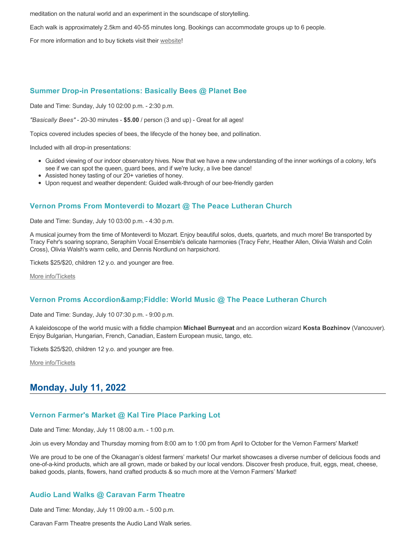meditation on the natural world and an experiment in the soundscape of storytelling.

Each walk is approximately 2.5km and 40-55 minutes long. Bookings can accommodate groups up to 6 people.

For more information and to buy tickets visit their [website!](https://caravanfarmtheatre.com/show/the-land-walks/)

## **Summer Drop-in Presentations: Basically Bees @ Planet Bee**

Date and Time: Sunday, July 10 02:00 p.m. - 2:30 p.m.

*"Basically Bees"* - 20-30 minutes - **\$5.00** / person (3 and up) - Great for all ages!

Topics covered includes species of bees, the lifecycle of the honey bee, and pollination.

Included with all drop-in presentations:

- Guided viewing of our indoor observatory hives. Now that we have a new understanding of the inner workings of a colony, let's see if we can spot the queen, guard bees, and if we're lucky, a live bee dance!
- Assisted honey tasting of our 20+ varieties of honey.
- Upon request and weather dependent: Guided walk-through of our bee-friendly garden

# **Vernon Proms From Monteverdi to Mozart @ The Peace Lutheran Church**

Date and Time: Sunday, July 10 03:00 p.m. - 4:30 p.m.

A musical journey from the time of Monteverdi to Mozart. Enjoy beautiful solos, duets, quartets, and much more! Be transported by Tracy Fehr's soaring soprano, Seraphim Vocal Ensemble's delicate harmonies (Tracy Fehr, Heather Allen, Olivia Walsh and Colin Cross), Olivia Walsh's warm cello, and Dennis Nordlund on harpsichord.

Tickets \$25/\$20, children 12 y.o. and younger are free.

[More info/Tickets](https://proms.eventcalendarapp.com/u/36415/evt_external_62845d7084cce5260a3f5395?repeatId=evt_external_62845d7084cce5260a3f5395)

## **Vernon Proms Accordion& Fiddle: World Music @ The Peace Lutheran Church**

Date and Time: Sunday, July 10 07:30 p.m. - 9:00 p.m.

A kaleidoscope of the world music with a fiddle champion **Michael Burnyeat** and an accordion wizard **Kosta Bozhinov** (Vancouver). Enjoy Bulgarian, Hungarian, French, Canadian, Eastern European music, tango, etc.

Tickets \$25/\$20, children 12 y.o. and younger are free.

[More info/Tickets](https://proms.eventcalendarapp.com/u/36415/evt_external_62845d7084cce5260a3f538f?repeatId=evt_external_62845d7084cce5260a3f538f)

# **Monday, July 11, 2022**

## **Vernon Farmer's Market @ Kal Tire Place Parking Lot**

Date and Time: Monday, July 11 08:00 a.m. - 1:00 p.m.

Join us every Monday and Thursday morning from 8:00 am to 1:00 pm from April to October for the Vernon Farmers' Market!

We are proud to be one of the Okanagan's oldest farmers' markets! Our market showcases a diverse number of delicious foods and one-of-a-kind products, which are all grown, made or baked by our local vendors. Discover fresh produce, fruit, eggs, meat, cheese, baked goods, plants, flowers, hand crafted products & so much more at the Vernon Farmers' Market!

# **Audio Land Walks @ Caravan Farm Theatre**

Date and Time: Monday, July 11 09:00 a.m. - 5:00 p.m.

Caravan Farm Theatre presents the Audio Land Walk series.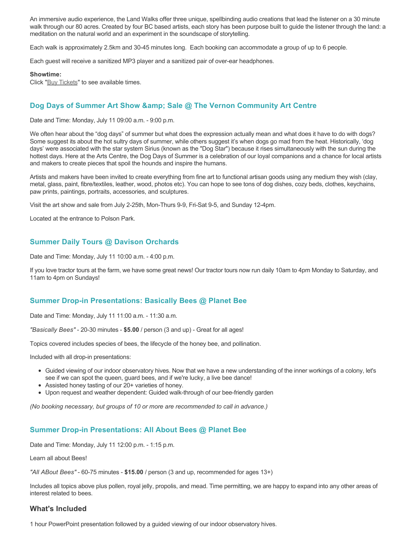An immersive audio experience, the Land Walks offer three unique, spellbinding audio creations that lead the listener on a 30 minute walk through our 80 acres. Created by four BC based artists, each story has been purpose built to guide the listener through the land: a meditation on the natural world and an experiment in the soundscape of storytelling.

Each walk is approximately 2.5km and 30-45 minutes long. Each booking can accommodate a group of up to 6 people.

Each guest will receive a sanitized MP3 player and a sanitized pair of over-ear headphones.

#### **Showtime:**

Click "[Buy Tickets](https://caravanfarmtheatre.com/show/the-land-walks/?ct=t%28EMAIL_CAMPAIGN_4_19_2022_13_43SEASON+2022%29&mc_cid=c02afad356&mc_eid=4778eb8892)" to see available times.

### **Dog Days of Summer Art Show & amp: Sale @ The Vernon Community Art Centre**

Date and Time: Monday, July 11 09:00 a.m. - 9:00 p.m.

We often hear about the "dog days" of summer but what does the expression actually mean and what does it have to do with dogs? Some suggest its about the hot sultry days of summer, while others suggest it's when dogs go mad from the heat. Historically, 'dog days' were associated with the star system Sirius (known as the "Dog Star") because it rises simultaneously with the sun during the hottest days. Here at the Arts Centre, the Dog Days of Summer is a celebration of our loyal companions and a chance for local artists and makers to create pieces that spoil the hounds and inspire the humans.

Artists and makers have been invited to create everything from fine art to functional artisan goods using any medium they wish (clay, metal, glass, paint, fibre/textiles, leather, wood, photos etc). You can hope to see tons of dog dishes, cozy beds, clothes, keychains, paw prints, paintings, portraits, accessories, and sculptures.

Visit the art show and sale from July 2-25th, Mon-Thurs 9-9, Fri-Sat 9-5, and Sunday 12-4pm.

Located at the entrance to Polson Park.

### **Summer Daily Tours @ Davison Orchards**

Date and Time: Monday, July 11 10:00 a.m. - 4:00 p.m.

If you love tractor tours at the farm, we have some great news! Our tractor tours now run daily 10am to 4pm Monday to Saturday, and 11am to 4pm on Sundays!

### **Summer Drop-in Presentations: Basically Bees @ Planet Bee**

Date and Time: Monday, July 11 11:00 a.m. - 11:30 a.m.

*"Basically Bees"* - 20-30 minutes - **\$5.00** / person (3 and up) - Great for all ages!

Topics covered includes species of bees, the lifecycle of the honey bee, and pollination.

Included with all drop-in presentations:

- Guided viewing of our indoor observatory hives. Now that we have a new understanding of the inner workings of a colony, let's see if we can spot the queen, guard bees, and if we're lucky, a live bee dance!
- Assisted honey tasting of our 20+ varieties of honey.
- Upon request and weather dependent: Guided walk-through of our bee-friendly garden

*(No booking necessary, but groups of 10 or more are recommended to call in advance.)*

#### **Summer Drop-in Presentations: All About Bees @ Planet Bee**

Date and Time: Monday, July 11 12:00 p.m. - 1:15 p.m.

Learn all about Bees!

*"All ABout Bees"* - 60-75 minutes - **\$15.00** / person (3 and up, recommended for ages 13+)

Includes all topics above plus pollen, royal jelly, propolis, and mead. Time permitting, we are happy to expand into any other areas of interest related to bees.

### **What's Included**

1 hour PowerPoint presentation followed by a guided viewing of our indoor observatory hives.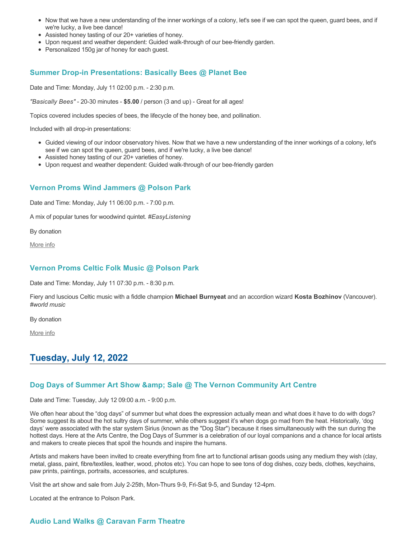- Now that we have a new understanding of the inner workings of a colony, let's see if we can spot the queen, guard bees, and if we're lucky, a live bee dance!
- Assisted honey tasting of our 20+ varieties of honey.
- Upon request and weather dependent: Guided walk-through of our bee-friendly garden.
- Personalized 150g jar of honey for each guest.

### **Summer Drop-in Presentations: Basically Bees @ Planet Bee**

Date and Time: Monday, July 11 02:00 p.m. - 2:30 p.m.

*"Basically Bees"* - 20-30 minutes - **\$5.00** / person (3 and up) - Great for all ages!

Topics covered includes species of bees, the lifecycle of the honey bee, and pollination.

Included with all drop-in presentations:

- Guided viewing of our indoor observatory hives. Now that we have a new understanding of the inner workings of a colony, let's see if we can spot the queen, guard bees, and if we're lucky, a live bee dance!
- Assisted honey tasting of our 20+ varieties of honey.
- Upon request and weather dependent: Guided walk-through of our bee-friendly garden

#### **Vernon Proms Wind Jammers @ Polson Park**

Date and Time: Monday, July 11 06:00 p.m. - 7:00 p.m.

A mix of popular tunes for woodwind quintet. *#EasyListening*

By donation

[More info](https://proms.eventcalendarapp.com/u/36415/evt_external_62845d7184cce5260a3f539e?repeatId=evt_external_62845d7184cce5260a3f539e)

### **Vernon Proms Celtic Folk Music @ Polson Park**

Date and Time: Monday, July 11 07:30 p.m. - 8:30 p.m.

Fiery and luscious Celtic music with a fiddle champion **Michael Burnyeat** and an accordion wizard **Kosta Bozhinov** (Vancouver). *#world music*

By donation

[More info](https://proms.eventcalendarapp.com/u/36415/evt_external_62845d7084cce5260a3f5393?repeatId=evt_external_62845d7084cce5260a3f5393)

# **Tuesday, July 12, 2022**

### **Dog Days of Summer Art Show & amp: Sale @ The Vernon Community Art Centre**

Date and Time: Tuesday, July 12 09:00 a.m. - 9:00 p.m.

We often hear about the "dog days" of summer but what does the expression actually mean and what does it have to do with dogs? Some suggest its about the hot sultry days of summer, while others suggest it's when dogs go mad from the heat. Historically, 'dog days' were associated with the star system Sirius (known as the "Dog Star") because it rises simultaneously with the sun during the hottest days. Here at the Arts Centre, the Dog Days of Summer is a celebration of our loyal companions and a chance for local artists and makers to create pieces that spoil the hounds and inspire the humans.

Artists and makers have been invited to create everything from fine art to functional artisan goods using any medium they wish (clay, metal, glass, paint, fibre/textiles, leather, wood, photos etc). You can hope to see tons of dog dishes, cozy beds, clothes, keychains, paw prints, paintings, portraits, accessories, and sculptures.

Visit the art show and sale from July 2-25th, Mon-Thurs 9-9, Fri-Sat 9-5, and Sunday 12-4pm.

Located at the entrance to Polson Park.

### **Audio Land Walks @ Caravan Farm Theatre**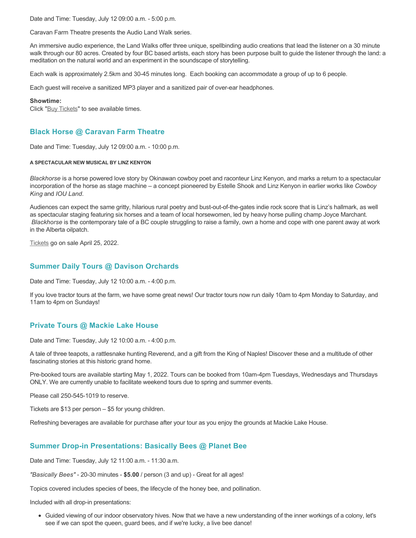Date and Time: Tuesday, July 12 09:00 a.m. - 5:00 p.m.

Caravan Farm Theatre presents the Audio Land Walk series.

An immersive audio experience, the Land Walks offer three unique, spellbinding audio creations that lead the listener on a 30 minute walk through our 80 acres. Created by four BC based artists, each story has been purpose built to guide the listener through the land: a meditation on the natural world and an experiment in the soundscape of storytelling.

Each walk is approximately 2.5km and 30-45 minutes long. Each booking can accommodate a group of up to 6 people.

Each guest will receive a sanitized MP3 player and a sanitized pair of over-ear headphones.

#### **Showtime:**

Click "[Buy Tickets](https://caravanfarmtheatre.com/show/the-land-walks/?ct=t%28EMAIL_CAMPAIGN_4_19_2022_13_43SEASON+2022%29&mc_cid=c02afad356&mc_eid=4778eb8892)" to see available times.

# **Black Horse @ Caravan Farm Theatre**

Date and Time: Tuesday, July 12 09:00 a.m. - 10:00 p.m.

#### **A SPECTACULAR NEW MUSICAL BY LINZ KENYON**

*Blackhorse* is a horse powered love story by Okinawan cowboy poet and raconteur Linz Kenyon, and marks a return to a spectacular incorporation of the horse as stage machine – a concept pioneered by Estelle Shook and Linz Kenyon in earlier works like *Cowboy King* and *IOU Land*.

Audiences can expect the same gritty, hilarious rural poetry and bust-out-of-the-gates indie rock score that is Linz's hallmark, as well as spectacular staging featuring six horses and a team of local horsewomen, led by heavy horse pulling champ Joyce Marchant. *Blackhorse* is the contemporary tale of a BC couple struggling to raise a family, own a home and cope with one parent away at work in the Alberta oilpatch.

[Tickets](https://caravanfarmtheatre.com/show/blackhorse-2/?ct=t%28EMAIL_CAMPAIGN_4_19_2022_13_43SEASON+2022%29&mc_cid=c02afad356&mc_eid=4778eb8892) go on sale April 25, 2022.

### **Summer Daily Tours @ Davison Orchards**

Date and Time: Tuesday, July 12 10:00 a.m. - 4:00 p.m.

If you love tractor tours at the farm, we have some great news! Our tractor tours now run daily 10am to 4pm Monday to Saturday, and 11am to 4pm on Sundays!

## **Private Tours @ Mackie Lake House**

Date and Time: Tuesday, July 12 10:00 a.m. - 4:00 p.m.

A tale of three teapots, a rattlesnake hunting Reverend, and a gift from the King of Naples! Discover these and a multitude of other fascinating stories at this historic grand home.

Pre-booked tours are available starting May 1, 2022. Tours can be booked from 10am-4pm Tuesdays, Wednesdays and Thursdays ONLY. We are currently unable to facilitate weekend tours due to spring and summer events.

Please call 250-545-1019 to reserve.

Tickets are \$13 per person – \$5 for young children.

Refreshing beverages are available for purchase after your tour as you enjoy the grounds at Mackie Lake House.

## **Summer Drop-in Presentations: Basically Bees @ Planet Bee**

Date and Time: Tuesday, July 12 11:00 a.m. - 11:30 a.m.

*"Basically Bees"* - 20-30 minutes - **\$5.00** / person (3 and up) - Great for all ages!

Topics covered includes species of bees, the lifecycle of the honey bee, and pollination.

Included with all drop-in presentations:

Guided viewing of our indoor observatory hives. Now that we have a new understanding of the inner workings of a colony, let's see if we can spot the queen, guard bees, and if we're lucky, a live bee dance!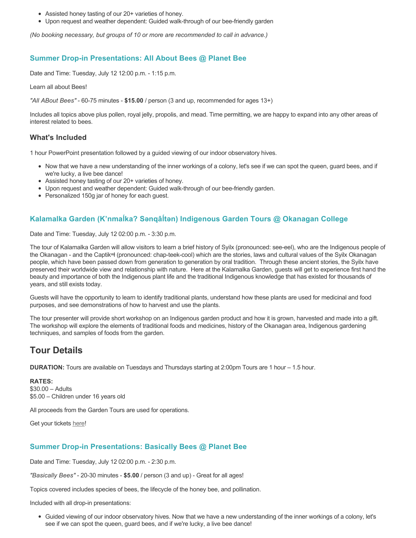- Assisted honey tasting of our 20+ varieties of honey.
- Upon request and weather dependent: Guided walk-through of our bee-friendly garden

*(No booking necessary, but groups of 10 or more are recommended to call in advance.)*

## **Summer Drop-in Presentations: All About Bees @ Planet Bee**

Date and Time: Tuesday, July 12 12:00 p.m. - 1:15 p.m.

Learn all about Bees!

*"All ABout Bees"* - 60-75 minutes - **\$15.00** / person (3 and up, recommended for ages 13+)

Includes all topics above plus pollen, royal jelly, propolis, and mead. Time permitting, we are happy to expand into any other areas of interest related to bees.

### **What's Included**

1 hour PowerPoint presentation followed by a guided viewing of our indoor observatory hives.

- Now that we have a new understanding of the inner workings of a colony, let's see if we can spot the queen, guard bees, and if we're lucky, a live bee dance!
- Assisted honey tasting of our 20+ varieties of honey.
- Upon request and weather dependent: Guided walk-through of our bee-friendly garden.
- Personalized 150g jar of honey for each quest.

# **Kalamalka Garden (K'nmaĺka? Sәnqâĺtәn) Indigenous Garden Tours @ Okanagan College**

Date and Time: Tuesday, July 12 02:00 p.m. - 3:30 p.m.

The tour of Kalamalka Garden will allow visitors to learn a brief history of Syilx (pronounced: see-eel), who are the Indigenous people of the Okanagan - and the Captikʷł (pronounced: chap-teek-cool) which are the stories, laws and cultural values of the Syilx Okanagan people, which have been passed down from generation to generation by oral tradition. Through these ancient stories, the Syilx have preserved their worldwide view and relationship with nature. Here at the Kalamalka Garden, guests will get to experience first hand the beauty and importance of both the Indigenous plant life and the traditional Indigenous knowledge that has existed for thousands of years, and still exists today.

Guests will have the opportunity to learn to identify traditional plants, understand how these plants are used for medicinal and food purposes, and see demonstrations of how to harvest and use the plants.

The tour presenter will provide short workshop on an Indigenous garden product and how it is grown, harvested and made into a gift. The workshop will explore the elements of traditional foods and medicines, history of the Okanagan area, Indigenous gardening techniques, and samples of foods from the garden.

# **Tour Details**

**DURATION:** Tours are available on Tuesdays and Thursdays starting at 2:00pm Tours are 1 hour – 1.5 hour.

**RATES:** \$30.00 – Adults \$5.00 – Children under 16 years old

All proceeds from the Garden Tours are used for operations.

Get your tickets [here!](https://www.eventbrite.ca/e/kalamalka-garden-tour-tickets-158617843239)

## **Summer Drop-in Presentations: Basically Bees @ Planet Bee**

Date and Time: Tuesday, July 12 02:00 p.m. - 2:30 p.m.

*"Basically Bees"* - 20-30 minutes - **\$5.00** / person (3 and up) - Great for all ages!

Topics covered includes species of bees, the lifecycle of the honey bee, and pollination.

Included with all drop-in presentations:

Guided viewing of our indoor observatory hives. Now that we have a new understanding of the inner workings of a colony, let's see if we can spot the queen, guard bees, and if we're lucky, a live bee dance!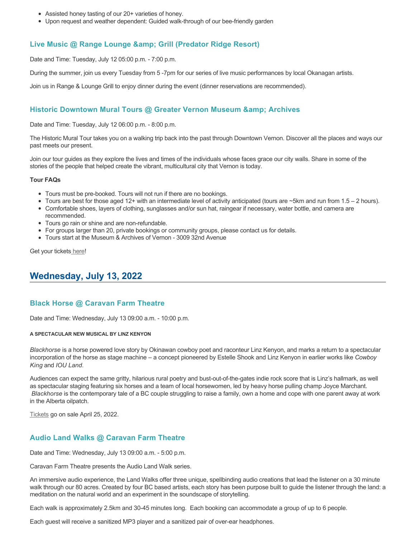- Assisted honey tasting of our 20+ varieties of honey.
- Upon request and weather dependent: Guided walk-through of our bee-friendly garden

### **Live Music @ Range Lounge & Grill (Predator Ridge Resort)**

Date and Time: Tuesday, July 12 05:00 p.m. - 7:00 p.m.

During the summer, join us every Tuesday from 5 -7pm for our series of live music performances by local Okanagan artists.

Join us in Range & Lounge Grill to enjoy dinner during the event (dinner reservations are recommended).

### **Historic Downtown Mural Tours @ Greater Vernon Museum & Archives**

Date and Time: Tuesday, July 12 06:00 p.m. - 8:00 p.m.

The Historic Mural Tour takes you on a walking trip back into the past through Downtown Vernon. Discover all the places and ways our past meets our present.

Join our tour guides as they explore the lives and times of the individuals whose faces grace our city walls. Share in some of the stories of the people that helped create the vibrant, multicultural city that Vernon is today.

#### **Tour FAQs**

- Tours must be pre-booked. Tours will not run if there are no bookings.
- Tours are best for those aged 12+ with an intermediate level of activity anticipated (tours are  $\sim$ 5km and run from 1.5 2 hours).
- Comfortable shoes, layers of clothing, sunglasses and/or sun hat, raingear if necessary, water bottle, and camera are
- recommended. Tours go rain or shine and are non-refundable.
- For groups larger than 20, private bookings or community groups, please contact us for details.
- Tours start at the Museum & Archives of Vernon 3009 32nd Avenue

Get your tickets [here!](https://www.eventbrite.com/e/historic-downtown-mural-tours-tickets-304983342387)

# **Wednesday, July 13, 2022**

#### **Black Horse @ Caravan Farm Theatre**

Date and Time: Wednesday, July 13 09:00 a.m. - 10:00 p.m.

#### **A SPECTACULAR NEW MUSICAL BY LINZ KENYON**

*Blackhorse* is a horse powered love story by Okinawan cowboy poet and raconteur Linz Kenyon, and marks a return to a spectacular incorporation of the horse as stage machine – a concept pioneered by Estelle Shook and Linz Kenyon in earlier works like *Cowboy King* and *IOU Land*.

Audiences can expect the same gritty, hilarious rural poetry and bust-out-of-the-gates indie rock score that is Linz's hallmark, as well as spectacular staging featuring six horses and a team of local horsewomen, led by heavy horse pulling champ Joyce Marchant. *Blackhorse* is the contemporary tale of a BC couple struggling to raise a family, own a home and cope with one parent away at work in the Alberta oilpatch.

[Tickets](https://caravanfarmtheatre.com/show/blackhorse-2/?ct=t%28EMAIL_CAMPAIGN_4_19_2022_13_43SEASON+2022%29&mc_cid=c02afad356&mc_eid=4778eb8892) go on sale April 25, 2022.

### **Audio Land Walks @ Caravan Farm Theatre**

Date and Time: Wednesday, July 13 09:00 a.m. - 5:00 p.m.

Caravan Farm Theatre presents the Audio Land Walk series.

An immersive audio experience, the Land Walks offer three unique, spellbinding audio creations that lead the listener on a 30 minute walk through our 80 acres. Created by four BC based artists, each story has been purpose built to guide the listener through the land: a meditation on the natural world and an experiment in the soundscape of storytelling.

Each walk is approximately 2.5km and 30-45 minutes long. Each booking can accommodate a group of up to 6 people.

Each guest will receive a sanitized MP3 player and a sanitized pair of over-ear headphones.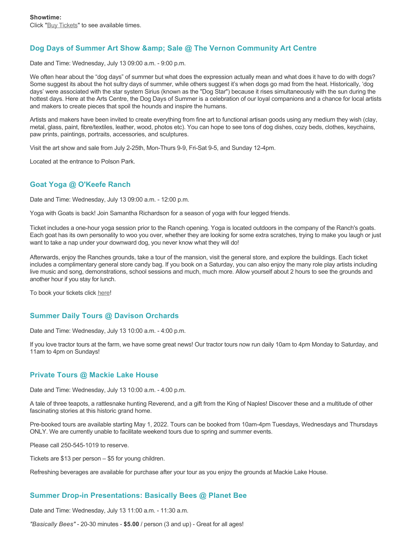# **Dog Days of Summer Art Show & amp; Sale @ The Vernon Community Art Centre**

Date and Time: Wednesday, July 13 09:00 a.m. - 9:00 p.m.

We often hear about the "dog days" of summer but what does the expression actually mean and what does it have to do with dogs? Some suggest its about the hot sultry days of summer, while others suggest it's when dogs go mad from the heat. Historically, 'dog days' were associated with the star system Sirius (known as the "Dog Star") because it rises simultaneously with the sun during the hottest days. Here at the Arts Centre, the Dog Days of Summer is a celebration of our loyal companions and a chance for local artists and makers to create pieces that spoil the hounds and inspire the humans.

Artists and makers have been invited to create everything from fine art to functional artisan goods using any medium they wish (clay, metal, glass, paint, fibre/textiles, leather, wood, photos etc). You can hope to see tons of dog dishes, cozy beds, clothes, keychains, paw prints, paintings, portraits, accessories, and sculptures.

Visit the art show and sale from July 2-25th, Mon-Thurs 9-9, Fri-Sat 9-5, and Sunday 12-4pm.

Located at the entrance to Polson Park.

# **Goat Yoga @ O'Keefe Ranch**

Date and Time: Wednesday, July 13 09:00 a.m. - 12:00 p.m.

Yoga with Goats is back! Join Samantha Richardson for a season of yoga with four legged friends.

Ticket includes a one-hour yoga session prior to the Ranch opening. Yoga is located outdoors in the company of the Ranch's goats. Each goat has its own personality to woo you over, whether they are looking for some extra scratches, trying to make you laugh or just want to take a nap under your downward dog, you never know what they will do!

Afterwards, enjoy the Ranches grounds, take a tour of the mansion, visit the general store, and explore the buildings. Each ticket includes a complimentary general store candy bag. If you book on a Saturday, you can also enjoy the many role play artists including live music and song, demonstrations, school sessions and much, much more. Allow yourself about 2 hours to see the grounds and another hour if you stay for lunch.

To book your tickets click [here!](https://tickets.ticketseller.ca/TheatreManager/1/login&event=3417)

# **Summer Daily Tours @ Davison Orchards**

Date and Time: Wednesday, July 13 10:00 a.m. - 4:00 p.m.

If you love tractor tours at the farm, we have some great news! Our tractor tours now run daily 10am to 4pm Monday to Saturday, and 11am to 4pm on Sundays!

## **Private Tours @ Mackie Lake House**

Date and Time: Wednesday, July 13 10:00 a.m. - 4:00 p.m.

A tale of three teapots, a rattlesnake hunting Reverend, and a gift from the King of Naples! Discover these and a multitude of other fascinating stories at this historic grand home.

Pre-booked tours are available starting May 1, 2022. Tours can be booked from 10am-4pm Tuesdays, Wednesdays and Thursdays ONLY. We are currently unable to facilitate weekend tours due to spring and summer events.

Please call 250-545-1019 to reserve.

Tickets are \$13 per person – \$5 for young children.

Refreshing beverages are available for purchase after your tour as you enjoy the grounds at Mackie Lake House.

# **Summer Drop-in Presentations: Basically Bees @ Planet Bee**

Date and Time: Wednesday, July 13 11:00 a.m. - 11:30 a.m.

*"Basically Bees"* - 20-30 minutes - **\$5.00** / person (3 and up) - Great for all ages!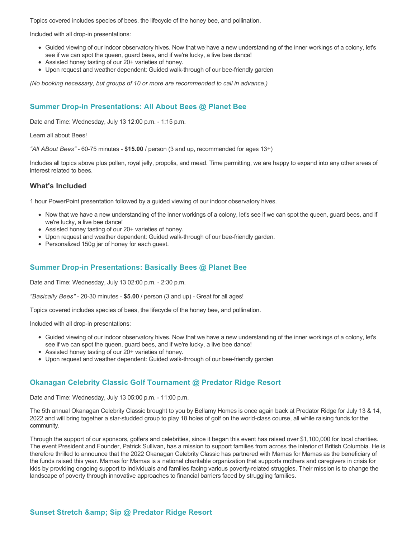Topics covered includes species of bees, the lifecycle of the honey bee, and pollination.

Included with all drop-in presentations:

- Guided viewing of our indoor observatory hives. Now that we have a new understanding of the inner workings of a colony, let's see if we can spot the queen, guard bees, and if we're lucky, a live bee dance!
- Assisted honey tasting of our 20+ varieties of honey.
- Upon request and weather dependent: Guided walk-through of our bee-friendly garden

*(No booking necessary, but groups of 10 or more are recommended to call in advance.)*

# **Summer Drop-in Presentations: All About Bees @ Planet Bee**

Date and Time: Wednesday, July 13 12:00 p.m. - 1:15 p.m.

Learn all about Bees!

*"All ABout Bees"* - 60-75 minutes - **\$15.00** / person (3 and up, recommended for ages 13+)

Includes all topics above plus pollen, royal jelly, propolis, and mead. Time permitting, we are happy to expand into any other areas of interest related to bees.

### **What's Included**

1 hour PowerPoint presentation followed by a guided viewing of our indoor observatory hives.

- Now that we have a new understanding of the inner workings of a colony, let's see if we can spot the queen, guard bees, and if we're lucky, a live bee dance!
- Assisted honey tasting of our 20+ varieties of honey.
- Upon request and weather dependent: Guided walk-through of our bee-friendly garden.
- Personalized 150g jar of honey for each quest.

### **Summer Drop-in Presentations: Basically Bees @ Planet Bee**

Date and Time: Wednesday, July 13 02:00 p.m. - 2:30 p.m.

*"Basically Bees"* - 20-30 minutes - **\$5.00** / person (3 and up) - Great for all ages!

Topics covered includes species of bees, the lifecycle of the honey bee, and pollination.

Included with all drop-in presentations:

- Guided viewing of our indoor observatory hives. Now that we have a new understanding of the inner workings of a colony, let's see if we can spot the queen, guard bees, and if we're lucky, a live bee dance!
- Assisted honey tasting of our 20+ varieties of honey.
- Upon request and weather dependent: Guided walk-through of our bee-friendly garden

## **Okanagan Celebrity Classic Golf Tournament @ Predator Ridge Resort**

Date and Time: Wednesday, July 13 05:00 p.m. - 11:00 p.m.

The 5th annual Okanagan Celebrity Classic brought to you by Bellamy Homes is once again back at Predator Ridge for July 13 & 14, 2022 and will bring together a star-studded group to play 18 holes of golf on the world-class course, all while raising funds for the community.

Through the support of our sponsors, golfers and celebrities, since it began this event has raised over \$1,100,000 for local charities. The event President and Founder, Patrick Sullivan, has a mission to support families from across the interior of British Columbia. He is therefore thrilled to announce that the 2022 Okanagan Celebrity Classic has partnered with Mamas for Mamas as the beneficiary of the funds raised this year. Mamas for Mamas is a national charitable organization that supports mothers and caregivers in crisis for kids by providing ongoing support to individuals and families facing various poverty-related struggles. Their mission is to change the landscape of poverty through innovative approaches to financial barriers faced by struggling families.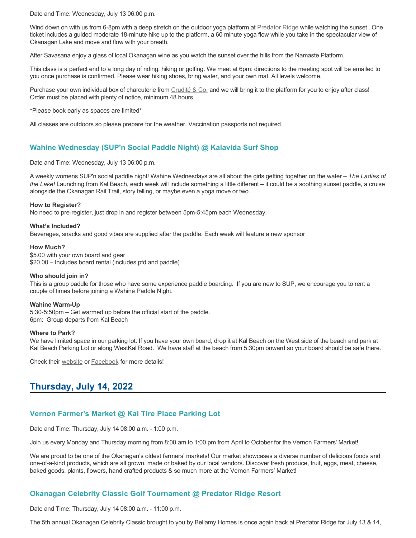Date and Time: Wednesday, July 13 06:00 p.m.

Wind down on with us from 6-8pm with a deep stretch on the outdoor yoga platform at [Predator Ridge](https://www.predatorridge.com/events) while watching the sunset. One ticket includes a guided moderate 18-minute hike up to the platform, a 60 minute yoga flow while you take in the spectacular view of Okanagan Lake and move and flow with your breath.

After Savasana enjoy a glass of local Okanagan wine as you watch the sunset over the hills from the Namaste Platform.

This class is a perfect end to a long day of riding, hiking or golfing. We meet at 6pm: directions to the meeting spot will be emailed to you once purchase is confirmed. Please wear hiking shoes, bring water, and your own mat. All levels welcome.

Purchase your own individual box of charcuterie from [Crudité & Co.](https://cruditeandco.com/product/picnic-platter/) and we will bring it to the platform for you to enjoy after class! Order must be placed with plenty of notice, minimum 48 hours.

\*Please book early as spaces are limited\*

All classes are outdoors so please prepare for the weather. Vaccination passports not required.

# **Wahine Wednesday (SUP'n Social Paddle Night) @ Kalavida Surf Shop**

Date and Time: Wednesday, July 13 06:00 p.m.

A weekly womens SUP'n social paddle night! Wahine Wednesdays are all about the girls getting together on the water – *The Ladies of the Lake!* Launching from Kal Beach, each week will include something a little different – it could be a soothing sunset paddle, a cruise alongside the Okanagan Rail Trail, story telling, or maybe even a yoga move or two.

#### **How to Register?**

No need to pre-register, just drop in and register between 5pm-5:45pm each Wednesday.

#### **What's Included?**

Beverages, snacks and good vibes are supplied after the paddle. Each week will feature a new sponsor

#### **How Much?**

\$5.00 with your own board and gear \$20.00 – Includes board rental (includes pfd and paddle)

#### **Who should join in?**

This is a group paddle for those who have some experience paddle boarding. If you are new to SUP, we encourage you to rent a couple of times before joining a Wahine Paddle Night.

#### **Wahine Warm-Up**

5:30-5:50pm – Get warmed up before the official start of the paddle. 6pm: Group departs from Kal Beach

#### **Where to Park?**

We have limited space in our parking lot. If you have your own board, drop it at Kal Beach on the West side of the beach and park at Kal Beach Parking Lot or along WestKal Road. We have staff at the beach from 5:30pm onward so your board should be safe there.

Check their [website](https://kalavidasurfshop.com/wahine-wednesday-kalavida/) or [Facebook](https://www.facebook.com/kalavidasurfshop/) for more details!

# **Thursday, July 14, 2022**

## **Vernon Farmer's Market @ Kal Tire Place Parking Lot**

Date and Time: Thursday, July 14 08:00 a.m. - 1:00 p.m.

Join us every Monday and Thursday morning from 8:00 am to 1:00 pm from April to October for the Vernon Farmers' Market!

We are proud to be one of the Okanagan's oldest farmers' markets! Our market showcases a diverse number of delicious foods and one-of-a-kind products, which are all grown, made or baked by our local vendors. Discover fresh produce, fruit, eggs, meat, cheese, baked goods, plants, flowers, hand crafted products & so much more at the Vernon Farmers' Market!

## **Okanagan Celebrity Classic Golf Tournament @ Predator Ridge Resort**

Date and Time: Thursday, July 14 08:00 a.m. - 11:00 p.m.

The 5th annual Okanagan Celebrity Classic brought to you by Bellamy Homes is once again back at Predator Ridge for July 13 & 14,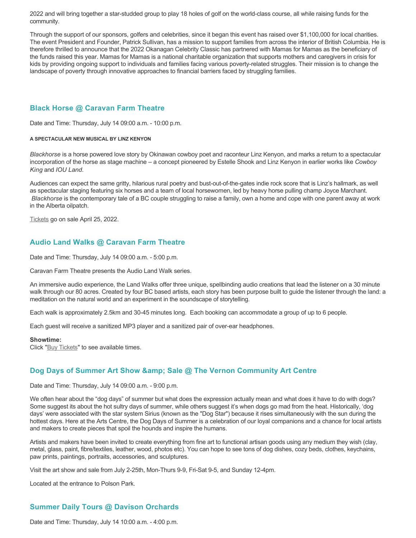2022 and will bring together a star-studded group to play 18 holes of golf on the world-class course, all while raising funds for the community.

Through the support of our sponsors, golfers and celebrities, since it began this event has raised over \$1,100,000 for local charities. The event President and Founder, Patrick Sullivan, has a mission to support families from across the interior of British Columbia. He is therefore thrilled to announce that the 2022 Okanagan Celebrity Classic has partnered with Mamas for Mamas as the beneficiary of the funds raised this year. Mamas for Mamas is a national charitable organization that supports mothers and caregivers in crisis for kids by providing ongoing support to individuals and families facing various poverty-related struggles. Their mission is to change the landscape of poverty through innovative approaches to financial barriers faced by struggling families.

# **Black Horse @ Caravan Farm Theatre**

Date and Time: Thursday, July 14 09:00 a.m. - 10:00 p.m.

#### **A SPECTACULAR NEW MUSICAL BY LINZ KENYON**

*Blackhorse* is a horse powered love story by Okinawan cowboy poet and raconteur Linz Kenyon, and marks a return to a spectacular incorporation of the horse as stage machine – a concept pioneered by Estelle Shook and Linz Kenyon in earlier works like *Cowboy King* and *IOU Land*.

Audiences can expect the same gritty, hilarious rural poetry and bust-out-of-the-gates indie rock score that is Linz's hallmark, as well as spectacular staging featuring six horses and a team of local horsewomen, led by heavy horse pulling champ Joyce Marchant. *Blackhorse* is the contemporary tale of a BC couple struggling to raise a family, own a home and cope with one parent away at work in the Alberta oilpatch.

[Tickets](https://caravanfarmtheatre.com/show/blackhorse-2/?ct=t%28EMAIL_CAMPAIGN_4_19_2022_13_43SEASON+2022%29&mc_cid=c02afad356&mc_eid=4778eb8892) go on sale April 25, 2022.

# **Audio Land Walks @ Caravan Farm Theatre**

Date and Time: Thursday, July 14 09:00 a.m. - 5:00 p.m.

Caravan Farm Theatre presents the Audio Land Walk series.

An immersive audio experience, the Land Walks offer three unique, spellbinding audio creations that lead the listener on a 30 minute walk through our 80 acres. Created by four BC based artists, each story has been purpose built to guide the listener through the land: a meditation on the natural world and an experiment in the soundscape of storytelling.

Each walk is approximately 2.5km and 30-45 minutes long. Each booking can accommodate a group of up to 6 people.

Each guest will receive a sanitized MP3 player and a sanitized pair of over-ear headphones.

#### **Showtime:**

Click "[Buy Tickets](https://caravanfarmtheatre.com/show/the-land-walks/?ct=t%28EMAIL_CAMPAIGN_4_19_2022_13_43SEASON+2022%29&mc_cid=c02afad356&mc_eid=4778eb8892)" to see available times.

## **Dog Days of Summer Art Show & amp: Sale @ The Vernon Community Art Centre**

Date and Time: Thursday, July 14 09:00 a.m. - 9:00 p.m.

We often hear about the "dog days" of summer but what does the expression actually mean and what does it have to do with dogs? Some suggest its about the hot sultry days of summer, while others suggest it's when dogs go mad from the heat. Historically, 'dog days' were associated with the star system Sirius (known as the "Dog Star") because it rises simultaneously with the sun during the hottest days. Here at the Arts Centre, the Dog Days of Summer is a celebration of our loyal companions and a chance for local artists and makers to create pieces that spoil the hounds and inspire the humans.

Artists and makers have been invited to create everything from fine art to functional artisan goods using any medium they wish (clay, metal, glass, paint, fibre/textiles, leather, wood, photos etc). You can hope to see tons of dog dishes, cozy beds, clothes, keychains, paw prints, paintings, portraits, accessories, and sculptures.

Visit the art show and sale from July 2-25th, Mon-Thurs 9-9, Fri-Sat 9-5, and Sunday 12-4pm.

Located at the entrance to Polson Park.

# **Summer Daily Tours @ Davison Orchards**

Date and Time: Thursday, July 14 10:00 a.m. - 4:00 p.m.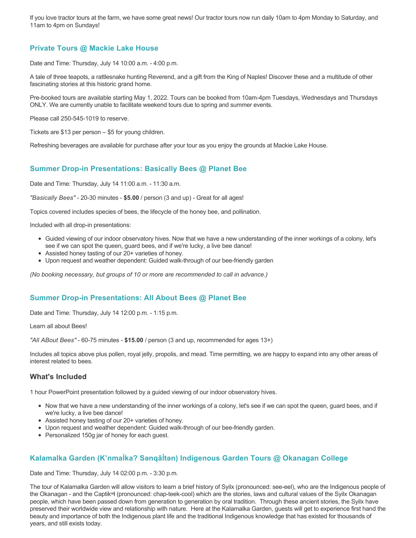If you love tractor tours at the farm, we have some great news! Our tractor tours now run daily 10am to 4pm Monday to Saturday, and 11am to 4pm on Sundays!

# **Private Tours @ Mackie Lake House**

Date and Time: Thursday, July 14 10:00 a.m. - 4:00 p.m.

A tale of three teapots, a rattlesnake hunting Reverend, and a gift from the King of Naples! Discover these and a multitude of other fascinating stories at this historic grand home.

Pre-booked tours are available starting May 1, 2022. Tours can be booked from 10am-4pm Tuesdays, Wednesdays and Thursdays ONLY. We are currently unable to facilitate weekend tours due to spring and summer events.

Please call 250-545-1019 to reserve.

Tickets are \$13 per person – \$5 for young children.

Refreshing beverages are available for purchase after your tour as you enjoy the grounds at Mackie Lake House.

# **Summer Drop-in Presentations: Basically Bees @ Planet Bee**

Date and Time: Thursday, July 14 11:00 a.m. - 11:30 a.m.

*"Basically Bees"* - 20-30 minutes - **\$5.00** / person (3 and up) - Great for all ages!

Topics covered includes species of bees, the lifecycle of the honey bee, and pollination.

Included with all drop-in presentations:

- Guided viewing of our indoor observatory hives. Now that we have a new understanding of the inner workings of a colony, let's see if we can spot the queen, guard bees, and if we're lucky, a live bee dance!
- Assisted honey tasting of our 20+ varieties of honey.
- Upon request and weather dependent: Guided walk-through of our bee-friendly garden

*(No booking necessary, but groups of 10 or more are recommended to call in advance.)*

## **Summer Drop-in Presentations: All About Bees @ Planet Bee**

Date and Time: Thursday, July 14 12:00 p.m. - 1:15 p.m.

Learn all about Bees!

*"All ABout Bees"* - 60-75 minutes - **\$15.00** / person (3 and up, recommended for ages 13+)

Includes all topics above plus pollen, royal jelly, propolis, and mead. Time permitting, we are happy to expand into any other areas of interest related to bees.

## **What's Included**

1 hour PowerPoint presentation followed by a guided viewing of our indoor observatory hives.

- Now that we have a new understanding of the inner workings of a colony, let's see if we can spot the queen, guard bees, and if we're lucky, a live bee dance!
- Assisted honey tasting of our 20+ varieties of honey.
- Upon request and weather dependent: Guided walk-through of our bee-friendly garden.
- Personalized 150g jar of honey for each guest.

## **Kalamalka Garden (K'nmaĺka? Sәnqâĺtәn) Indigenous Garden Tours @ Okanagan College**

Date and Time: Thursday, July 14 02:00 p.m. - 3:30 p.m.

The tour of Kalamalka Garden will allow visitors to learn a brief history of Syilx (pronounced: see-eel), who are the Indigenous people of the Okanagan - and the Captikʷł (pronounced: chap-teek-cool) which are the stories, laws and cultural values of the Syilx Okanagan people, which have been passed down from generation to generation by oral tradition. Through these ancient stories, the Syilx have preserved their worldwide view and relationship with nature. Here at the Kalamalka Garden, guests will get to experience first hand the beauty and importance of both the Indigenous plant life and the traditional Indigenous knowledge that has existed for thousands of years, and still exists today.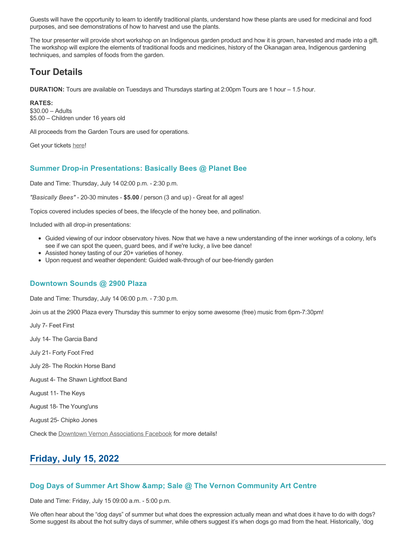Guests will have the opportunity to learn to identify traditional plants, understand how these plants are used for medicinal and food purposes, and see demonstrations of how to harvest and use the plants.

The tour presenter will provide short workshop on an Indigenous garden product and how it is grown, harvested and made into a gift. The workshop will explore the elements of traditional foods and medicines, history of the Okanagan area, Indigenous gardening techniques, and samples of foods from the garden.

# **Tour Details**

**DURATION:** Tours are available on Tuesdays and Thursdays starting at 2:00pm Tours are 1 hour – 1.5 hour.

**RATES:** \$30.00 – Adults \$5.00 – Children under 16 years old

All proceeds from the Garden Tours are used for operations.

Get your tickets [here!](https://www.eventbrite.ca/e/kalamalka-garden-tour-tickets-158617843239)

### **Summer Drop-in Presentations: Basically Bees @ Planet Bee**

Date and Time: Thursday, July 14 02:00 p.m. - 2:30 p.m.

*"Basically Bees"* - 20-30 minutes - **\$5.00** / person (3 and up) - Great for all ages!

Topics covered includes species of bees, the lifecycle of the honey bee, and pollination.

Included with all drop-in presentations:

- Guided viewing of our indoor observatory hives. Now that we have a new understanding of the inner workings of a colony, let's see if we can spot the queen, guard bees, and if we're lucky, a live bee dance!
- Assisted honey tasting of our 20+ varieties of honey.
- Upon request and weather dependent: Guided walk-through of our bee-friendly garden

### **Downtown Sounds @ 2900 Plaza**

Date and Time: Thursday, July 14 06:00 p.m. - 7:30 p.m.

Join us at the 2900 Plaza every Thursday this summer to enjoy some awesome (free) music from 6pm-7:30pm!

July 7- Feet First

July 14- The Garcia Band

July 21- Forty Foot Fred

July 28- The Rockin Horse Band

August 4- The Shawn Lightfoot Band

August 11- The Keys

August 18- The Young'uns

August 25- Chipko Jones

Check the [Downtown Vernon Associations Facebook](https://www.facebook.com/downtownvernon/) for more details!

# **Friday, July 15, 2022**

### **Dog Days of Summer Art Show & amp; Sale @ The Vernon Community Art Centre**

Date and Time: Friday, July 15 09:00 a.m. - 5:00 p.m.

We often hear about the "dog days" of summer but what does the expression actually mean and what does it have to do with dogs? Some suggest its about the hot sultry days of summer, while others suggest it's when dogs go mad from the heat. Historically, 'dog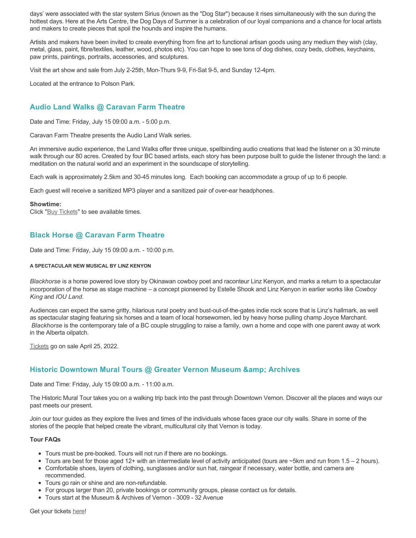days' were associated with the star system Sirius (known as the "Dog Star") because it rises simultaneously with the sun during the hottest days. Here at the Arts Centre, the Dog Days of Summer is a celebration of our loyal companions and a chance for local artists and makers to create pieces that spoil the hounds and inspire the humans.

Artists and makers have been invited to create everything from fine art to functional artisan goods using any medium they wish (clay, metal, glass, paint, fibre/textiles, leather, wood, photos etc). You can hope to see tons of dog dishes, cozy beds, clothes, keychains, paw prints, paintings, portraits, accessories, and sculptures.

Visit the art show and sale from July 2-25th, Mon-Thurs 9-9, Fri-Sat 9-5, and Sunday 12-4pm.

Located at the entrance to Polson Park.

# **Audio Land Walks @ Caravan Farm Theatre**

Date and Time: Friday, July 15 09:00 a.m. - 5:00 p.m.

Caravan Farm Theatre presents the Audio Land Walk series.

An immersive audio experience, the Land Walks offer three unique, spellbinding audio creations that lead the listener on a 30 minute walk through our 80 acres. Created by four BC based artists, each story has been purpose built to guide the listener through the land: a meditation on the natural world and an experiment in the soundscape of storytelling.

Each walk is approximately 2.5km and 30-45 minutes long. Each booking can accommodate a group of up to 6 people.

Each guest will receive a sanitized MP3 player and a sanitized pair of over-ear headphones.

#### **Showtime:**

Click "[Buy Tickets](https://caravanfarmtheatre.com/show/the-land-walks/?ct=t%28EMAIL_CAMPAIGN_4_19_2022_13_43SEASON+2022%29&mc_cid=c02afad356&mc_eid=4778eb8892)" to see available times.

# **Black Horse @ Caravan Farm Theatre**

Date and Time: Friday, July 15 09:00 a.m. - 10:00 p.m.

#### **A SPECTACULAR NEW MUSICAL BY LINZ KENYON**

*Blackhorse* is a horse powered love story by Okinawan cowboy poet and raconteur Linz Kenyon, and marks a return to a spectacular incorporation of the horse as stage machine – a concept pioneered by Estelle Shook and Linz Kenyon in earlier works like *Cowboy King* and *IOU Land*.

Audiences can expect the same gritty, hilarious rural poetry and bust-out-of-the-gates indie rock score that is Linz's hallmark, as well as spectacular staging featuring six horses and a team of local horsewomen, led by heavy horse pulling champ Joyce Marchant. *Blackhorse* is the contemporary tale of a BC couple struggling to raise a family, own a home and cope with one parent away at work in the Alberta oilpatch.

[Tickets](https://caravanfarmtheatre.com/show/blackhorse-2/?ct=t%28EMAIL_CAMPAIGN_4_19_2022_13_43SEASON+2022%29&mc_cid=c02afad356&mc_eid=4778eb8892) go on sale April 25, 2022.

# **Historic Downtown Mural Tours @ Greater Vernon Museum & Archives**

Date and Time: Friday, July 15 09:00 a.m. - 11:00 a.m.

The Historic Mural Tour takes you on a walking trip back into the past through Downtown Vernon. Discover all the places and ways our past meets our present.

Join our tour guides as they explore the lives and times of the individuals whose faces grace our city walls. Share in some of the stories of the people that helped create the vibrant, multicultural city that Vernon is today.

#### **Tour FAQs**

- Tours must be pre-booked. Tours will not run if there are no bookings.
- $\bullet$  Tours are best for those aged 12+ with an intermediate level of activity anticipated (tours are ~5km and run from 1.5 2 hours).
- Comfortable shoes, layers of clothing, sunglasses and/or sun hat, raingear if necessary, water bottle, and camera are recommended.
- Tours go rain or shine and are non-refundable.
- For groups larger than 20, private bookings or community groups, please contact us for details.
- Tours start at the Museum & Archives of Vernon 3009 32 Avenue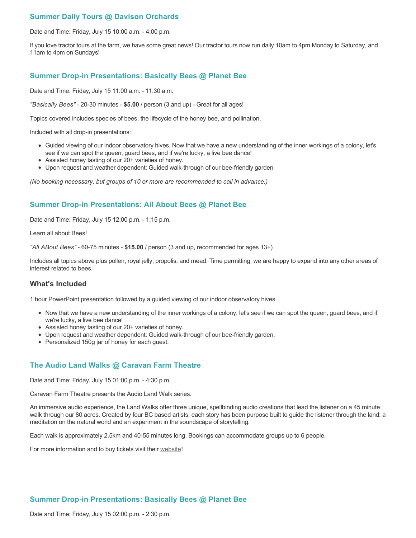# **Summer Daily Tours @ Davison Orchards**

Date and Time: Friday, July 15 10:00 a.m. - 4:00 p.m.

If you love tractor tours at the farm, we have some great news! Our tractor tours now run daily 10am to 4pm Monday to Saturday, and 11am to 4pm on Sundays!

### **Summer Drop-in Presentations: Basically Bees @ Planet Bee**

Date and Time: Friday, July 15 11:00 a.m. - 11:30 a.m.

*"Basically Bees"* - 20-30 minutes - **\$5.00** / person (3 and up) - Great for all ages!

Topics covered includes species of bees, the lifecycle of the honey bee, and pollination.

Included with all drop-in presentations:

- Guided viewing of our indoor observatory hives. Now that we have a new understanding of the inner workings of a colony, let's see if we can spot the queen, guard bees, and if we're lucky, a live bee dance!
- Assisted honey tasting of our 20+ varieties of honey.
- Upon request and weather dependent: Guided walk-through of our bee-friendly garden

*(No booking necessary, but groups of 10 or more are recommended to call in advance.)*

### **Summer Drop-in Presentations: All About Bees @ Planet Bee**

Date and Time: Friday, July 15 12:00 p.m. - 1:15 p.m.

Learn all about Bees!

*"All ABout Bees"* - 60-75 minutes - **\$15.00** / person (3 and up, recommended for ages 13+)

Includes all topics above plus pollen, royal jelly, propolis, and mead. Time permitting, we are happy to expand into any other areas of interest related to bees.

### **What's Included**

1 hour PowerPoint presentation followed by a guided viewing of our indoor observatory hives.

- Now that we have a new understanding of the inner workings of a colony, let's see if we can spot the queen, guard bees, and if we're lucky, a live bee dance!
- Assisted honey tasting of our 20+ varieties of honey.
- Upon request and weather dependent: Guided walk-through of our bee-friendly garden.
- Personalized 150g jar of honey for each guest.

### **The Audio Land Walks @ Caravan Farm Theatre**

Date and Time: Friday, July 15 01:00 p.m. - 4:30 p.m.

Caravan Farm Theatre presents the Audio Land Walk series.

An immersive audio experience, the Land Walks offer three unique, spellbinding audio creations that lead the listener on a 45 minute walk through our 80 acres. Created by four BC based artists, each story has been purpose built to guide the listener through the land: a meditation on the natural world and an experiment in the soundscape of storytelling.

Each walk is approximately 2.5km and 40-55 minutes long. Bookings can accommodate groups up to 6 people.

For more information and to buy tickets visit their [website!](https://caravanfarmtheatre.com/show/the-land-walks/)

## **Summer Drop-in Presentations: Basically Bees @ Planet Bee**

Date and Time: Friday, July 15 02:00 p.m. - 2:30 p.m.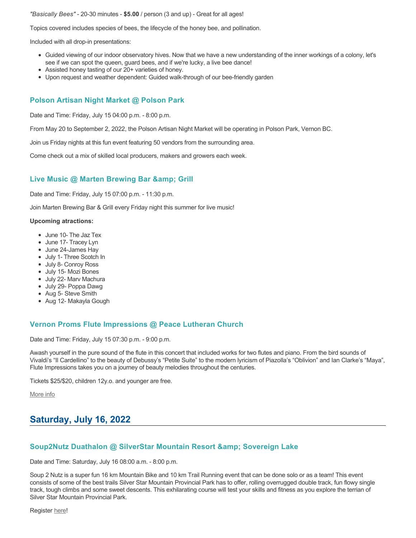*"Basically Bees"* - 20-30 minutes - **\$5.00** / person (3 and up) - Great for all ages!

Topics covered includes species of bees, the lifecycle of the honey bee, and pollination.

Included with all drop-in presentations:

- Guided viewing of our indoor observatory hives. Now that we have a new understanding of the inner workings of a colony, let's see if we can spot the queen, guard bees, and if we're lucky, a live bee dance!
- Assisted honey tasting of our 20+ varieties of honey.
- Upon request and weather dependent: Guided walk-through of our bee-friendly garden

## **Polson Artisan Night Market @ Polson Park**

Date and Time: Friday, July 15 04:00 p.m. - 8:00 p.m.

From May 20 to September 2, 2022, the Polson Artisan Night Market will be operating in Polson Park, Vernon BC.

Join us Friday nights at this fun event featuring 50 vendors from the surrounding area.

Come check out a mix of skilled local producers, makers and growers each week.

### **Live Music @ Marten Brewing Bar & amp: Grill**

Date and Time: Friday, July 15 07:00 p.m. - 11:30 p.m.

Join Marten Brewing Bar & Grill every Friday night this summer for live music!

#### **Upcoming atractions:**

- June 10- The Jaz Tex
- June 17- Tracey Lyn
- June 24-James Hay
- July 1- Three Scotch In
- July 8- Conroy Ross
- July 15- Mozi Bones
- July 22- Marv Machura
- July 29- Poppa Dawg
- Aug 5- Steve Smith
- Aug 12- Makayla Gough

### **Vernon Proms Flute Impressions @ Peace Lutheran Church**

Date and Time: Friday, July 15 07:30 p.m. - 9:00 p.m.

Awash yourself in the pure sound of the flute in this concert that included works for two flutes and piano. From the bird sounds of Vivaldi's "Il Cardellino" to the beauty of Debussy's "Petite Suite" to the modern lyricism of Piazolla's "Oblivion" and Ian Clarke's "Maya", Flute Impressions takes you on a journey of beauty melodies throughout the centuries.

Tickets \$25/\$20, children 12y.o. and younger are free.

[More info](https://proms.eventcalendarapp.com/u/36415/evt_external_62845d7184cce5260a3f539c?repeatId=evt_external_62845d7184cce5260a3f539c)

# **Saturday, July 16, 2022**

### **Soup2Nutz Duathalon @ SilverStar Mountain Resort & Sovereign Lake**

Date and Time: Saturday, July 16 08:00 a.m. - 8:00 p.m.

Soup 2 Nutz is a super fun 16 km Mountain Bike and 10 km Trail Running event that can be done solo or as a team! This event consists of some of the best trails Silver Star Mountain Provincial Park has to offer, rolling overrugged double track, fun flowy single track, tough climbs and some sweet descents. This exhilarating course will test your skills and fitness as you explore the terrian of Silver Star Mountain Provincial Park.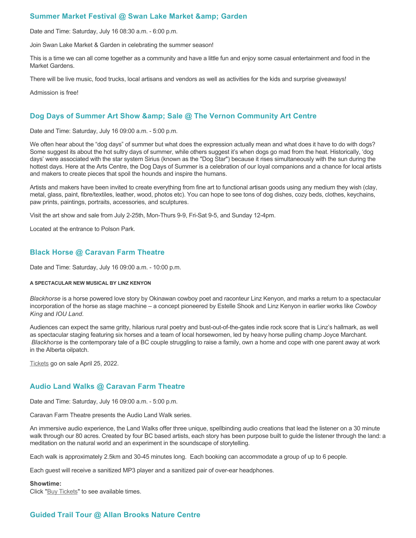# **Summer Market Festival @ Swan Lake Market & amp; Garden**

Date and Time: Saturday, July 16 08:30 a.m. - 6:00 p.m.

Join Swan Lake Market & Garden in celebrating the summer season!

This is a time we can all come together as a community and have a little fun and enjoy some casual entertainment and food in the Market Gardens.

There will be live music, food trucks, local artisans and vendors as well as activities for the kids and surprise giveaways!

Admission is free!

## Dog Days of Summer Art Show & amp; Sale @ The Vernon Community Art Centre

Date and Time: Saturday, July 16 09:00 a.m. - 5:00 p.m.

We often hear about the "dog days" of summer but what does the expression actually mean and what does it have to do with dogs? Some suggest its about the hot sultry days of summer, while others suggest it's when dogs go mad from the heat. Historically, 'dog days' were associated with the star system Sirius (known as the "Dog Star") because it rises simultaneously with the sun during the hottest days. Here at the Arts Centre, the Dog Days of Summer is a celebration of our loyal companions and a chance for local artists and makers to create pieces that spoil the hounds and inspire the humans.

Artists and makers have been invited to create everything from fine art to functional artisan goods using any medium they wish (clay, metal, glass, paint, fibre/textiles, leather, wood, photos etc). You can hope to see tons of dog dishes, cozy beds, clothes, keychains, paw prints, paintings, portraits, accessories, and sculptures.

Visit the art show and sale from July 2-25th, Mon-Thurs 9-9, Fri-Sat 9-5, and Sunday 12-4pm.

Located at the entrance to Polson Park.

## **Black Horse @ Caravan Farm Theatre**

Date and Time: Saturday, July 16 09:00 a.m. - 10:00 p.m.

#### **A SPECTACULAR NEW MUSICAL BY LINZ KENYON**

*Blackhorse* is a horse powered love story by Okinawan cowboy poet and raconteur Linz Kenyon, and marks a return to a spectacular incorporation of the horse as stage machine – a concept pioneered by Estelle Shook and Linz Kenyon in earlier works like *Cowboy King* and *IOU Land*.

Audiences can expect the same gritty, hilarious rural poetry and bust-out-of-the-gates indie rock score that is Linz's hallmark, as well as spectacular staging featuring six horses and a team of local horsewomen, led by heavy horse pulling champ Joyce Marchant. *Blackhorse* is the contemporary tale of a BC couple struggling to raise a family, own a home and cope with one parent away at work in the Alberta oilpatch.

[Tickets](https://caravanfarmtheatre.com/show/blackhorse-2/?ct=t%28EMAIL_CAMPAIGN_4_19_2022_13_43SEASON+2022%29&mc_cid=c02afad356&mc_eid=4778eb8892) go on sale April 25, 2022.

## **Audio Land Walks @ Caravan Farm Theatre**

Date and Time: Saturday, July 16 09:00 a.m. - 5:00 p.m.

Caravan Farm Theatre presents the Audio Land Walk series.

An immersive audio experience, the Land Walks offer three unique, spellbinding audio creations that lead the listener on a 30 minute walk through our 80 acres. Created by four BC based artists, each story has been purpose built to guide the listener through the land: a meditation on the natural world and an experiment in the soundscape of storytelling.

Each walk is approximately 2.5km and 30-45 minutes long. Each booking can accommodate a group of up to 6 people.

Each guest will receive a sanitized MP3 player and a sanitized pair of over-ear headphones.

#### **Showtime:**

Click "[Buy Tickets](https://caravanfarmtheatre.com/show/the-land-walks/?ct=t%28EMAIL_CAMPAIGN_4_19_2022_13_43SEASON+2022%29&mc_cid=c02afad356&mc_eid=4778eb8892)" to see available times.

## **Guided Trail Tour @ Allan Brooks Nature Centre**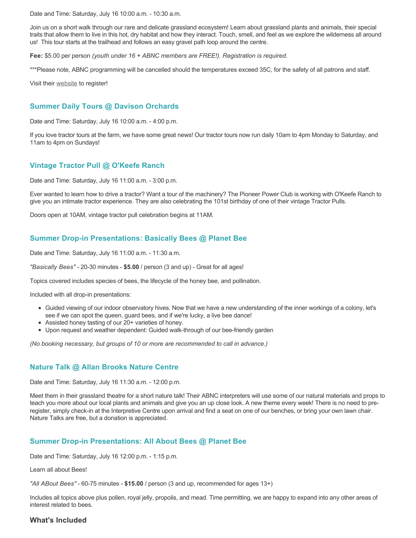Date and Time: Saturday, July 16 10:00 a.m. - 10:30 a.m.

Join us on a short walk through our rare and delicate grassland ecosystem! Learn about grassland plants and animals, their special traits that allow them to live in this hot, dry habitat and how they interact. Touch, smell, and feel as we explore the wilderness all around us! This tour starts at the trailhead and follows an easy gravel path loop around the centre.

**Fee:** \$5.00 per person *(youth under 16 + ABNC members are FREE!). Registration is required.* 

\*\*\*Please note, ABNC programming will be cancelled should the temperatures exceed 35C, for the safety of all patrons and staff.

Visit their [website](https://abnc.ca/events/events-calendar/) to register!

## **Summer Daily Tours @ Davison Orchards**

Date and Time: Saturday, July 16 10:00 a.m. - 4:00 p.m.

If you love tractor tours at the farm, we have some great news! Our tractor tours now run daily 10am to 4pm Monday to Saturday, and 11am to 4pm on Sundays!

# **Vintage Tractor Pull @ O'Keefe Ranch**

Date and Time: Saturday, July 16 11:00 a.m. - 3:00 p.m.

Ever wanted to learn how to drive a tractor? Want a tour of the machinery? The Pioneer Power Club is working with O'Keefe Ranch to give you an intimate tractor experience. They are also celebrating the 101st birthday of one of their vintage Tractor Pulls.

Doors open at 10AM, vintage tractor pull celebration begins at 11AM.

# **Summer Drop-in Presentations: Basically Bees @ Planet Bee**

Date and Time: Saturday, July 16 11:00 a.m. - 11:30 a.m.

*"Basically Bees"* - 20-30 minutes - **\$5.00** / person (3 and up) - Great for all ages!

Topics covered includes species of bees, the lifecycle of the honey bee, and pollination.

Included with all drop-in presentations:

- Guided viewing of our indoor observatory hives. Now that we have a new understanding of the inner workings of a colony, let's see if we can spot the queen, guard bees, and if we're lucky, a live bee dance!
- Assisted honey tasting of our 20+ varieties of honey.
- Upon request and weather dependent: Guided walk-through of our bee-friendly garden

*(No booking necessary, but groups of 10 or more are recommended to call in advance.)*

## **Nature Talk @ Allan Brooks Nature Centre**

Date and Time: Saturday, July 16 11:30 a.m. - 12:00 p.m.

Meet them in their grassland theatre for a short nature talk! Their ABNC interpreters will use some of our natural materials and props to teach you more about our local plants and animals and give you an up close look. A new theme every week! There is no need to preregister, simply check-in at the Interpretive Centre upon arrival and find a seat on one of our benches, or bring your own lawn chair. Nature Talks are free, but a donation is appreciated.

## **Summer Drop-in Presentations: All About Bees @ Planet Bee**

Date and Time: Saturday, July 16 12:00 p.m. - 1:15 p.m.

Learn all about Bees!

*"All ABout Bees"* - 60-75 minutes - **\$15.00** / person (3 and up, recommended for ages 13+)

Includes all topics above plus pollen, royal jelly, propolis, and mead. Time permitting, we are happy to expand into any other areas of interest related to bees.

## **What's Included**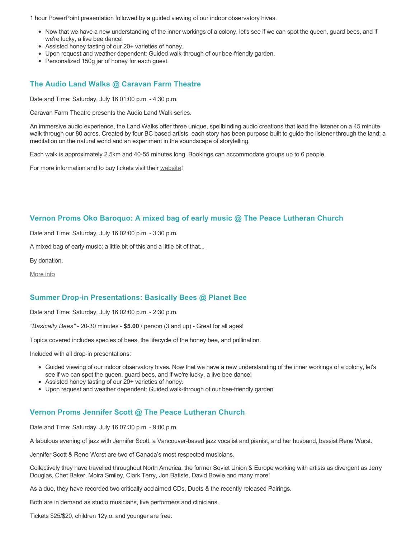1 hour PowerPoint presentation followed by a guided viewing of our indoor observatory hives.

- Now that we have a new understanding of the inner workings of a colony, let's see if we can spot the queen, guard bees, and if we're lucky, a live bee dance!
- Assisted honey tasting of our 20+ varieties of honey.
- Upon request and weather dependent: Guided walk-through of our bee-friendly garden.
- Personalized 150g jar of honey for each guest.

# **The Audio Land Walks @ Caravan Farm Theatre**

Date and Time: Saturday, July 16 01:00 p.m. - 4:30 p.m.

Caravan Farm Theatre presents the Audio Land Walk series.

An immersive audio experience, the Land Walks offer three unique, spellbinding audio creations that lead the listener on a 45 minute walk through our 80 acres. Created by four BC based artists, each story has been purpose built to guide the listener through the land: a meditation on the natural world and an experiment in the soundscape of storytelling.

Each walk is approximately 2.5km and 40-55 minutes long. Bookings can accommodate groups up to 6 people.

For more information and to buy tickets visit their [website!](https://caravanfarmtheatre.com/show/the-land-walks/)

## **Vernon Proms Oko Baroquo: A mixed bag of early music @ The Peace Lutheran Church**

Date and Time: Saturday, July 16 02:00 p.m. - 3:30 p.m.

A mixed bag of early music: a little bit of this and a little bit of that...

By donation.

[More info](https://proms.eventcalendarapp.com/u/36415/evt_external_62845d7084cce5260a3f5390?repeatId=evt_external_62845d7084cce5260a3f5390)

## **Summer Drop-in Presentations: Basically Bees @ Planet Bee**

Date and Time: Saturday, July 16 02:00 p.m. - 2:30 p.m.

*"Basically Bees"* - 20-30 minutes - **\$5.00** / person (3 and up) - Great for all ages!

Topics covered includes species of bees, the lifecycle of the honey bee, and pollination.

Included with all drop-in presentations:

- Guided viewing of our indoor observatory hives. Now that we have a new understanding of the inner workings of a colony, let's see if we can spot the queen, guard bees, and if we're lucky, a live bee dance!
- Assisted honey tasting of our 20+ varieties of honey.
- Upon request and weather dependent: Guided walk-through of our bee-friendly garden

## **Vernon Proms Jennifer Scott @ The Peace Lutheran Church**

Date and Time: Saturday, July 16 07:30 p.m. - 9:00 p.m.

A fabulous evening of jazz with Jennifer Scott, a Vancouver-based jazz vocalist and pianist, and her husband, bassist Rene Worst.

Jennifer Scott & Rene Worst are two of Canada's most respected musicians.

Collectively they have travelled throughout North America, the former Soviet Union & Europe working with artists as divergent as Jerry Douglas, Chet Baker, Moira Smiley, Clark Terry, Jon Batiste, David Bowie and many more!

As a duo, they have recorded two critically acclaimed CDs, Duets & the recently released Pairings.

Both are in demand as studio musicians, live performers and clinicians.

Tickets \$25/\$20, children 12y.o. and younger are free.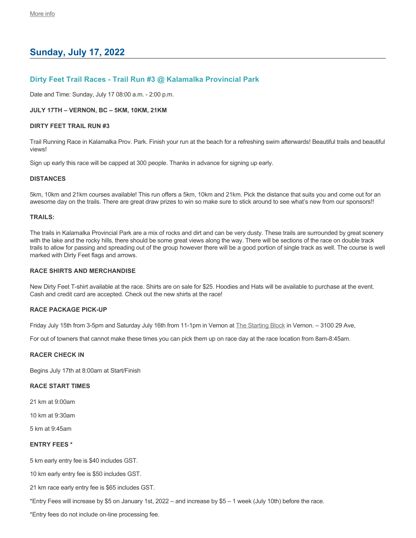# **Sunday, July 17, 2022**

## **Dirty Feet Trail Races - Trail Run #3 @ Kalamalka Provincial Park**

Date and Time: Sunday, July 17 08:00 a.m. - 2:00 p.m.

#### **JULY 17TH – VERNON, BC – 5KM, 10KM, 21KM**

#### **DIRTY FEET TRAIL RUN #3**

Trail Running Race in Kalamalka Prov. Park. Finish your run at the beach for a refreshing swim afterwards! Beautiful trails and beautiful views!

Sign up early this race will be capped at 300 people. Thanks in advance for signing up early.

#### **DISTANCES**

5km, 10km and 21km courses available! This run offers a 5km, 10km and 21km. Pick the distance that suits you and come out for an awesome day on the trails. There are great draw prizes to win so make sure to stick around to see what's new from our sponsors!!

### **TRAILS:**

The trails in Kalamalka Provincial Park are a mix of rocks and dirt and can be very dusty. These trails are surrounded by great scenery with the lake and the rocky hills, there should be some great views along the way. There will be sections of the race on double track trails to allow for passing and spreading out of the group however there will be a good portion of single track as well. The course is well marked with Dirty Feet flags and arrows.

#### **RACE SHIRTS AND MERCHANDISE**

New Dirty Feet T-shirt available at the race. Shirts are on sale for \$25. Hoodies and Hats will be available to purchase at the event. Cash and credit card are accepted. Check out the new shirts at the race!

### **RACE PACKAGE PICK-UP**

Friday July 15th from 3-5pm and Saturday July 16th from 11-1pm in Vernon at [The Starting Block](https://startingblock.ca/) in Vernon. - 3100 29 Ave,

For out of towners that cannot make these times you can pick them up on race day at the race location from 8am-8:45am.

### **RACER CHECK IN**

Begins July 17th at 8:00am at Start/Finish

### **RACE START TIMES**

21 km at 9:00am

- 10 km at 9:30am
- 5 km at 9:45am

### **ENTRY FEES \***

5 km early entry fee is \$40 includes GST.

10 km early entry fee is \$50 includes GST.

21 km race early entry fee is \$65 includes GST.

\*Entry Fees will increase by \$5 on January 1st, 2022 – and increase by \$5 – 1 week (July 10th) before the race.

\*Entry fees do not include on-line processing fee.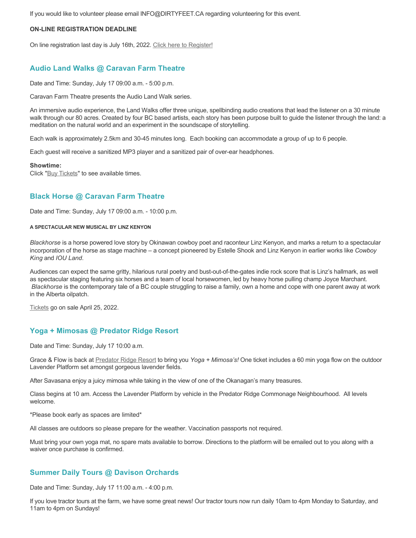If you would like to volunteer please email INFO@DIRTYFEET.CA regarding volunteering for this event.

### **ON-LINE REGISTRATION DEADLINE**

On line registration last day is July 16th, 2022. [Click here to Register!](https://raceroster.com/events/2022/56251/dirty-feet-trail-run-race-3?fbclid=IwAR1Z8VZD1XeFPyZXyeXkPbnLk8PVpsKxZfjrRq3R4B_98OQTA__Yci53QLg)

### **Audio Land Walks @ Caravan Farm Theatre**

Date and Time: Sunday, July 17 09:00 a.m. - 5:00 p.m.

Caravan Farm Theatre presents the Audio Land Walk series.

An immersive audio experience, the Land Walks offer three unique, spellbinding audio creations that lead the listener on a 30 minute walk through our 80 acres. Created by four BC based artists, each story has been purpose built to guide the listener through the land: a meditation on the natural world and an experiment in the soundscape of storytelling.

Each walk is approximately 2.5km and 30-45 minutes long. Each booking can accommodate a group of up to 6 people.

Each guest will receive a sanitized MP3 player and a sanitized pair of over-ear headphones.

#### **Showtime:**

Click "[Buy Tickets](https://caravanfarmtheatre.com/show/the-land-walks/?ct=t%28EMAIL_CAMPAIGN_4_19_2022_13_43SEASON+2022%29&mc_cid=c02afad356&mc_eid=4778eb8892)" to see available times.

## **Black Horse @ Caravan Farm Theatre**

Date and Time: Sunday, July 17 09:00 a.m. - 10:00 p.m.

#### **A SPECTACULAR NEW MUSICAL BY LINZ KENYON**

*Blackhorse* is a horse powered love story by Okinawan cowboy poet and raconteur Linz Kenyon, and marks a return to a spectacular incorporation of the horse as stage machine – a concept pioneered by Estelle Shook and Linz Kenyon in earlier works like *Cowboy King* and *IOU Land*.

Audiences can expect the same gritty, hilarious rural poetry and bust-out-of-the-gates indie rock score that is Linz's hallmark, as well as spectacular staging featuring six horses and a team of local horsewomen, led by heavy horse pulling champ Joyce Marchant. *Blackhorse* is the contemporary tale of a BC couple struggling to raise a family, own a home and cope with one parent away at work in the Alberta oilpatch.

[Tickets](https://caravanfarmtheatre.com/show/blackhorse-2/?ct=t%28EMAIL_CAMPAIGN_4_19_2022_13_43SEASON+2022%29&mc_cid=c02afad356&mc_eid=4778eb8892) go on sale April 25, 2022.

## **Yoga + Mimosas @ Predator Ridge Resort**

Date and Time: Sunday, July 17 10:00 a.m.

Grace & Flow is back at [Predator Ridge Resort](https://www.predatorridge.com/events) to bring you *Yoga + Mimosa's!* One ticket includes a 60 min yoga flow on the outdoor Lavender Platform set amongst gorgeous lavender fields.

After Savasana enjoy a juicy mimosa while taking in the view of one of the Okanagan's many treasures.

Class begins at 10 am. Access the Lavender Platform by vehicle in the Predator Ridge Commonage Neighbourhood. All levels welcome.

\*Please book early as spaces are limited\*

All classes are outdoors so please prepare for the weather. Vaccination passports not required.

Must bring your own yoga mat, no spare mats available to borrow. Directions to the platform will be emailed out to you along with a waiver once purchase is confirmed.

## **Summer Daily Tours @ Davison Orchards**

Date and Time: Sunday, July 17 11:00 a.m. - 4:00 p.m.

If you love tractor tours at the farm, we have some great news! Our tractor tours now run daily 10am to 4pm Monday to Saturday, and 11am to 4pm on Sundays!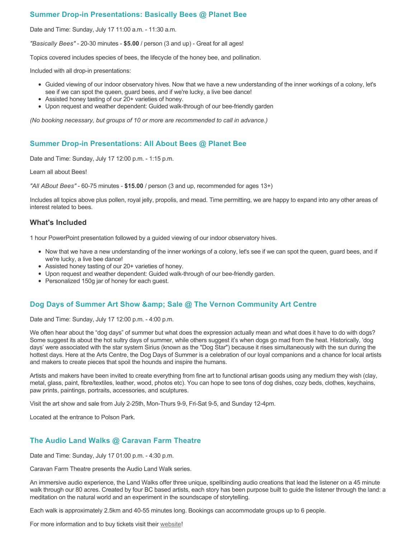# **Summer Drop-in Presentations: Basically Bees @ Planet Bee**

Date and Time: Sunday, July 17 11:00 a.m. - 11:30 a.m.

*"Basically Bees"* - 20-30 minutes - **\$5.00** / person (3 and up) - Great for all ages!

Topics covered includes species of bees, the lifecycle of the honey bee, and pollination.

Included with all drop-in presentations:

- Guided viewing of our indoor observatory hives. Now that we have a new understanding of the inner workings of a colony, let's see if we can spot the queen, guard bees, and if we're lucky, a live bee dance!
- Assisted honey tasting of our 20+ varieties of honey.
- Upon request and weather dependent: Guided walk-through of our bee-friendly garden

*(No booking necessary, but groups of 10 or more are recommended to call in advance.)*

## **Summer Drop-in Presentations: All About Bees @ Planet Bee**

Date and Time: Sunday, July 17 12:00 p.m. - 1:15 p.m.

Learn all about Bees!

*"All ABout Bees"* - 60-75 minutes - **\$15.00** / person (3 and up, recommended for ages 13+)

Includes all topics above plus pollen, royal jelly, propolis, and mead. Time permitting, we are happy to expand into any other areas of interest related to bees.

### **What's Included**

1 hour PowerPoint presentation followed by a guided viewing of our indoor observatory hives.

- Now that we have a new understanding of the inner workings of a colony, let's see if we can spot the queen, guard bees, and if we're lucky, a live bee dance!
- Assisted honey tasting of our 20+ varieties of honey.
- Upon request and weather dependent: Guided walk-through of our bee-friendly garden.
- Personalized 150g jar of honey for each guest.

## **Dog Days of Summer Art Show & amp; Sale @ The Vernon Community Art Centre**

Date and Time: Sunday, July 17 12:00 p.m. - 4:00 p.m.

We often hear about the "dog days" of summer but what does the expression actually mean and what does it have to do with dogs? Some suggest its about the hot sultry days of summer, while others suggest it's when dogs go mad from the heat. Historically, 'dog days' were associated with the star system Sirius (known as the "Dog Star") because it rises simultaneously with the sun during the hottest days. Here at the Arts Centre, the Dog Days of Summer is a celebration of our loyal companions and a chance for local artists and makers to create pieces that spoil the hounds and inspire the humans.

Artists and makers have been invited to create everything from fine art to functional artisan goods using any medium they wish (clay, metal, glass, paint, fibre/textiles, leather, wood, photos etc). You can hope to see tons of dog dishes, cozy beds, clothes, keychains, paw prints, paintings, portraits, accessories, and sculptures.

Visit the art show and sale from July 2-25th, Mon-Thurs 9-9, Fri-Sat 9-5, and Sunday 12-4pm.

Located at the entrance to Polson Park.

## **The Audio Land Walks @ Caravan Farm Theatre**

Date and Time: Sunday, July 17 01:00 p.m. - 4:30 p.m.

Caravan Farm Theatre presents the Audio Land Walk series.

An immersive audio experience, the Land Walks offer three unique, spellbinding audio creations that lead the listener on a 45 minute walk through our 80 acres. Created by four BC based artists, each story has been purpose built to guide the listener through the land: a meditation on the natural world and an experiment in the soundscape of storytelling.

Each walk is approximately 2.5km and 40-55 minutes long. Bookings can accommodate groups up to 6 people.

For more information and to buy tickets visit their [website!](https://caravanfarmtheatre.com/show/the-land-walks/)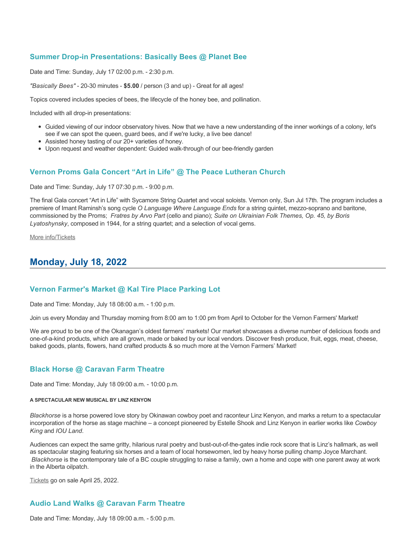# **Summer Drop-in Presentations: Basically Bees @ Planet Bee**

Date and Time: Sunday, July 17 02:00 p.m. - 2:30 p.m.

*"Basically Bees"* - 20-30 minutes - **\$5.00** / person (3 and up) - Great for all ages!

Topics covered includes species of bees, the lifecycle of the honey bee, and pollination.

Included with all drop-in presentations:

- Guided viewing of our indoor observatory hives. Now that we have a new understanding of the inner workings of a colony, let's see if we can spot the queen, guard bees, and if we're lucky, a live bee dance!
- Assisted honey tasting of our 20+ varieties of honey.
- Upon request and weather dependent: Guided walk-through of our bee-friendly garden

### **Vernon Proms Gala Concert "Art in Life" @ The Peace Lutheran Church**

Date and Time: Sunday, July 17 07:30 p.m. - 9:00 p.m.

The final Gala concert "Art in Life" with Sycamore String Quartet and vocal soloists. Vernon only, Sun Jul 17th. The program includes a premiere of Imant Raminsh's song cycle *O Language Where Language Ends* for a string quintet, mezzo-soprano and baritone, commissioned by the Proms; *Fratres by Arvo Part* (cello and piano); *Suite on Ukrainian Folk Themes, Op. 45, by Boris Lyatoshynsky*, composed in 1944, for a string quartet; and a selection of vocal gems.

[More info/Tickets](https://proms.eventcalendarapp.com/u/36415/evt_external_62845d7084cce5260a3f538c?repeatId=evt_external_62845d7084cce5260a3f538c)

# **Monday, July 18, 2022**

### **Vernon Farmer's Market @ Kal Tire Place Parking Lot**

Date and Time: Monday, July 18 08:00 a.m. - 1:00 p.m.

Join us every Monday and Thursday morning from 8:00 am to 1:00 pm from April to October for the Vernon Farmers' Market!

We are proud to be one of the Okanagan's oldest farmers' markets! Our market showcases a diverse number of delicious foods and one-of-a-kind products, which are all grown, made or baked by our local vendors. Discover fresh produce, fruit, eggs, meat, cheese, baked goods, plants, flowers, hand crafted products & so much more at the Vernon Farmers' Market!

### **Black Horse @ Caravan Farm Theatre**

Date and Time: Monday, July 18 09:00 a.m. - 10:00 p.m.

#### **A SPECTACULAR NEW MUSICAL BY LINZ KENYON**

*Blackhorse* is a horse powered love story by Okinawan cowboy poet and raconteur Linz Kenyon, and marks a return to a spectacular incorporation of the horse as stage machine – a concept pioneered by Estelle Shook and Linz Kenyon in earlier works like *Cowboy King* and *IOU Land*.

Audiences can expect the same gritty, hilarious rural poetry and bust-out-of-the-gates indie rock score that is Linz's hallmark, as well as spectacular staging featuring six horses and a team of local horsewomen, led by heavy horse pulling champ Joyce Marchant. *Blackhorse* is the contemporary tale of a BC couple struggling to raise a family, own a home and cope with one parent away at work in the Alberta oilpatch.

[Tickets](https://caravanfarmtheatre.com/show/blackhorse-2/?ct=t%28EMAIL_CAMPAIGN_4_19_2022_13_43SEASON+2022%29&mc_cid=c02afad356&mc_eid=4778eb8892) go on sale April 25, 2022.

## **Audio Land Walks @ Caravan Farm Theatre**

Date and Time: Monday, July 18 09:00 a.m. - 5:00 p.m.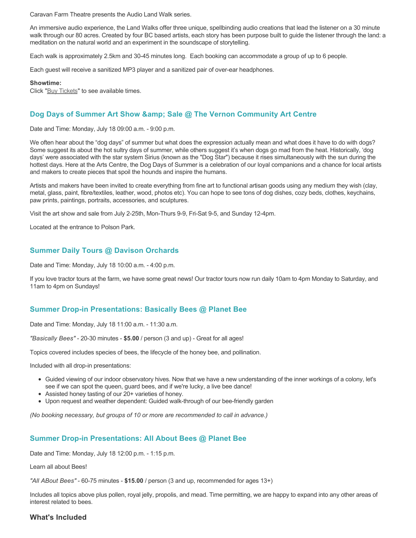Caravan Farm Theatre presents the Audio Land Walk series.

An immersive audio experience, the Land Walks offer three unique, spellbinding audio creations that lead the listener on a 30 minute walk through our 80 acres. Created by four BC based artists, each story has been purpose built to guide the listener through the land: a meditation on the natural world and an experiment in the soundscape of storytelling.

Each walk is approximately 2.5km and 30-45 minutes long. Each booking can accommodate a group of up to 6 people.

Each guest will receive a sanitized MP3 player and a sanitized pair of over-ear headphones.

#### **Showtime:**

Click "[Buy Tickets](https://caravanfarmtheatre.com/show/the-land-walks/?ct=t%28EMAIL_CAMPAIGN_4_19_2022_13_43SEASON+2022%29&mc_cid=c02afad356&mc_eid=4778eb8892)" to see available times.

# **Dog Days of Summer Art Show & amp; Sale @ The Vernon Community Art Centre**

Date and Time: Monday, July 18 09:00 a.m. - 9:00 p.m.

We often hear about the "dog days" of summer but what does the expression actually mean and what does it have to do with dogs? Some suggest its about the hot sultry days of summer, while others suggest it's when dogs go mad from the heat. Historically, 'dog days' were associated with the star system Sirius (known as the "Dog Star") because it rises simultaneously with the sun during the hottest days. Here at the Arts Centre, the Dog Days of Summer is a celebration of our loyal companions and a chance for local artists and makers to create pieces that spoil the hounds and inspire the humans.

Artists and makers have been invited to create everything from fine art to functional artisan goods using any medium they wish (clay, metal, glass, paint, fibre/textiles, leather, wood, photos etc). You can hope to see tons of dog dishes, cozy beds, clothes, keychains, paw prints, paintings, portraits, accessories, and sculptures.

Visit the art show and sale from July 2-25th, Mon-Thurs 9-9, Fri-Sat 9-5, and Sunday 12-4pm.

Located at the entrance to Polson Park.

## **Summer Daily Tours @ Davison Orchards**

Date and Time: Monday, July 18 10:00 a.m. - 4:00 p.m.

If you love tractor tours at the farm, we have some great news! Our tractor tours now run daily 10am to 4pm Monday to Saturday, and 11am to 4pm on Sundays!

### **Summer Drop-in Presentations: Basically Bees @ Planet Bee**

Date and Time: Monday, July 18 11:00 a.m. - 11:30 a.m.

*"Basically Bees"* - 20-30 minutes - **\$5.00** / person (3 and up) - Great for all ages!

Topics covered includes species of bees, the lifecycle of the honey bee, and pollination.

Included with all drop-in presentations:

- Guided viewing of our indoor observatory hives. Now that we have a new understanding of the inner workings of a colony, let's see if we can spot the queen, guard bees, and if we're lucky, a live bee dance!
- Assisted honey tasting of our 20+ varieties of honey.
- Upon request and weather dependent: Guided walk-through of our bee-friendly garden

*(No booking necessary, but groups of 10 or more are recommended to call in advance.)*

### **Summer Drop-in Presentations: All About Bees @ Planet Bee**

Date and Time: Monday, July 18 12:00 p.m. - 1:15 p.m.

Learn all about Bees!

*"All ABout Bees"* - 60-75 minutes - **\$15.00** / person (3 and up, recommended for ages 13+)

Includes all topics above plus pollen, royal jelly, propolis, and mead. Time permitting, we are happy to expand into any other areas of interest related to bees.

## **What's Included**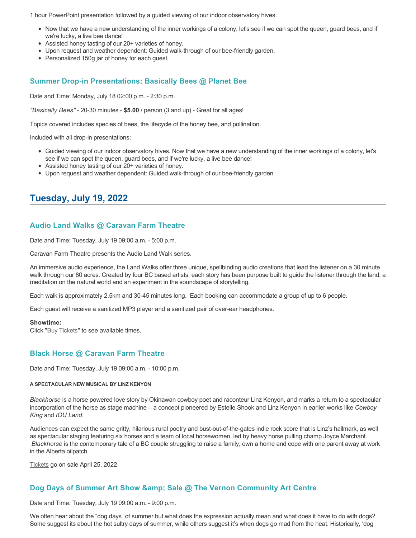1 hour PowerPoint presentation followed by a guided viewing of our indoor observatory hives.

- Now that we have a new understanding of the inner workings of a colony, let's see if we can spot the queen, guard bees, and if we're lucky, a live bee dance!
- Assisted honey tasting of our 20+ varieties of honey.
- Upon request and weather dependent: Guided walk-through of our bee-friendly garden.
- Personalized 150g jar of honey for each quest.

### **Summer Drop-in Presentations: Basically Bees @ Planet Bee**

Date and Time: Monday, July 18 02:00 p.m. - 2:30 p.m.

*"Basically Bees"* - 20-30 minutes - **\$5.00** / person (3 and up) - Great for all ages!

Topics covered includes species of bees, the lifecycle of the honey bee, and pollination.

Included with all drop-in presentations:

- Guided viewing of our indoor observatory hives. Now that we have a new understanding of the inner workings of a colony, let's see if we can spot the queen, guard bees, and if we're lucky, a live bee dance!
- Assisted honey tasting of our 20+ varieties of honey.
- Upon request and weather dependent: Guided walk-through of our bee-friendly garden

# **Tuesday, July 19, 2022**

### **Audio Land Walks @ Caravan Farm Theatre**

Date and Time: Tuesday, July 19 09:00 a.m. - 5:00 p.m.

Caravan Farm Theatre presents the Audio Land Walk series.

An immersive audio experience, the Land Walks offer three unique, spellbinding audio creations that lead the listener on a 30 minute walk through our 80 acres. Created by four BC based artists, each story has been purpose built to guide the listener through the land: a meditation on the natural world and an experiment in the soundscape of storytelling.

Each walk is approximately 2.5km and 30-45 minutes long. Each booking can accommodate a group of up to 6 people.

Each guest will receive a sanitized MP3 player and a sanitized pair of over-ear headphones.

#### **Showtime:**

Click "[Buy Tickets](https://caravanfarmtheatre.com/show/the-land-walks/?ct=t%28EMAIL_CAMPAIGN_4_19_2022_13_43SEASON+2022%29&mc_cid=c02afad356&mc_eid=4778eb8892)" to see available times.

### **Black Horse @ Caravan Farm Theatre**

Date and Time: Tuesday, July 19 09:00 a.m. - 10:00 p.m.

#### **A SPECTACULAR NEW MUSICAL BY LINZ KENYON**

*Blackhorse* is a horse powered love story by Okinawan cowboy poet and raconteur Linz Kenyon, and marks a return to a spectacular incorporation of the horse as stage machine – a concept pioneered by Estelle Shook and Linz Kenyon in earlier works like *Cowboy King* and *IOU Land*.

Audiences can expect the same gritty, hilarious rural poetry and bust-out-of-the-gates indie rock score that is Linz's hallmark, as well as spectacular staging featuring six horses and a team of local horsewomen, led by heavy horse pulling champ Joyce Marchant. *Blackhorse* is the contemporary tale of a BC couple struggling to raise a family, own a home and cope with one parent away at work in the Alberta oilpatch.

[Tickets](https://caravanfarmtheatre.com/show/blackhorse-2/?ct=t%28EMAIL_CAMPAIGN_4_19_2022_13_43SEASON+2022%29&mc_cid=c02afad356&mc_eid=4778eb8892) go on sale April 25, 2022.

## **Dog Days of Summer Art Show & amp; Sale @ The Vernon Community Art Centre**

Date and Time: Tuesday, July 19 09:00 a.m. - 9:00 p.m.

We often hear about the "dog days" of summer but what does the expression actually mean and what does it have to do with dogs? Some suggest its about the hot sultry days of summer, while others suggest it's when dogs go mad from the heat. Historically, 'dog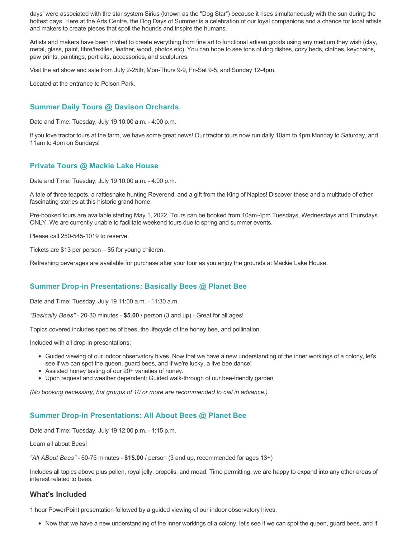days' were associated with the star system Sirius (known as the "Dog Star") because it rises simultaneously with the sun during the hottest days. Here at the Arts Centre, the Dog Days of Summer is a celebration of our loyal companions and a chance for local artists and makers to create pieces that spoil the hounds and inspire the humans.

Artists and makers have been invited to create everything from fine art to functional artisan goods using any medium they wish (clay, metal, glass, paint, fibre/textiles, leather, wood, photos etc). You can hope to see tons of dog dishes, cozy beds, clothes, keychains, paw prints, paintings, portraits, accessories, and sculptures.

Visit the art show and sale from July 2-25th, Mon-Thurs 9-9, Fri-Sat 9-5, and Sunday 12-4pm.

Located at the entrance to Polson Park.

# **Summer Daily Tours @ Davison Orchards**

Date and Time: Tuesday, July 19 10:00 a.m. - 4:00 p.m.

If you love tractor tours at the farm, we have some great news! Our tractor tours now run daily 10am to 4pm Monday to Saturday, and 11am to 4pm on Sundays!

### **Private Tours @ Mackie Lake House**

Date and Time: Tuesday, July 19 10:00 a.m. - 4:00 p.m.

A tale of three teapots, a rattlesnake hunting Reverend, and a gift from the King of Naples! Discover these and a multitude of other fascinating stories at this historic grand home.

Pre-booked tours are available starting May 1, 2022. Tours can be booked from 10am-4pm Tuesdays, Wednesdays and Thursdays ONLY. We are currently unable to facilitate weekend tours due to spring and summer events.

Please call 250-545-1019 to reserve.

Tickets are \$13 per person – \$5 for young children.

Refreshing beverages are available for purchase after your tour as you enjoy the grounds at Mackie Lake House.

# **Summer Drop-in Presentations: Basically Bees @ Planet Bee**

Date and Time: Tuesday, July 19 11:00 a.m. - 11:30 a.m.

*"Basically Bees"* - 20-30 minutes - **\$5.00** / person (3 and up) - Great for all ages!

Topics covered includes species of bees, the lifecycle of the honey bee, and pollination.

Included with all drop-in presentations:

- Guided viewing of our indoor observatory hives. Now that we have a new understanding of the inner workings of a colony, let's see if we can spot the queen, guard bees, and if we're lucky, a live bee dance!
- Assisted honey tasting of our 20+ varieties of honey.
- Upon request and weather dependent: Guided walk-through of our bee-friendly garden

*(No booking necessary, but groups of 10 or more are recommended to call in advance.)*

## **Summer Drop-in Presentations: All About Bees @ Planet Bee**

Date and Time: Tuesday, July 19 12:00 p.m. - 1:15 p.m.

Learn all about Bees!

*"All ABout Bees"* - 60-75 minutes - **\$15.00** / person (3 and up, recommended for ages 13+)

Includes all topics above plus pollen, royal jelly, propolis, and mead. Time permitting, we are happy to expand into any other areas of interest related to bees.

## **What's Included**

1 hour PowerPoint presentation followed by a guided viewing of our indoor observatory hives.

Now that we have a new understanding of the inner workings of a colony, let's see if we can spot the queen, guard bees, and if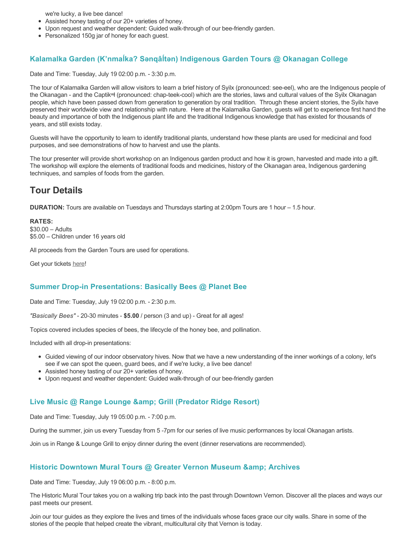we're lucky, a live bee dance!

- Assisted honey tasting of our 20+ varieties of honey.
- Upon request and weather dependent: Guided walk-through of our bee-friendly garden.
- Personalized 150g jar of honey for each guest.

# **Kalamalka Garden (K'nmaĺka? Sәnqâĺtәn) Indigenous Garden Tours @ Okanagan College**

Date and Time: Tuesday, July 19 02:00 p.m. - 3:30 p.m.

The tour of Kalamalka Garden will allow visitors to learn a brief history of Syilx (pronounced: see-eel), who are the Indigenous people of the Okanagan - and the Captikʷł (pronounced: chap-teek-cool) which are the stories, laws and cultural values of the Syilx Okanagan people, which have been passed down from generation to generation by oral tradition. Through these ancient stories, the Syilx have preserved their worldwide view and relationship with nature. Here at the Kalamalka Garden, guests will get to experience first hand the beauty and importance of both the Indigenous plant life and the traditional Indigenous knowledge that has existed for thousands of years, and still exists today.

Guests will have the opportunity to learn to identify traditional plants, understand how these plants are used for medicinal and food purposes, and see demonstrations of how to harvest and use the plants.

The tour presenter will provide short workshop on an Indigenous garden product and how it is grown, harvested and made into a gift. The workshop will explore the elements of traditional foods and medicines, history of the Okanagan area, Indigenous gardening techniques, and samples of foods from the garden.

# **Tour Details**

**DURATION:** Tours are available on Tuesdays and Thursdays starting at 2:00pm Tours are 1 hour – 1.5 hour.

**RATES:** \$30.00 – Adults \$5.00 – Children under 16 years old

All proceeds from the Garden Tours are used for operations.

Get your tickets [here!](https://www.eventbrite.ca/e/kalamalka-garden-tour-tickets-158617843239)

## **Summer Drop-in Presentations: Basically Bees @ Planet Bee**

Date and Time: Tuesday, July 19 02:00 p.m. - 2:30 p.m.

*"Basically Bees"* - 20-30 minutes - **\$5.00** / person (3 and up) - Great for all ages!

Topics covered includes species of bees, the lifecycle of the honey bee, and pollination.

Included with all drop-in presentations:

- Guided viewing of our indoor observatory hives. Now that we have a new understanding of the inner workings of a colony, let's see if we can spot the queen, guard bees, and if we're lucky, a live bee dance!
- Assisted honey tasting of our 20+ varieties of honey.
- Upon request and weather dependent: Guided walk-through of our bee-friendly garden

## **Live Music @ Range Lounge & Grill (Predator Ridge Resort)**

Date and Time: Tuesday, July 19 05:00 p.m. - 7:00 p.m.

During the summer, join us every Tuesday from 5 -7pm for our series of live music performances by local Okanagan artists.

Join us in Range & Lounge Grill to enjoy dinner during the event (dinner reservations are recommended).

## **Historic Downtown Mural Tours @ Greater Vernon Museum & Archives**

Date and Time: Tuesday, July 19 06:00 p.m. - 8:00 p.m.

The Historic Mural Tour takes you on a walking trip back into the past through Downtown Vernon. Discover all the places and ways our past meets our present.

Join our tour guides as they explore the lives and times of the individuals whose faces grace our city walls. Share in some of the stories of the people that helped create the vibrant, multicultural city that Vernon is today.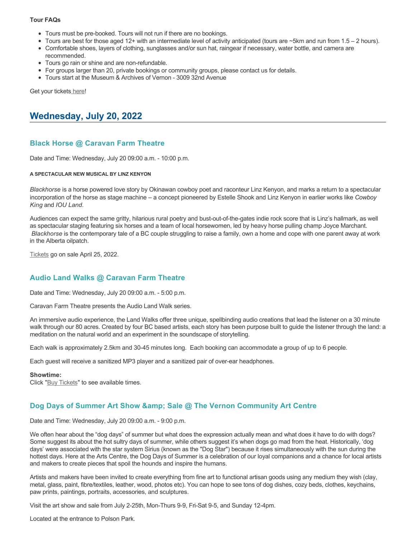#### **Tour FAQs**

- Tours must be pre-booked. Tours will not run if there are no bookings.
- Tours are best for those aged 12+ with an intermediate level of activity anticipated (tours are  $\sim$ 5km and run from 1.5 2 hours).
- Comfortable shoes, layers of clothing, sunglasses and/or sun hat, raingear if necessary, water bottle, and camera are recommended.
- Tours go rain or shine and are non-refundable.
- For groups larger than 20, private bookings or community groups, please contact us for details.
- Tours start at the Museum & Archives of Vernon 3009 32nd Avenue

Get your tickets [here!](https://www.eventbrite.com/e/historic-downtown-mural-tours-tickets-304983342387)

# **Wednesday, July 20, 2022**

# **Black Horse @ Caravan Farm Theatre**

Date and Time: Wednesday, July 20 09:00 a.m. - 10:00 p.m.

#### **A SPECTACULAR NEW MUSICAL BY LINZ KENYON**

*Blackhorse* is a horse powered love story by Okinawan cowboy poet and raconteur Linz Kenyon, and marks a return to a spectacular incorporation of the horse as stage machine – a concept pioneered by Estelle Shook and Linz Kenyon in earlier works like *Cowboy King* and *IOU Land*.

Audiences can expect the same gritty, hilarious rural poetry and bust-out-of-the-gates indie rock score that is Linz's hallmark, as well as spectacular staging featuring six horses and a team of local horsewomen, led by heavy horse pulling champ Joyce Marchant. *Blackhorse* is the contemporary tale of a BC couple struggling to raise a family, own a home and cope with one parent away at work in the Alberta oilpatch.

[Tickets](https://caravanfarmtheatre.com/show/blackhorse-2/?ct=t%28EMAIL_CAMPAIGN_4_19_2022_13_43SEASON+2022%29&mc_cid=c02afad356&mc_eid=4778eb8892) go on sale April 25, 2022.

# **Audio Land Walks @ Caravan Farm Theatre**

Date and Time: Wednesday, July 20 09:00 a.m. - 5:00 p.m.

Caravan Farm Theatre presents the Audio Land Walk series.

An immersive audio experience, the Land Walks offer three unique, spellbinding audio creations that lead the listener on a 30 minute walk through our 80 acres. Created by four BC based artists, each story has been purpose built to guide the listener through the land: a meditation on the natural world and an experiment in the soundscape of storytelling.

Each walk is approximately 2.5km and 30-45 minutes long. Each booking can accommodate a group of up to 6 people.

Each guest will receive a sanitized MP3 player and a sanitized pair of over-ear headphones.

#### **Showtime:**

Click "[Buy Tickets](https://caravanfarmtheatre.com/show/the-land-walks/?ct=t%28EMAIL_CAMPAIGN_4_19_2022_13_43SEASON+2022%29&mc_cid=c02afad356&mc_eid=4778eb8892)" to see available times.

## **Dog Days of Summer Art Show & amp; Sale @ The Vernon Community Art Centre**

Date and Time: Wednesday, July 20 09:00 a.m. - 9:00 p.m.

We often hear about the "dog days" of summer but what does the expression actually mean and what does it have to do with dogs? Some suggest its about the hot sultry days of summer, while others suggest it's when dogs go mad from the heat. Historically, 'dog days' were associated with the star system Sirius (known as the "Dog Star") because it rises simultaneously with the sun during the hottest days. Here at the Arts Centre, the Dog Days of Summer is a celebration of our loyal companions and a chance for local artists and makers to create pieces that spoil the hounds and inspire the humans.

Artists and makers have been invited to create everything from fine art to functional artisan goods using any medium they wish (clay, metal, glass, paint, fibre/textiles, leather, wood, photos etc). You can hope to see tons of dog dishes, cozy beds, clothes, keychains, paw prints, paintings, portraits, accessories, and sculptures.

Visit the art show and sale from July 2-25th, Mon-Thurs 9-9, Fri-Sat 9-5, and Sunday 12-4pm.

Located at the entrance to Polson Park.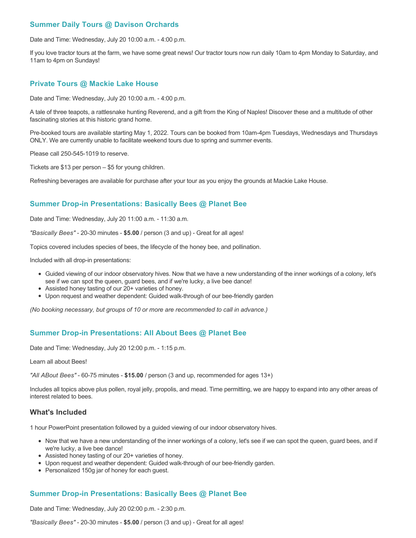# **Summer Daily Tours @ Davison Orchards**

Date and Time: Wednesday, July 20 10:00 a.m. - 4:00 p.m.

If you love tractor tours at the farm, we have some great news! Our tractor tours now run daily 10am to 4pm Monday to Saturday, and 11am to 4pm on Sundays!

#### **Private Tours @ Mackie Lake House**

Date and Time: Wednesday, July 20 10:00 a.m. - 4:00 p.m.

A tale of three teapots, a rattlesnake hunting Reverend, and a gift from the King of Naples! Discover these and a multitude of other fascinating stories at this historic grand home.

Pre-booked tours are available starting May 1, 2022. Tours can be booked from 10am-4pm Tuesdays, Wednesdays and Thursdays ONLY. We are currently unable to facilitate weekend tours due to spring and summer events.

Please call 250-545-1019 to reserve.

Tickets are \$13 per person – \$5 for young children.

Refreshing beverages are available for purchase after your tour as you enjoy the grounds at Mackie Lake House.

# **Summer Drop-in Presentations: Basically Bees @ Planet Bee**

Date and Time: Wednesday, July 20 11:00 a.m. - 11:30 a.m.

*"Basically Bees"* - 20-30 minutes - **\$5.00** / person (3 and up) - Great for all ages!

Topics covered includes species of bees, the lifecycle of the honey bee, and pollination.

Included with all drop-in presentations:

- Guided viewing of our indoor observatory hives. Now that we have a new understanding of the inner workings of a colony, let's see if we can spot the queen, guard bees, and if we're lucky, a live bee dance!
- Assisted honey tasting of our 20+ varieties of honey.
- Upon request and weather dependent: Guided walk-through of our bee-friendly garden

*(No booking necessary, but groups of 10 or more are recommended to call in advance.)*

### **Summer Drop-in Presentations: All About Bees @ Planet Bee**

Date and Time: Wednesday, July 20 12:00 p.m. - 1:15 p.m.

Learn all about Bees!

*"All ABout Bees"* - 60-75 minutes - **\$15.00** / person (3 and up, recommended for ages 13+)

Includes all topics above plus pollen, royal jelly, propolis, and mead. Time permitting, we are happy to expand into any other areas of interest related to bees.

#### **What's Included**

1 hour PowerPoint presentation followed by a guided viewing of our indoor observatory hives.

- Now that we have a new understanding of the inner workings of a colony, let's see if we can spot the queen, guard bees, and if we're lucky, a live bee dance!
- Assisted honey tasting of our 20+ varieties of honey.
- Upon request and weather dependent: Guided walk-through of our bee-friendly garden.
- Personalized 150g jar of honey for each guest.

### **Summer Drop-in Presentations: Basically Bees @ Planet Bee**

Date and Time: Wednesday, July 20 02:00 p.m. - 2:30 p.m.

*"Basically Bees"* - 20-30 minutes - **\$5.00** / person (3 and up) - Great for all ages!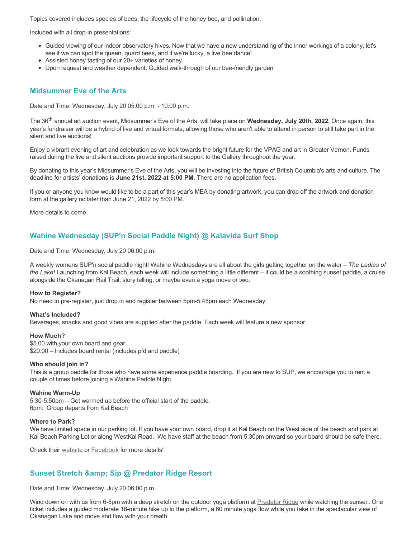Topics covered includes species of bees, the lifecycle of the honey bee, and pollination.

Included with all drop-in presentations:

- Guided viewing of our indoor observatory hives. Now that we have a new understanding of the inner workings of a colony, let's see if we can spot the queen, guard bees, and if we're lucky, a live bee dance!
- Assisted honey tasting of our 20+ varieties of honey.
- Upon request and weather dependent: Guided walk-through of our bee-friendly garden

#### **Midsummer Eve of the Arts**

Date and Time: Wednesday, July 20 05:00 p.m. - 10:00 p.m.

The 36th annual art auction event, Midsummer's Eve of the Arts, will take place on **Wednesday, July 20th, 2022**. Once again, this year's fundraiser will be a hybrid of live and virtual formats, allowing those who aren't able to attend in person to still take part in the silent and live auctions!

Enjoy a vibrant evening of art and celebration as we look towards the bright future for the VPAG and art in Greater Vernon. Funds raised during the live and silent auctions provide important support to the Gallery throughout the year.

By donating to this year's Midsummer's Eve of the Arts, you will be investing into the future of British Columbia's arts and culture. The deadline for artists' donations is **June 21st, 2022 at 5:00 PM**. There are no application fees.

If you or anyone you know would like to be a part of this year's MEA by donating artwork, you can drop off the artwork and donation form at the gallery no later than June 21, 2022 by 5:00 PM.

More details to come.

# **Wahine Wednesday (SUP'n Social Paddle Night) @ Kalavida Surf Shop**

Date and Time: Wednesday, July 20 06:00 p.m.

A weekly womens SUP'n social paddle night! Wahine Wednesdays are all about the girls getting together on the water – *The Ladies of the Lake!* Launching from Kal Beach, each week will include something a little different – it could be a soothing sunset paddle, a cruise alongside the Okanagan Rail Trail, story telling, or maybe even a yoga move or two.

#### **How to Register?**

No need to pre-register, just drop in and register between 5pm-5:45pm each Wednesday.

#### **What's Included?**

Beverages, snacks and good vibes are supplied after the paddle. Each week will feature a new sponsor

#### **How Much?**

\$5.00 with your own board and gear \$20.00 – Includes board rental (includes pfd and paddle)

#### **Who should join in?**

This is a group paddle for those who have some experience paddle boarding. If you are new to SUP, we encourage you to rent a couple of times before joining a Wahine Paddle Night.

#### **Wahine Warm-Up**

5:30-5:50pm – Get warmed up before the official start of the paddle. 6pm: Group departs from Kal Beach

#### **Where to Park?**

We have limited space in our parking lot. If you have your own board, drop it at Kal Beach on the West side of the beach and park at Kal Beach Parking Lot or along WestKal Road. We have staff at the beach from 5:30pm onward so your board should be safe there.

Check their [website](https://kalavidasurfshop.com/wahine-wednesday-kalavida/) or [Facebook](https://www.facebook.com/kalavidasurfshop/) for more details!

### **Sunset Stretch & amp; Sip @ Predator Ridge Resort**

Date and Time: Wednesday, July 20 06:00 p.m.

Wind down on with us from 6-8pm with a deep stretch on the outdoor yoga platform at [Predator Ridge](https://www.predatorridge.com/events) while watching the sunset . One ticket includes a guided moderate 18-minute hike up to the platform, a 60 minute yoga flow while you take in the spectacular view of Okanagan Lake and move and flow with your breath.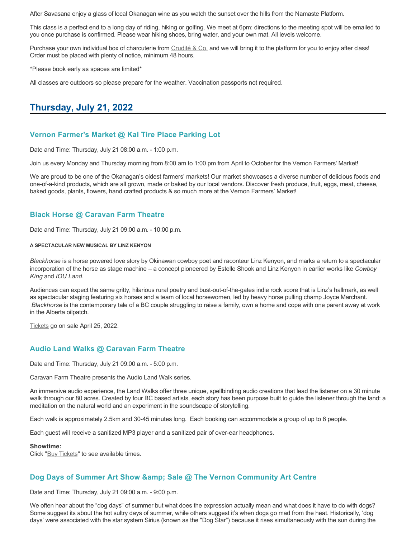After Savasana enjoy a glass of local Okanagan wine as you watch the sunset over the hills from the Namaste Platform.

This class is a perfect end to a long day of riding, hiking or golfing. We meet at 6pm: directions to the meeting spot will be emailed to you once purchase is confirmed. Please wear hiking shoes, bring water, and your own mat. All levels welcome.

Purchase your own individual box of charcuterie from [Crudité & Co.](https://cruditeandco.com/product/picnic-platter/) and we will bring it to the platform for you to enjoy after class! Order must be placed with plenty of notice, minimum 48 hours.

\*Please book early as spaces are limited\*

All classes are outdoors so please prepare for the weather. Vaccination passports not required.

# **Thursday, July 21, 2022**

#### **Vernon Farmer's Market @ Kal Tire Place Parking Lot**

Date and Time: Thursday, July 21 08:00 a.m. - 1:00 p.m.

Join us every Monday and Thursday morning from 8:00 am to 1:00 pm from April to October for the Vernon Farmers' Market!

We are proud to be one of the Okanagan's oldest farmers' markets! Our market showcases a diverse number of delicious foods and one-of-a-kind products, which are all grown, made or baked by our local vendors. Discover fresh produce, fruit, eggs, meat, cheese, baked goods, plants, flowers, hand crafted products & so much more at the Vernon Farmers' Market!

#### **Black Horse @ Caravan Farm Theatre**

Date and Time: Thursday, July 21 09:00 a.m. - 10:00 p.m.

#### **A SPECTACULAR NEW MUSICAL BY LINZ KENYON**

*Blackhorse* is a horse powered love story by Okinawan cowboy poet and raconteur Linz Kenyon, and marks a return to a spectacular incorporation of the horse as stage machine – a concept pioneered by Estelle Shook and Linz Kenyon in earlier works like *Cowboy King* and *IOU Land*.

Audiences can expect the same gritty, hilarious rural poetry and bust-out-of-the-gates indie rock score that is Linz's hallmark, as well as spectacular staging featuring six horses and a team of local horsewomen, led by heavy horse pulling champ Joyce Marchant. *Blackhorse* is the contemporary tale of a BC couple struggling to raise a family, own a home and cope with one parent away at work in the Alberta oilpatch.

[Tickets](https://caravanfarmtheatre.com/show/blackhorse-2/?ct=t%28EMAIL_CAMPAIGN_4_19_2022_13_43SEASON+2022%29&mc_cid=c02afad356&mc_eid=4778eb8892) go on sale April 25, 2022.

#### **Audio Land Walks @ Caravan Farm Theatre**

Date and Time: Thursday, July 21 09:00 a.m. - 5:00 p.m.

Caravan Farm Theatre presents the Audio Land Walk series.

An immersive audio experience, the Land Walks offer three unique, spellbinding audio creations that lead the listener on a 30 minute walk through our 80 acres. Created by four BC based artists, each story has been purpose built to guide the listener through the land: a meditation on the natural world and an experiment in the soundscape of storytelling.

Each walk is approximately 2.5km and 30-45 minutes long. Each booking can accommodate a group of up to 6 people.

Each guest will receive a sanitized MP3 player and a sanitized pair of over-ear headphones.

#### **Showtime:**

Click "[Buy Tickets](https://caravanfarmtheatre.com/show/the-land-walks/?ct=t%28EMAIL_CAMPAIGN_4_19_2022_13_43SEASON+2022%29&mc_cid=c02afad356&mc_eid=4778eb8892)" to see available times.

#### **Dog Days of Summer Art Show & amp; Sale @ The Vernon Community Art Centre**

Date and Time: Thursday, July 21 09:00 a.m. - 9:00 p.m.

We often hear about the "dog days" of summer but what does the expression actually mean and what does it have to do with dogs? Some suggest its about the hot sultry days of summer, while others suggest it's when dogs go mad from the heat. Historically, 'dog days' were associated with the star system Sirius (known as the "Dog Star") because it rises simultaneously with the sun during the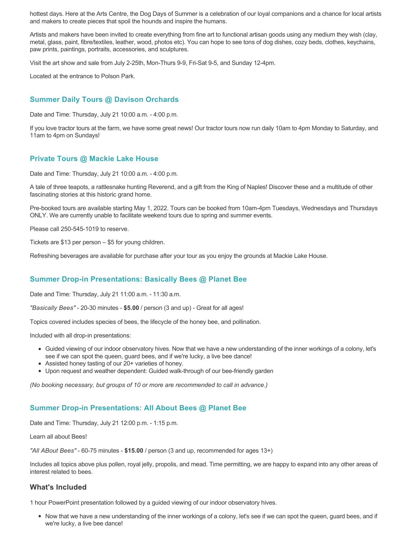hottest days. Here at the Arts Centre, the Dog Days of Summer is a celebration of our loyal companions and a chance for local artists and makers to create pieces that spoil the hounds and inspire the humans.

Artists and makers have been invited to create everything from fine art to functional artisan goods using any medium they wish (clay, metal, glass, paint, fibre/textiles, leather, wood, photos etc). You can hope to see tons of dog dishes, cozy beds, clothes, keychains, paw prints, paintings, portraits, accessories, and sculptures.

Visit the art show and sale from July 2-25th, Mon-Thurs 9-9, Fri-Sat 9-5, and Sunday 12-4pm.

Located at the entrance to Polson Park.

# **Summer Daily Tours @ Davison Orchards**

Date and Time: Thursday, July 21 10:00 a.m. - 4:00 p.m.

If you love tractor tours at the farm, we have some great news! Our tractor tours now run daily 10am to 4pm Monday to Saturday, and 11am to 4pm on Sundays!

### **Private Tours @ Mackie Lake House**

Date and Time: Thursday, July 21 10:00 a.m. - 4:00 p.m.

A tale of three teapots, a rattlesnake hunting Reverend, and a gift from the King of Naples! Discover these and a multitude of other fascinating stories at this historic grand home.

Pre-booked tours are available starting May 1, 2022. Tours can be booked from 10am-4pm Tuesdays, Wednesdays and Thursdays ONLY. We are currently unable to facilitate weekend tours due to spring and summer events.

Please call 250-545-1019 to reserve.

Tickets are \$13 per person – \$5 for young children.

Refreshing beverages are available for purchase after your tour as you enjoy the grounds at Mackie Lake House.

### **Summer Drop-in Presentations: Basically Bees @ Planet Bee**

Date and Time: Thursday, July 21 11:00 a.m. - 11:30 a.m.

*"Basically Bees"* - 20-30 minutes - **\$5.00** / person (3 and up) - Great for all ages!

Topics covered includes species of bees, the lifecycle of the honey bee, and pollination.

Included with all drop-in presentations:

- Guided viewing of our indoor observatory hives. Now that we have a new understanding of the inner workings of a colony, let's see if we can spot the queen, guard bees, and if we're lucky, a live bee dance!
- Assisted honey tasting of our 20+ varieties of honey.
- Upon request and weather dependent: Guided walk-through of our bee-friendly garden

*(No booking necessary, but groups of 10 or more are recommended to call in advance.)*

#### **Summer Drop-in Presentations: All About Bees @ Planet Bee**

Date and Time: Thursday, July 21 12:00 p.m. - 1:15 p.m.

Learn all about Bees!

*"All ABout Bees"* - 60-75 minutes - **\$15.00** / person (3 and up, recommended for ages 13+)

Includes all topics above plus pollen, royal jelly, propolis, and mead. Time permitting, we are happy to expand into any other areas of interest related to bees.

#### **What's Included**

1 hour PowerPoint presentation followed by a guided viewing of our indoor observatory hives.

Now that we have a new understanding of the inner workings of a colony, let's see if we can spot the queen, guard bees, and if we're lucky, a live bee dance!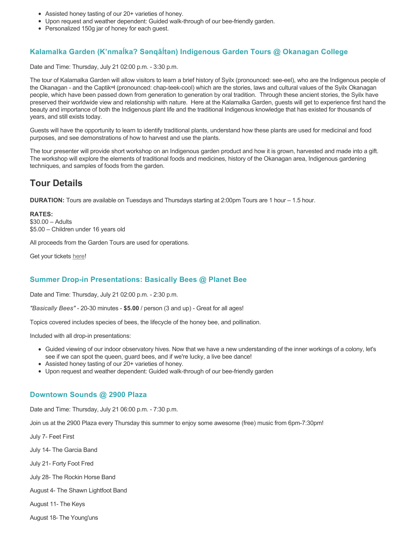- Assisted honey tasting of our 20+ varieties of honey.
- Upon request and weather dependent: Guided walk-through of our bee-friendly garden.
- Personalized 150g jar of honey for each guest.

# **Kalamalka Garden (K'nmaĺka? Sәnqâĺtәn) Indigenous Garden Tours @ Okanagan College**

Date and Time: Thursday, July 21 02:00 p.m. - 3:30 p.m.

The tour of Kalamalka Garden will allow visitors to learn a brief history of Syilx (pronounced: see-eel), who are the Indigenous people of the Okanagan - and the Captikʷł (pronounced: chap-teek-cool) which are the stories, laws and cultural values of the Syilx Okanagan people, which have been passed down from generation to generation by oral tradition. Through these ancient stories, the Syilx have preserved their worldwide view and relationship with nature. Here at the Kalamalka Garden, guests will get to experience first hand the beauty and importance of both the Indigenous plant life and the traditional Indigenous knowledge that has existed for thousands of years, and still exists today.

Guests will have the opportunity to learn to identify traditional plants, understand how these plants are used for medicinal and food purposes, and see demonstrations of how to harvest and use the plants.

The tour presenter will provide short workshop on an Indigenous garden product and how it is grown, harvested and made into a gift. The workshop will explore the elements of traditional foods and medicines, history of the Okanagan area, Indigenous gardening techniques, and samples of foods from the garden.

# **Tour Details**

**DURATION:** Tours are available on Tuesdays and Thursdays starting at 2:00pm Tours are 1 hour – 1.5 hour.

**RATES:** \$30.00 – Adults \$5.00 – Children under 16 years old

All proceeds from the Garden Tours are used for operations.

Get your tickets [here!](https://www.eventbrite.ca/e/kalamalka-garden-tour-tickets-158617843239)

### **Summer Drop-in Presentations: Basically Bees @ Planet Bee**

Date and Time: Thursday, July 21 02:00 p.m. - 2:30 p.m.

*"Basically Bees"* - 20-30 minutes - **\$5.00** / person (3 and up) - Great for all ages!

Topics covered includes species of bees, the lifecycle of the honey bee, and pollination.

Included with all drop-in presentations:

- Guided viewing of our indoor observatory hives. Now that we have a new understanding of the inner workings of a colony, let's see if we can spot the queen, guard bees, and if we're lucky, a live bee dance!
- Assisted honey tasting of our 20+ varieties of honey.
- Upon request and weather dependent: Guided walk-through of our bee-friendly garden

#### **Downtown Sounds @ 2900 Plaza**

Date and Time: Thursday, July 21 06:00 p.m. - 7:30 p.m.

Join us at the 2900 Plaza every Thursday this summer to enjoy some awesome (free) music from 6pm-7:30pm!

July 7- Feet First

July 14- The Garcia Band

July 21- Forty Foot Fred

July 28- The Rockin Horse Band

August 4- The Shawn Lightfoot Band

August 11- The Keys

August 18- The Young'uns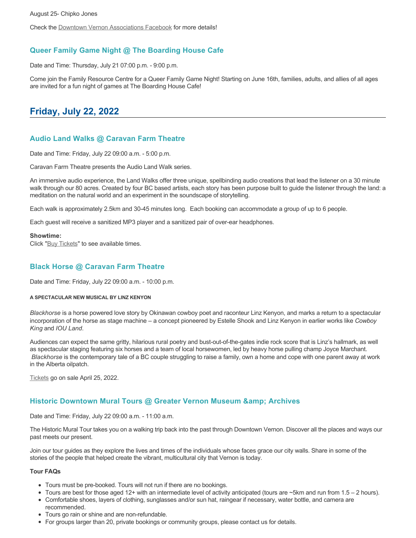Check the [Downtown Vernon Associations Facebook](https://www.facebook.com/downtownvernon/) for more details!

# **Queer Family Game Night @ The Boarding House Cafe**

Date and Time: Thursday, July 21 07:00 p.m. - 9:00 p.m.

Come join the Family Resource Centre for a Queer Family Game Night! Starting on June 16th, families, adults, and allies of all ages are invited for a fun night of games at The Boarding House Cafe!

# **Friday, July 22, 2022**

# **Audio Land Walks @ Caravan Farm Theatre**

Date and Time: Friday, July 22 09:00 a.m. - 5:00 p.m.

Caravan Farm Theatre presents the Audio Land Walk series.

An immersive audio experience, the Land Walks offer three unique, spellbinding audio creations that lead the listener on a 30 minute walk through our 80 acres. Created by four BC based artists, each story has been purpose built to guide the listener through the land: a meditation on the natural world and an experiment in the soundscape of storytelling.

Each walk is approximately 2.5km and 30-45 minutes long. Each booking can accommodate a group of up to 6 people.

Each guest will receive a sanitized MP3 player and a sanitized pair of over-ear headphones.

#### **Showtime:**

Click "[Buy Tickets](https://caravanfarmtheatre.com/show/the-land-walks/?ct=t%28EMAIL_CAMPAIGN_4_19_2022_13_43SEASON+2022%29&mc_cid=c02afad356&mc_eid=4778eb8892)" to see available times.

### **Black Horse @ Caravan Farm Theatre**

Date and Time: Friday, July 22 09:00 a.m. - 10:00 p.m.

#### **A SPECTACULAR NEW MUSICAL BY LINZ KENYON**

*Blackhorse* is a horse powered love story by Okinawan cowboy poet and raconteur Linz Kenyon, and marks a return to a spectacular incorporation of the horse as stage machine – a concept pioneered by Estelle Shook and Linz Kenyon in earlier works like *Cowboy King* and *IOU Land*.

Audiences can expect the same gritty, hilarious rural poetry and bust-out-of-the-gates indie rock score that is Linz's hallmark, as well as spectacular staging featuring six horses and a team of local horsewomen, led by heavy horse pulling champ Joyce Marchant. *Blackhorse* is the contemporary tale of a BC couple struggling to raise a family, own a home and cope with one parent away at work in the Alberta oilpatch.

[Tickets](https://caravanfarmtheatre.com/show/blackhorse-2/?ct=t%28EMAIL_CAMPAIGN_4_19_2022_13_43SEASON+2022%29&mc_cid=c02afad356&mc_eid=4778eb8892) go on sale April 25, 2022.

### **Historic Downtown Mural Tours @ Greater Vernon Museum & Archives**

Date and Time: Friday, July 22 09:00 a.m. - 11:00 a.m.

The Historic Mural Tour takes you on a walking trip back into the past through Downtown Vernon. Discover all the places and ways our past meets our present.

Join our tour guides as they explore the lives and times of the individuals whose faces grace our city walls. Share in some of the stories of the people that helped create the vibrant, multicultural city that Vernon is today.

#### **Tour FAQs**

- Tours must be pre-booked. Tours will not run if there are no bookings.
- Tours are best for those aged 12+ with an intermediate level of activity anticipated (tours are  $\sim$ 5km and run from 1.5 2 hours).
- Comfortable shoes, layers of clothing, sunglasses and/or sun hat, raingear if necessary, water bottle, and camera are recommended.
- Tours go rain or shine and are non-refundable.
- For groups larger than 20, private bookings or community groups, please contact us for details.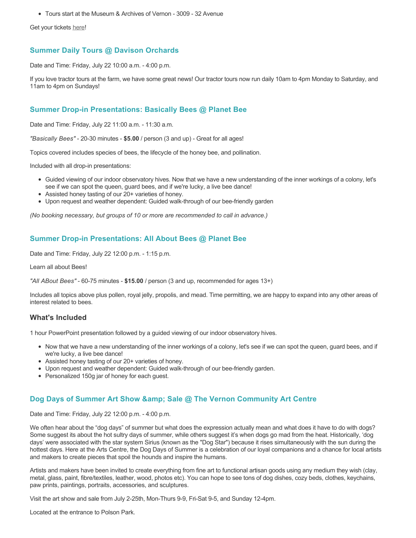Tours start at the Museum & Archives of Vernon - 3009 - 32 Avenue

Get your tickets [here!](https://www.eventbrite.com/e/historic-downtown-mural-tours-tickets-304983342387)

# **Summer Daily Tours @ Davison Orchards**

Date and Time: Friday, July 22 10:00 a.m. - 4:00 p.m.

If you love tractor tours at the farm, we have some great news! Our tractor tours now run daily 10am to 4pm Monday to Saturday, and 11am to 4pm on Sundays!

## **Summer Drop-in Presentations: Basically Bees @ Planet Bee**

Date and Time: Friday, July 22 11:00 a.m. - 11:30 a.m.

*"Basically Bees"* - 20-30 minutes - **\$5.00** / person (3 and up) - Great for all ages!

Topics covered includes species of bees, the lifecycle of the honey bee, and pollination.

Included with all drop-in presentations:

- Guided viewing of our indoor observatory hives. Now that we have a new understanding of the inner workings of a colony, let's see if we can spot the queen, guard bees, and if we're lucky, a live bee dance!
- Assisted honey tasting of our 20+ varieties of honey.
- Upon request and weather dependent: Guided walk-through of our bee-friendly garden

*(No booking necessary, but groups of 10 or more are recommended to call in advance.)*

# **Summer Drop-in Presentations: All About Bees @ Planet Bee**

Date and Time: Friday, July 22 12:00 p.m. - 1:15 p.m.

Learn all about Bees!

*"All ABout Bees"* - 60-75 minutes - **\$15.00** / person (3 and up, recommended for ages 13+)

Includes all topics above plus pollen, royal jelly, propolis, and mead. Time permitting, we are happy to expand into any other areas of interest related to bees.

### **What's Included**

1 hour PowerPoint presentation followed by a guided viewing of our indoor observatory hives.

- Now that we have a new understanding of the inner workings of a colony, let's see if we can spot the queen, guard bees, and if we're lucky, a live bee dance!
- Assisted honey tasting of our 20+ varieties of honey.
- Upon request and weather dependent: Guided walk-through of our bee-friendly garden.
- Personalized 150g jar of honey for each guest.

### **Dog Days of Summer Art Show & amp; Sale @ The Vernon Community Art Centre**

Date and Time: Friday, July 22 12:00 p.m. - 4:00 p.m.

We often hear about the "dog days" of summer but what does the expression actually mean and what does it have to do with dogs? Some suggest its about the hot sultry days of summer, while others suggest it's when dogs go mad from the heat. Historically, 'dog days' were associated with the star system Sirius (known as the "Dog Star") because it rises simultaneously with the sun during the hottest days. Here at the Arts Centre, the Dog Days of Summer is a celebration of our loyal companions and a chance for local artists and makers to create pieces that spoil the hounds and inspire the humans.

Artists and makers have been invited to create everything from fine art to functional artisan goods using any medium they wish (clay, metal, glass, paint, fibre/textiles, leather, wood, photos etc). You can hope to see tons of dog dishes, cozy beds, clothes, keychains, paw prints, paintings, portraits, accessories, and sculptures.

Visit the art show and sale from July 2-25th, Mon-Thurs 9-9, Fri-Sat 9-5, and Sunday 12-4pm.

Located at the entrance to Polson Park.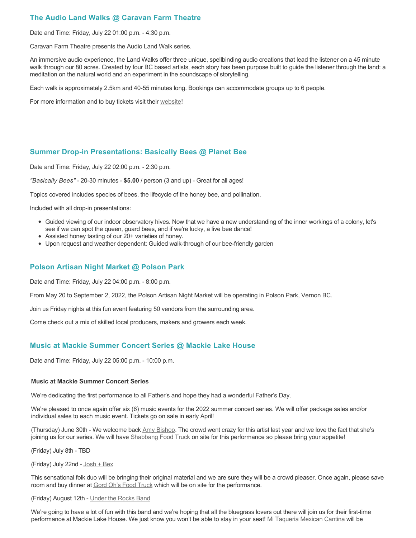# **The Audio Land Walks @ Caravan Farm Theatre**

Date and Time: Friday, July 22 01:00 p.m. - 4:30 p.m.

Caravan Farm Theatre presents the Audio Land Walk series.

An immersive audio experience, the Land Walks offer three unique, spellbinding audio creations that lead the listener on a 45 minute walk through our 80 acres. Created by four BC based artists, each story has been purpose built to guide the listener through the land: a meditation on the natural world and an experiment in the soundscape of storytelling.

Each walk is approximately 2.5km and 40-55 minutes long. Bookings can accommodate groups up to 6 people.

For more information and to buy tickets visit their [website!](https://caravanfarmtheatre.com/show/the-land-walks/)

# **Summer Drop-in Presentations: Basically Bees @ Planet Bee**

Date and Time: Friday, July 22 02:00 p.m. - 2:30 p.m.

*"Basically Bees"* - 20-30 minutes - **\$5.00** / person (3 and up) - Great for all ages!

Topics covered includes species of bees, the lifecycle of the honey bee, and pollination.

Included with all drop-in presentations:

- Guided viewing of our indoor observatory hives. Now that we have a new understanding of the inner workings of a colony, let's see if we can spot the queen, guard bees, and if we're lucky, a live bee dance!
- Assisted honey tasting of our 20+ varieties of honey.
- Upon request and weather dependent: Guided walk-through of our bee-friendly garden

#### **Polson Artisan Night Market @ Polson Park**

Date and Time: Friday, July 22 04:00 p.m. - 8:00 p.m.

From May 20 to September 2, 2022, the Polson Artisan Night Market will be operating in Polson Park, Vernon BC.

Join us Friday nights at this fun event featuring 50 vendors from the surrounding area.

Come check out a mix of skilled local producers, makers and growers each week.

### **Music at Mackie Summer Concert Series @ Mackie Lake House**

Date and Time: Friday, July 22 05:00 p.m. - 10:00 p.m.

#### **Music at Mackie Summer Concert Series**

We're dedicating the first performance to all Father's and hope they had a wonderful Father's Day.

We're pleased to once again offer six (6) music events for the 2022 summer concert series. We will offer package sales and/or individual sales to each music event. Tickets go on sale in early April!

(Thursday) June 30th - We welcome back [Amy Bishop.](https://protect-ca.mimecast.com/s/97KDCk8v46IYY8Pc4eTtT?domain=mackiehouse.us3.list-manage.com) The crowd went crazy for this artist last year and we love the fact that she's joining us for our series. We will have [Shabbang Food Truck](https://protect-ca.mimecast.com/s/hGWiClxw48FOO0jTKiFD6?domain=mackiehouse.us3.list-manage.com) on site for this performance so please bring your appetite!

(Friday) July 8th - TBD

(Friday) July 22nd - [Josh + Bex](https://protect-ca.mimecast.com/s/LfcBCmOx47s11B9u0QwFr?domain=mackiehouse.us3.list-manage.com)

This sensational folk duo will be bringing their original material and we are sure they will be a crowd pleaser. Once again, please save room and buy dinner at [Gord Oh's Food Truck](https://protect-ca.mimecast.com/s/oREECnxy4GFllAkujC-Hs?domain=mackiehouse.us3.list-manage.com) which will be on site for the performance.

#### (Friday) August 12th - [Under the Rocks Band](https://protect-ca.mimecast.com/s/wmzjCoVz4AhlljQujeM8P?domain=mackiehouse.us3.list-manage.com)

We're going to have a lot of fun with this band and we're hoping that all the bluegrass lovers out there will join us for their first-time performance at Mackie Lake House. We just know you won't be able to stay in your seat! [Mi Taqueria Mexican Cantina](https://protect-ca.mimecast.com/s/IidvCp8A59IQQ17s1mbiS?domain=mackiehouse.us3.list-manage.com) will be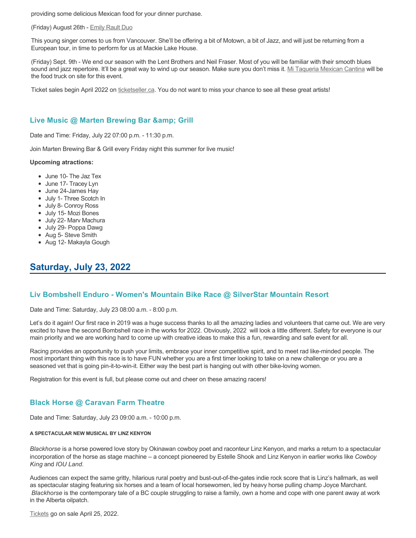providing some delicious Mexican food for your dinner purchase.

#### (Friday) August 26th - [Emily Rault Duo](https://protect-ca.mimecast.com/s/1ZJZCq7B4AsLLKVczxAAc?domain=mackiehouse.us3.list-manage.com)

This young singer comes to us from Vancouver. She'll be offering a bit of Motown, a bit of Jazz, and will just be returning from a European tour, in time to perform for us at Mackie Lake House.

(Friday) Sept. 9th - We end our season with the Lent Brothers and Neil Fraser. Most of you will be familiar with their smooth blues sound and jazz repertoire. It'll be a great way to wind up our season. Make sure you don't miss it. [Mi Taqueria Mexican Cantina](https://protect-ca.mimecast.com/s/mUjmCr8D4gIwwPWTPinKw?domain=mackiehouse.us3.list-manage.com) will be the food truck on site for this event.

Ticket sales begin April 2022 on [ticketseller.ca.](https://ticketseller.ca/) You do not want to miss your chance to see all these great artists!

#### Live Music @ Marten Brewing Bar & amp; Grill

Date and Time: Friday, July 22 07:00 p.m. - 11:30 p.m.

Join Marten Brewing Bar & Grill every Friday night this summer for live music!

#### **Upcoming atractions:**

- June 10- The Jaz Tex
- June 17- Tracey Lyn
- June 24-James Hay
- July 1- Three Scotch In
- July 8- Conroy Ross
- July 15- Mozi Bones
- July 22- Marv Machura
- July 29- Poppa Dawg
- Aug 5- Steve Smith
- Aug 12- Makayla Gough

# **Saturday, July 23, 2022**

#### **Liv Bombshell Enduro - Women's Mountain Bike Race @ SilverStar Mountain Resort**

Date and Time: Saturday, July 23 08:00 a.m. - 8:00 p.m.

Let's do it again! Our first race in 2019 was a huge success thanks to all the amazing ladies and volunteers that came out. We are very excited to have the second Bombshell race in the works for 2022. Obviously, 2022 will look a little different. Safety for everyone is our main priority and we are working hard to come up with creative ideas to make this a fun, rewarding and safe event for all.

Racing provides an opportunity to push your limits, embrace your inner competitive spirit, and to meet rad like-minded people. The most important thing with this race is to have FUN whether you are a first timer looking to take on a new challenge or you are a seasoned vet that is going pin-it-to-win-it. Either way the best part is hanging out with other bike-loving women.

Registration for this event is full, but please come out and cheer on these amazing racers!

#### **Black Horse @ Caravan Farm Theatre**

Date and Time: Saturday, July 23 09:00 a.m. - 10:00 p.m.

#### **A SPECTACULAR NEW MUSICAL BY LINZ KENYON**

*Blackhorse* is a horse powered love story by Okinawan cowboy poet and raconteur Linz Kenyon, and marks a return to a spectacular incorporation of the horse as stage machine – a concept pioneered by Estelle Shook and Linz Kenyon in earlier works like *Cowboy King* and *IOU Land*.

Audiences can expect the same gritty, hilarious rural poetry and bust-out-of-the-gates indie rock score that is Linz's hallmark, as well as spectacular staging featuring six horses and a team of local horsewomen, led by heavy horse pulling champ Joyce Marchant. *Blackhorse* is the contemporary tale of a BC couple struggling to raise a family, own a home and cope with one parent away at work in the Alberta oilpatch.

[Tickets](https://caravanfarmtheatre.com/show/blackhorse-2/?ct=t%28EMAIL_CAMPAIGN_4_19_2022_13_43SEASON+2022%29&mc_cid=c02afad356&mc_eid=4778eb8892) go on sale April 25, 2022.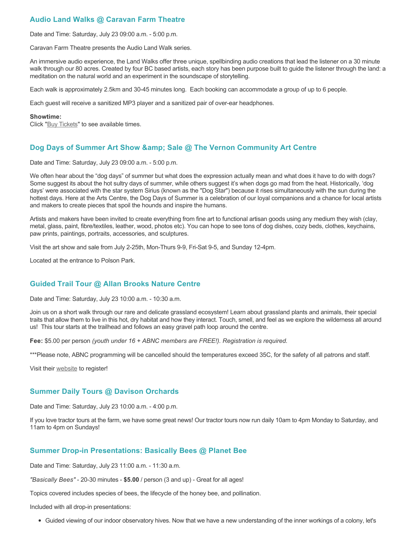# **Audio Land Walks @ Caravan Farm Theatre**

Date and Time: Saturday, July 23 09:00 a.m. - 5:00 p.m.

Caravan Farm Theatre presents the Audio Land Walk series.

An immersive audio experience, the Land Walks offer three unique, spellbinding audio creations that lead the listener on a 30 minute walk through our 80 acres. Created by four BC based artists, each story has been purpose built to guide the listener through the land: a meditation on the natural world and an experiment in the soundscape of storytelling.

Each walk is approximately 2.5km and 30-45 minutes long. Each booking can accommodate a group of up to 6 people.

Each guest will receive a sanitized MP3 player and a sanitized pair of over-ear headphones.

#### **Showtime:**

Click "[Buy Tickets](https://caravanfarmtheatre.com/show/the-land-walks/?ct=t%28EMAIL_CAMPAIGN_4_19_2022_13_43SEASON+2022%29&mc_cid=c02afad356&mc_eid=4778eb8892)" to see available times.

# **Dog Days of Summer Art Show & amp; Sale @ The Vernon Community Art Centre**

Date and Time: Saturday, July 23 09:00 a.m. - 5:00 p.m.

We often hear about the "dog days" of summer but what does the expression actually mean and what does it have to do with dogs? Some suggest its about the hot sultry days of summer, while others suggest it's when dogs go mad from the heat. Historically, 'dog days' were associated with the star system Sirius (known as the "Dog Star") because it rises simultaneously with the sun during the hottest days. Here at the Arts Centre, the Dog Days of Summer is a celebration of our loyal companions and a chance for local artists and makers to create pieces that spoil the hounds and inspire the humans.

Artists and makers have been invited to create everything from fine art to functional artisan goods using any medium they wish (clay, metal, glass, paint, fibre/textiles, leather, wood, photos etc). You can hope to see tons of dog dishes, cozy beds, clothes, keychains, paw prints, paintings, portraits, accessories, and sculptures.

Visit the art show and sale from July 2-25th, Mon-Thurs 9-9, Fri-Sat 9-5, and Sunday 12-4pm.

Located at the entrance to Polson Park.

### **Guided Trail Tour @ Allan Brooks Nature Centre**

Date and Time: Saturday, July 23 10:00 a.m. - 10:30 a.m.

Join us on a short walk through our rare and delicate grassland ecosystem! Learn about grassland plants and animals, their special traits that allow them to live in this hot, dry habitat and how they interact. Touch, smell, and feel as we explore the wilderness all around us! This tour starts at the trailhead and follows an easy gravel path loop around the centre.

**Fee:** \$5.00 per person *(youth under 16 + ABNC members are FREE!). Registration is required.* 

\*\*\*Please note, ABNC programming will be cancelled should the temperatures exceed 35C, for the safety of all patrons and staff.

Visit their [website](https://abnc.ca/events/events-calendar/) to register!

### **Summer Daily Tours @ Davison Orchards**

Date and Time: Saturday, July 23 10:00 a.m. - 4:00 p.m.

If you love tractor tours at the farm, we have some great news! Our tractor tours now run daily 10am to 4pm Monday to Saturday, and 11am to 4pm on Sundays!

### **Summer Drop-in Presentations: Basically Bees @ Planet Bee**

Date and Time: Saturday, July 23 11:00 a.m. - 11:30 a.m.

*"Basically Bees"* - 20-30 minutes - **\$5.00** / person (3 and up) - Great for all ages!

Topics covered includes species of bees, the lifecycle of the honey bee, and pollination.

Included with all drop-in presentations:

Guided viewing of our indoor observatory hives. Now that we have a new understanding of the inner workings of a colony, let's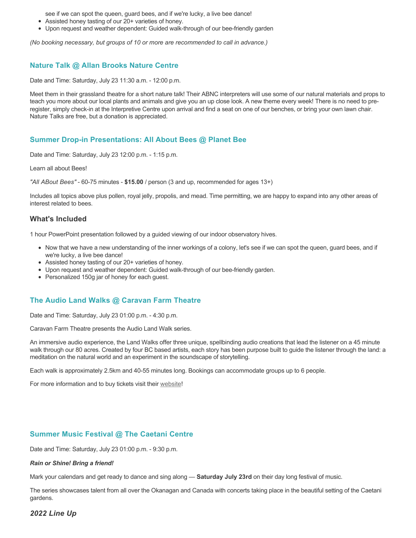see if we can spot the queen, guard bees, and if we're lucky, a live bee dance!

- Assisted honey tasting of our 20+ varieties of honey.
- Upon request and weather dependent: Guided walk-through of our bee-friendly garden

*(No booking necessary, but groups of 10 or more are recommended to call in advance.)*

#### **Nature Talk @ Allan Brooks Nature Centre**

Date and Time: Saturday, July 23 11:30 a.m. - 12:00 p.m.

Meet them in their grassland theatre for a short nature talk! Their ABNC interpreters will use some of our natural materials and props to teach you more about our local plants and animals and give you an up close look. A new theme every week! There is no need to preregister, simply check-in at the Interpretive Centre upon arrival and find a seat on one of our benches, or bring your own lawn chair. Nature Talks are free, but a donation is appreciated.

#### **Summer Drop-in Presentations: All About Bees @ Planet Bee**

Date and Time: Saturday, July 23 12:00 p.m. - 1:15 p.m.

Learn all about Bees!

*"All ABout Bees"* - 60-75 minutes - **\$15.00** / person (3 and up, recommended for ages 13+)

Includes all topics above plus pollen, royal jelly, propolis, and mead. Time permitting, we are happy to expand into any other areas of interest related to bees.

#### **What's Included**

1 hour PowerPoint presentation followed by a guided viewing of our indoor observatory hives.

- Now that we have a new understanding of the inner workings of a colony, let's see if we can spot the queen, guard bees, and if we're lucky, a live bee dance!
- Assisted honey tasting of our 20+ varieties of honey.
- Upon request and weather dependent: Guided walk-through of our bee-friendly garden.
- Personalized 150g jar of honey for each guest.

#### **The Audio Land Walks @ Caravan Farm Theatre**

Date and Time: Saturday, July 23 01:00 p.m. - 4:30 p.m.

Caravan Farm Theatre presents the Audio Land Walk series.

An immersive audio experience, the Land Walks offer three unique, spellbinding audio creations that lead the listener on a 45 minute walk through our 80 acres. Created by four BC based artists, each story has been purpose built to guide the listener through the land: a meditation on the natural world and an experiment in the soundscape of storytelling.

Each walk is approximately 2.5km and 40-55 minutes long. Bookings can accommodate groups up to 6 people.

For more information and to buy tickets visit their [website!](https://caravanfarmtheatre.com/show/the-land-walks/)

#### **Summer Music Festival @ The Caetani Centre**

Date and Time: Saturday, July 23 01:00 p.m. - 9:30 p.m.

#### *Rain or Shine! Bring a friend!*

Mark your calendars and get ready to dance and sing along — **Saturday July 23rd** on their day long festival of music.

The series showcases talent from all over the Okanagan and Canada with concerts taking place in the beautiful setting of the Caetani gardens.

*2022 Line Up*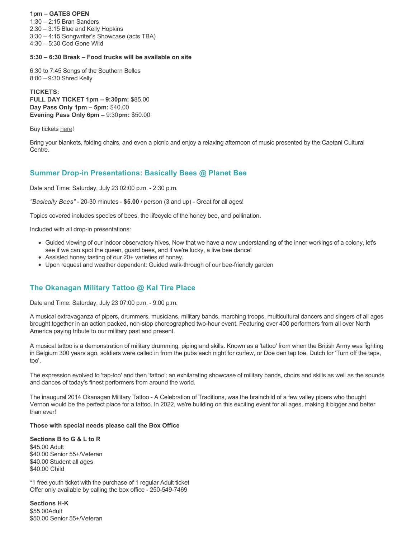#### **1pm – GATES OPEN**

1:30 – 2:15 Bran Sanders 2:30 – 3:15 Blue and Kelly Hopkins 3:30 – 4:15 Songwriter's Showcase (acts TBA) 4:30 – 5:30 Cod Gone Wild

#### **5:30 – 6:30 Break – Food trucks will be available on site**

6:30 to 7:45 Songs of the Southern Belles 8:00 – 9:30 Shred Kelly

**TICKETS: FULL DAY TICKET 1pm – 9:30pm:** \$85.00 **Day Pass Only 1pm – 5pm:** \$40.00 **Evening Pass Only 6pm –** 9:30**pm:** \$50.00

Buy tickets [here!](https://www.ticketseller.ca/tickets/event/caetani-summer-music-festival)

Bring your blankets, folding chairs, and even a picnic and enjoy a relaxing afternoon of music presented by the Caetani Cultural Centre.

### **Summer Drop-in Presentations: Basically Bees @ Planet Bee**

Date and Time: Saturday, July 23 02:00 p.m. - 2:30 p.m.

*"Basically Bees"* - 20-30 minutes - **\$5.00** / person (3 and up) - Great for all ages!

Topics covered includes species of bees, the lifecycle of the honey bee, and pollination.

Included with all drop-in presentations:

- Guided viewing of our indoor observatory hives. Now that we have a new understanding of the inner workings of a colony, let's see if we can spot the queen, guard bees, and if we're lucky, a live bee dance!
- Assisted honey tasting of our 20+ varieties of honey.
- Upon request and weather dependent: Guided walk-through of our bee-friendly garden

# **The Okanagan Military Tattoo @ Kal Tire Place**

Date and Time: Saturday, July 23 07:00 p.m. - 9:00 p.m.

A musical extravaganza of pipers, drummers, musicians, military bands, marching troops, multicultural dancers and singers of all ages brought together in an action packed, non-stop choreographed two-hour event. Featuring over 400 performers from all over North America paying tribute to our military past and present.

A musical tattoo is a demonstration of military drumming, piping and skills. Known as a 'tattoo' from when the British Army was fighting in Belgium 300 years ago, soldiers were called in from the pubs each night for curfew, or Doe den tap toe, Dutch for 'Turn off the taps, too'.

The expression evolved to 'tap-too' and then 'tattoo': an exhilarating showcase of military bands, choirs and skills as well as the sounds and dances of today's finest performers from around the world.

The inaugural 2014 Okanagan Military Tattoo - A Celebration of Traditions, was the brainchild of a few valley pipers who thought Vernon would be the perfect place for a tattoo. In 2022, we're building on this exciting event for all ages, making it bigger and better than ever!

#### **Those with special needs please call the Box Office**

#### **Sections B to G & L to R**

\$45.00 Adult \$40.00 Senior 55+/Veteran \$40.00 Student all ages \$40.00 Child

\*1 free youth ticket with the purchase of 1 regular Adult ticket Offer only available by calling the box office - 250-549-7469

**Sections H-K** \$55.00Adult \$50.00 Senior 55+/Veteran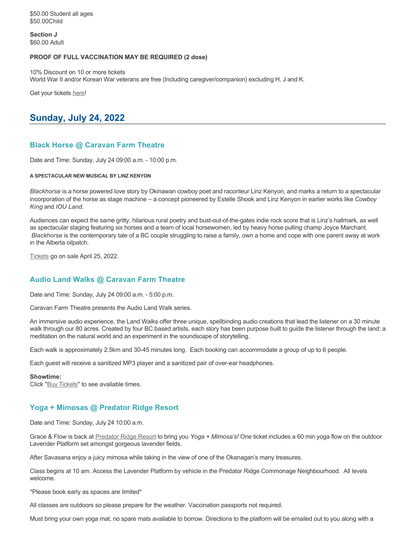\$50.00 Student all ages \$50.00Child

**Section J** \$60.00 Adult

#### **PROOF OF FULL VACCINATION MAY BE REQUIRED (2 dose)**

10% Discount on 10 or more tickets World War II and/or Korean War veterans are free (Including caregiver/companion) excluding H, J and K.

Get your tickets [here!](https://tickets.ticketseller.ca/TheatreManager/1/login&event=3239)

# **Sunday, July 24, 2022**

# **Black Horse @ Caravan Farm Theatre**

Date and Time: Sunday, July 24 09:00 a.m. - 10:00 p.m.

#### **A SPECTACULAR NEW MUSICAL BY LINZ KENYON**

*Blackhorse* is a horse powered love story by Okinawan cowboy poet and raconteur Linz Kenyon, and marks a return to a spectacular incorporation of the horse as stage machine – a concept pioneered by Estelle Shook and Linz Kenyon in earlier works like *Cowboy King* and *IOU Land*.

Audiences can expect the same gritty, hilarious rural poetry and bust-out-of-the-gates indie rock score that is Linz's hallmark, as well as spectacular staging featuring six horses and a team of local horsewomen, led by heavy horse pulling champ Joyce Marchant. *Blackhorse* is the contemporary tale of a BC couple struggling to raise a family, own a home and cope with one parent away at work in the Alberta oilpatch.

[Tickets](https://caravanfarmtheatre.com/show/blackhorse-2/?ct=t%28EMAIL_CAMPAIGN_4_19_2022_13_43SEASON+2022%29&mc_cid=c02afad356&mc_eid=4778eb8892) go on sale April 25, 2022.

# **Audio Land Walks @ Caravan Farm Theatre**

Date and Time: Sunday, July 24 09:00 a.m. - 5:00 p.m.

Caravan Farm Theatre presents the Audio Land Walk series.

An immersive audio experience, the Land Walks offer three unique, spellbinding audio creations that lead the listener on a 30 minute walk through our 80 acres. Created by four BC based artists, each story has been purpose built to guide the listener through the land: a meditation on the natural world and an experiment in the soundscape of storytelling.

Each walk is approximately 2.5km and 30-45 minutes long. Each booking can accommodate a group of up to 6 people.

Each guest will receive a sanitized MP3 player and a sanitized pair of over-ear headphones.

#### **Showtime:**

Click "[Buy Tickets](https://caravanfarmtheatre.com/show/the-land-walks/?ct=t%28EMAIL_CAMPAIGN_4_19_2022_13_43SEASON+2022%29&mc_cid=c02afad356&mc_eid=4778eb8892)" to see available times.

# **Yoga + Mimosas @ Predator Ridge Resort**

Date and Time: Sunday, July 24 10:00 a.m.

Grace & Flow is back at [Predator Ridge Resort](https://www.predatorridge.com/events) to bring you *Yoga + Mimosa's!* One ticket includes a 60 min yoga flow on the outdoor Lavender Platform set amongst gorgeous lavender fields.

After Savasana enjoy a juicy mimosa while taking in the view of one of the Okanagan's many treasures.

Class begins at 10 am. Access the Lavender Platform by vehicle in the Predator Ridge Commonage Neighbourhood. All levels welcome.

\*Please book early as spaces are limited\*

All classes are outdoors so please prepare for the weather. Vaccination passports not required.

Must bring your own yoga mat, no spare mats available to borrow. Directions to the platform will be emailed out to you along with a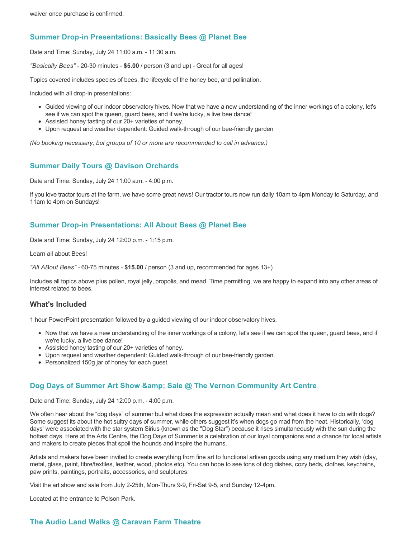# **Summer Drop-in Presentations: Basically Bees @ Planet Bee**

Date and Time: Sunday, July 24 11:00 a.m. - 11:30 a.m.

*"Basically Bees"* - 20-30 minutes - **\$5.00** / person (3 and up) - Great for all ages!

Topics covered includes species of bees, the lifecycle of the honey bee, and pollination.

Included with all drop-in presentations:

- Guided viewing of our indoor observatory hives. Now that we have a new understanding of the inner workings of a colony, let's see if we can spot the queen, guard bees, and if we're lucky, a live bee dance!
- Assisted honey tasting of our 20+ varieties of honey.
- Upon request and weather dependent: Guided walk-through of our bee-friendly garden

*(No booking necessary, but groups of 10 or more are recommended to call in advance.)*

# **Summer Daily Tours @ Davison Orchards**

Date and Time: Sunday, July 24 11:00 a.m. - 4:00 p.m.

If you love tractor tours at the farm, we have some great news! Our tractor tours now run daily 10am to 4pm Monday to Saturday, and 11am to 4pm on Sundays!

### **Summer Drop-in Presentations: All About Bees @ Planet Bee**

Date and Time: Sunday, July 24 12:00 p.m. - 1:15 p.m.

Learn all about Bees!

*"All ABout Bees"* - 60-75 minutes - **\$15.00** / person (3 and up, recommended for ages 13+)

Includes all topics above plus pollen, royal jelly, propolis, and mead. Time permitting, we are happy to expand into any other areas of interest related to bees.

### **What's Included**

1 hour PowerPoint presentation followed by a guided viewing of our indoor observatory hives.

- Now that we have a new understanding of the inner workings of a colony, let's see if we can spot the queen, guard bees, and if we're lucky, a live bee dance!
- Assisted honey tasting of our 20+ varieties of honey.
- Upon request and weather dependent: Guided walk-through of our bee-friendly garden.
- Personalized 150g jar of honey for each guest.

### **Dog Days of Summer Art Show & amp: Sale @ The Vernon Community Art Centre**

Date and Time: Sunday, July 24 12:00 p.m. - 4:00 p.m.

We often hear about the "dog days" of summer but what does the expression actually mean and what does it have to do with dogs? Some suggest its about the hot sultry days of summer, while others suggest it's when dogs go mad from the heat. Historically, 'dog days' were associated with the star system Sirius (known as the "Dog Star") because it rises simultaneously with the sun during the hottest days. Here at the Arts Centre, the Dog Days of Summer is a celebration of our loyal companions and a chance for local artists and makers to create pieces that spoil the hounds and inspire the humans.

Artists and makers have been invited to create everything from fine art to functional artisan goods using any medium they wish (clay, metal, glass, paint, fibre/textiles, leather, wood, photos etc). You can hope to see tons of dog dishes, cozy beds, clothes, keychains, paw prints, paintings, portraits, accessories, and sculptures.

Visit the art show and sale from July 2-25th, Mon-Thurs 9-9, Fri-Sat 9-5, and Sunday 12-4pm.

Located at the entrance to Polson Park.

# **The Audio Land Walks @ Caravan Farm Theatre**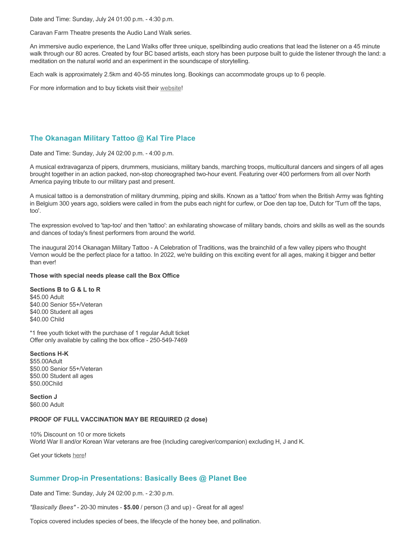Date and Time: Sunday, July 24 01:00 p.m. - 4:30 p.m.

Caravan Farm Theatre presents the Audio Land Walk series.

An immersive audio experience, the Land Walks offer three unique, spellbinding audio creations that lead the listener on a 45 minute walk through our 80 acres. Created by four BC based artists, each story has been purpose built to guide the listener through the land: a meditation on the natural world and an experiment in the soundscape of storytelling.

Each walk is approximately 2.5km and 40-55 minutes long. Bookings can accommodate groups up to 6 people.

For more information and to buy tickets visit their [website!](https://caravanfarmtheatre.com/show/the-land-walks/)

# **The Okanagan Military Tattoo @ Kal Tire Place**

Date and Time: Sunday, July 24 02:00 p.m. - 4:00 p.m.

A musical extravaganza of pipers, drummers, musicians, military bands, marching troops, multicultural dancers and singers of all ages brought together in an action packed, non-stop choreographed two-hour event. Featuring over 400 performers from all over North America paying tribute to our military past and present.

A musical tattoo is a demonstration of military drumming, piping and skills. Known as a 'tattoo' from when the British Army was fighting in Belgium 300 years ago, soldiers were called in from the pubs each night for curfew, or Doe den tap toe, Dutch for 'Turn off the taps, too'.

The expression evolved to 'tap-too' and then 'tattoo': an exhilarating showcase of military bands, choirs and skills as well as the sounds and dances of today's finest performers from around the world.

The inaugural 2014 Okanagan Military Tattoo - A Celebration of Traditions, was the brainchild of a few valley pipers who thought Vernon would be the perfect place for a tattoo. In 2022, we're building on this exciting event for all ages, making it bigger and better than ever!

#### **Those with special needs please call the Box Office**

#### **Sections B to G & L to R**

\$45.00 Adult \$40.00 Senior 55+/Veteran \$40.00 Student all ages \$40.00 Child

\*1 free youth ticket with the purchase of 1 regular Adult ticket Offer only available by calling the box office - 250-549-7469

#### **Sections H-K**

\$55.00Adult \$50.00 Senior 55+/Veteran \$50.00 Student all ages \$50.00Child

**Section J** \$60.00 Adult

#### **PROOF OF FULL VACCINATION MAY BE REQUIRED (2 dose)**

10% Discount on 10 or more tickets World War II and/or Korean War veterans are free (Including caregiver/companion) excluding H, J and K.

Get your tickets [here!](https://tickets.ticketseller.ca/TheatreManager/1/login&event=3239)

# **Summer Drop-in Presentations: Basically Bees @ Planet Bee**

Date and Time: Sunday, July 24 02:00 p.m. - 2:30 p.m.

*"Basically Bees"* - 20-30 minutes - **\$5.00** / person (3 and up) - Great for all ages!

Topics covered includes species of bees, the lifecycle of the honey bee, and pollination.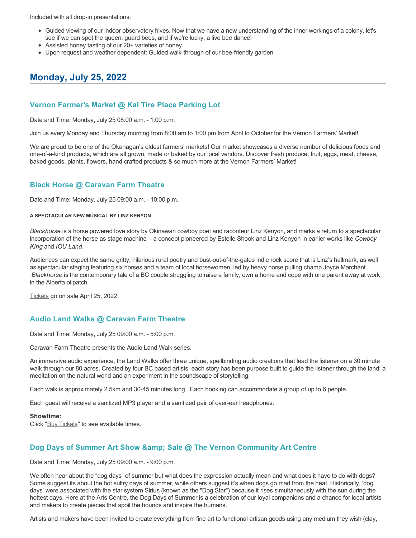Included with all drop-in presentations:

- Guided viewing of our indoor observatory hives. Now that we have a new understanding of the inner workings of a colony, let's see if we can spot the queen, guard bees, and if we're lucky, a live bee dance!
- Assisted honey tasting of our 20+ varieties of honey.
- Upon request and weather dependent: Guided walk-through of our bee-friendly garden

# **Monday, July 25, 2022**

## **Vernon Farmer's Market @ Kal Tire Place Parking Lot**

Date and Time: Monday, July 25 08:00 a.m. - 1:00 p.m.

Join us every Monday and Thursday morning from 8:00 am to 1:00 pm from April to October for the Vernon Farmers' Market!

We are proud to be one of the Okanagan's oldest farmers' markets! Our market showcases a diverse number of delicious foods and one-of-a-kind products, which are all grown, made or baked by our local vendors. Discover fresh produce, fruit, eggs, meat, cheese, baked goods, plants, flowers, hand crafted products & so much more at the Vernon Farmers' Market!

# **Black Horse @ Caravan Farm Theatre**

Date and Time: Monday, July 25 09:00 a.m. - 10:00 p.m.

#### **A SPECTACULAR NEW MUSICAL BY LINZ KENYON**

*Blackhorse* is a horse powered love story by Okinawan cowboy poet and raconteur Linz Kenyon, and marks a return to a spectacular incorporation of the horse as stage machine – a concept pioneered by Estelle Shook and Linz Kenyon in earlier works like *Cowboy King* and *IOU Land*.

Audiences can expect the same gritty, hilarious rural poetry and bust-out-of-the-gates indie rock score that is Linz's hallmark, as well as spectacular staging featuring six horses and a team of local horsewomen, led by heavy horse pulling champ Joyce Marchant. *Blackhorse* is the contemporary tale of a BC couple struggling to raise a family, own a home and cope with one parent away at work in the Alberta oilpatch.

[Tickets](https://caravanfarmtheatre.com/show/blackhorse-2/?ct=t%28EMAIL_CAMPAIGN_4_19_2022_13_43SEASON+2022%29&mc_cid=c02afad356&mc_eid=4778eb8892) go on sale April 25, 2022.

# **Audio Land Walks @ Caravan Farm Theatre**

Date and Time: Monday, July 25 09:00 a.m. - 5:00 p.m.

Caravan Farm Theatre presents the Audio Land Walk series.

An immersive audio experience, the Land Walks offer three unique, spellbinding audio creations that lead the listener on a 30 minute walk through our 80 acres. Created by four BC based artists, each story has been purpose built to guide the listener through the land: a meditation on the natural world and an experiment in the soundscape of storytelling.

Each walk is approximately 2.5km and 30-45 minutes long. Each booking can accommodate a group of up to 6 people.

Each guest will receive a sanitized MP3 player and a sanitized pair of over-ear headphones.

#### **Showtime:**

Click "[Buy Tickets](https://caravanfarmtheatre.com/show/the-land-walks/?ct=t%28EMAIL_CAMPAIGN_4_19_2022_13_43SEASON+2022%29&mc_cid=c02afad356&mc_eid=4778eb8892)" to see available times.

### **Dog Days of Summer Art Show & amp; Sale @ The Vernon Community Art Centre**

Date and Time: Monday, July 25 09:00 a.m. - 9:00 p.m.

We often hear about the "dog days" of summer but what does the expression actually mean and what does it have to do with dogs? Some suggest its about the hot sultry days of summer, while others suggest it's when dogs go mad from the heat. Historically, 'dog days' were associated with the star system Sirius (known as the "Dog Star") because it rises simultaneously with the sun during the hottest days. Here at the Arts Centre, the Dog Days of Summer is a celebration of our loyal companions and a chance for local artists and makers to create pieces that spoil the hounds and inspire the humans.

Artists and makers have been invited to create everything from fine art to functional artisan goods using any medium they wish (clay,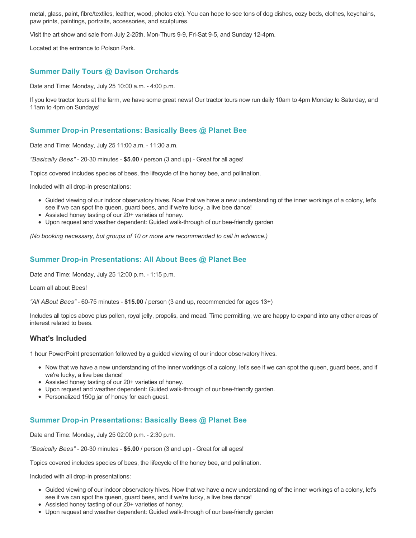metal, glass, paint, fibre/textiles, leather, wood, photos etc). You can hope to see tons of dog dishes, cozy beds, clothes, keychains, paw prints, paintings, portraits, accessories, and sculptures.

Visit the art show and sale from July 2-25th, Mon-Thurs 9-9, Fri-Sat 9-5, and Sunday 12-4pm.

Located at the entrance to Polson Park.

# **Summer Daily Tours @ Davison Orchards**

Date and Time: Monday, July 25 10:00 a.m. - 4:00 p.m.

If you love tractor tours at the farm, we have some great news! Our tractor tours now run daily 10am to 4pm Monday to Saturday, and 11am to 4pm on Sundays!

## **Summer Drop-in Presentations: Basically Bees @ Planet Bee**

Date and Time: Monday, July 25 11:00 a.m. - 11:30 a.m.

*"Basically Bees"* - 20-30 minutes - **\$5.00** / person (3 and up) - Great for all ages!

Topics covered includes species of bees, the lifecycle of the honey bee, and pollination.

Included with all drop-in presentations:

- Guided viewing of our indoor observatory hives. Now that we have a new understanding of the inner workings of a colony, let's see if we can spot the queen, guard bees, and if we're lucky, a live bee dance!
- Assisted honey tasting of our 20+ varieties of honey.
- Upon request and weather dependent: Guided walk-through of our bee-friendly garden

*(No booking necessary, but groups of 10 or more are recommended to call in advance.)*

# **Summer Drop-in Presentations: All About Bees @ Planet Bee**

Date and Time: Monday, July 25 12:00 p.m. - 1:15 p.m.

Learn all about Bees!

*"All ABout Bees"* - 60-75 minutes - **\$15.00** / person (3 and up, recommended for ages 13+)

Includes all topics above plus pollen, royal jelly, propolis, and mead. Time permitting, we are happy to expand into any other areas of interest related to bees.

### **What's Included**

1 hour PowerPoint presentation followed by a guided viewing of our indoor observatory hives.

- Now that we have a new understanding of the inner workings of a colony, let's see if we can spot the queen, guard bees, and if we're lucky, a live bee dance!
- Assisted honey tasting of our 20+ varieties of honey.
- Upon request and weather dependent: Guided walk-through of our bee-friendly garden.
- Personalized 150g jar of honey for each guest.

### **Summer Drop-in Presentations: Basically Bees @ Planet Bee**

Date and Time: Monday, July 25 02:00 p.m. - 2:30 p.m.

*"Basically Bees"* - 20-30 minutes - **\$5.00** / person (3 and up) - Great for all ages!

Topics covered includes species of bees, the lifecycle of the honey bee, and pollination.

Included with all drop-in presentations:

- Guided viewing of our indoor observatory hives. Now that we have a new understanding of the inner workings of a colony, let's see if we can spot the queen, guard bees, and if we're lucky, a live bee dance!
- Assisted honey tasting of our 20+ varieties of honey.
- Upon request and weather dependent: Guided walk-through of our bee-friendly garden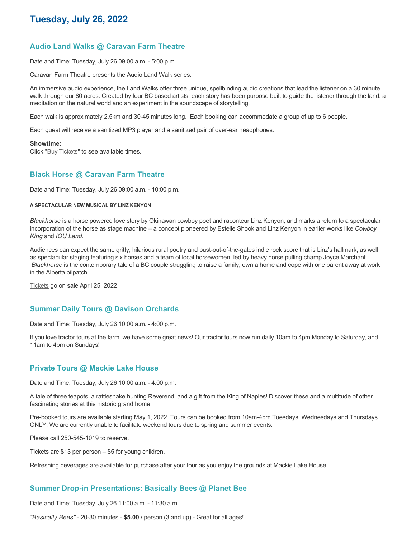# **Audio Land Walks @ Caravan Farm Theatre**

Date and Time: Tuesday, July 26 09:00 a.m. - 5:00 p.m.

Caravan Farm Theatre presents the Audio Land Walk series.

An immersive audio experience, the Land Walks offer three unique, spellbinding audio creations that lead the listener on a 30 minute walk through our 80 acres. Created by four BC based artists, each story has been purpose built to guide the listener through the land: a meditation on the natural world and an experiment in the soundscape of storytelling.

Each walk is approximately 2.5km and 30-45 minutes long. Each booking can accommodate a group of up to 6 people.

Each guest will receive a sanitized MP3 player and a sanitized pair of over-ear headphones.

#### **Showtime:**

Click "[Buy Tickets](https://caravanfarmtheatre.com/show/the-land-walks/?ct=t%28EMAIL_CAMPAIGN_4_19_2022_13_43SEASON+2022%29&mc_cid=c02afad356&mc_eid=4778eb8892)" to see available times.

#### **Black Horse @ Caravan Farm Theatre**

Date and Time: Tuesday, July 26 09:00 a.m. - 10:00 p.m.

#### **A SPECTACULAR NEW MUSICAL BY LINZ KENYON**

*Blackhorse* is a horse powered love story by Okinawan cowboy poet and raconteur Linz Kenyon, and marks a return to a spectacular incorporation of the horse as stage machine – a concept pioneered by Estelle Shook and Linz Kenyon in earlier works like *Cowboy King* and *IOU Land*.

Audiences can expect the same gritty, hilarious rural poetry and bust-out-of-the-gates indie rock score that is Linz's hallmark, as well as spectacular staging featuring six horses and a team of local horsewomen, led by heavy horse pulling champ Joyce Marchant. *Blackhorse* is the contemporary tale of a BC couple struggling to raise a family, own a home and cope with one parent away at work in the Alberta oilpatch.

[Tickets](https://caravanfarmtheatre.com/show/blackhorse-2/?ct=t%28EMAIL_CAMPAIGN_4_19_2022_13_43SEASON+2022%29&mc_cid=c02afad356&mc_eid=4778eb8892) go on sale April 25, 2022.

### **Summer Daily Tours @ Davison Orchards**

Date and Time: Tuesday, July 26 10:00 a.m. - 4:00 p.m.

If you love tractor tours at the farm, we have some great news! Our tractor tours now run daily 10am to 4pm Monday to Saturday, and 11am to 4pm on Sundays!

### **Private Tours @ Mackie Lake House**

Date and Time: Tuesday, July 26 10:00 a.m. - 4:00 p.m.

A tale of three teapots, a rattlesnake hunting Reverend, and a gift from the King of Naples! Discover these and a multitude of other fascinating stories at this historic grand home.

Pre-booked tours are available starting May 1, 2022. Tours can be booked from 10am-4pm Tuesdays, Wednesdays and Thursdays ONLY. We are currently unable to facilitate weekend tours due to spring and summer events.

Please call 250-545-1019 to reserve.

Tickets are \$13 per person – \$5 for young children.

Refreshing beverages are available for purchase after your tour as you enjoy the grounds at Mackie Lake House.

### **Summer Drop-in Presentations: Basically Bees @ Planet Bee**

Date and Time: Tuesday, July 26 11:00 a.m. - 11:30 a.m.

*"Basically Bees"* - 20-30 minutes - **\$5.00** / person (3 and up) - Great for all ages!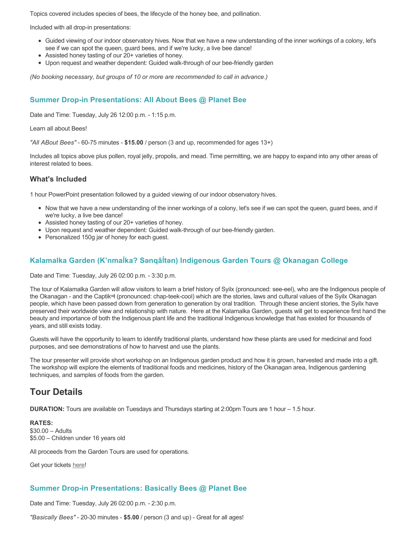Topics covered includes species of bees, the lifecycle of the honey bee, and pollination.

Included with all drop-in presentations:

- Guided viewing of our indoor observatory hives. Now that we have a new understanding of the inner workings of a colony, let's see if we can spot the queen, guard bees, and if we're lucky, a live bee dance!
- Assisted honey tasting of our 20+ varieties of honey.
- Upon request and weather dependent: Guided walk-through of our bee-friendly garden

*(No booking necessary, but groups of 10 or more are recommended to call in advance.)*

# **Summer Drop-in Presentations: All About Bees @ Planet Bee**

Date and Time: Tuesday, July 26 12:00 p.m. - 1:15 p.m.

Learn all about Bees!

*"All ABout Bees"* - 60-75 minutes - **\$15.00** / person (3 and up, recommended for ages 13+)

Includes all topics above plus pollen, royal jelly, propolis, and mead. Time permitting, we are happy to expand into any other areas of interest related to bees.

#### **What's Included**

1 hour PowerPoint presentation followed by a guided viewing of our indoor observatory hives.

- Now that we have a new understanding of the inner workings of a colony, let's see if we can spot the queen, guard bees, and if we're lucky, a live bee dance!
- Assisted honey tasting of our 20+ varieties of honey.
- Upon request and weather dependent: Guided walk-through of our bee-friendly garden.
- Personalized 150g jar of honey for each guest.

# **Kalamalka Garden (K'nmaĺka? Sәnqâĺtәn) Indigenous Garden Tours @ Okanagan College**

Date and Time: Tuesday, July 26 02:00 p.m. - 3:30 p.m.

The tour of Kalamalka Garden will allow visitors to learn a brief history of Syilx (pronounced: see-eel), who are the Indigenous people of the Okanagan - and the Captikʷł (pronounced: chap-teek-cool) which are the stories, laws and cultural values of the Syilx Okanagan people, which have been passed down from generation to generation by oral tradition. Through these ancient stories, the Syilx have preserved their worldwide view and relationship with nature. Here at the Kalamalka Garden, guests will get to experience first hand the beauty and importance of both the Indigenous plant life and the traditional Indigenous knowledge that has existed for thousands of years, and still exists today.

Guests will have the opportunity to learn to identify traditional plants, understand how these plants are used for medicinal and food purposes, and see demonstrations of how to harvest and use the plants.

The tour presenter will provide short workshop on an Indigenous garden product and how it is grown, harvested and made into a gift. The workshop will explore the elements of traditional foods and medicines, history of the Okanagan area, Indigenous gardening techniques, and samples of foods from the garden.

# **Tour Details**

**DURATION:** Tours are available on Tuesdays and Thursdays starting at 2:00pm Tours are 1 hour – 1.5 hour.

**RATES:** \$30.00 – Adults \$5.00 – Children under 16 years old

All proceeds from the Garden Tours are used for operations.

Get your tickets [here!](https://www.eventbrite.ca/e/kalamalka-garden-tour-tickets-158617843239)

### **Summer Drop-in Presentations: Basically Bees @ Planet Bee**

Date and Time: Tuesday, July 26 02:00 p.m. - 2:30 p.m.

*"Basically Bees"* - 20-30 minutes - **\$5.00** / person (3 and up) - Great for all ages!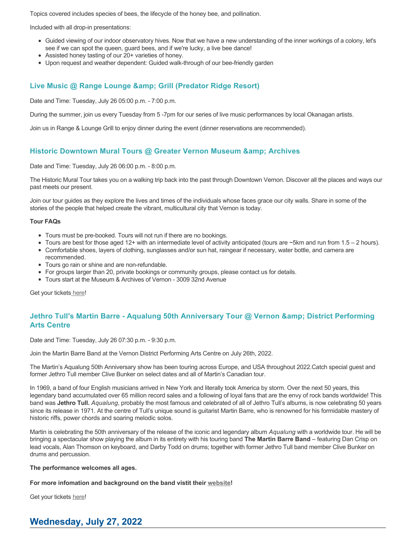Topics covered includes species of bees, the lifecycle of the honey bee, and pollination.

Included with all drop-in presentations:

- Guided viewing of our indoor observatory hives. Now that we have a new understanding of the inner workings of a colony, let's see if we can spot the queen, guard bees, and if we're lucky, a live bee dance!
- Assisted honey tasting of our 20+ varieties of honey.
- Upon request and weather dependent: Guided walk-through of our bee-friendly garden

# **Live Music @ Range Lounge & Grill (Predator Ridge Resort)**

Date and Time: Tuesday, July 26 05:00 p.m. - 7:00 p.m.

During the summer, join us every Tuesday from 5 -7pm for our series of live music performances by local Okanagan artists.

Join us in Range & Lounge Grill to enjoy dinner during the event (dinner reservations are recommended).

# **Historic Downtown Mural Tours @ Greater Vernon Museum & Archives**

Date and Time: Tuesday, July 26 06:00 p.m. - 8:00 p.m.

The Historic Mural Tour takes you on a walking trip back into the past through Downtown Vernon. Discover all the places and ways our past meets our present.

Join our tour guides as they explore the lives and times of the individuals whose faces grace our city walls. Share in some of the stories of the people that helped create the vibrant, multicultural city that Vernon is today.

#### **Tour FAQs**

- Tours must be pre-booked. Tours will not run if there are no bookings.
- Tours are best for those aged 12+ with an intermediate level of activity anticipated (tours are  $\sim$ 5km and run from 1.5 2 hours).
- Comfortable shoes, layers of clothing, sunglasses and/or sun hat, raingear if necessary, water bottle, and camera are recommended.
- Tours go rain or shine and are non-refundable.
- For groups larger than 20, private bookings or community groups, please contact us for details.
- Tours start at the Museum & Archives of Vernon 3009 32nd Avenue

Get your tickets [here!](https://www.eventbrite.com/e/historic-downtown-mural-tours-tickets-304983342387)

# **Jethro Tull's Martin Barre - Aqualung 50th Anniversary Tour @ Vernon & amp: District Performing Arts Centre**

Date and Time: Tuesday, July 26 07:30 p.m. - 9:30 p.m.

Join the Martin Barre Band at the Vernon District Performing Arts Centre on July 26th, 2022.

The Martin's Aqualung 50th Anniversary show has been touring across Europe, and USA throughout 2022.Catch special guest and former Jethro Tull member Clive Bunker on select dates and all of Martin's Canadian tour.

In 1969, a band of four English musicians arrived in New York and literally took America by storm. Over the next 50 years, this legendary band accumulated over 65 million record sales and a following of loyal fans that are the envy of rock bands worldwide! This band was **Jethro Tull.** *Aqualung*, probably the most famous and celebrated of all of Jethro Tull's albums, is now celebrating 50 years since its release in 1971. At the centre of Tull's unique sound is guitarist Martin Barre, who is renowned for his formidable mastery of historic riffs, power chords and soaring melodic solos.

Martin is celebrating the 50th anniversary of the release of the iconic and legendary album *Aqualung* with a worldwide tour. He will be bringing a spectacular show playing the album in its entirety with his touring band **The Martin Barre Band** – featuring Dan Crisp on lead vocals, Alan Thomson on keyboard, and Darby Todd on drums; together with former Jethro Tull band member Clive Bunker on drums and percussion.

#### **The performance welcomes all ages.**

**For more infomation and background on the band vistit their [website!](https://martinbarre.com/martin-barre-tour/)**

Get your tickets [here!](https://tickets.ticketseller.ca/TheatreManager/1/login&event=2917)

# **Wednesday, July 27, 2022**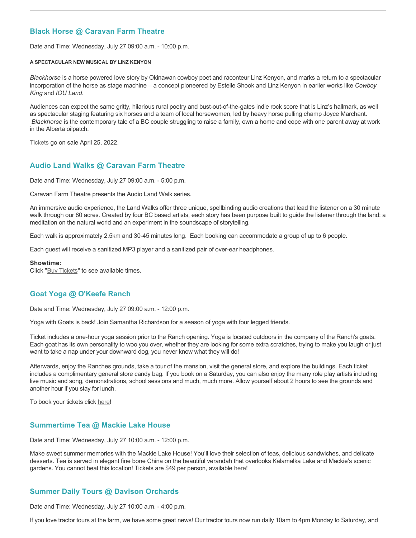## **Black Horse @ Caravan Farm Theatre**

Date and Time: Wednesday, July 27 09:00 a.m. - 10:00 p.m.

#### **A SPECTACULAR NEW MUSICAL BY LINZ KENYON**

*Blackhorse* is a horse powered love story by Okinawan cowboy poet and raconteur Linz Kenyon, and marks a return to a spectacular incorporation of the horse as stage machine – a concept pioneered by Estelle Shook and Linz Kenyon in earlier works like *Cowboy King* and *IOU Land*.

Audiences can expect the same gritty, hilarious rural poetry and bust-out-of-the-gates indie rock score that is Linz's hallmark, as well as spectacular staging featuring six horses and a team of local horsewomen, led by heavy horse pulling champ Joyce Marchant. *Blackhorse* is the contemporary tale of a BC couple struggling to raise a family, own a home and cope with one parent away at work in the Alberta oilpatch.

[Tickets](https://caravanfarmtheatre.com/show/blackhorse-2/?ct=t%28EMAIL_CAMPAIGN_4_19_2022_13_43SEASON+2022%29&mc_cid=c02afad356&mc_eid=4778eb8892) go on sale April 25, 2022.

### **Audio Land Walks @ Caravan Farm Theatre**

Date and Time: Wednesday, July 27 09:00 a.m. - 5:00 p.m.

Caravan Farm Theatre presents the Audio Land Walk series.

An immersive audio experience, the Land Walks offer three unique, spellbinding audio creations that lead the listener on a 30 minute walk through our 80 acres. Created by four BC based artists, each story has been purpose built to guide the listener through the land: a meditation on the natural world and an experiment in the soundscape of storytelling.

Each walk is approximately 2.5km and 30-45 minutes long. Each booking can accommodate a group of up to 6 people.

Each guest will receive a sanitized MP3 player and a sanitized pair of over-ear headphones.

#### **Showtime:**

Click "[Buy Tickets](https://caravanfarmtheatre.com/show/the-land-walks/?ct=t%28EMAIL_CAMPAIGN_4_19_2022_13_43SEASON+2022%29&mc_cid=c02afad356&mc_eid=4778eb8892)" to see available times.

### **Goat Yoga @ O'Keefe Ranch**

Date and Time: Wednesday, July 27 09:00 a.m. - 12:00 p.m.

Yoga with Goats is back! Join Samantha Richardson for a season of yoga with four legged friends.

Ticket includes a one-hour yoga session prior to the Ranch opening. Yoga is located outdoors in the company of the Ranch's goats. Each goat has its own personality to woo you over, whether they are looking for some extra scratches, trying to make you laugh or just want to take a nap under your downward dog, you never know what they will do!

Afterwards, enjoy the Ranches grounds, take a tour of the mansion, visit the general store, and explore the buildings. Each ticket includes a complimentary general store candy bag. If you book on a Saturday, you can also enjoy the many role play artists including live music and song, demonstrations, school sessions and much, much more. Allow yourself about 2 hours to see the grounds and another hour if you stay for lunch.

To book your tickets click [here!](https://tickets.ticketseller.ca/TheatreManager/1/login&event=3417)

### **Summertime Tea @ Mackie Lake House**

Date and Time: Wednesday, July 27 10:00 a.m. - 12:00 p.m.

Make sweet summer memories with the Mackie Lake House! You'll love their selection of teas, delicious sandwiches, and delicate desserts. Tea is served in elegant fine bone China on the beautiful verandah that overlooks Kalamalka Lake and Mackie's scenic gardens. You cannot beat this location! Tickets are \$49 per person, available [here](https://tickets.ticketseller.ca/TheatreManager/1/login&event=3455)!

# **Summer Daily Tours @ Davison Orchards**

Date and Time: Wednesday, July 27 10:00 a.m. - 4:00 p.m.

If you love tractor tours at the farm, we have some great news! Our tractor tours now run daily 10am to 4pm Monday to Saturday, and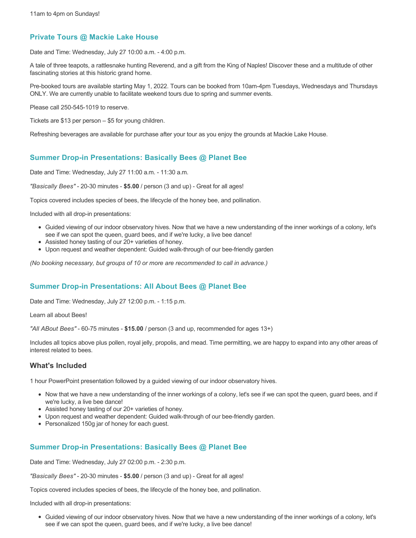#### **Private Tours @ Mackie Lake House**

Date and Time: Wednesday, July 27 10:00 a.m. - 4:00 p.m.

A tale of three teapots, a rattlesnake hunting Reverend, and a gift from the King of Naples! Discover these and a multitude of other fascinating stories at this historic grand home.

Pre-booked tours are available starting May 1, 2022. Tours can be booked from 10am-4pm Tuesdays, Wednesdays and Thursdays ONLY. We are currently unable to facilitate weekend tours due to spring and summer events.

Please call 250-545-1019 to reserve.

Tickets are \$13 per person – \$5 for young children.

Refreshing beverages are available for purchase after your tour as you enjoy the grounds at Mackie Lake House.

#### **Summer Drop-in Presentations: Basically Bees @ Planet Bee**

Date and Time: Wednesday, July 27 11:00 a.m. - 11:30 a.m.

*"Basically Bees"* - 20-30 minutes - **\$5.00** / person (3 and up) - Great for all ages!

Topics covered includes species of bees, the lifecycle of the honey bee, and pollination.

Included with all drop-in presentations:

- Guided viewing of our indoor observatory hives. Now that we have a new understanding of the inner workings of a colony, let's see if we can spot the queen, guard bees, and if we're lucky, a live bee dance!
- Assisted honey tasting of our 20+ varieties of honey.
- Upon request and weather dependent: Guided walk-through of our bee-friendly garden

*(No booking necessary, but groups of 10 or more are recommended to call in advance.)*

#### **Summer Drop-in Presentations: All About Bees @ Planet Bee**

Date and Time: Wednesday, July 27 12:00 p.m. - 1:15 p.m.

Learn all about Bees!

*"All ABout Bees"* - 60-75 minutes - **\$15.00** / person (3 and up, recommended for ages 13+)

Includes all topics above plus pollen, royal jelly, propolis, and mead. Time permitting, we are happy to expand into any other areas of interest related to bees.

#### **What's Included**

1 hour PowerPoint presentation followed by a guided viewing of our indoor observatory hives.

- Now that we have a new understanding of the inner workings of a colony, let's see if we can spot the queen, guard bees, and if we're lucky, a live bee dance!
- Assisted honey tasting of our 20+ varieties of honey.
- Upon request and weather dependent: Guided walk-through of our bee-friendly garden.
- Personalized 150g jar of honey for each guest.

#### **Summer Drop-in Presentations: Basically Bees @ Planet Bee**

Date and Time: Wednesday, July 27 02:00 p.m. - 2:30 p.m.

*"Basically Bees"* - 20-30 minutes - **\$5.00** / person (3 and up) - Great for all ages!

Topics covered includes species of bees, the lifecycle of the honey bee, and pollination.

Included with all drop-in presentations:

Guided viewing of our indoor observatory hives. Now that we have a new understanding of the inner workings of a colony, let's see if we can spot the queen, guard bees, and if we're lucky, a live bee dance!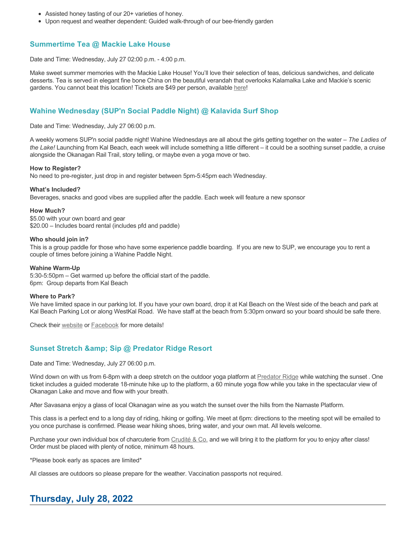- Assisted honey tasting of our 20+ varieties of honey.
- Upon request and weather dependent: Guided walk-through of our bee-friendly garden

# **Summertime Tea @ Mackie Lake House**

Date and Time: Wednesday, July 27 02:00 p.m. - 4:00 p.m.

Make sweet summer memories with the Mackie Lake House! You'll love their selection of teas, delicious sandwiches, and delicate desserts. Tea is served in elegant fine bone China on the beautiful verandah that overlooks Kalamalka Lake and Mackie's scenic gardens. You cannot beat this location! Tickets are \$49 per person, available [here](https://tickets.ticketseller.ca/TheatreManager/1/login&event=3455)!

#### **Wahine Wednesday (SUP'n Social Paddle Night) @ Kalavida Surf Shop**

Date and Time: Wednesday, July 27 06:00 p.m.

A weekly womens SUP'n social paddle night! Wahine Wednesdays are all about the girls getting together on the water – *The Ladies of the Lake!* Launching from Kal Beach, each week will include something a little different – it could be a soothing sunset paddle, a cruise alongside the Okanagan Rail Trail, story telling, or maybe even a yoga move or two.

#### **How to Register?**

No need to pre-register, just drop in and register between 5pm-5:45pm each Wednesday.

#### **What's Included?**

Beverages, snacks and good vibes are supplied after the paddle. Each week will feature a new sponsor

#### **How Much?**

\$5.00 with your own board and gear \$20.00 – Includes board rental (includes pfd and paddle)

#### **Who should join in?**

This is a group paddle for those who have some experience paddle boarding. If you are new to SUP, we encourage you to rent a couple of times before joining a Wahine Paddle Night.

#### **Wahine Warm-Up**

5:30-5:50pm – Get warmed up before the official start of the paddle. 6pm: Group departs from Kal Beach

#### **Where to Park?**

We have limited space in our parking lot. If you have your own board, drop it at Kal Beach on the West side of the beach and park at Kal Beach Parking Lot or along WestKal Road. We have staff at the beach from 5:30pm onward so your board should be safe there.

Check their [website](https://kalavidasurfshop.com/wahine-wednesday-kalavida/) or [Facebook](https://www.facebook.com/kalavidasurfshop/) for more details!

#### **Sunset Stretch & amp; Sip @ Predator Ridge Resort**

Date and Time: Wednesday, July 27 06:00 p.m.

Wind down on with us from 6-8pm with a deep stretch on the outdoor yoga platform at [Predator Ridge](https://www.predatorridge.com/events) while watching the sunset. One ticket includes a guided moderate 18-minute hike up to the platform, a 60 minute yoga flow while you take in the spectacular view of Okanagan Lake and move and flow with your breath.

After Savasana enjoy a glass of local Okanagan wine as you watch the sunset over the hills from the Namaste Platform.

This class is a perfect end to a long day of riding, hiking or golfing. We meet at 6pm: directions to the meeting spot will be emailed to you once purchase is confirmed. Please wear hiking shoes, bring water, and your own mat. All levels welcome.

Purchase your own individual box of charcuterie from [Crudité & Co.](https://cruditeandco.com/product/picnic-platter/) and we will bring it to the platform for you to enjoy after class! Order must be placed with plenty of notice, minimum 48 hours.

\*Please book early as spaces are limited\*

All classes are outdoors so please prepare for the weather. Vaccination passports not required.

# **Thursday, July 28, 2022**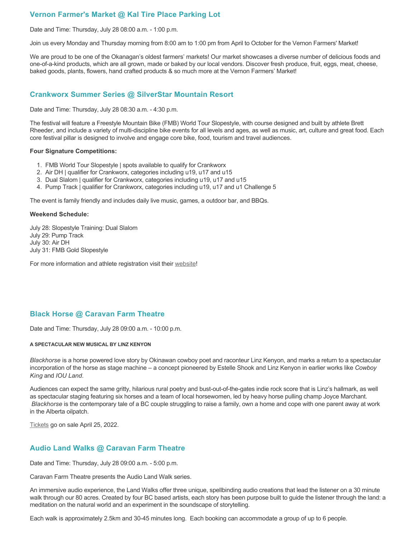# **Vernon Farmer's Market @ Kal Tire Place Parking Lot**

Date and Time: Thursday, July 28 08:00 a.m. - 1:00 p.m.

Join us every Monday and Thursday morning from 8:00 am to 1:00 pm from April to October for the Vernon Farmers' Market!

We are proud to be one of the Okanagan's oldest farmers' markets! Our market showcases a diverse number of delicious foods and one-of-a-kind products, which are all grown, made or baked by our local vendors. Discover fresh produce, fruit, eggs, meat, cheese, baked goods, plants, flowers, hand crafted products & so much more at the Vernon Farmers' Market!

# **Crankworx Summer Series @ SilverStar Mountain Resort**

Date and Time: Thursday, July 28 08:30 a.m. - 4:30 p.m.

The festival will feature a Freestyle Mountain Bike (FMB) World Tour Slopestyle, with course designed and built by athlete Brett Rheeder, and include a variety of multi-discipline bike events for all levels and ages, as well as music, art, culture and great food. Each core festival pillar is designed to involve and engage core bike, food, tourism and travel audiences.

#### **Four Signature Competitions:**

- 1. FMB World Tour Slopestyle | spots available to qualify for Crankworx
- 2. Air DH | qualifier for Crankworx, categories including u19, u17 and u15
- 3. Dual Slalom | qualifier for Crankworx, categories including u19, u17 and u15
- 4. Pump Track | qualifier for Crankworx, categories including u19, u17 and u1 Challenge 5

The event is family friendly and includes daily live music, games, a outdoor bar, and BBQs.

#### **Weekend Schedule:**

July 28: Slopestyle Training: Dual Slalom July 29: Pump Track July 30: Air DH July 31: FMB Gold Slopestyle

For more information and athlete registration visit their [website](https://www.crankworx.com/crankworx-summer-series-canada/silverstar/)!

# **Black Horse @ Caravan Farm Theatre**

Date and Time: Thursday, July 28 09:00 a.m. - 10:00 p.m.

#### **A SPECTACULAR NEW MUSICAL BY LINZ KENYON**

*Blackhorse* is a horse powered love story by Okinawan cowboy poet and raconteur Linz Kenyon, and marks a return to a spectacular incorporation of the horse as stage machine – a concept pioneered by Estelle Shook and Linz Kenyon in earlier works like *Cowboy King* and *IOU Land*.

Audiences can expect the same gritty, hilarious rural poetry and bust-out-of-the-gates indie rock score that is Linz's hallmark, as well as spectacular staging featuring six horses and a team of local horsewomen, led by heavy horse pulling champ Joyce Marchant. *Blackhorse* is the contemporary tale of a BC couple struggling to raise a family, own a home and cope with one parent away at work in the Alberta oilpatch.

[Tickets](https://caravanfarmtheatre.com/show/blackhorse-2/?ct=t%28EMAIL_CAMPAIGN_4_19_2022_13_43SEASON+2022%29&mc_cid=c02afad356&mc_eid=4778eb8892) go on sale April 25, 2022.

### **Audio Land Walks @ Caravan Farm Theatre**

Date and Time: Thursday, July 28 09:00 a.m. - 5:00 p.m.

Caravan Farm Theatre presents the Audio Land Walk series.

An immersive audio experience, the Land Walks offer three unique, spellbinding audio creations that lead the listener on a 30 minute walk through our 80 acres. Created by four BC based artists, each story has been purpose built to guide the listener through the land: a meditation on the natural world and an experiment in the soundscape of storytelling.

Each walk is approximately 2.5km and 30-45 minutes long. Each booking can accommodate a group of up to 6 people.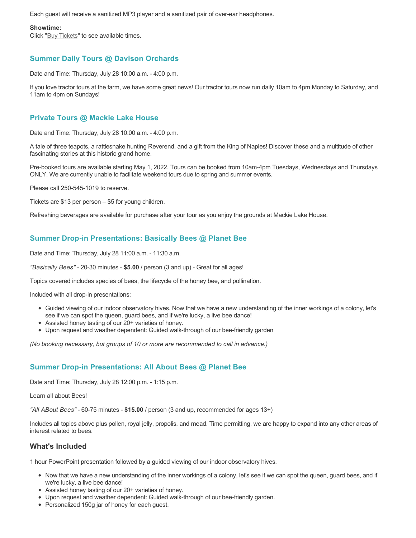Each guest will receive a sanitized MP3 player and a sanitized pair of over-ear headphones.

#### **Showtime:**

Click "[Buy Tickets](https://caravanfarmtheatre.com/show/the-land-walks/?ct=t%28EMAIL_CAMPAIGN_4_19_2022_13_43SEASON+2022%29&mc_cid=c02afad356&mc_eid=4778eb8892)" to see available times.

# **Summer Daily Tours @ Davison Orchards**

Date and Time: Thursday, July 28 10:00 a.m. - 4:00 p.m.

If you love tractor tours at the farm, we have some great news! Our tractor tours now run daily 10am to 4pm Monday to Saturday, and 11am to 4pm on Sundays!

# **Private Tours @ Mackie Lake House**

Date and Time: Thursday, July 28 10:00 a.m. - 4:00 p.m.

A tale of three teapots, a rattlesnake hunting Reverend, and a gift from the King of Naples! Discover these and a multitude of other fascinating stories at this historic grand home.

Pre-booked tours are available starting May 1, 2022. Tours can be booked from 10am-4pm Tuesdays, Wednesdays and Thursdays ONLY. We are currently unable to facilitate weekend tours due to spring and summer events.

Please call 250-545-1019 to reserve.

Tickets are \$13 per person – \$5 for young children.

Refreshing beverages are available for purchase after your tour as you enjoy the grounds at Mackie Lake House.

# **Summer Drop-in Presentations: Basically Bees @ Planet Bee**

Date and Time: Thursday, July 28 11:00 a.m. - 11:30 a.m.

*"Basically Bees"* - 20-30 minutes - **\$5.00** / person (3 and up) - Great for all ages!

Topics covered includes species of bees, the lifecycle of the honey bee, and pollination.

Included with all drop-in presentations:

- Guided viewing of our indoor observatory hives. Now that we have a new understanding of the inner workings of a colony, let's see if we can spot the queen, guard bees, and if we're lucky, a live bee dance!
- Assisted honey tasting of our 20+ varieties of honey.
- Upon request and weather dependent: Guided walk-through of our bee-friendly garden

*(No booking necessary, but groups of 10 or more are recommended to call in advance.)*

### **Summer Drop-in Presentations: All About Bees @ Planet Bee**

Date and Time: Thursday, July 28 12:00 p.m. - 1:15 p.m.

Learn all about Bees!

*"All ABout Bees"* - 60-75 minutes - **\$15.00** / person (3 and up, recommended for ages 13+)

Includes all topics above plus pollen, royal jelly, propolis, and mead. Time permitting, we are happy to expand into any other areas of interest related to bees.

#### **What's Included**

1 hour PowerPoint presentation followed by a guided viewing of our indoor observatory hives.

- Now that we have a new understanding of the inner workings of a colony, let's see if we can spot the queen, guard bees, and if we're lucky, a live bee dance!
- Assisted honey tasting of our 20+ varieties of honey.
- Upon request and weather dependent: Guided walk-through of our bee-friendly garden.
- Personalized 150g jar of honey for each guest.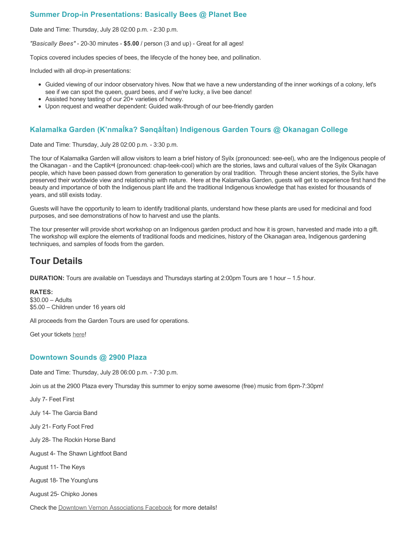# **Summer Drop-in Presentations: Basically Bees @ Planet Bee**

Date and Time: Thursday, July 28 02:00 p.m. - 2:30 p.m.

*"Basically Bees"* - 20-30 minutes - **\$5.00** / person (3 and up) - Great for all ages!

Topics covered includes species of bees, the lifecycle of the honey bee, and pollination.

Included with all drop-in presentations:

- Guided viewing of our indoor observatory hives. Now that we have a new understanding of the inner workings of a colony, let's see if we can spot the queen, guard bees, and if we're lucky, a live bee dance!
- Assisted honey tasting of our 20+ varieties of honey.
- Upon request and weather dependent: Guided walk-through of our bee-friendly garden

# **Kalamalka Garden (K'nmaĺka? Sәnqâĺtәn) Indigenous Garden Tours @ Okanagan College**

Date and Time: Thursday, July 28 02:00 p.m. - 3:30 p.m.

The tour of Kalamalka Garden will allow visitors to learn a brief history of Syilx (pronounced: see-eel), who are the Indigenous people of the Okanagan - and the Captikʷł (pronounced: chap-teek-cool) which are the stories, laws and cultural values of the Syilx Okanagan people, which have been passed down from generation to generation by oral tradition. Through these ancient stories, the Syilx have preserved their worldwide view and relationship with nature. Here at the Kalamalka Garden, guests will get to experience first hand the beauty and importance of both the Indigenous plant life and the traditional Indigenous knowledge that has existed for thousands of years, and still exists today.

Guests will have the opportunity to learn to identify traditional plants, understand how these plants are used for medicinal and food purposes, and see demonstrations of how to harvest and use the plants.

The tour presenter will provide short workshop on an Indigenous garden product and how it is grown, harvested and made into a gift. The workshop will explore the elements of traditional foods and medicines, history of the Okanagan area, Indigenous gardening techniques, and samples of foods from the garden.

# **Tour Details**

**DURATION:** Tours are available on Tuesdays and Thursdays starting at 2:00pm Tours are 1 hour – 1.5 hour.

**RATES:** \$30.00 – Adults \$5.00 – Children under 16 years old

All proceeds from the Garden Tours are used for operations.

Get your tickets [here!](https://www.eventbrite.ca/e/kalamalka-garden-tour-tickets-158617843239)

#### **Downtown Sounds @ 2900 Plaza**

Date and Time: Thursday, July 28 06:00 p.m. - 7:30 p.m.

Join us at the 2900 Plaza every Thursday this summer to enjoy some awesome (free) music from 6pm-7:30pm!

July 7- Feet First

July 14- The Garcia Band

July 21- Forty Foot Fred

July 28- The Rockin Horse Band

August 4- The Shawn Lightfoot Band

August 11- The Keys

August 18- The Young'uns

August 25- Chipko Jones

Check the [Downtown Vernon Associations Facebook](https://www.facebook.com/downtownvernon/) for more details!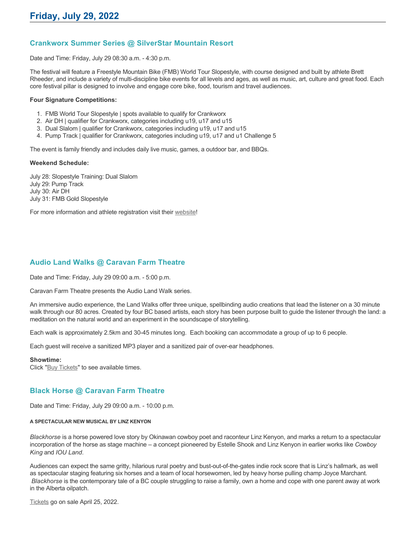# **Crankworx Summer Series @ SilverStar Mountain Resort**

Date and Time: Friday, July 29 08:30 a.m. - 4:30 p.m.

The festival will feature a Freestyle Mountain Bike (FMB) World Tour Slopestyle, with course designed and built by athlete Brett Rheeder, and include a variety of multi-discipline bike events for all levels and ages, as well as music, art, culture and great food. Each core festival pillar is designed to involve and engage core bike, food, tourism and travel audiences.

#### **Four Signature Competitions:**

- 1. FMB World Tour Slopestyle | spots available to qualify for Crankworx
- 2. Air DH | qualifier for Crankworx, categories including u19, u17 and u15
- 3. Dual Slalom | qualifier for Crankworx, categories including u19, u17 and u15
- 4. Pump Track | qualifier for Crankworx, categories including u19, u17 and u1 Challenge 5

The event is family friendly and includes daily live music, games, a outdoor bar, and BBQs.

#### **Weekend Schedule:**

July 28: Slopestyle Training: Dual Slalom July 29: Pump Track July 30: Air DH July 31: FMB Gold Slopestyle

For more information and athlete registration visit their [website](https://www.crankworx.com/crankworx-summer-series-canada/silverstar/)!

# **Audio Land Walks @ Caravan Farm Theatre**

Date and Time: Friday, July 29 09:00 a.m. - 5:00 p.m.

Caravan Farm Theatre presents the Audio Land Walk series.

An immersive audio experience, the Land Walks offer three unique, spellbinding audio creations that lead the listener on a 30 minute walk through our 80 acres. Created by four BC based artists, each story has been purpose built to guide the listener through the land: a meditation on the natural world and an experiment in the soundscape of storytelling.

Each walk is approximately 2.5km and 30-45 minutes long. Each booking can accommodate a group of up to 6 people.

Each guest will receive a sanitized MP3 player and a sanitized pair of over-ear headphones.

#### **Showtime:**

Click "[Buy Tickets](https://caravanfarmtheatre.com/show/the-land-walks/?ct=t%28EMAIL_CAMPAIGN_4_19_2022_13_43SEASON+2022%29&mc_cid=c02afad356&mc_eid=4778eb8892)" to see available times.

### **Black Horse @ Caravan Farm Theatre**

Date and Time: Friday, July 29 09:00 a.m. - 10:00 p.m.

#### **A SPECTACULAR NEW MUSICAL BY LINZ KENYON**

*Blackhorse* is a horse powered love story by Okinawan cowboy poet and raconteur Linz Kenyon, and marks a return to a spectacular incorporation of the horse as stage machine – a concept pioneered by Estelle Shook and Linz Kenyon in earlier works like *Cowboy King* and *IOU Land*.

Audiences can expect the same gritty, hilarious rural poetry and bust-out-of-the-gates indie rock score that is Linz's hallmark, as well as spectacular staging featuring six horses and a team of local horsewomen, led by heavy horse pulling champ Joyce Marchant. *Blackhorse* is the contemporary tale of a BC couple struggling to raise a family, own a home and cope with one parent away at work in the Alberta oilpatch.

[Tickets](https://caravanfarmtheatre.com/show/blackhorse-2/?ct=t%28EMAIL_CAMPAIGN_4_19_2022_13_43SEASON+2022%29&mc_cid=c02afad356&mc_eid=4778eb8892) go on sale April 25, 2022.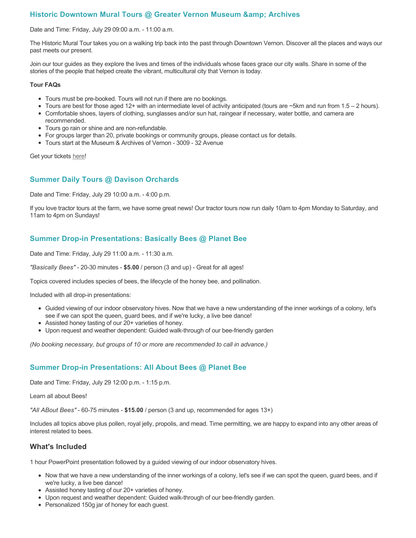# **Historic Downtown Mural Tours @ Greater Vernon Museum & Archives**

#### Date and Time: Friday, July 29 09:00 a.m. - 11:00 a.m.

The Historic Mural Tour takes you on a walking trip back into the past through Downtown Vernon. Discover all the places and ways our past meets our present.

Join our tour guides as they explore the lives and times of the individuals whose faces grace our city walls. Share in some of the stories of the people that helped create the vibrant, multicultural city that Vernon is today.

#### **Tour FAQs**

- Tours must be pre-booked. Tours will not run if there are no bookings.
- Tours are best for those aged 12+ with an intermediate level of activity anticipated (tours are  $\sim$ 5km and run from 1.5 2 hours).
- Comfortable shoes, layers of clothing, sunglasses and/or sun hat, raingear if necessary, water bottle, and camera are recommended.
- Tours go rain or shine and are non-refundable.
- For groups larger than 20, private bookings or community groups, please contact us for details.
- Tours start at the Museum & Archives of Vernon 3009 32 Avenue

Get your tickets [here!](https://www.eventbrite.com/e/historic-downtown-mural-tours-tickets-304983342387)

### **Summer Daily Tours @ Davison Orchards**

Date and Time: Friday, July 29 10:00 a.m. - 4:00 p.m.

If you love tractor tours at the farm, we have some great news! Our tractor tours now run daily 10am to 4pm Monday to Saturday, and 11am to 4pm on Sundays!

### **Summer Drop-in Presentations: Basically Bees @ Planet Bee**

Date and Time: Friday, July 29 11:00 a.m. - 11:30 a.m.

*"Basically Bees"* - 20-30 minutes - **\$5.00** / person (3 and up) - Great for all ages!

Topics covered includes species of bees, the lifecycle of the honey bee, and pollination.

Included with all drop-in presentations:

- Guided viewing of our indoor observatory hives. Now that we have a new understanding of the inner workings of a colony, let's see if we can spot the queen, guard bees, and if we're lucky, a live bee dance!
- Assisted honey tasting of our 20+ varieties of honey.
- Upon request and weather dependent: Guided walk-through of our bee-friendly garden

*(No booking necessary, but groups of 10 or more are recommended to call in advance.)*

### **Summer Drop-in Presentations: All About Bees @ Planet Bee**

Date and Time: Friday, July 29 12:00 p.m. - 1:15 p.m.

Learn all about Bees!

*"All ABout Bees"* - 60-75 minutes - **\$15.00** / person (3 and up, recommended for ages 13+)

Includes all topics above plus pollen, royal jelly, propolis, and mead. Time permitting, we are happy to expand into any other areas of interest related to bees.

#### **What's Included**

1 hour PowerPoint presentation followed by a guided viewing of our indoor observatory hives.

- Now that we have a new understanding of the inner workings of a colony, let's see if we can spot the queen, guard bees, and if we're lucky, a live bee dance!
- Assisted honey tasting of our 20+ varieties of honey.
- Upon request and weather dependent: Guided walk-through of our bee-friendly garden.
- Personalized 150g jar of honey for each guest.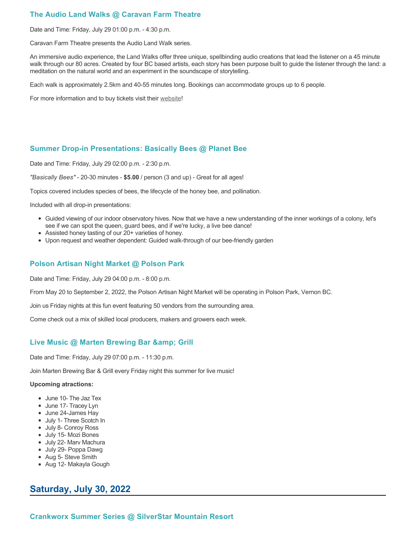# **The Audio Land Walks @ Caravan Farm Theatre**

Date and Time: Friday, July 29 01:00 p.m. - 4:30 p.m.

Caravan Farm Theatre presents the Audio Land Walk series.

An immersive audio experience, the Land Walks offer three unique, spellbinding audio creations that lead the listener on a 45 minute walk through our 80 acres. Created by four BC based artists, each story has been purpose built to guide the listener through the land: a meditation on the natural world and an experiment in the soundscape of storytelling.

Each walk is approximately 2.5km and 40-55 minutes long. Bookings can accommodate groups up to 6 people.

For more information and to buy tickets visit their [website!](https://caravanfarmtheatre.com/show/the-land-walks/)

### **Summer Drop-in Presentations: Basically Bees @ Planet Bee**

Date and Time: Friday, July 29 02:00 p.m. - 2:30 p.m.

*"Basically Bees"* - 20-30 minutes - **\$5.00** / person (3 and up) - Great for all ages!

Topics covered includes species of bees, the lifecycle of the honey bee, and pollination.

Included with all drop-in presentations:

- Guided viewing of our indoor observatory hives. Now that we have a new understanding of the inner workings of a colony, let's see if we can spot the queen, guard bees, and if we're lucky, a live bee dance!
- Assisted honey tasting of our 20+ varieties of honey.
- Upon request and weather dependent: Guided walk-through of our bee-friendly garden

# **Polson Artisan Night Market @ Polson Park**

Date and Time: Friday, July 29 04:00 p.m. - 8:00 p.m.

From May 20 to September 2, 2022, the Polson Artisan Night Market will be operating in Polson Park, Vernon BC.

Join us Friday nights at this fun event featuring 50 vendors from the surrounding area.

Come check out a mix of skilled local producers, makers and growers each week.

### **Live Music @ Marten Brewing Bar & amp; Grill**

Date and Time: Friday, July 29 07:00 p.m. - 11:30 p.m.

Join Marten Brewing Bar & Grill every Friday night this summer for live music!

#### **Upcoming atractions:**

- June 10- The Jaz Tex
- June 17- Tracey Lyn
- June 24-James Hay
- July 1- Three Scotch In
- July 8- Conroy Ross
- July 15- Mozi Bones
- July 22- Marv Machura
- July 29- Poppa Dawg
- Aug 5- Steve Smith
- Aug 12- Makayla Gough

# **Saturday, July 30, 2022**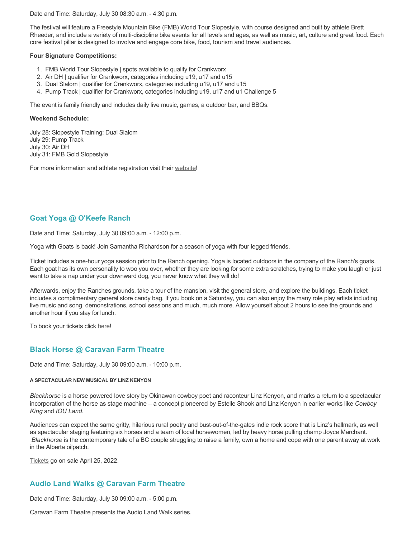Date and Time: Saturday, July 30 08:30 a.m. - 4:30 p.m.

The festival will feature a Freestyle Mountain Bike (FMB) World Tour Slopestyle, with course designed and built by athlete Brett Rheeder, and include a variety of multi-discipline bike events for all levels and ages, as well as music, art, culture and great food. Each core festival pillar is designed to involve and engage core bike, food, tourism and travel audiences.

#### **Four Signature Competitions:**

- 1. FMB World Tour Slopestyle | spots available to qualify for Crankworx
- 2. Air DH | qualifier for Crankworx, categories including u19, u17 and u15
- 3. Dual Slalom | qualifier for Crankworx, categories including u19, u17 and u15
- 4. Pump Track | qualifier for Crankworx, categories including u19, u17 and u1 Challenge 5

The event is family friendly and includes daily live music, games, a outdoor bar, and BBQs.

#### **Weekend Schedule:**

July 28: Slopestyle Training: Dual Slalom July 29: Pump Track July 30: Air DH July 31: FMB Gold Slopestyle

For more information and athlete registration visit their [website](https://www.crankworx.com/crankworx-summer-series-canada/silverstar/)!

# **Goat Yoga @ O'Keefe Ranch**

Date and Time: Saturday, July 30 09:00 a.m. - 12:00 p.m.

Yoga with Goats is back! Join Samantha Richardson for a season of yoga with four legged friends.

Ticket includes a one-hour yoga session prior to the Ranch opening. Yoga is located outdoors in the company of the Ranch's goats. Each goat has its own personality to woo you over, whether they are looking for some extra scratches, trying to make you laugh or just want to take a nap under your downward dog, you never know what they will do!

Afterwards, enjoy the Ranches grounds, take a tour of the mansion, visit the general store, and explore the buildings. Each ticket includes a complimentary general store candy bag. If you book on a Saturday, you can also enjoy the many role play artists including live music and song, demonstrations, school sessions and much, much more. Allow yourself about 2 hours to see the grounds and another hour if you stay for lunch.

To book your tickets click [here!](https://tickets.ticketseller.ca/TheatreManager/1/login&event=3417)

# **Black Horse @ Caravan Farm Theatre**

Date and Time: Saturday, July 30 09:00 a.m. - 10:00 p.m.

#### **A SPECTACULAR NEW MUSICAL BY LINZ KENYON**

*Blackhorse* is a horse powered love story by Okinawan cowboy poet and raconteur Linz Kenyon, and marks a return to a spectacular incorporation of the horse as stage machine – a concept pioneered by Estelle Shook and Linz Kenyon in earlier works like *Cowboy King* and *IOU Land*.

Audiences can expect the same gritty, hilarious rural poetry and bust-out-of-the-gates indie rock score that is Linz's hallmark, as well as spectacular staging featuring six horses and a team of local horsewomen, led by heavy horse pulling champ Joyce Marchant. *Blackhorse* is the contemporary tale of a BC couple struggling to raise a family, own a home and cope with one parent away at work in the Alberta oilpatch.

[Tickets](https://caravanfarmtheatre.com/show/blackhorse-2/?ct=t%28EMAIL_CAMPAIGN_4_19_2022_13_43SEASON+2022%29&mc_cid=c02afad356&mc_eid=4778eb8892) go on sale April 25, 2022.

# **Audio Land Walks @ Caravan Farm Theatre**

Date and Time: Saturday, July 30 09:00 a.m. - 5:00 p.m.

Caravan Farm Theatre presents the Audio Land Walk series.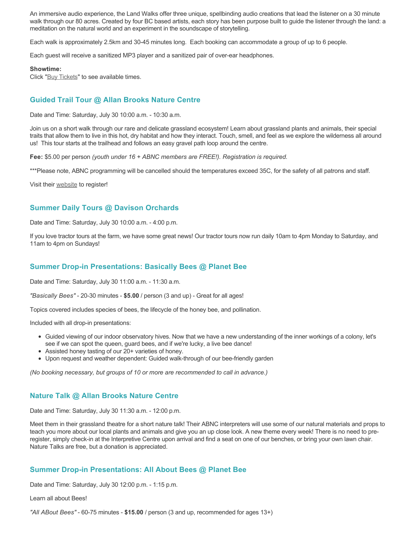An immersive audio experience, the Land Walks offer three unique, spellbinding audio creations that lead the listener on a 30 minute walk through our 80 acres. Created by four BC based artists, each story has been purpose built to guide the listener through the land: a meditation on the natural world and an experiment in the soundscape of storytelling.

Each walk is approximately 2.5km and 30-45 minutes long. Each booking can accommodate a group of up to 6 people.

Each guest will receive a sanitized MP3 player and a sanitized pair of over-ear headphones.

#### **Showtime:**

Click "[Buy Tickets](https://caravanfarmtheatre.com/show/the-land-walks/?ct=t%28EMAIL_CAMPAIGN_4_19_2022_13_43SEASON+2022%29&mc_cid=c02afad356&mc_eid=4778eb8892)" to see available times.

### **Guided Trail Tour @ Allan Brooks Nature Centre**

Date and Time: Saturday, July 30 10:00 a.m. - 10:30 a.m.

Join us on a short walk through our rare and delicate grassland ecosystem! Learn about grassland plants and animals, their special traits that allow them to live in this hot, dry habitat and how they interact. Touch, smell, and feel as we explore the wilderness all around us! This tour starts at the trailhead and follows an easy gravel path loop around the centre.

**Fee:** \$5.00 per person *(youth under 16 + ABNC members are FREE!). Registration is required.* 

\*\*\*Please note, ABNC programming will be cancelled should the temperatures exceed 35C, for the safety of all patrons and staff.

Visit their [website](https://abnc.ca/events/events-calendar/) to register!

# **Summer Daily Tours @ Davison Orchards**

Date and Time: Saturday, July 30 10:00 a.m. - 4:00 p.m.

If you love tractor tours at the farm, we have some great news! Our tractor tours now run daily 10am to 4pm Monday to Saturday, and 11am to 4pm on Sundays!

### **Summer Drop-in Presentations: Basically Bees @ Planet Bee**

Date and Time: Saturday, July 30 11:00 a.m. - 11:30 a.m.

*"Basically Bees"* - 20-30 minutes - **\$5.00** / person (3 and up) - Great for all ages!

Topics covered includes species of bees, the lifecycle of the honey bee, and pollination.

Included with all drop-in presentations:

- Guided viewing of our indoor observatory hives. Now that we have a new understanding of the inner workings of a colony, let's see if we can spot the queen, guard bees, and if we're lucky, a live bee dance!
- Assisted honey tasting of our 20+ varieties of honey.
- Upon request and weather dependent: Guided walk-through of our bee-friendly garden

*(No booking necessary, but groups of 10 or more are recommended to call in advance.)*

#### **Nature Talk @ Allan Brooks Nature Centre**

Date and Time: Saturday, July 30 11:30 a.m. - 12:00 p.m.

Meet them in their grassland theatre for a short nature talk! Their ABNC interpreters will use some of our natural materials and props to teach you more about our local plants and animals and give you an up close look. A new theme every week! There is no need to preregister, simply check-in at the Interpretive Centre upon arrival and find a seat on one of our benches, or bring your own lawn chair. Nature Talks are free, but a donation is appreciated.

#### **Summer Drop-in Presentations: All About Bees @ Planet Bee**

Date and Time: Saturday, July 30 12:00 p.m. - 1:15 p.m.

Learn all about Bees!

*"All ABout Bees"* - 60-75 minutes - **\$15.00** / person (3 and up, recommended for ages 13+)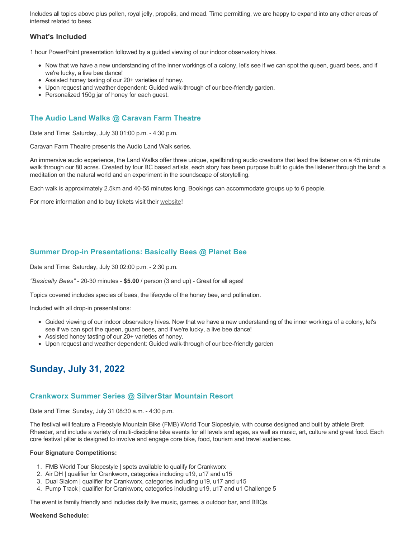Includes all topics above plus pollen, royal jelly, propolis, and mead. Time permitting, we are happy to expand into any other areas of interest related to bees.

# **What's Included**

1 hour PowerPoint presentation followed by a guided viewing of our indoor observatory hives.

- Now that we have a new understanding of the inner workings of a colony, let's see if we can spot the queen, guard bees, and if we're lucky, a live bee dance!
- Assisted honey tasting of our 20+ varieties of honey.
- Upon request and weather dependent: Guided walk-through of our bee-friendly garden.
- Personalized 150g jar of honey for each guest.

# **The Audio Land Walks @ Caravan Farm Theatre**

Date and Time: Saturday, July 30 01:00 p.m. - 4:30 p.m.

Caravan Farm Theatre presents the Audio Land Walk series.

An immersive audio experience, the Land Walks offer three unique, spellbinding audio creations that lead the listener on a 45 minute walk through our 80 acres. Created by four BC based artists, each story has been purpose built to guide the listener through the land: a meditation on the natural world and an experiment in the soundscape of storytelling.

Each walk is approximately 2.5km and 40-55 minutes long. Bookings can accommodate groups up to 6 people.

For more information and to buy tickets visit their [website!](https://caravanfarmtheatre.com/show/the-land-walks/)

### **Summer Drop-in Presentations: Basically Bees @ Planet Bee**

Date and Time: Saturday, July 30 02:00 p.m. - 2:30 p.m.

*"Basically Bees"* - 20-30 minutes - **\$5.00** / person (3 and up) - Great for all ages!

Topics covered includes species of bees, the lifecycle of the honey bee, and pollination.

Included with all drop-in presentations:

- Guided viewing of our indoor observatory hives. Now that we have a new understanding of the inner workings of a colony, let's see if we can spot the queen, guard bees, and if we're lucky, a live bee dance!
- Assisted honey tasting of our 20+ varieties of honey.
- Upon request and weather dependent: Guided walk-through of our bee-friendly garden

# **Sunday, July 31, 2022**

#### **Crankworx Summer Series @ SilverStar Mountain Resort**

Date and Time: Sunday, July 31 08:30 a.m. - 4:30 p.m.

The festival will feature a Freestyle Mountain Bike (FMB) World Tour Slopestyle, with course designed and built by athlete Brett Rheeder, and include a variety of multi-discipline bike events for all levels and ages, as well as music, art, culture and great food. Each core festival pillar is designed to involve and engage core bike, food, tourism and travel audiences.

#### **Four Signature Competitions:**

- 1. FMB World Tour Slopestyle | spots available to qualify for Crankworx
- 2. Air DH | qualifier for Crankworx, categories including u19, u17 and u15
- 3. Dual Slalom | qualifier for Crankworx, categories including u19, u17 and u15
- 4. Pump Track | qualifier for Crankworx, categories including u19, u17 and u1 Challenge 5

The event is family friendly and includes daily live music, games, a outdoor bar, and BBQs.

#### **Weekend Schedule:**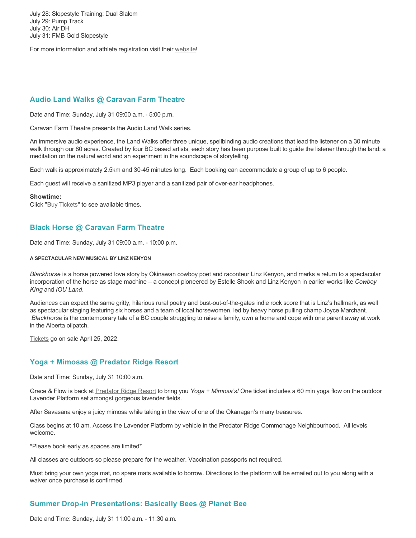July 28: Slopestyle Training: Dual Slalom July 29: Pump Track July 30: Air DH July 31: FMB Gold Slopestyle

For more information and athlete registration visit their [website](https://www.crankworx.com/crankworx-summer-series-canada/silverstar/)!

# **Audio Land Walks @ Caravan Farm Theatre**

Date and Time: Sunday, July 31 09:00 a.m. - 5:00 p.m.

Caravan Farm Theatre presents the Audio Land Walk series.

An immersive audio experience, the Land Walks offer three unique, spellbinding audio creations that lead the listener on a 30 minute walk through our 80 acres. Created by four BC based artists, each story has been purpose built to guide the listener through the land: a meditation on the natural world and an experiment in the soundscape of storytelling.

Each walk is approximately 2.5km and 30-45 minutes long. Each booking can accommodate a group of up to 6 people.

Each guest will receive a sanitized MP3 player and a sanitized pair of over-ear headphones.

#### **Showtime:**

Click "[Buy Tickets](https://caravanfarmtheatre.com/show/the-land-walks/?ct=t%28EMAIL_CAMPAIGN_4_19_2022_13_43SEASON+2022%29&mc_cid=c02afad356&mc_eid=4778eb8892)" to see available times.

# **Black Horse @ Caravan Farm Theatre**

Date and Time: Sunday, July 31 09:00 a.m. - 10:00 p.m.

#### **A SPECTACULAR NEW MUSICAL BY LINZ KENYON**

*Blackhorse* is a horse powered love story by Okinawan cowboy poet and raconteur Linz Kenyon, and marks a return to a spectacular incorporation of the horse as stage machine – a concept pioneered by Estelle Shook and Linz Kenyon in earlier works like *Cowboy King* and *IOU Land*.

Audiences can expect the same gritty, hilarious rural poetry and bust-out-of-the-gates indie rock score that is Linz's hallmark, as well as spectacular staging featuring six horses and a team of local horsewomen, led by heavy horse pulling champ Joyce Marchant. *Blackhorse* is the contemporary tale of a BC couple struggling to raise a family, own a home and cope with one parent away at work in the Alberta oilpatch.

[Tickets](https://caravanfarmtheatre.com/show/blackhorse-2/?ct=t%28EMAIL_CAMPAIGN_4_19_2022_13_43SEASON+2022%29&mc_cid=c02afad356&mc_eid=4778eb8892) go on sale April 25, 2022.

#### **Yoga + Mimosas @ Predator Ridge Resort**

Date and Time: Sunday, July 31 10:00 a.m.

Grace & Flow is back at [Predator Ridge Resort](https://www.predatorridge.com/events) to bring you *Yoga + Mimosa's!* One ticket includes a 60 min yoga flow on the outdoor Lavender Platform set amongst gorgeous lavender fields.

After Savasana enjoy a juicy mimosa while taking in the view of one of the Okanagan's many treasures.

Class begins at 10 am. Access the Lavender Platform by vehicle in the Predator Ridge Commonage Neighbourhood. All levels welcome.

\*Please book early as spaces are limited\*

All classes are outdoors so please prepare for the weather. Vaccination passports not required.

Must bring your own yoga mat, no spare mats available to borrow. Directions to the platform will be emailed out to you along with a waiver once purchase is confirmed.

### **Summer Drop-in Presentations: Basically Bees @ Planet Bee**

Date and Time: Sunday, July 31 11:00 a.m. - 11:30 a.m.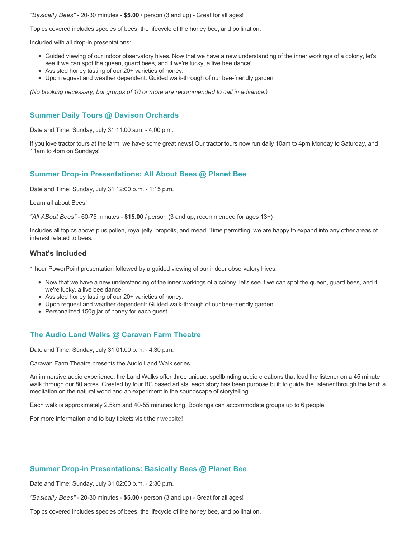*"Basically Bees"* - 20-30 minutes - **\$5.00** / person (3 and up) - Great for all ages!

Topics covered includes species of bees, the lifecycle of the honey bee, and pollination.

Included with all drop-in presentations:

- Guided viewing of our indoor observatory hives. Now that we have a new understanding of the inner workings of a colony, let's see if we can spot the queen, guard bees, and if we're lucky, a live bee dance!
- Assisted honey tasting of our 20+ varieties of honey.
- Upon request and weather dependent: Guided walk-through of our bee-friendly garden

*(No booking necessary, but groups of 10 or more are recommended to call in advance.)*

#### **Summer Daily Tours @ Davison Orchards**

Date and Time: Sunday, July 31 11:00 a.m. - 4:00 p.m.

If you love tractor tours at the farm, we have some great news! Our tractor tours now run daily 10am to 4pm Monday to Saturday, and 11am to 4pm on Sundays!

#### **Summer Drop-in Presentations: All About Bees @ Planet Bee**

Date and Time: Sunday, July 31 12:00 p.m. - 1:15 p.m.

Learn all about Bees!

*"All ABout Bees"* - 60-75 minutes - **\$15.00** / person (3 and up, recommended for ages 13+)

Includes all topics above plus pollen, royal jelly, propolis, and mead. Time permitting, we are happy to expand into any other areas of interest related to bees.

#### **What's Included**

1 hour PowerPoint presentation followed by a guided viewing of our indoor observatory hives.

- Now that we have a new understanding of the inner workings of a colony, let's see if we can spot the queen, guard bees, and if we're lucky, a live bee dance!
- Assisted honey tasting of our 20+ varieties of honey.
- Upon request and weather dependent: Guided walk-through of our bee-friendly garden.
- Personalized 150g jar of honey for each guest.

#### **The Audio Land Walks @ Caravan Farm Theatre**

Date and Time: Sunday, July 31 01:00 p.m. - 4:30 p.m.

Caravan Farm Theatre presents the Audio Land Walk series.

An immersive audio experience, the Land Walks offer three unique, spellbinding audio creations that lead the listener on a 45 minute walk through our 80 acres. Created by four BC based artists, each story has been purpose built to guide the listener through the land: a meditation on the natural world and an experiment in the soundscape of storytelling.

Each walk is approximately 2.5km and 40-55 minutes long. Bookings can accommodate groups up to 6 people.

For more information and to buy tickets visit their [website!](https://caravanfarmtheatre.com/show/the-land-walks/)

#### **Summer Drop-in Presentations: Basically Bees @ Planet Bee**

Date and Time: Sunday, July 31 02:00 p.m. - 2:30 p.m.

*"Basically Bees"* - 20-30 minutes - **\$5.00** / person (3 and up) - Great for all ages!

Topics covered includes species of bees, the lifecycle of the honey bee, and pollination.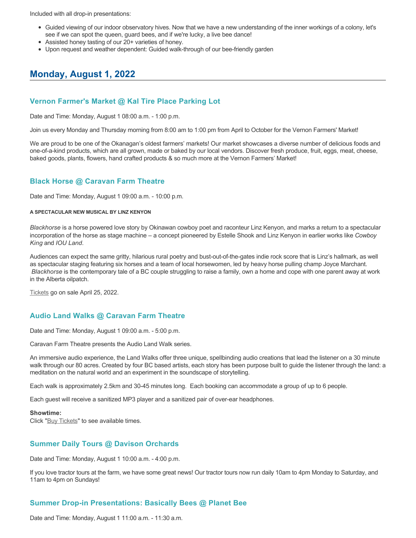Included with all drop-in presentations:

- Guided viewing of our indoor observatory hives. Now that we have a new understanding of the inner workings of a colony, let's see if we can spot the queen, guard bees, and if we're lucky, a live bee dance!
- Assisted honey tasting of our 20+ varieties of honey.
- Upon request and weather dependent: Guided walk-through of our bee-friendly garden

# **Monday, August 1, 2022**

### **Vernon Farmer's Market @ Kal Tire Place Parking Lot**

Date and Time: Monday, August 1 08:00 a.m. - 1:00 p.m.

Join us every Monday and Thursday morning from 8:00 am to 1:00 pm from April to October for the Vernon Farmers' Market!

We are proud to be one of the Okanagan's oldest farmers' markets! Our market showcases a diverse number of delicious foods and one-of-a-kind products, which are all grown, made or baked by our local vendors. Discover fresh produce, fruit, eggs, meat, cheese, baked goods, plants, flowers, hand crafted products & so much more at the Vernon Farmers' Market!

### **Black Horse @ Caravan Farm Theatre**

Date and Time: Monday, August 1 09:00 a.m. - 10:00 p.m.

#### **A SPECTACULAR NEW MUSICAL BY LINZ KENYON**

*Blackhorse* is a horse powered love story by Okinawan cowboy poet and raconteur Linz Kenyon, and marks a return to a spectacular incorporation of the horse as stage machine – a concept pioneered by Estelle Shook and Linz Kenyon in earlier works like *Cowboy King* and *IOU Land*.

Audiences can expect the same gritty, hilarious rural poetry and bust-out-of-the-gates indie rock score that is Linz's hallmark, as well as spectacular staging featuring six horses and a team of local horsewomen, led by heavy horse pulling champ Joyce Marchant. *Blackhorse* is the contemporary tale of a BC couple struggling to raise a family, own a home and cope with one parent away at work in the Alberta oilpatch.

[Tickets](https://caravanfarmtheatre.com/show/blackhorse-2/?ct=t%28EMAIL_CAMPAIGN_4_19_2022_13_43SEASON+2022%29&mc_cid=c02afad356&mc_eid=4778eb8892) go on sale April 25, 2022.

### **Audio Land Walks @ Caravan Farm Theatre**

Date and Time: Monday, August 1 09:00 a.m. - 5:00 p.m.

Caravan Farm Theatre presents the Audio Land Walk series.

An immersive audio experience, the Land Walks offer three unique, spellbinding audio creations that lead the listener on a 30 minute walk through our 80 acres. Created by four BC based artists, each story has been purpose built to guide the listener through the land: a meditation on the natural world and an experiment in the soundscape of storytelling.

Each walk is approximately 2.5km and 30-45 minutes long. Each booking can accommodate a group of up to 6 people.

Each guest will receive a sanitized MP3 player and a sanitized pair of over-ear headphones.

#### **Showtime:**

Click "[Buy Tickets](https://caravanfarmtheatre.com/show/the-land-walks/?ct=t%28EMAIL_CAMPAIGN_4_19_2022_13_43SEASON+2022%29&mc_cid=c02afad356&mc_eid=4778eb8892)" to see available times.

#### **Summer Daily Tours @ Davison Orchards**

Date and Time: Monday, August 1 10:00 a.m. - 4:00 p.m.

If you love tractor tours at the farm, we have some great news! Our tractor tours now run daily 10am to 4pm Monday to Saturday, and 11am to 4pm on Sundays!

### **Summer Drop-in Presentations: Basically Bees @ Planet Bee**

Date and Time: Monday, August 1 11:00 a.m. - 11:30 a.m.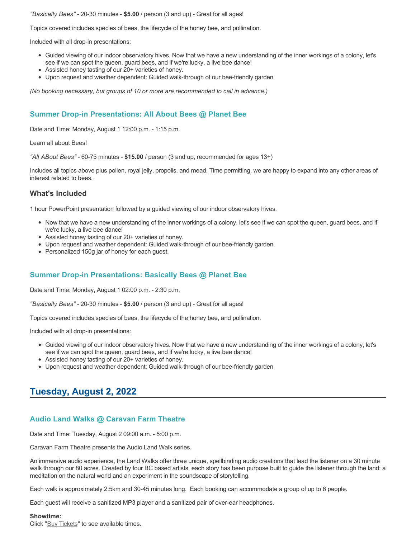*"Basically Bees"* - 20-30 minutes - **\$5.00** / person (3 and up) - Great for all ages!

Topics covered includes species of bees, the lifecycle of the honey bee, and pollination.

Included with all drop-in presentations:

- Guided viewing of our indoor observatory hives. Now that we have a new understanding of the inner workings of a colony, let's see if we can spot the queen, guard bees, and if we're lucky, a live bee dance!
- Assisted honey tasting of our 20+ varieties of honey.
- Upon request and weather dependent: Guided walk-through of our bee-friendly garden

*(No booking necessary, but groups of 10 or more are recommended to call in advance.)*

## **Summer Drop-in Presentations: All About Bees @ Planet Bee**

Date and Time: Monday, August 1 12:00 p.m. - 1:15 p.m.

Learn all about Bees!

*"All ABout Bees"* - 60-75 minutes - **\$15.00** / person (3 and up, recommended for ages 13+)

Includes all topics above plus pollen, royal jelly, propolis, and mead. Time permitting, we are happy to expand into any other areas of interest related to bees.

#### **What's Included**

1 hour PowerPoint presentation followed by a guided viewing of our indoor observatory hives.

- Now that we have a new understanding of the inner workings of a colony, let's see if we can spot the queen, guard bees, and if we're lucky, a live bee dance!
- Assisted honey tasting of our 20+ varieties of honey.
- Upon request and weather dependent: Guided walk-through of our bee-friendly garden.
- Personalized 150g jar of honey for each quest.

### **Summer Drop-in Presentations: Basically Bees @ Planet Bee**

Date and Time: Monday, August 1 02:00 p.m. - 2:30 p.m.

*"Basically Bees"* - 20-30 minutes - **\$5.00** / person (3 and up) - Great for all ages!

Topics covered includes species of bees, the lifecycle of the honey bee, and pollination.

Included with all drop-in presentations:

- Guided viewing of our indoor observatory hives. Now that we have a new understanding of the inner workings of a colony, let's see if we can spot the queen, guard bees, and if we're lucky, a live bee dance!
- Assisted honey tasting of our 20+ varieties of honey.
- Upon request and weather dependent: Guided walk-through of our bee-friendly garden

# **Tuesday, August 2, 2022**

### **Audio Land Walks @ Caravan Farm Theatre**

Date and Time: Tuesday, August 2 09:00 a.m. - 5:00 p.m.

Caravan Farm Theatre presents the Audio Land Walk series.

An immersive audio experience, the Land Walks offer three unique, spellbinding audio creations that lead the listener on a 30 minute walk through our 80 acres. Created by four BC based artists, each story has been purpose built to guide the listener through the land: a meditation on the natural world and an experiment in the soundscape of storytelling.

Each walk is approximately 2.5km and 30-45 minutes long. Each booking can accommodate a group of up to 6 people.

Each guest will receive a sanitized MP3 player and a sanitized pair of over-ear headphones.

#### **Showtime:**

Click "[Buy Tickets](https://caravanfarmtheatre.com/show/the-land-walks/?ct=t%28EMAIL_CAMPAIGN_4_19_2022_13_43SEASON+2022%29&mc_cid=c02afad356&mc_eid=4778eb8892)" to see available times.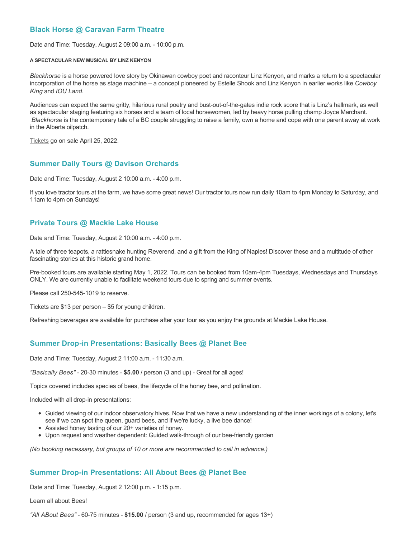### **Black Horse @ Caravan Farm Theatre**

Date and Time: Tuesday, August 2 09:00 a.m. - 10:00 p.m.

#### **A SPECTACULAR NEW MUSICAL BY LINZ KENYON**

*Blackhorse* is a horse powered love story by Okinawan cowboy poet and raconteur Linz Kenyon, and marks a return to a spectacular incorporation of the horse as stage machine – a concept pioneered by Estelle Shook and Linz Kenyon in earlier works like *Cowboy King* and *IOU Land*.

Audiences can expect the same gritty, hilarious rural poetry and bust-out-of-the-gates indie rock score that is Linz's hallmark, as well as spectacular staging featuring six horses and a team of local horsewomen, led by heavy horse pulling champ Joyce Marchant. *Blackhorse* is the contemporary tale of a BC couple struggling to raise a family, own a home and cope with one parent away at work in the Alberta oilpatch.

[Tickets](https://caravanfarmtheatre.com/show/blackhorse-2/?ct=t%28EMAIL_CAMPAIGN_4_19_2022_13_43SEASON+2022%29&mc_cid=c02afad356&mc_eid=4778eb8892) go on sale April 25, 2022.

### **Summer Daily Tours @ Davison Orchards**

Date and Time: Tuesday, August 2 10:00 a.m. - 4:00 p.m.

If you love tractor tours at the farm, we have some great news! Our tractor tours now run daily 10am to 4pm Monday to Saturday, and 11am to 4pm on Sundays!

### **Private Tours @ Mackie Lake House**

Date and Time: Tuesday, August 2 10:00 a.m. - 4:00 p.m.

A tale of three teapots, a rattlesnake hunting Reverend, and a gift from the King of Naples! Discover these and a multitude of other fascinating stories at this historic grand home.

Pre-booked tours are available starting May 1, 2022. Tours can be booked from 10am-4pm Tuesdays, Wednesdays and Thursdays ONLY. We are currently unable to facilitate weekend tours due to spring and summer events.

Please call 250-545-1019 to reserve.

Tickets are \$13 per person – \$5 for young children.

Refreshing beverages are available for purchase after your tour as you enjoy the grounds at Mackie Lake House.

### **Summer Drop-in Presentations: Basically Bees @ Planet Bee**

Date and Time: Tuesday, August 2 11:00 a.m. - 11:30 a.m.

*"Basically Bees"* - 20-30 minutes - **\$5.00** / person (3 and up) - Great for all ages!

Topics covered includes species of bees, the lifecycle of the honey bee, and pollination.

Included with all drop-in presentations:

- Guided viewing of our indoor observatory hives. Now that we have a new understanding of the inner workings of a colony, let's see if we can spot the queen, guard bees, and if we're lucky, a live bee dance!
- Assisted honey tasting of our 20+ varieties of honey.
- Upon request and weather dependent: Guided walk-through of our bee-friendly garden

*(No booking necessary, but groups of 10 or more are recommended to call in advance.)*

### **Summer Drop-in Presentations: All About Bees @ Planet Bee**

Date and Time: Tuesday, August 2 12:00 p.m. - 1:15 p.m.

Learn all about Bees!

*"All ABout Bees"* - 60-75 minutes - **\$15.00** / person (3 and up, recommended for ages 13+)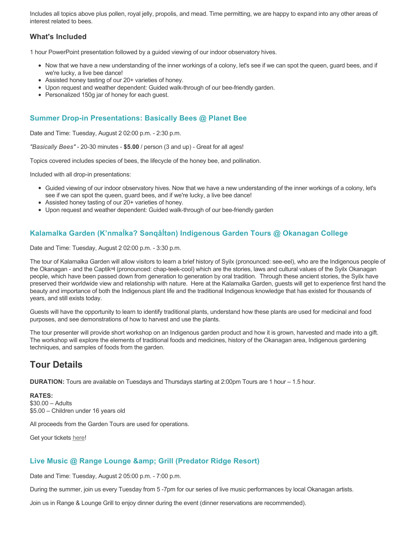Includes all topics above plus pollen, royal jelly, propolis, and mead. Time permitting, we are happy to expand into any other areas of interest related to bees.

### **What's Included**

1 hour PowerPoint presentation followed by a guided viewing of our indoor observatory hives.

- Now that we have a new understanding of the inner workings of a colony, let's see if we can spot the queen, guard bees, and if we're lucky, a live bee dance!
- Assisted honey tasting of our 20+ varieties of honey.
- Upon request and weather dependent: Guided walk-through of our bee-friendly garden.
- Personalized 150g jar of honey for each quest.

### **Summer Drop-in Presentations: Basically Bees @ Planet Bee**

Date and Time: Tuesday, August 2 02:00 p.m. - 2:30 p.m.

*"Basically Bees"* - 20-30 minutes - **\$5.00** / person (3 and up) - Great for all ages!

Topics covered includes species of bees, the lifecycle of the honey bee, and pollination.

Included with all drop-in presentations:

- Guided viewing of our indoor observatory hives. Now that we have a new understanding of the inner workings of a colony, let's see if we can spot the queen, guard bees, and if we're lucky, a live bee dance!
- Assisted honey tasting of our 20+ varieties of honey.
- Upon request and weather dependent: Guided walk-through of our bee-friendly garden

### **Kalamalka Garden (K'nmaĺka? Sәnqâĺtәn) Indigenous Garden Tours @ Okanagan College**

Date and Time: Tuesday, August 2 02:00 p.m. - 3:30 p.m.

The tour of Kalamalka Garden will allow visitors to learn a brief history of Syilx (pronounced: see-eel), who are the Indigenous people of the Okanagan - and the Captikʷł (pronounced: chap-teek-cool) which are the stories, laws and cultural values of the Syilx Okanagan people, which have been passed down from generation to generation by oral tradition. Through these ancient stories, the Syilx have preserved their worldwide view and relationship with nature. Here at the Kalamalka Garden, guests will get to experience first hand the beauty and importance of both the Indigenous plant life and the traditional Indigenous knowledge that has existed for thousands of years, and still exists today.

Guests will have the opportunity to learn to identify traditional plants, understand how these plants are used for medicinal and food purposes, and see demonstrations of how to harvest and use the plants.

The tour presenter will provide short workshop on an Indigenous garden product and how it is grown, harvested and made into a gift. The workshop will explore the elements of traditional foods and medicines, history of the Okanagan area, Indigenous gardening techniques, and samples of foods from the garden.

## **Tour Details**

**DURATION:** Tours are available on Tuesdays and Thursdays starting at 2:00pm Tours are 1 hour – 1.5 hour.

**RATES:** \$30.00 – Adults \$5.00 – Children under 16 years old

All proceeds from the Garden Tours are used for operations.

Get your tickets [here!](https://www.eventbrite.ca/e/kalamalka-garden-tour-tickets-158617843239)

### **Live Music @ Range Lounge & Grill (Predator Ridge Resort)**

Date and Time: Tuesday, August 2 05:00 p.m. - 7:00 p.m.

During the summer, join us every Tuesday from 5 -7pm for our series of live music performances by local Okanagan artists.

Join us in Range & Lounge Grill to enjoy dinner during the event (dinner reservations are recommended).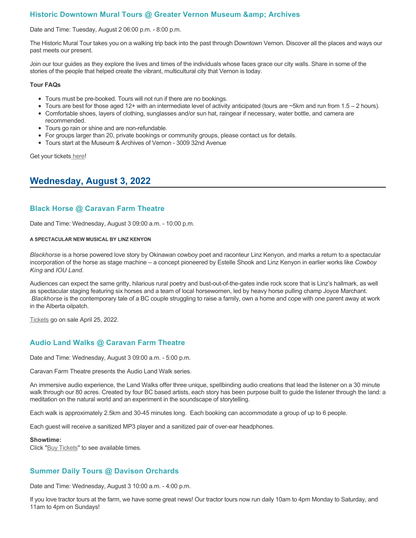### **Historic Downtown Mural Tours @ Greater Vernon Museum & Archives**

#### Date and Time: Tuesday, August 2 06:00 p.m. - 8:00 p.m.

The Historic Mural Tour takes you on a walking trip back into the past through Downtown Vernon. Discover all the places and ways our past meets our present.

Join our tour guides as they explore the lives and times of the individuals whose faces grace our city walls. Share in some of the stories of the people that helped create the vibrant, multicultural city that Vernon is today.

#### **Tour FAQs**

- Tours must be pre-booked. Tours will not run if there are no bookings.
- Tours are best for those aged 12+ with an intermediate level of activity anticipated (tours are  $\sim$ 5km and run from 1.5 2 hours).
- Comfortable shoes, layers of clothing, sunglasses and/or sun hat, raingear if necessary, water bottle, and camera are recommended.
- Tours go rain or shine and are non-refundable.
- For groups larger than 20, private bookings or community groups, please contact us for details.
- Tours start at the Museum & Archives of Vernon 3009 32nd Avenue

Get your tickets [here!](https://www.eventbrite.com/e/historic-downtown-mural-tours-tickets-304983342387)

## **Wednesday, August 3, 2022**

### **Black Horse @ Caravan Farm Theatre**

Date and Time: Wednesday, August 3 09:00 a.m. - 10:00 p.m.

#### **A SPECTACULAR NEW MUSICAL BY LINZ KENYON**

*Blackhorse* is a horse powered love story by Okinawan cowboy poet and raconteur Linz Kenyon, and marks a return to a spectacular incorporation of the horse as stage machine – a concept pioneered by Estelle Shook and Linz Kenyon in earlier works like *Cowboy King* and *IOU Land*.

Audiences can expect the same gritty, hilarious rural poetry and bust-out-of-the-gates indie rock score that is Linz's hallmark, as well as spectacular staging featuring six horses and a team of local horsewomen, led by heavy horse pulling champ Joyce Marchant. *Blackhorse* is the contemporary tale of a BC couple struggling to raise a family, own a home and cope with one parent away at work in the Alberta oilpatch.

[Tickets](https://caravanfarmtheatre.com/show/blackhorse-2/?ct=t%28EMAIL_CAMPAIGN_4_19_2022_13_43SEASON+2022%29&mc_cid=c02afad356&mc_eid=4778eb8892) go on sale April 25, 2022.

### **Audio Land Walks @ Caravan Farm Theatre**

Date and Time: Wednesday, August 3 09:00 a.m. - 5:00 p.m.

Caravan Farm Theatre presents the Audio Land Walk series.

An immersive audio experience, the Land Walks offer three unique, spellbinding audio creations that lead the listener on a 30 minute walk through our 80 acres. Created by four BC based artists, each story has been purpose built to guide the listener through the land: a meditation on the natural world and an experiment in the soundscape of storytelling.

Each walk is approximately 2.5km and 30-45 minutes long. Each booking can accommodate a group of up to 6 people.

Each guest will receive a sanitized MP3 player and a sanitized pair of over-ear headphones.

#### **Showtime:**

Click "[Buy Tickets](https://caravanfarmtheatre.com/show/the-land-walks/?ct=t%28EMAIL_CAMPAIGN_4_19_2022_13_43SEASON+2022%29&mc_cid=c02afad356&mc_eid=4778eb8892)" to see available times.

### **Summer Daily Tours @ Davison Orchards**

Date and Time: Wednesday, August 3 10:00 a.m. - 4:00 p.m.

If you love tractor tours at the farm, we have some great news! Our tractor tours now run daily 10am to 4pm Monday to Saturday, and 11am to 4pm on Sundays!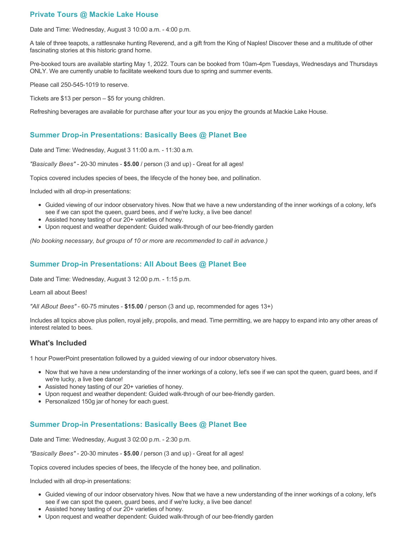### **Private Tours @ Mackie Lake House**

Date and Time: Wednesday, August 3 10:00 a.m. - 4:00 p.m.

A tale of three teapots, a rattlesnake hunting Reverend, and a gift from the King of Naples! Discover these and a multitude of other fascinating stories at this historic grand home.

Pre-booked tours are available starting May 1, 2022. Tours can be booked from 10am-4pm Tuesdays, Wednesdays and Thursdays ONLY. We are currently unable to facilitate weekend tours due to spring and summer events.

Please call 250-545-1019 to reserve.

Tickets are \$13 per person – \$5 for young children.

Refreshing beverages are available for purchase after your tour as you enjoy the grounds at Mackie Lake House.

### **Summer Drop-in Presentations: Basically Bees @ Planet Bee**

Date and Time: Wednesday, August 3 11:00 a.m. - 11:30 a.m.

*"Basically Bees"* - 20-30 minutes - **\$5.00** / person (3 and up) - Great for all ages!

Topics covered includes species of bees, the lifecycle of the honey bee, and pollination.

Included with all drop-in presentations:

- Guided viewing of our indoor observatory hives. Now that we have a new understanding of the inner workings of a colony, let's see if we can spot the queen, guard bees, and if we're lucky, a live bee dance!
- Assisted honey tasting of our 20+ varieties of honey.
- Upon request and weather dependent: Guided walk-through of our bee-friendly garden

*(No booking necessary, but groups of 10 or more are recommended to call in advance.)*

### **Summer Drop-in Presentations: All About Bees @ Planet Bee**

Date and Time: Wednesday, August 3 12:00 p.m. - 1:15 p.m.

Learn all about Bees!

*"All ABout Bees"* - 60-75 minutes - **\$15.00** / person (3 and up, recommended for ages 13+)

Includes all topics above plus pollen, royal jelly, propolis, and mead. Time permitting, we are happy to expand into any other areas of interest related to bees.

### **What's Included**

1 hour PowerPoint presentation followed by a guided viewing of our indoor observatory hives.

- Now that we have a new understanding of the inner workings of a colony, let's see if we can spot the queen, guard bees, and if we're lucky, a live bee dance!
- Assisted honey tasting of our 20+ varieties of honey.
- Upon request and weather dependent: Guided walk-through of our bee-friendly garden.
- Personalized 150g jar of honey for each guest.

### **Summer Drop-in Presentations: Basically Bees @ Planet Bee**

Date and Time: Wednesday, August 3 02:00 p.m. - 2:30 p.m.

*"Basically Bees"* - 20-30 minutes - **\$5.00** / person (3 and up) - Great for all ages!

Topics covered includes species of bees, the lifecycle of the honey bee, and pollination.

Included with all drop-in presentations:

- Guided viewing of our indoor observatory hives. Now that we have a new understanding of the inner workings of a colony, let's see if we can spot the queen, guard bees, and if we're lucky, a live bee dance!
- Assisted honey tasting of our 20+ varieties of honey.
- Upon request and weather dependent: Guided walk-through of our bee-friendly garden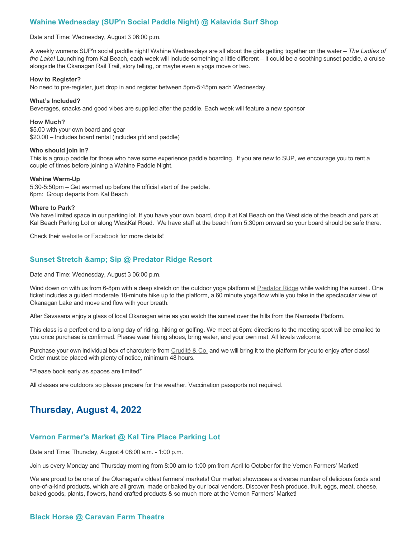### **Wahine Wednesday (SUP'n Social Paddle Night) @ Kalavida Surf Shop**

#### Date and Time: Wednesday, August 3 06:00 p.m.

A weekly womens SUP'n social paddle night! Wahine Wednesdays are all about the girls getting together on the water – *The Ladies of the Lake!* Launching from Kal Beach, each week will include something a little different – it could be a soothing sunset paddle, a cruise alongside the Okanagan Rail Trail, story telling, or maybe even a yoga move or two.

#### **How to Register?**

No need to pre-register, just drop in and register between 5pm-5:45pm each Wednesday.

#### **What's Included?**

Beverages, snacks and good vibes are supplied after the paddle. Each week will feature a new sponsor

#### **How Much?**

\$5.00 with your own board and gear \$20.00 – Includes board rental (includes pfd and paddle)

#### **Who should join in?**

This is a group paddle for those who have some experience paddle boarding. If you are new to SUP, we encourage you to rent a couple of times before joining a Wahine Paddle Night.

#### **Wahine Warm-Up**

5:30-5:50pm – Get warmed up before the official start of the paddle. 6pm: Group departs from Kal Beach

#### **Where to Park?**

We have limited space in our parking lot. If you have your own board, drop it at Kal Beach on the West side of the beach and park at Kal Beach Parking Lot or along WestKal Road. We have staff at the beach from 5:30pm onward so your board should be safe there.

Check their [website](https://kalavidasurfshop.com/wahine-wednesday-kalavida/) or [Facebook](https://www.facebook.com/kalavidasurfshop/) for more details!

### **Sunset Stretch & amp: Sip @ Predator Ridge Resort**

Date and Time: Wednesday, August 3 06:00 p.m.

Wind down on with us from 6-8pm with a deep stretch on the outdoor yoga platform at [Predator Ridge](https://www.predatorridge.com/events) while watching the sunset. One ticket includes a guided moderate 18-minute hike up to the platform, a 60 minute yoga flow while you take in the spectacular view of Okanagan Lake and move and flow with your breath.

After Savasana enjoy a glass of local Okanagan wine as you watch the sunset over the hills from the Namaste Platform.

This class is a perfect end to a long day of riding, hiking or golfing. We meet at 6pm: directions to the meeting spot will be emailed to you once purchase is confirmed. Please wear hiking shoes, bring water, and your own mat. All levels welcome.

Purchase your own individual box of charcuterie from [Crudité & Co.](https://cruditeandco.com/product/picnic-platter/) and we will bring it to the platform for you to enjoy after class! Order must be placed with plenty of notice, minimum 48 hours.

\*Please book early as spaces are limited\*

All classes are outdoors so please prepare for the weather. Vaccination passports not required.

## **Thursday, August 4, 2022**

### **Vernon Farmer's Market @ Kal Tire Place Parking Lot**

Date and Time: Thursday, August 4 08:00 a.m. - 1:00 p.m.

Join us every Monday and Thursday morning from 8:00 am to 1:00 pm from April to October for the Vernon Farmers' Market!

We are proud to be one of the Okanagan's oldest farmers' markets! Our market showcases a diverse number of delicious foods and one-of-a-kind products, which are all grown, made or baked by our local vendors. Discover fresh produce, fruit, eggs, meat, cheese, baked goods, plants, flowers, hand crafted products & so much more at the Vernon Farmers' Market!

### **Black Horse @ Caravan Farm Theatre**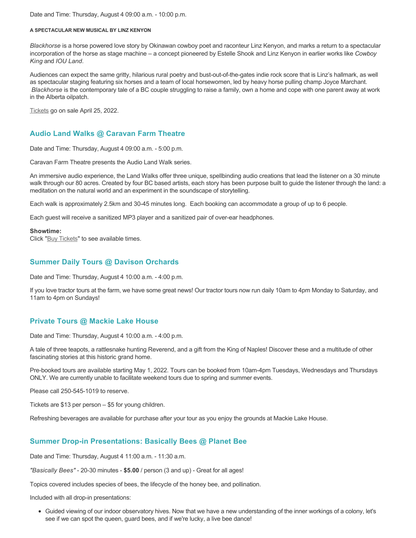Date and Time: Thursday, August 4 09:00 a.m. - 10:00 p.m.

#### **A SPECTACULAR NEW MUSICAL BY LINZ KENYON**

*Blackhorse* is a horse powered love story by Okinawan cowboy poet and raconteur Linz Kenyon, and marks a return to a spectacular incorporation of the horse as stage machine – a concept pioneered by Estelle Shook and Linz Kenyon in earlier works like *Cowboy King* and *IOU Land*.

Audiences can expect the same gritty, hilarious rural poetry and bust-out-of-the-gates indie rock score that is Linz's hallmark, as well as spectacular staging featuring six horses and a team of local horsewomen, led by heavy horse pulling champ Joyce Marchant. *Blackhorse* is the contemporary tale of a BC couple struggling to raise a family, own a home and cope with one parent away at work in the Alberta oilpatch.

[Tickets](https://caravanfarmtheatre.com/show/blackhorse-2/?ct=t%28EMAIL_CAMPAIGN_4_19_2022_13_43SEASON+2022%29&mc_cid=c02afad356&mc_eid=4778eb8892) go on sale April 25, 2022.

### **Audio Land Walks @ Caravan Farm Theatre**

Date and Time: Thursday, August 4 09:00 a.m. - 5:00 p.m.

Caravan Farm Theatre presents the Audio Land Walk series.

An immersive audio experience, the Land Walks offer three unique, spellbinding audio creations that lead the listener on a 30 minute walk through our 80 acres. Created by four BC based artists, each story has been purpose built to guide the listener through the land: a meditation on the natural world and an experiment in the soundscape of storytelling.

Each walk is approximately 2.5km and 30-45 minutes long. Each booking can accommodate a group of up to 6 people.

Each guest will receive a sanitized MP3 player and a sanitized pair of over-ear headphones.

#### **Showtime:**

Click "[Buy Tickets](https://caravanfarmtheatre.com/show/the-land-walks/?ct=t%28EMAIL_CAMPAIGN_4_19_2022_13_43SEASON+2022%29&mc_cid=c02afad356&mc_eid=4778eb8892)" to see available times.

### **Summer Daily Tours @ Davison Orchards**

Date and Time: Thursday, August 4 10:00 a.m. - 4:00 p.m.

If you love tractor tours at the farm, we have some great news! Our tractor tours now run daily 10am to 4pm Monday to Saturday, and 11am to 4pm on Sundays!

### **Private Tours @ Mackie Lake House**

Date and Time: Thursday, August 4 10:00 a.m. - 4:00 p.m.

A tale of three teapots, a rattlesnake hunting Reverend, and a gift from the King of Naples! Discover these and a multitude of other fascinating stories at this historic grand home.

Pre-booked tours are available starting May 1, 2022. Tours can be booked from 10am-4pm Tuesdays, Wednesdays and Thursdays ONLY. We are currently unable to facilitate weekend tours due to spring and summer events.

Please call 250-545-1019 to reserve.

Tickets are \$13 per person – \$5 for young children.

Refreshing beverages are available for purchase after your tour as you enjoy the grounds at Mackie Lake House.

### **Summer Drop-in Presentations: Basically Bees @ Planet Bee**

Date and Time: Thursday, August 4 11:00 a.m. - 11:30 a.m.

*"Basically Bees"* - 20-30 minutes - **\$5.00** / person (3 and up) - Great for all ages!

Topics covered includes species of bees, the lifecycle of the honey bee, and pollination.

Included with all drop-in presentations:

Guided viewing of our indoor observatory hives. Now that we have a new understanding of the inner workings of a colony, let's see if we can spot the queen, guard bees, and if we're lucky, a live bee dance!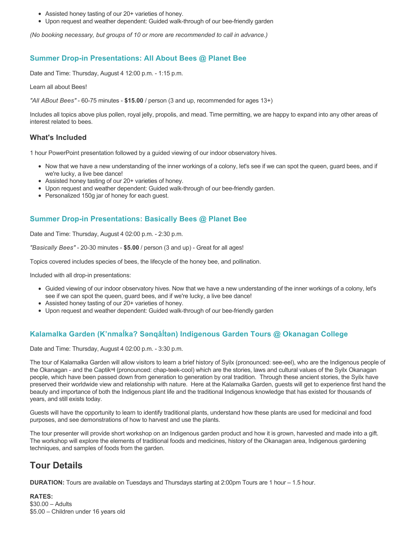- Assisted honey tasting of our 20+ varieties of honey.
- Upon request and weather dependent: Guided walk-through of our bee-friendly garden

*(No booking necessary, but groups of 10 or more are recommended to call in advance.)*

### **Summer Drop-in Presentations: All About Bees @ Planet Bee**

Date and Time: Thursday, August 4 12:00 p.m. - 1:15 p.m.

Learn all about Bees!

*"All ABout Bees"* - 60-75 minutes - **\$15.00** / person (3 and up, recommended for ages 13+)

Includes all topics above plus pollen, royal jelly, propolis, and mead. Time permitting, we are happy to expand into any other areas of interest related to bees.

### **What's Included**

1 hour PowerPoint presentation followed by a guided viewing of our indoor observatory hives.

- Now that we have a new understanding of the inner workings of a colony, let's see if we can spot the queen, guard bees, and if we're lucky, a live bee dance!
- Assisted honey tasting of our 20+ varieties of honey.
- Upon request and weather dependent: Guided walk-through of our bee-friendly garden.
- Personalized 150g jar of honey for each quest.

### **Summer Drop-in Presentations: Basically Bees @ Planet Bee**

Date and Time: Thursday, August 4 02:00 p.m. - 2:30 p.m.

*"Basically Bees"* - 20-30 minutes - **\$5.00** / person (3 and up) - Great for all ages!

Topics covered includes species of bees, the lifecycle of the honey bee, and pollination.

Included with all drop-in presentations:

- Guided viewing of our indoor observatory hives. Now that we have a new understanding of the inner workings of a colony, let's see if we can spot the queen, guard bees, and if we're lucky, a live bee dance!
- Assisted honey tasting of our 20+ varieties of honey.
- Upon request and weather dependent: Guided walk-through of our bee-friendly garden

### **Kalamalka Garden (K'nmaĺka? Sәnqâĺtәn) Indigenous Garden Tours @ Okanagan College**

Date and Time: Thursday, August 4 02:00 p.m. - 3:30 p.m.

The tour of Kalamalka Garden will allow visitors to learn a brief history of Syilx (pronounced: see-eel), who are the Indigenous people of the Okanagan - and the Captikʷł (pronounced: chap-teek-cool) which are the stories, laws and cultural values of the Syilx Okanagan people, which have been passed down from generation to generation by oral tradition. Through these ancient stories, the Syilx have preserved their worldwide view and relationship with nature. Here at the Kalamalka Garden, guests will get to experience first hand the beauty and importance of both the Indigenous plant life and the traditional Indigenous knowledge that has existed for thousands of years, and still exists today.

Guests will have the opportunity to learn to identify traditional plants, understand how these plants are used for medicinal and food purposes, and see demonstrations of how to harvest and use the plants.

The tour presenter will provide short workshop on an Indigenous garden product and how it is grown, harvested and made into a gift. The workshop will explore the elements of traditional foods and medicines, history of the Okanagan area, Indigenous gardening techniques, and samples of foods from the garden.

## **Tour Details**

**DURATION:** Tours are available on Tuesdays and Thursdays starting at 2:00pm Tours are 1 hour – 1.5 hour.

**RATES:** \$30.00 – Adults \$5.00 – Children under 16 years old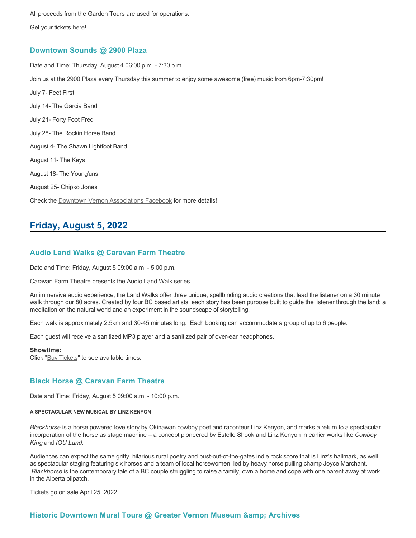All proceeds from the Garden Tours are used for operations.

Get your tickets [here!](https://www.eventbrite.ca/e/kalamalka-garden-tour-tickets-158617843239)

### **Downtown Sounds @ 2900 Plaza**

Date and Time: Thursday, August 4 06:00 p.m. - 7:30 p.m. Join us at the 2900 Plaza every Thursday this summer to enjoy some awesome (free) music from 6pm-7:30pm! July 7- Feet First July 14- The Garcia Band July 21- Forty Foot Fred July 28- The Rockin Horse Band August 4- The Shawn Lightfoot Band August 11- The Keys August 18- The Young'uns August 25- Chipko Jones Check the [Downtown Vernon Associations Facebook](https://www.facebook.com/downtownvernon/) for more details!

## **Friday, August 5, 2022**

### **Audio Land Walks @ Caravan Farm Theatre**

Date and Time: Friday, August 5 09:00 a.m. - 5:00 p.m.

Caravan Farm Theatre presents the Audio Land Walk series.

An immersive audio experience, the Land Walks offer three unique, spellbinding audio creations that lead the listener on a 30 minute walk through our 80 acres. Created by four BC based artists, each story has been purpose built to guide the listener through the land: a meditation on the natural world and an experiment in the soundscape of storytelling.

Each walk is approximately 2.5km and 30-45 minutes long. Each booking can accommodate a group of up to 6 people.

Each guest will receive a sanitized MP3 player and a sanitized pair of over-ear headphones.

#### **Showtime:**

Click "[Buy Tickets](https://caravanfarmtheatre.com/show/the-land-walks/?ct=t%28EMAIL_CAMPAIGN_4_19_2022_13_43SEASON+2022%29&mc_cid=c02afad356&mc_eid=4778eb8892)" to see available times.

### **Black Horse @ Caravan Farm Theatre**

Date and Time: Friday, August 5 09:00 a.m. - 10:00 p.m.

#### **A SPECTACULAR NEW MUSICAL BY LINZ KENYON**

*Blackhorse* is a horse powered love story by Okinawan cowboy poet and raconteur Linz Kenyon, and marks a return to a spectacular incorporation of the horse as stage machine – a concept pioneered by Estelle Shook and Linz Kenyon in earlier works like *Cowboy King* and *IOU Land*.

Audiences can expect the same gritty, hilarious rural poetry and bust-out-of-the-gates indie rock score that is Linz's hallmark, as well as spectacular staging featuring six horses and a team of local horsewomen, led by heavy horse pulling champ Joyce Marchant. *Blackhorse* is the contemporary tale of a BC couple struggling to raise a family, own a home and cope with one parent away at work in the Alberta oilpatch.

[Tickets](https://caravanfarmtheatre.com/show/blackhorse-2/?ct=t%28EMAIL_CAMPAIGN_4_19_2022_13_43SEASON+2022%29&mc_cid=c02afad356&mc_eid=4778eb8892) go on sale April 25, 2022.

### **Historic Downtown Mural Tours @ Greater Vernon Museum & Archives**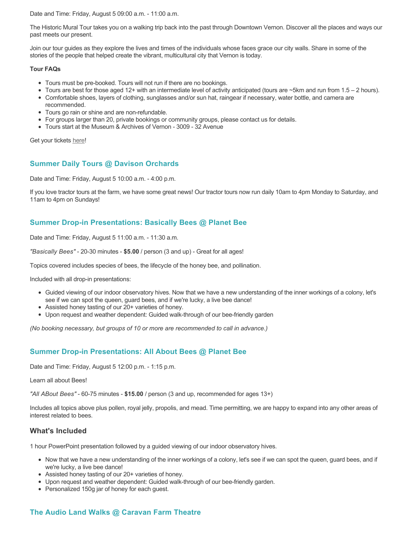Date and Time: Friday, August 5 09:00 a.m. - 11:00 a.m.

The Historic Mural Tour takes you on a walking trip back into the past through Downtown Vernon. Discover all the places and ways our past meets our present.

Join our tour guides as they explore the lives and times of the individuals whose faces grace our city walls. Share in some of the stories of the people that helped create the vibrant, multicultural city that Vernon is today.

#### **Tour FAQs**

- Tours must be pre-booked. Tours will not run if there are no bookings.
- Tours are best for those aged 12+ with an intermediate level of activity anticipated (tours are  $\sim$ 5km and run from 1.5 2 hours).
- Comfortable shoes, layers of clothing, sunglasses and/or sun hat, raingear if necessary, water bottle, and camera are recommended.
- Tours go rain or shine and are non-refundable.
- For groups larger than 20, private bookings or community groups, please contact us for details.
- Tours start at the Museum & Archives of Vernon 3009 32 Avenue

Get your tickets [here!](https://www.eventbrite.com/e/historic-downtown-mural-tours-tickets-304983342387)

### **Summer Daily Tours @ Davison Orchards**

Date and Time: Friday, August 5 10:00 a.m. - 4:00 p.m.

If you love tractor tours at the farm, we have some great news! Our tractor tours now run daily 10am to 4pm Monday to Saturday, and 11am to 4pm on Sundays!

### **Summer Drop-in Presentations: Basically Bees @ Planet Bee**

Date and Time: Friday, August 5 11:00 a.m. - 11:30 a.m.

*"Basically Bees"* - 20-30 minutes - **\$5.00** / person (3 and up) - Great for all ages!

Topics covered includes species of bees, the lifecycle of the honey bee, and pollination.

Included with all drop-in presentations:

- Guided viewing of our indoor observatory hives. Now that we have a new understanding of the inner workings of a colony, let's see if we can spot the queen, guard bees, and if we're lucky, a live bee dance!
- Assisted honey tasting of our 20+ varieties of honey.
- Upon request and weather dependent: Guided walk-through of our bee-friendly garden

*(No booking necessary, but groups of 10 or more are recommended to call in advance.)*

### **Summer Drop-in Presentations: All About Bees @ Planet Bee**

Date and Time: Friday, August 5 12:00 p.m. - 1:15 p.m.

Learn all about Bees!

*"All ABout Bees"* - 60-75 minutes - **\$15.00** / person (3 and up, recommended for ages 13+)

Includes all topics above plus pollen, royal jelly, propolis, and mead. Time permitting, we are happy to expand into any other areas of interest related to bees.

### **What's Included**

1 hour PowerPoint presentation followed by a guided viewing of our indoor observatory hives.

- Now that we have a new understanding of the inner workings of a colony, let's see if we can spot the queen, guard bees, and if we're lucky, a live bee dance!
- Assisted honey tasting of our 20+ varieties of honey.
- Upon request and weather dependent: Guided walk-through of our bee-friendly garden.
- Personalized 150g jar of honey for each guest.

## **The Audio Land Walks @ Caravan Farm Theatre**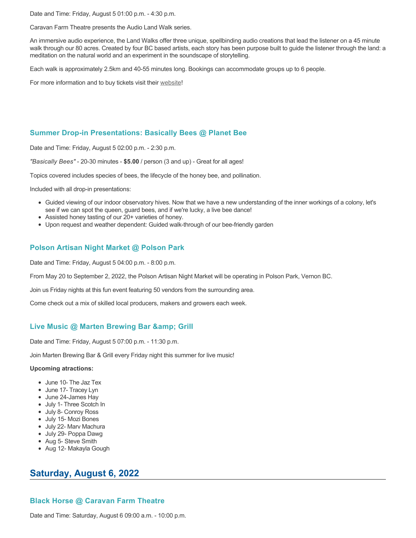Date and Time: Friday, August 5 01:00 p.m. - 4:30 p.m.

Caravan Farm Theatre presents the Audio Land Walk series.

An immersive audio experience, the Land Walks offer three unique, spellbinding audio creations that lead the listener on a 45 minute walk through our 80 acres. Created by four BC based artists, each story has been purpose built to guide the listener through the land: a meditation on the natural world and an experiment in the soundscape of storytelling.

Each walk is approximately 2.5km and 40-55 minutes long. Bookings can accommodate groups up to 6 people.

For more information and to buy tickets visit their [website!](https://caravanfarmtheatre.com/show/the-land-walks/)

### **Summer Drop-in Presentations: Basically Bees @ Planet Bee**

Date and Time: Friday, August 5 02:00 p.m. - 2:30 p.m.

*"Basically Bees"* - 20-30 minutes - **\$5.00** / person (3 and up) - Great for all ages!

Topics covered includes species of bees, the lifecycle of the honey bee, and pollination.

Included with all drop-in presentations:

- Guided viewing of our indoor observatory hives. Now that we have a new understanding of the inner workings of a colony, let's see if we can spot the queen, guard bees, and if we're lucky, a live bee dance!
- Assisted honey tasting of our 20+ varieties of honey.
- Upon request and weather dependent: Guided walk-through of our bee-friendly garden

### **Polson Artisan Night Market @ Polson Park**

Date and Time: Friday, August 5 04:00 p.m. - 8:00 p.m.

From May 20 to September 2, 2022, the Polson Artisan Night Market will be operating in Polson Park, Vernon BC.

Join us Friday nights at this fun event featuring 50 vendors from the surrounding area.

Come check out a mix of skilled local producers, makers and growers each week.

### Live Music @ Marten Brewing Bar & amp; Grill

Date and Time: Friday, August 5 07:00 p.m. - 11:30 p.m.

Join Marten Brewing Bar & Grill every Friday night this summer for live music!

#### **Upcoming atractions:**

- June 10- The Jaz Tex
- June 17- Tracey Lyn
- June 24-James Hay
- July 1- Three Scotch In
- July 8- Conroy Ross
- July 15- Mozi Bones
- July 22- Marv Machura
- July 29- Poppa Dawg
- Aug 5- Steve Smith
- Aug 12- Makayla Gough

## **Saturday, August 6, 2022**

### **Black Horse @ Caravan Farm Theatre**

Date and Time: Saturday, August 6 09:00 a.m. - 10:00 p.m.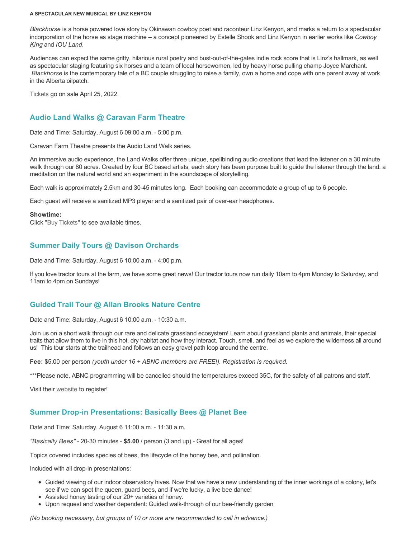#### **A SPECTACULAR NEW MUSICAL BY LINZ KENYON**

*Blackhorse* is a horse powered love story by Okinawan cowboy poet and raconteur Linz Kenyon, and marks a return to a spectacular incorporation of the horse as stage machine – a concept pioneered by Estelle Shook and Linz Kenyon in earlier works like *Cowboy King* and *IOU Land*.

Audiences can expect the same gritty, hilarious rural poetry and bust-out-of-the-gates indie rock score that is Linz's hallmark, as well as spectacular staging featuring six horses and a team of local horsewomen, led by heavy horse pulling champ Joyce Marchant. *Blackhorse* is the contemporary tale of a BC couple struggling to raise a family, own a home and cope with one parent away at work in the Alberta oilpatch.

[Tickets](https://caravanfarmtheatre.com/show/blackhorse-2/?ct=t%28EMAIL_CAMPAIGN_4_19_2022_13_43SEASON+2022%29&mc_cid=c02afad356&mc_eid=4778eb8892) go on sale April 25, 2022.

### **Audio Land Walks @ Caravan Farm Theatre**

Date and Time: Saturday, August 6 09:00 a.m. - 5:00 p.m.

Caravan Farm Theatre presents the Audio Land Walk series.

An immersive audio experience, the Land Walks offer three unique, spellbinding audio creations that lead the listener on a 30 minute walk through our 80 acres. Created by four BC based artists, each story has been purpose built to guide the listener through the land: a meditation on the natural world and an experiment in the soundscape of storytelling.

Each walk is approximately 2.5km and 30-45 minutes long. Each booking can accommodate a group of up to 6 people.

Each guest will receive a sanitized MP3 player and a sanitized pair of over-ear headphones.

#### **Showtime:**

Click "[Buy Tickets](https://caravanfarmtheatre.com/show/the-land-walks/?ct=t%28EMAIL_CAMPAIGN_4_19_2022_13_43SEASON+2022%29&mc_cid=c02afad356&mc_eid=4778eb8892)" to see available times.

### **Summer Daily Tours @ Davison Orchards**

Date and Time: Saturday, August 6 10:00 a.m. - 4:00 p.m.

If you love tractor tours at the farm, we have some great news! Our tractor tours now run daily 10am to 4pm Monday to Saturday, and 11am to 4pm on Sundays!

### **Guided Trail Tour @ Allan Brooks Nature Centre**

Date and Time: Saturday, August 6 10:00 a.m. - 10:30 a.m.

Join us on a short walk through our rare and delicate grassland ecosystem! Learn about grassland plants and animals, their special traits that allow them to live in this hot, dry habitat and how they interact. Touch, smell, and feel as we explore the wilderness all around us! This tour starts at the trailhead and follows an easy gravel path loop around the centre.

**Fee:** \$5.00 per person *(youth under 16 + ABNC members are FREE!). Registration is required.* 

\*\*\*Please note, ABNC programming will be cancelled should the temperatures exceed 35C, for the safety of all patrons and staff.

Visit their [website](https://abnc.ca/events/events-calendar/) to register!

### **Summer Drop-in Presentations: Basically Bees @ Planet Bee**

Date and Time: Saturday, August 6 11:00 a.m. - 11:30 a.m.

*"Basically Bees"* - 20-30 minutes - **\$5.00** / person (3 and up) - Great for all ages!

Topics covered includes species of bees, the lifecycle of the honey bee, and pollination.

Included with all drop-in presentations:

- Guided viewing of our indoor observatory hives. Now that we have a new understanding of the inner workings of a colony, let's see if we can spot the queen, guard bees, and if we're lucky, a live bee dance!
- Assisted honey tasting of our 20+ varieties of honey.
- Upon request and weather dependent: Guided walk-through of our bee-friendly garden

*(No booking necessary, but groups of 10 or more are recommended to call in advance.)*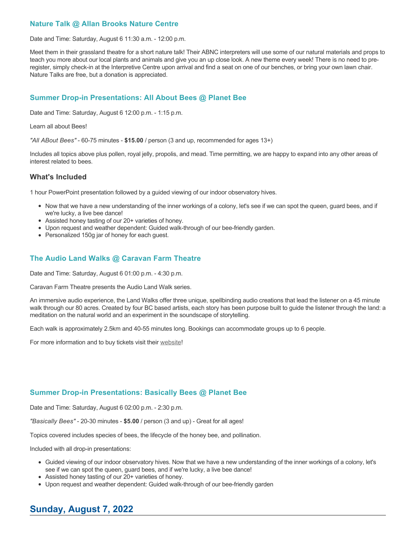### **Nature Talk @ Allan Brooks Nature Centre**

Date and Time: Saturday, August 6 11:30 a.m. - 12:00 p.m.

Meet them in their grassland theatre for a short nature talk! Their ABNC interpreters will use some of our natural materials and props to teach you more about our local plants and animals and give you an up close look. A new theme every week! There is no need to preregister, simply check-in at the Interpretive Centre upon arrival and find a seat on one of our benches, or bring your own lawn chair. Nature Talks are free, but a donation is appreciated.

### **Summer Drop-in Presentations: All About Bees @ Planet Bee**

Date and Time: Saturday, August 6 12:00 p.m. - 1:15 p.m.

Learn all about Bees!

*"All ABout Bees"* - 60-75 minutes - **\$15.00** / person (3 and up, recommended for ages 13+)

Includes all topics above plus pollen, royal jelly, propolis, and mead. Time permitting, we are happy to expand into any other areas of interest related to bees.

### **What's Included**

1 hour PowerPoint presentation followed by a guided viewing of our indoor observatory hives.

- Now that we have a new understanding of the inner workings of a colony, let's see if we can spot the queen, guard bees, and if we're lucky, a live bee dance!
- Assisted honey tasting of our 20+ varieties of honey.
- Upon request and weather dependent: Guided walk-through of our bee-friendly garden.
- Personalized 150g jar of honey for each guest.

### **The Audio Land Walks @ Caravan Farm Theatre**

Date and Time: Saturday, August 6 01:00 p.m. - 4:30 p.m.

Caravan Farm Theatre presents the Audio Land Walk series.

An immersive audio experience, the Land Walks offer three unique, spellbinding audio creations that lead the listener on a 45 minute walk through our 80 acres. Created by four BC based artists, each story has been purpose built to guide the listener through the land: a meditation on the natural world and an experiment in the soundscape of storytelling.

Each walk is approximately 2.5km and 40-55 minutes long. Bookings can accommodate groups up to 6 people.

For more information and to buy tickets visit their [website!](https://caravanfarmtheatre.com/show/the-land-walks/)

### **Summer Drop-in Presentations: Basically Bees @ Planet Bee**

Date and Time: Saturday, August 6 02:00 p.m. - 2:30 p.m.

*"Basically Bees"* - 20-30 minutes - **\$5.00** / person (3 and up) - Great for all ages!

Topics covered includes species of bees, the lifecycle of the honey bee, and pollination.

Included with all drop-in presentations:

- Guided viewing of our indoor observatory hives. Now that we have a new understanding of the inner workings of a colony, let's see if we can spot the queen, guard bees, and if we're lucky, a live bee dance!
- Assisted honey tasting of our 20+ varieties of honey.
- Upon request and weather dependent: Guided walk-through of our bee-friendly garden

## **Sunday, August 7, 2022**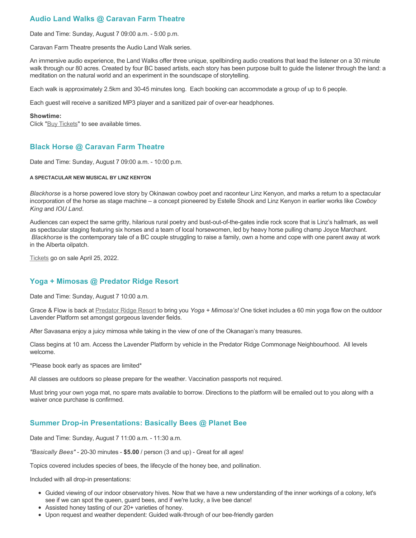## **Audio Land Walks @ Caravan Farm Theatre**

Date and Time: Sunday, August 7 09:00 a.m. - 5:00 p.m.

Caravan Farm Theatre presents the Audio Land Walk series.

An immersive audio experience, the Land Walks offer three unique, spellbinding audio creations that lead the listener on a 30 minute walk through our 80 acres. Created by four BC based artists, each story has been purpose built to guide the listener through the land: a meditation on the natural world and an experiment in the soundscape of storytelling.

Each walk is approximately 2.5km and 30-45 minutes long. Each booking can accommodate a group of up to 6 people.

Each guest will receive a sanitized MP3 player and a sanitized pair of over-ear headphones.

#### **Showtime:**

Click "[Buy Tickets](https://caravanfarmtheatre.com/show/the-land-walks/?ct=t%28EMAIL_CAMPAIGN_4_19_2022_13_43SEASON+2022%29&mc_cid=c02afad356&mc_eid=4778eb8892)" to see available times.

### **Black Horse @ Caravan Farm Theatre**

Date and Time: Sunday, August 7 09:00 a.m. - 10:00 p.m.

#### **A SPECTACULAR NEW MUSICAL BY LINZ KENYON**

*Blackhorse* is a horse powered love story by Okinawan cowboy poet and raconteur Linz Kenyon, and marks a return to a spectacular incorporation of the horse as stage machine – a concept pioneered by Estelle Shook and Linz Kenyon in earlier works like *Cowboy King* and *IOU Land*.

Audiences can expect the same gritty, hilarious rural poetry and bust-out-of-the-gates indie rock score that is Linz's hallmark, as well as spectacular staging featuring six horses and a team of local horsewomen, led by heavy horse pulling champ Joyce Marchant. *Blackhorse* is the contemporary tale of a BC couple struggling to raise a family, own a home and cope with one parent away at work in the Alberta oilpatch.

[Tickets](https://caravanfarmtheatre.com/show/blackhorse-2/?ct=t%28EMAIL_CAMPAIGN_4_19_2022_13_43SEASON+2022%29&mc_cid=c02afad356&mc_eid=4778eb8892) go on sale April 25, 2022.

### **Yoga + Mimosas @ Predator Ridge Resort**

Date and Time: Sunday, August 7 10:00 a.m.

Grace & Flow is back at [Predator Ridge Resort](https://www.predatorridge.com/events) to bring you *Yoga + Mimosa's!* One ticket includes a 60 min yoga flow on the outdoor Lavender Platform set amongst gorgeous lavender fields.

After Savasana enjoy a juicy mimosa while taking in the view of one of the Okanagan's many treasures.

Class begins at 10 am. Access the Lavender Platform by vehicle in the Predator Ridge Commonage Neighbourhood. All levels welcome.

\*Please book early as spaces are limited\*

All classes are outdoors so please prepare for the weather. Vaccination passports not required.

Must bring your own yoga mat, no spare mats available to borrow. Directions to the platform will be emailed out to you along with a waiver once purchase is confirmed.

### **Summer Drop-in Presentations: Basically Bees @ Planet Bee**

Date and Time: Sunday, August 7 11:00 a.m. - 11:30 a.m.

*"Basically Bees"* - 20-30 minutes - **\$5.00** / person (3 and up) - Great for all ages!

Topics covered includes species of bees, the lifecycle of the honey bee, and pollination.

Included with all drop-in presentations:

- Guided viewing of our indoor observatory hives. Now that we have a new understanding of the inner workings of a colony, let's see if we can spot the queen, guard bees, and if we're lucky, a live bee dance!
- Assisted honey tasting of our 20+ varieties of honey.
- Upon request and weather dependent: Guided walk-through of our bee-friendly garden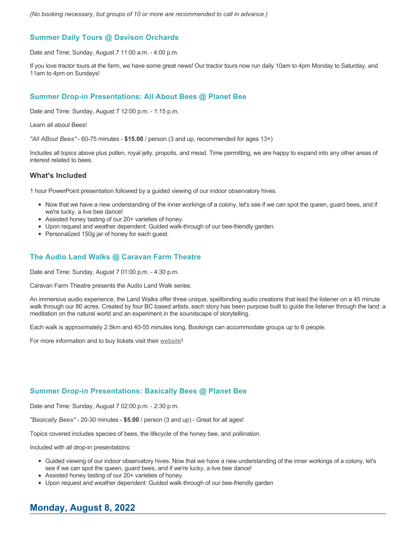*(No booking necessary, but groups of 10 or more are recommended to call in advance.)*

### **Summer Daily Tours @ Davison Orchards**

Date and Time: Sunday, August 7 11:00 a.m. - 4:00 p.m.

If you love tractor tours at the farm, we have some great news! Our tractor tours now run daily 10am to 4pm Monday to Saturday, and 11am to 4pm on Sundays!

### **Summer Drop-in Presentations: All About Bees @ Planet Bee**

Date and Time: Sunday, August 7 12:00 p.m. - 1:15 p.m.

Learn all about Bees!

*"All ABout Bees"* - 60-75 minutes - **\$15.00** / person (3 and up, recommended for ages 13+)

Includes all topics above plus pollen, royal jelly, propolis, and mead. Time permitting, we are happy to expand into any other areas of interest related to bees.

### **What's Included**

1 hour PowerPoint presentation followed by a guided viewing of our indoor observatory hives.

- Now that we have a new understanding of the inner workings of a colony, let's see if we can spot the queen, guard bees, and if we're lucky, a live bee dance!
- Assisted honey tasting of our 20+ varieties of honey.
- Upon request and weather dependent: Guided walk-through of our bee-friendly garden.
- Personalized 150g jar of honey for each guest.

### **The Audio Land Walks @ Caravan Farm Theatre**

Date and Time: Sunday, August 7 01:00 p.m. - 4:30 p.m.

Caravan Farm Theatre presents the Audio Land Walk series.

An immersive audio experience, the Land Walks offer three unique, spellbinding audio creations that lead the listener on a 45 minute walk through our 80 acres. Created by four BC based artists, each story has been purpose built to guide the listener through the land: a meditation on the natural world and an experiment in the soundscape of storytelling.

Each walk is approximately 2.5km and 40-55 minutes long. Bookings can accommodate groups up to 6 people.

For more information and to buy tickets visit their [website!](https://caravanfarmtheatre.com/show/the-land-walks/)

### **Summer Drop-in Presentations: Basically Bees @ Planet Bee**

Date and Time: Sunday, August 7 02:00 p.m. - 2:30 p.m.

*"Basically Bees"* - 20-30 minutes - **\$5.00** / person (3 and up) - Great for all ages!

Topics covered includes species of bees, the lifecycle of the honey bee, and pollination.

Included with all drop-in presentations:

- Guided viewing of our indoor observatory hives. Now that we have a new understanding of the inner workings of a colony, let's see if we can spot the queen, guard bees, and if we're lucky, a live bee dance!
- Assisted honey tasting of our 20+ varieties of honey.
- Upon request and weather dependent: Guided walk-through of our bee-friendly garden

## **Monday, August 8, 2022**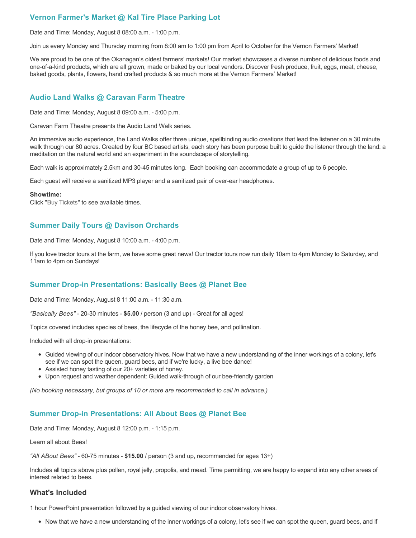### **Vernon Farmer's Market @ Kal Tire Place Parking Lot**

Date and Time: Monday, August 8 08:00 a.m. - 1:00 p.m.

Join us every Monday and Thursday morning from 8:00 am to 1:00 pm from April to October for the Vernon Farmers' Market!

We are proud to be one of the Okanagan's oldest farmers' markets! Our market showcases a diverse number of delicious foods and one-of-a-kind products, which are all grown, made or baked by our local vendors. Discover fresh produce, fruit, eggs, meat, cheese, baked goods, plants, flowers, hand crafted products & so much more at the Vernon Farmers' Market!

### **Audio Land Walks @ Caravan Farm Theatre**

Date and Time: Monday, August 8 09:00 a.m. - 5:00 p.m.

Caravan Farm Theatre presents the Audio Land Walk series.

An immersive audio experience, the Land Walks offer three unique, spellbinding audio creations that lead the listener on a 30 minute walk through our 80 acres. Created by four BC based artists, each story has been purpose built to guide the listener through the land: a meditation on the natural world and an experiment in the soundscape of storytelling.

Each walk is approximately 2.5km and 30-45 minutes long. Each booking can accommodate a group of up to 6 people.

Each guest will receive a sanitized MP3 player and a sanitized pair of over-ear headphones.

#### **Showtime:**

Click "[Buy Tickets](https://caravanfarmtheatre.com/show/the-land-walks/?ct=t%28EMAIL_CAMPAIGN_4_19_2022_13_43SEASON+2022%29&mc_cid=c02afad356&mc_eid=4778eb8892)" to see available times.

### **Summer Daily Tours @ Davison Orchards**

Date and Time: Monday, August 8 10:00 a.m. - 4:00 p.m.

If you love tractor tours at the farm, we have some great news! Our tractor tours now run daily 10am to 4pm Monday to Saturday, and 11am to 4pm on Sundays!

### **Summer Drop-in Presentations: Basically Bees @ Planet Bee**

Date and Time: Monday, August 8 11:00 a.m. - 11:30 a.m.

*"Basically Bees"* - 20-30 minutes - **\$5.00** / person (3 and up) - Great for all ages!

Topics covered includes species of bees, the lifecycle of the honey bee, and pollination.

Included with all drop-in presentations:

- Guided viewing of our indoor observatory hives. Now that we have a new understanding of the inner workings of a colony, let's see if we can spot the queen, guard bees, and if we're lucky, a live bee dance!
- Assisted honey tasting of our 20+ varieties of honey.
- Upon request and weather dependent: Guided walk-through of our bee-friendly garden

*(No booking necessary, but groups of 10 or more are recommended to call in advance.)*

### **Summer Drop-in Presentations: All About Bees @ Planet Bee**

Date and Time: Monday, August 8 12:00 p.m. - 1:15 p.m.

Learn all about Bees!

*"All ABout Bees"* - 60-75 minutes - **\$15.00** / person (3 and up, recommended for ages 13+)

Includes all topics above plus pollen, royal jelly, propolis, and mead. Time permitting, we are happy to expand into any other areas of interest related to bees.

### **What's Included**

1 hour PowerPoint presentation followed by a guided viewing of our indoor observatory hives.

Now that we have a new understanding of the inner workings of a colony, let's see if we can spot the queen, guard bees, and if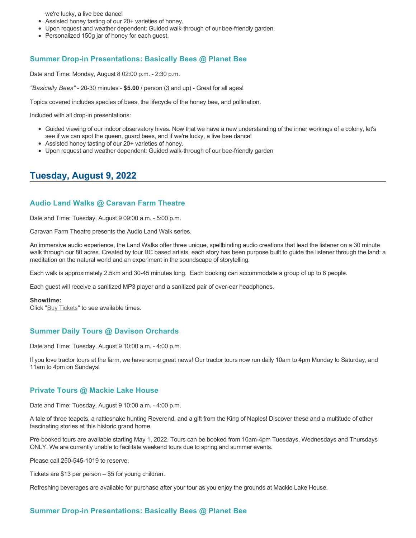we're lucky, a live bee dance!

- Assisted honey tasting of our 20+ varieties of honey.
- Upon request and weather dependent: Guided walk-through of our bee-friendly garden.
- Personalized 150g jar of honey for each guest.

### **Summer Drop-in Presentations: Basically Bees @ Planet Bee**

Date and Time: Monday, August 8 02:00 p.m. - 2:30 p.m.

*"Basically Bees"* - 20-30 minutes - **\$5.00** / person (3 and up) - Great for all ages!

Topics covered includes species of bees, the lifecycle of the honey bee, and pollination.

Included with all drop-in presentations:

- Guided viewing of our indoor observatory hives. Now that we have a new understanding of the inner workings of a colony, let's see if we can spot the queen, guard bees, and if we're lucky, a live bee dance!
- Assisted honey tasting of our 20+ varieties of honey.
- Upon request and weather dependent: Guided walk-through of our bee-friendly garden

## **Tuesday, August 9, 2022**

#### **Audio Land Walks @ Caravan Farm Theatre**

Date and Time: Tuesday, August 9 09:00 a.m. - 5:00 p.m.

Caravan Farm Theatre presents the Audio Land Walk series.

An immersive audio experience, the Land Walks offer three unique, spellbinding audio creations that lead the listener on a 30 minute walk through our 80 acres. Created by four BC based artists, each story has been purpose built to guide the listener through the land: a meditation on the natural world and an experiment in the soundscape of storytelling.

Each walk is approximately 2.5km and 30-45 minutes long. Each booking can accommodate a group of up to 6 people.

Each guest will receive a sanitized MP3 player and a sanitized pair of over-ear headphones.

#### **Showtime:**

Click "[Buy Tickets](https://caravanfarmtheatre.com/show/the-land-walks/?ct=t%28EMAIL_CAMPAIGN_4_19_2022_13_43SEASON+2022%29&mc_cid=c02afad356&mc_eid=4778eb8892)" to see available times.

#### **Summer Daily Tours @ Davison Orchards**

Date and Time: Tuesday, August 9 10:00 a.m. - 4:00 p.m.

If you love tractor tours at the farm, we have some great news! Our tractor tours now run daily 10am to 4pm Monday to Saturday, and 11am to 4pm on Sundays!

### **Private Tours @ Mackie Lake House**

Date and Time: Tuesday, August 9 10:00 a.m. - 4:00 p.m.

A tale of three teapots, a rattlesnake hunting Reverend, and a gift from the King of Naples! Discover these and a multitude of other fascinating stories at this historic grand home.

Pre-booked tours are available starting May 1, 2022. Tours can be booked from 10am-4pm Tuesdays, Wednesdays and Thursdays ONLY. We are currently unable to facilitate weekend tours due to spring and summer events.

Please call 250-545-1019 to reserve.

Tickets are \$13 per person – \$5 for young children.

Refreshing beverages are available for purchase after your tour as you enjoy the grounds at Mackie Lake House.

#### **Summer Drop-in Presentations: Basically Bees @ Planet Bee**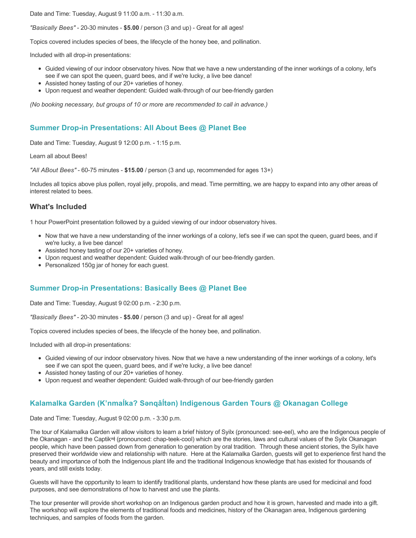Date and Time: Tuesday, August 9 11:00 a.m. - 11:30 a.m.

*"Basically Bees"* - 20-30 minutes - **\$5.00** / person (3 and up) - Great for all ages!

Topics covered includes species of bees, the lifecycle of the honey bee, and pollination.

Included with all drop-in presentations:

- Guided viewing of our indoor observatory hives. Now that we have a new understanding of the inner workings of a colony, let's see if we can spot the queen, guard bees, and if we're lucky, a live bee dance!
- Assisted honey tasting of our 20+ varieties of honey.
- Upon request and weather dependent: Guided walk-through of our bee-friendly garden

*(No booking necessary, but groups of 10 or more are recommended to call in advance.)*

### **Summer Drop-in Presentations: All About Bees @ Planet Bee**

Date and Time: Tuesday, August 9 12:00 p.m. - 1:15 p.m.

Learn all about Bees!

*"All ABout Bees"* - 60-75 minutes - **\$15.00** / person (3 and up, recommended for ages 13+)

Includes all topics above plus pollen, royal jelly, propolis, and mead. Time permitting, we are happy to expand into any other areas of interest related to bees.

### **What's Included**

1 hour PowerPoint presentation followed by a guided viewing of our indoor observatory hives.

- Now that we have a new understanding of the inner workings of a colony, let's see if we can spot the queen, guard bees, and if we're lucky, a live bee dance!
- Assisted honey tasting of our 20+ varieties of honey.
- Upon request and weather dependent: Guided walk-through of our bee-friendly garden.
- Personalized 150g jar of honey for each guest.

### **Summer Drop-in Presentations: Basically Bees @ Planet Bee**

Date and Time: Tuesday, August 9 02:00 p.m. - 2:30 p.m.

*"Basically Bees"* - 20-30 minutes - **\$5.00** / person (3 and up) - Great for all ages!

Topics covered includes species of bees, the lifecycle of the honey bee, and pollination.

Included with all drop-in presentations:

- Guided viewing of our indoor observatory hives. Now that we have a new understanding of the inner workings of a colony, let's see if we can spot the queen, guard bees, and if we're lucky, a live bee dance!
- Assisted honey tasting of our 20+ varieties of honey.
- Upon request and weather dependent: Guided walk-through of our bee-friendly garden

### **Kalamalka Garden (K'nmaĺka? Sәnqâĺtәn) Indigenous Garden Tours @ Okanagan College**

Date and Time: Tuesday, August 9 02:00 p.m. - 3:30 p.m.

The tour of Kalamalka Garden will allow visitors to learn a brief history of Syilx (pronounced: see-eel), who are the Indigenous people of the Okanagan - and the Captikʷł (pronounced: chap-teek-cool) which are the stories, laws and cultural values of the Syilx Okanagan people, which have been passed down from generation to generation by oral tradition. Through these ancient stories, the Syilx have preserved their worldwide view and relationship with nature. Here at the Kalamalka Garden, guests will get to experience first hand the beauty and importance of both the Indigenous plant life and the traditional Indigenous knowledge that has existed for thousands of years, and still exists today.

Guests will have the opportunity to learn to identify traditional plants, understand how these plants are used for medicinal and food purposes, and see demonstrations of how to harvest and use the plants.

The tour presenter will provide short workshop on an Indigenous garden product and how it is grown, harvested and made into a gift. The workshop will explore the elements of traditional foods and medicines, history of the Okanagan area, Indigenous gardening techniques, and samples of foods from the garden.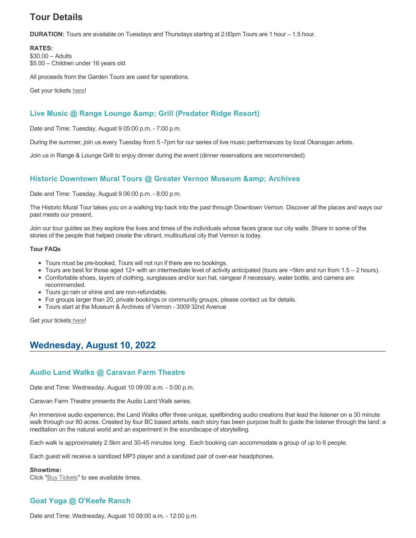# **Tour Details**

**DURATION:** Tours are available on Tuesdays and Thursdays starting at 2:00pm Tours are 1 hour – 1.5 hour.

**RATES:**

\$30.00 – Adults \$5.00 – Children under 16 years old

All proceeds from the Garden Tours are used for operations.

Get your tickets [here!](https://www.eventbrite.ca/e/kalamalka-garden-tour-tickets-158617843239)

### **Live Music @ Range Lounge & Grill (Predator Ridge Resort)**

Date and Time: Tuesday, August 9 05:00 p.m. - 7:00 p.m.

During the summer, join us every Tuesday from 5 -7pm for our series of live music performances by local Okanagan artists.

Join us in Range & Lounge Grill to enjoy dinner during the event (dinner reservations are recommended).

### **Historic Downtown Mural Tours @ Greater Vernon Museum & Archives**

Date and Time: Tuesday, August 9 06:00 p.m. - 8:00 p.m.

The Historic Mural Tour takes you on a walking trip back into the past through Downtown Vernon. Discover all the places and ways our past meets our present.

Join our tour guides as they explore the lives and times of the individuals whose faces grace our city walls. Share in some of the stories of the people that helped create the vibrant, multicultural city that Vernon is today.

#### **Tour FAQs**

- Tours must be pre-booked. Tours will not run if there are no bookings.
- Tours are best for those aged 12+ with an intermediate level of activity anticipated (tours are  $\sim$ 5km and run from 1.5 2 hours).
- Comfortable shoes, layers of clothing, sunglasses and/or sun hat, raingear if necessary, water bottle, and camera are recommended.
- Tours go rain or shine and are non-refundable.
- For groups larger than 20, private bookings or community groups, please contact us for details.
- Tours start at the Museum & Archives of Vernon 3009 32nd Avenue

Get your tickets\_here!

## **Wednesday, August 10, 2022**

### **Audio Land Walks @ Caravan Farm Theatre**

Date and Time: Wednesday, August 10 09:00 a.m. - 5:00 p.m.

Caravan Farm Theatre presents the Audio Land Walk series.

An immersive audio experience, the Land Walks offer three unique, spellbinding audio creations that lead the listener on a 30 minute walk through our 80 acres. Created by four BC based artists, each story has been purpose built to guide the listener through the land: a meditation on the natural world and an experiment in the soundscape of storytelling.

Each walk is approximately 2.5km and 30-45 minutes long. Each booking can accommodate a group of up to 6 people.

Each guest will receive a sanitized MP3 player and a sanitized pair of over-ear headphones.

#### **Showtime:**

Click "[Buy Tickets](https://caravanfarmtheatre.com/show/the-land-walks/?ct=t%28EMAIL_CAMPAIGN_4_19_2022_13_43SEASON+2022%29&mc_cid=c02afad356&mc_eid=4778eb8892)" to see available times.

## **Goat Yoga @ O'Keefe Ranch**

Date and Time: Wednesday, August 10 09:00 a.m. - 12:00 p.m.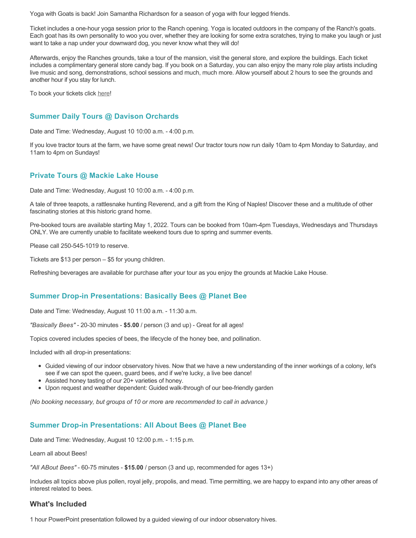Yoga with Goats is back! Join Samantha Richardson for a season of yoga with four legged friends.

Ticket includes a one-hour yoga session prior to the Ranch opening. Yoga is located outdoors in the company of the Ranch's goats. Each goat has its own personality to woo you over, whether they are looking for some extra scratches, trying to make you laugh or just want to take a nap under your downward dog, you never know what they will do!

Afterwards, enjoy the Ranches grounds, take a tour of the mansion, visit the general store, and explore the buildings. Each ticket includes a complimentary general store candy bag. If you book on a Saturday, you can also enjoy the many role play artists including live music and song, demonstrations, school sessions and much, much more. Allow yourself about 2 hours to see the grounds and another hour if you stay for lunch.

To book your tickets click [here!](https://tickets.ticketseller.ca/TheatreManager/1/login&event=3417)

### **Summer Daily Tours @ Davison Orchards**

Date and Time: Wednesday, August 10 10:00 a.m. - 4:00 p.m.

If you love tractor tours at the farm, we have some great news! Our tractor tours now run daily 10am to 4pm Monday to Saturday, and 11am to 4pm on Sundays!

### **Private Tours @ Mackie Lake House**

Date and Time: Wednesday, August 10 10:00 a.m. - 4:00 p.m.

A tale of three teapots, a rattlesnake hunting Reverend, and a gift from the King of Naples! Discover these and a multitude of other fascinating stories at this historic grand home.

Pre-booked tours are available starting May 1, 2022. Tours can be booked from 10am-4pm Tuesdays, Wednesdays and Thursdays ONLY. We are currently unable to facilitate weekend tours due to spring and summer events.

Please call 250-545-1019 to reserve.

Tickets are \$13 per person – \$5 for young children.

Refreshing beverages are available for purchase after your tour as you enjoy the grounds at Mackie Lake House.

### **Summer Drop-in Presentations: Basically Bees @ Planet Bee**

Date and Time: Wednesday, August 10 11:00 a.m. - 11:30 a.m.

*"Basically Bees"* - 20-30 minutes - **\$5.00** / person (3 and up) - Great for all ages!

Topics covered includes species of bees, the lifecycle of the honey bee, and pollination.

Included with all drop-in presentations:

- Guided viewing of our indoor observatory hives. Now that we have a new understanding of the inner workings of a colony, let's see if we can spot the queen, guard bees, and if we're lucky, a live bee dance!
- Assisted honey tasting of our 20+ varieties of honey.
- Upon request and weather dependent: Guided walk-through of our bee-friendly garden

*(No booking necessary, but groups of 10 or more are recommended to call in advance.)*

### **Summer Drop-in Presentations: All About Bees @ Planet Bee**

Date and Time: Wednesday, August 10 12:00 p.m. - 1:15 p.m.

Learn all about Bees!

*"All ABout Bees"* - 60-75 minutes - **\$15.00** / person (3 and up, recommended for ages 13+)

Includes all topics above plus pollen, royal jelly, propolis, and mead. Time permitting, we are happy to expand into any other areas of interest related to bees.

### **What's Included**

1 hour PowerPoint presentation followed by a guided viewing of our indoor observatory hives.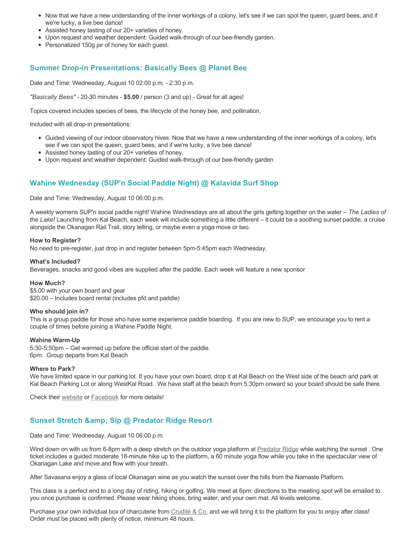- Now that we have a new understanding of the inner workings of a colony, let's see if we can spot the queen, guard bees, and if we're lucky, a live bee dance!
- Assisted honey tasting of our 20+ varieties of honey.
- Upon request and weather dependent: Guided walk-through of our bee-friendly garden.
- Personalized 150g jar of honey for each guest.

### **Summer Drop-in Presentations: Basically Bees @ Planet Bee**

Date and Time: Wednesday, August 10 02:00 p.m. - 2:30 p.m.

*"Basically Bees"* - 20-30 minutes - **\$5.00** / person (3 and up) - Great for all ages!

Topics covered includes species of bees, the lifecycle of the honey bee, and pollination.

Included with all drop-in presentations:

- Guided viewing of our indoor observatory hives. Now that we have a new understanding of the inner workings of a colony, let's see if we can spot the queen, guard bees, and if we're lucky, a live bee dance!
- Assisted honey tasting of our 20+ varieties of honey.
- Upon request and weather dependent: Guided walk-through of our bee-friendly garden

### **Wahine Wednesday (SUP'n Social Paddle Night) @ Kalavida Surf Shop**

Date and Time: Wednesday, August 10 06:00 p.m.

A weekly womens SUP'n social paddle night! Wahine Wednesdays are all about the girls getting together on the water – *The Ladies of the Lake!* Launching from Kal Beach, each week will include something a little different – it could be a soothing sunset paddle, a cruise alongside the Okanagan Rail Trail, story telling, or maybe even a yoga move or two.

#### **How to Register?**

No need to pre-register, just drop in and register between 5pm-5:45pm each Wednesday.

#### **What's Included?**

Beverages, snacks and good vibes are supplied after the paddle. Each week will feature a new sponsor

#### **How Much?**

\$5.00 with your own board and gear \$20.00 – Includes board rental (includes pfd and paddle)

#### **Who should join in?**

This is a group paddle for those who have some experience paddle boarding. If you are new to SUP, we encourage you to rent a couple of times before joining a Wahine Paddle Night.

#### **Wahine Warm-Up**

5:30-5:50pm – Get warmed up before the official start of the paddle. 6pm: Group departs from Kal Beach

#### **Where to Park?**

We have limited space in our parking lot. If you have your own board, drop it at Kal Beach on the West side of the beach and park at Kal Beach Parking Lot or along WestKal Road. We have staff at the beach from 5:30pm onward so your board should be safe there.

Check their [website](https://kalavidasurfshop.com/wahine-wednesday-kalavida/) or [Facebook](https://www.facebook.com/kalavidasurfshop/) for more details!

### **Sunset Stretch & Sip @ Predator Ridge Resort**

Date and Time: Wednesday, August 10 06:00 p.m.

Wind down on with us from 6-8pm with a deep stretch on the outdoor yoga platform at [Predator Ridge](https://www.predatorridge.com/events) while watching the sunset. One ticket includes a guided moderate 18-minute hike up to the platform, a 60 minute yoga flow while you take in the spectacular view of Okanagan Lake and move and flow with your breath.

After Savasana enjoy a glass of local Okanagan wine as you watch the sunset over the hills from the Namaste Platform.

This class is a perfect end to a long day of riding, hiking or golfing. We meet at 6pm: directions to the meeting spot will be emailed to you once purchase is confirmed. Please wear hiking shoes, bring water, and your own mat. All levels welcome.

Purchase your own individual box of charcuterie from [Crudité & Co.](https://cruditeandco.com/product/picnic-platter/) and we will bring it to the platform for you to enjoy after class! Order must be placed with plenty of notice, minimum 48 hours.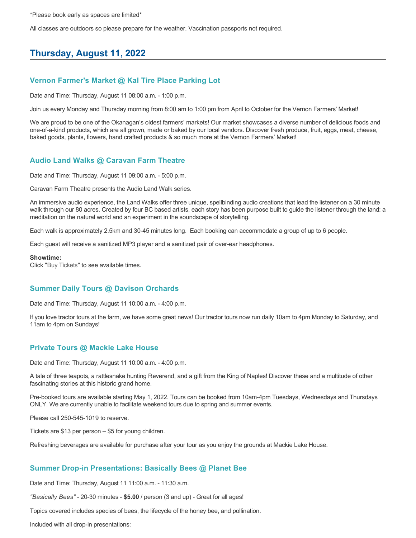\*Please book early as spaces are limited\*

All classes are outdoors so please prepare for the weather. Vaccination passports not required.

# **Thursday, August 11, 2022**

### **Vernon Farmer's Market @ Kal Tire Place Parking Lot**

Date and Time: Thursday, August 11 08:00 a.m. - 1:00 p.m.

Join us every Monday and Thursday morning from 8:00 am to 1:00 pm from April to October for the Vernon Farmers' Market!

We are proud to be one of the Okanagan's oldest farmers' markets! Our market showcases a diverse number of delicious foods and one-of-a-kind products, which are all grown, made or baked by our local vendors. Discover fresh produce, fruit, eggs, meat, cheese, baked goods, plants, flowers, hand crafted products & so much more at the Vernon Farmers' Market!

### **Audio Land Walks @ Caravan Farm Theatre**

Date and Time: Thursday, August 11 09:00 a.m. - 5:00 p.m.

Caravan Farm Theatre presents the Audio Land Walk series.

An immersive audio experience, the Land Walks offer three unique, spellbinding audio creations that lead the listener on a 30 minute walk through our 80 acres. Created by four BC based artists, each story has been purpose built to guide the listener through the land: a meditation on the natural world and an experiment in the soundscape of storytelling.

Each walk is approximately 2.5km and 30-45 minutes long. Each booking can accommodate a group of up to 6 people.

Each guest will receive a sanitized MP3 player and a sanitized pair of over-ear headphones.

#### **Showtime:**

Click "[Buy Tickets](https://caravanfarmtheatre.com/show/the-land-walks/?ct=t%28EMAIL_CAMPAIGN_4_19_2022_13_43SEASON+2022%29&mc_cid=c02afad356&mc_eid=4778eb8892)" to see available times.

### **Summer Daily Tours @ Davison Orchards**

Date and Time: Thursday, August 11 10:00 a.m. - 4:00 p.m.

If you love tractor tours at the farm, we have some great news! Our tractor tours now run daily 10am to 4pm Monday to Saturday, and 11am to 4pm on Sundays!

### **Private Tours @ Mackie Lake House**

Date and Time: Thursday, August 11 10:00 a.m. - 4:00 p.m.

A tale of three teapots, a rattlesnake hunting Reverend, and a gift from the King of Naples! Discover these and a multitude of other fascinating stories at this historic grand home.

Pre-booked tours are available starting May 1, 2022. Tours can be booked from 10am-4pm Tuesdays, Wednesdays and Thursdays ONLY. We are currently unable to facilitate weekend tours due to spring and summer events.

Please call 250-545-1019 to reserve.

Tickets are \$13 per person – \$5 for young children.

Refreshing beverages are available for purchase after your tour as you enjoy the grounds at Mackie Lake House.

### **Summer Drop-in Presentations: Basically Bees @ Planet Bee**

Date and Time: Thursday, August 11 11:00 a.m. - 11:30 a.m.

*"Basically Bees"* - 20-30 minutes - **\$5.00** / person (3 and up) - Great for all ages!

Topics covered includes species of bees, the lifecycle of the honey bee, and pollination.

Included with all drop-in presentations: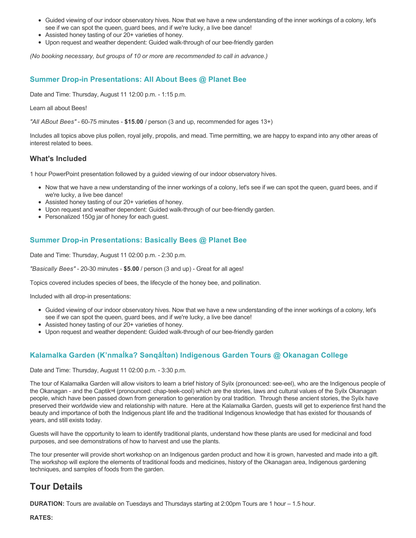- Guided viewing of our indoor observatory hives. Now that we have a new understanding of the inner workings of a colony, let's see if we can spot the queen, guard bees, and if we're lucky, a live bee dance!
- Assisted honey tasting of our 20+ varieties of honey.
- Upon request and weather dependent: Guided walk-through of our bee-friendly garden

*(No booking necessary, but groups of 10 or more are recommended to call in advance.)*

### **Summer Drop-in Presentations: All About Bees @ Planet Bee**

Date and Time: Thursday, August 11 12:00 p.m. - 1:15 p.m.

Learn all about Bees!

*"All ABout Bees"* - 60-75 minutes - **\$15.00** / person (3 and up, recommended for ages 13+)

Includes all topics above plus pollen, royal jelly, propolis, and mead. Time permitting, we are happy to expand into any other areas of interest related to bees.

### **What's Included**

1 hour PowerPoint presentation followed by a guided viewing of our indoor observatory hives.

- Now that we have a new understanding of the inner workings of a colony, let's see if we can spot the queen, guard bees, and if we're lucky, a live bee dance!
- Assisted honey tasting of our 20+ varieties of honey.
- Upon request and weather dependent: Guided walk-through of our bee-friendly garden.
- Personalized 150g jar of honey for each guest.

### **Summer Drop-in Presentations: Basically Bees @ Planet Bee**

Date and Time: Thursday, August 11 02:00 p.m. - 2:30 p.m.

*"Basically Bees"* - 20-30 minutes - **\$5.00** / person (3 and up) - Great for all ages!

Topics covered includes species of bees, the lifecycle of the honey bee, and pollination.

Included with all drop-in presentations:

- Guided viewing of our indoor observatory hives. Now that we have a new understanding of the inner workings of a colony, let's see if we can spot the queen, guard bees, and if we're lucky, a live bee dance!
- Assisted honey tasting of our 20+ varieties of honey.
- Upon request and weather dependent: Guided walk-through of our bee-friendly garden

### **Kalamalka Garden (K'nmaĺka? Sәnqâĺtәn) Indigenous Garden Tours @ Okanagan College**

Date and Time: Thursday, August 11 02:00 p.m. - 3:30 p.m.

The tour of Kalamalka Garden will allow visitors to learn a brief history of Syilx (pronounced: see-eel), who are the Indigenous people of the Okanagan - and the Captikʷł (pronounced: chap-teek-cool) which are the stories, laws and cultural values of the Syilx Okanagan people, which have been passed down from generation to generation by oral tradition. Through these ancient stories, the Syilx have preserved their worldwide view and relationship with nature. Here at the Kalamalka Garden, guests will get to experience first hand the beauty and importance of both the Indigenous plant life and the traditional Indigenous knowledge that has existed for thousands of years, and still exists today.

Guests will have the opportunity to learn to identify traditional plants, understand how these plants are used for medicinal and food purposes, and see demonstrations of how to harvest and use the plants.

The tour presenter will provide short workshop on an Indigenous garden product and how it is grown, harvested and made into a gift. The workshop will explore the elements of traditional foods and medicines, history of the Okanagan area, Indigenous gardening techniques, and samples of foods from the garden.

## **Tour Details**

**DURATION:** Tours are available on Tuesdays and Thursdays starting at 2:00pm Tours are 1 hour – 1.5 hour.

**RATES:**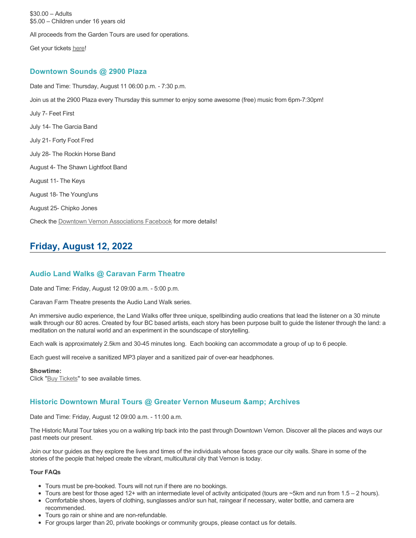\$30.00 – Adults \$5.00 – Children under 16 years old All proceeds from the Garden Tours are used for operations. Get your tickets [here!](https://www.eventbrite.ca/e/kalamalka-garden-tour-tickets-158617843239) **Downtown Sounds @ 2900 Plaza**

Date and Time: Thursday, August 11 06:00 p.m. - 7:30 p.m. Join us at the 2900 Plaza every Thursday this summer to enjoy some awesome (free) music from 6pm-7:30pm! July 7- Feet First July 14- The Garcia Band July 21- Forty Foot Fred July 28- The Rockin Horse Band August 4- The Shawn Lightfoot Band August 11- The Keys August 18- The Young'uns August 25- Chipko Jones Check the [Downtown Vernon Associations Facebook](https://www.facebook.com/downtownvernon/) for more details!

# **Friday, August 12, 2022**

### **Audio Land Walks @ Caravan Farm Theatre**

Date and Time: Friday, August 12 09:00 a.m. - 5:00 p.m.

Caravan Farm Theatre presents the Audio Land Walk series.

An immersive audio experience, the Land Walks offer three unique, spellbinding audio creations that lead the listener on a 30 minute walk through our 80 acres. Created by four BC based artists, each story has been purpose built to guide the listener through the land: a meditation on the natural world and an experiment in the soundscape of storytelling.

Each walk is approximately 2.5km and 30-45 minutes long. Each booking can accommodate a group of up to 6 people.

Each guest will receive a sanitized MP3 player and a sanitized pair of over-ear headphones.

#### **Showtime:**

Click "[Buy Tickets](https://caravanfarmtheatre.com/show/the-land-walks/?ct=t%28EMAIL_CAMPAIGN_4_19_2022_13_43SEASON+2022%29&mc_cid=c02afad356&mc_eid=4778eb8892)" to see available times.

### **Historic Downtown Mural Tours @ Greater Vernon Museum & Archives**

Date and Time: Friday, August 12 09:00 a.m. - 11:00 a.m.

The Historic Mural Tour takes you on a walking trip back into the past through Downtown Vernon. Discover all the places and ways our past meets our present.

Join our tour guides as they explore the lives and times of the individuals whose faces grace our city walls. Share in some of the stories of the people that helped create the vibrant, multicultural city that Vernon is today.

#### **Tour FAQs**

- Tours must be pre-booked. Tours will not run if there are no bookings.
- Tours are best for those aged 12+ with an intermediate level of activity anticipated (tours are ~5km and run from 1.5 2 hours).
- Comfortable shoes, layers of clothing, sunglasses and/or sun hat, raingear if necessary, water bottle, and camera are recommended.
- Tours go rain or shine and are non-refundable.
- For groups larger than 20, private bookings or community groups, please contact us for details.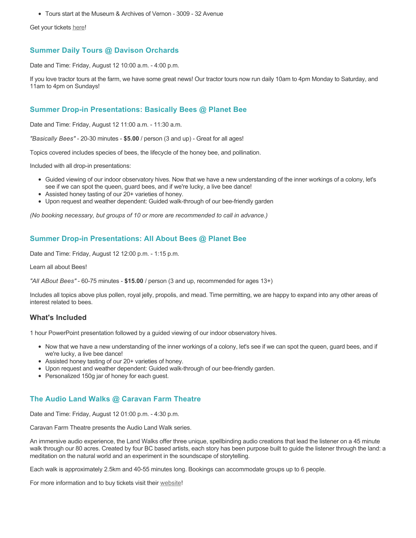Tours start at the Museum & Archives of Vernon - 3009 - 32 Avenue

Get your tickets [here!](https://www.eventbrite.com/e/historic-downtown-mural-tours-tickets-304983342387)

### **Summer Daily Tours @ Davison Orchards**

Date and Time: Friday, August 12 10:00 a.m. - 4:00 p.m.

If you love tractor tours at the farm, we have some great news! Our tractor tours now run daily 10am to 4pm Monday to Saturday, and 11am to 4pm on Sundays!

### **Summer Drop-in Presentations: Basically Bees @ Planet Bee**

Date and Time: Friday, August 12 11:00 a.m. - 11:30 a.m.

*"Basically Bees"* - 20-30 minutes - **\$5.00** / person (3 and up) - Great for all ages!

Topics covered includes species of bees, the lifecycle of the honey bee, and pollination.

Included with all drop-in presentations:

- Guided viewing of our indoor observatory hives. Now that we have a new understanding of the inner workings of a colony, let's see if we can spot the queen, guard bees, and if we're lucky, a live bee dance!
- Assisted honey tasting of our 20+ varieties of honey.
- Upon request and weather dependent: Guided walk-through of our bee-friendly garden

*(No booking necessary, but groups of 10 or more are recommended to call in advance.)*

### **Summer Drop-in Presentations: All About Bees @ Planet Bee**

Date and Time: Friday, August 12 12:00 p.m. - 1:15 p.m.

Learn all about Bees!

*"All ABout Bees"* - 60-75 minutes - **\$15.00** / person (3 and up, recommended for ages 13+)

Includes all topics above plus pollen, royal jelly, propolis, and mead. Time permitting, we are happy to expand into any other areas of interest related to bees.

### **What's Included**

1 hour PowerPoint presentation followed by a guided viewing of our indoor observatory hives.

- Now that we have a new understanding of the inner workings of a colony, let's see if we can spot the queen, guard bees, and if we're lucky, a live bee dance!
- Assisted honey tasting of our 20+ varieties of honey.
- Upon request and weather dependent: Guided walk-through of our bee-friendly garden.
- Personalized 150g jar of honey for each guest.

### **The Audio Land Walks @ Caravan Farm Theatre**

Date and Time: Friday, August 12 01:00 p.m. - 4:30 p.m.

Caravan Farm Theatre presents the Audio Land Walk series.

An immersive audio experience, the Land Walks offer three unique, spellbinding audio creations that lead the listener on a 45 minute walk through our 80 acres. Created by four BC based artists, each story has been purpose built to guide the listener through the land: a meditation on the natural world and an experiment in the soundscape of storytelling.

Each walk is approximately 2.5km and 40-55 minutes long. Bookings can accommodate groups up to 6 people.

For more information and to buy tickets visit their [website!](https://caravanfarmtheatre.com/show/the-land-walks/)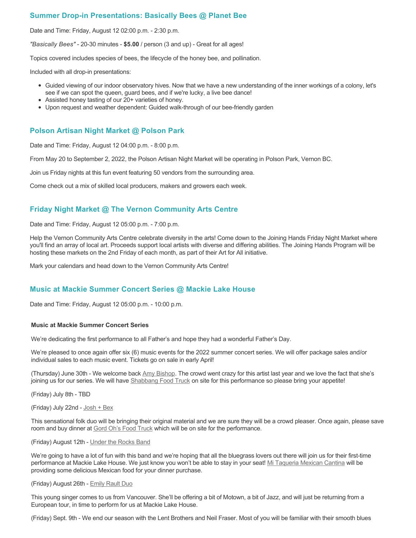### **Summer Drop-in Presentations: Basically Bees @ Planet Bee**

Date and Time: Friday, August 12 02:00 p.m. - 2:30 p.m.

*"Basically Bees"* - 20-30 minutes - **\$5.00** / person (3 and up) - Great for all ages!

Topics covered includes species of bees, the lifecycle of the honey bee, and pollination.

Included with all drop-in presentations:

- Guided viewing of our indoor observatory hives. Now that we have a new understanding of the inner workings of a colony, let's see if we can spot the queen, guard bees, and if we're lucky, a live bee dance!
- Assisted honey tasting of our 20+ varieties of honey.
- Upon request and weather dependent: Guided walk-through of our bee-friendly garden

### **Polson Artisan Night Market @ Polson Park**

Date and Time: Friday, August 12 04:00 p.m. - 8:00 p.m.

From May 20 to September 2, 2022, the Polson Artisan Night Market will be operating in Polson Park, Vernon BC.

Join us Friday nights at this fun event featuring 50 vendors from the surrounding area.

Come check out a mix of skilled local producers, makers and growers each week.

### **Friday Night Market @ The Vernon Community Arts Centre**

Date and Time: Friday, August 12 05:00 p.m. - 7:00 p.m.

Help the Vernon Community Arts Centre celebrate diversity in the arts! Come down to the Joining Hands Friday Night Market where you'll find an array of local art. Proceeds support local artists with diverse and differing abilities. The Joining Hands Program will be hosting these markets on the 2nd Friday of each month, as part of their Art for All initiative.

Mark your calendars and head down to the Vernon Community Arts Centre!

### **Music at Mackie Summer Concert Series @ Mackie Lake House**

Date and Time: Friday, August 12 05:00 p.m. - 10:00 p.m.

#### **Music at Mackie Summer Concert Series**

We're dedicating the first performance to all Father's and hope they had a wonderful Father's Day.

We're pleased to once again offer six (6) music events for the 2022 summer concert series. We will offer package sales and/or individual sales to each music event. Tickets go on sale in early April!

(Thursday) June 30th - We welcome back [Amy Bishop.](https://protect-ca.mimecast.com/s/97KDCk8v46IYY8Pc4eTtT?domain=mackiehouse.us3.list-manage.com) The crowd went crazy for this artist last year and we love the fact that she's joining us for our series. We will have [Shabbang Food Truck](https://protect-ca.mimecast.com/s/hGWiClxw48FOO0jTKiFD6?domain=mackiehouse.us3.list-manage.com) on site for this performance so please bring your appetite!

(Friday) July 8th - TBD

(Friday) July 22nd - [Josh + Bex](https://protect-ca.mimecast.com/s/LfcBCmOx47s11B9u0QwFr?domain=mackiehouse.us3.list-manage.com)

This sensational folk duo will be bringing their original material and we are sure they will be a crowd pleaser. Once again, please save room and buy dinner at [Gord Oh's Food Truck](https://protect-ca.mimecast.com/s/oREECnxy4GFllAkujC-Hs?domain=mackiehouse.us3.list-manage.com) which will be on site for the performance.

#### (Friday) August 12th - [Under the Rocks Band](https://protect-ca.mimecast.com/s/wmzjCoVz4AhlljQujeM8P?domain=mackiehouse.us3.list-manage.com)

We're going to have a lot of fun with this band and we're hoping that all the bluegrass lovers out there will join us for their first-time performance at Mackie Lake House. We just know you won't be able to stay in your seat! [Mi Taqueria Mexican Cantina](https://protect-ca.mimecast.com/s/IidvCp8A59IQQ17s1mbiS?domain=mackiehouse.us3.list-manage.com) will be providing some delicious Mexican food for your dinner purchase.

#### (Friday) August 26th - [Emily Rault Duo](https://protect-ca.mimecast.com/s/1ZJZCq7B4AsLLKVczxAAc?domain=mackiehouse.us3.list-manage.com)

This young singer comes to us from Vancouver. She'll be offering a bit of Motown, a bit of Jazz, and will just be returning from a European tour, in time to perform for us at Mackie Lake House.

(Friday) Sept. 9th - We end our season with the Lent Brothers and Neil Fraser. Most of you will be familiar with their smooth blues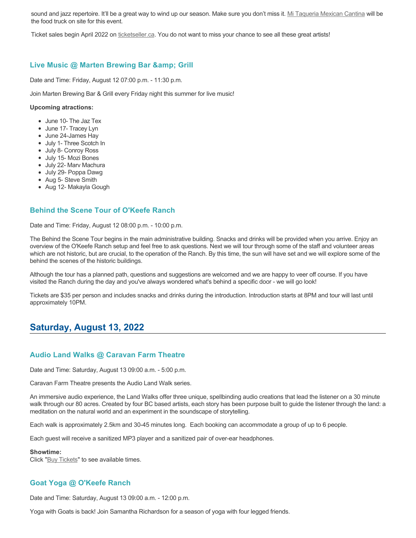sound and jazz repertoire. It'll be a great way to wind up our season. Make sure you don't miss it. [Mi Taqueria Mexican Cantina](https://protect-ca.mimecast.com/s/mUjmCr8D4gIwwPWTPinKw?domain=mackiehouse.us3.list-manage.com) will be the food truck on site for this event.

Ticket sales begin April 2022 on [ticketseller.ca.](https://ticketseller.ca/) You do not want to miss your chance to see all these great artists!

### **Live Music @ Marten Brewing Bar & amp; Grill**

Date and Time: Friday, August 12 07:00 p.m. - 11:30 p.m.

Join Marten Brewing Bar & Grill every Friday night this summer for live music!

#### **Upcoming atractions:**

- June 10- The Jaz Tex
- June 17- Tracey Lyn
- June 24-James Hay
- July 1- Three Scotch In
- July 8- Conroy Ross
- July 15- Mozi Bones
- July 22- Marv Machura
- July 29- Poppa Dawg
- Aug 5- Steve Smith
- Aug 12- Makayla Gough

### **Behind the Scene Tour of O'Keefe Ranch**

Date and Time: Friday, August 12 08:00 p.m. - 10:00 p.m.

The Behind the Scene Tour begins in the main administrative building. Snacks and drinks will be provided when you arrive. Enjoy an overview of the O'Keefe Ranch setup and feel free to ask questions. Next we will tour through some of the staff and volunteer areas which are not historic, but are crucial, to the operation of the Ranch. By this time, the sun will have set and we will explore some of the behind the scenes of the historic buildings.

Although the tour has a planned path, questions and suggestions are welcomed and we are happy to veer off course. If you have visited the Ranch during the day and you've always wondered what's behind a specific door - we will go look!

Tickets are \$35 per person and includes snacks and drinks during the introduction. Introduction starts at 8PM and tour will last until approximately 10PM.

## **Saturday, August 13, 2022**

### **Audio Land Walks @ Caravan Farm Theatre**

Date and Time: Saturday, August 13 09:00 a.m. - 5:00 p.m.

Caravan Farm Theatre presents the Audio Land Walk series.

An immersive audio experience, the Land Walks offer three unique, spellbinding audio creations that lead the listener on a 30 minute walk through our 80 acres. Created by four BC based artists, each story has been purpose built to guide the listener through the land: a meditation on the natural world and an experiment in the soundscape of storytelling.

Each walk is approximately 2.5km and 30-45 minutes long. Each booking can accommodate a group of up to 6 people.

Each guest will receive a sanitized MP3 player and a sanitized pair of over-ear headphones.

#### **Showtime:**

Click "[Buy Tickets](https://caravanfarmtheatre.com/show/the-land-walks/?ct=t%28EMAIL_CAMPAIGN_4_19_2022_13_43SEASON+2022%29&mc_cid=c02afad356&mc_eid=4778eb8892)" to see available times.

### **Goat Yoga @ O'Keefe Ranch**

Date and Time: Saturday, August 13 09:00 a.m. - 12:00 p.m.

Yoga with Goats is back! Join Samantha Richardson for a season of yoga with four legged friends.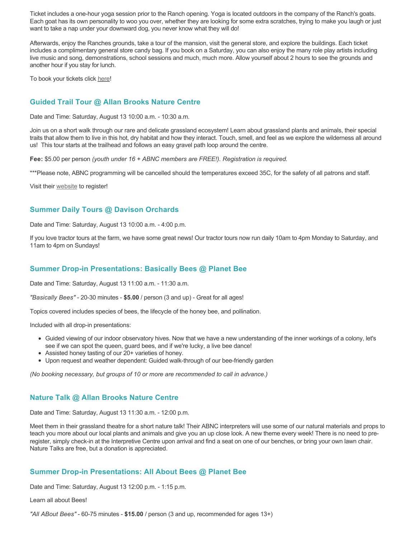Ticket includes a one-hour yoga session prior to the Ranch opening. Yoga is located outdoors in the company of the Ranch's goats. Each goat has its own personality to woo you over, whether they are looking for some extra scratches, trying to make you laugh or just want to take a nap under your downward dog, you never know what they will do!

Afterwards, enjoy the Ranches grounds, take a tour of the mansion, visit the general store, and explore the buildings. Each ticket includes a complimentary general store candy bag. If you book on a Saturday, you can also enjoy the many role play artists including live music and song, demonstrations, school sessions and much, much more. Allow yourself about 2 hours to see the grounds and another hour if you stay for lunch.

To book your tickets click [here!](https://tickets.ticketseller.ca/TheatreManager/1/login&event=3417)

### **Guided Trail Tour @ Allan Brooks Nature Centre**

Date and Time: Saturday, August 13 10:00 a.m. - 10:30 a.m.

Join us on a short walk through our rare and delicate grassland ecosystem! Learn about grassland plants and animals, their special traits that allow them to live in this hot, dry habitat and how they interact. Touch, smell, and feel as we explore the wilderness all around us! This tour starts at the trailhead and follows an easy gravel path loop around the centre.

**Fee:** \$5.00 per person *(youth under 16 + ABNC members are FREE!). Registration is required.* 

\*\*\*Please note, ABNC programming will be cancelled should the temperatures exceed 35C, for the safety of all patrons and staff.

Visit their [website](https://abnc.ca/events/events-calendar/) to register!

### **Summer Daily Tours @ Davison Orchards**

Date and Time: Saturday, August 13 10:00 a.m. - 4:00 p.m.

If you love tractor tours at the farm, we have some great news! Our tractor tours now run daily 10am to 4pm Monday to Saturday, and 11am to 4pm on Sundays!

### **Summer Drop-in Presentations: Basically Bees @ Planet Bee**

Date and Time: Saturday, August 13 11:00 a.m. - 11:30 a.m.

*"Basically Bees"* - 20-30 minutes - **\$5.00** / person (3 and up) - Great for all ages!

Topics covered includes species of bees, the lifecycle of the honey bee, and pollination.

Included with all drop-in presentations:

- Guided viewing of our indoor observatory hives. Now that we have a new understanding of the inner workings of a colony, let's see if we can spot the queen, guard bees, and if we're lucky, a live bee dance!
- Assisted honey tasting of our 20+ varieties of honey.
- Upon request and weather dependent: Guided walk-through of our bee-friendly garden

*(No booking necessary, but groups of 10 or more are recommended to call in advance.)*

### **Nature Talk @ Allan Brooks Nature Centre**

Date and Time: Saturday, August 13 11:30 a.m. - 12:00 p.m.

Meet them in their grassland theatre for a short nature talk! Their ABNC interpreters will use some of our natural materials and props to teach you more about our local plants and animals and give you an up close look. A new theme every week! There is no need to preregister, simply check-in at the Interpretive Centre upon arrival and find a seat on one of our benches, or bring your own lawn chair. Nature Talks are free, but a donation is appreciated.

### **Summer Drop-in Presentations: All About Bees @ Planet Bee**

Date and Time: Saturday, August 13 12:00 p.m. - 1:15 p.m.

Learn all about Bees!

*"All ABout Bees"* - 60-75 minutes - **\$15.00** / person (3 and up, recommended for ages 13+)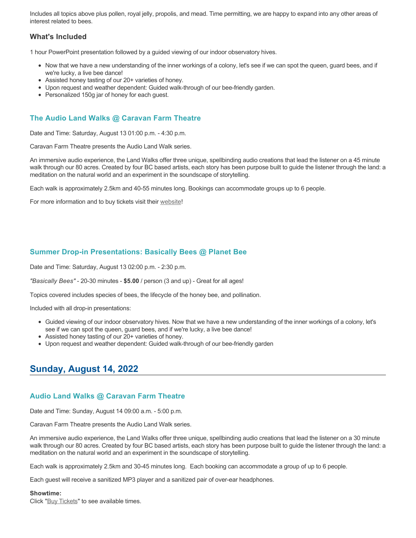Includes all topics above plus pollen, royal jelly, propolis, and mead. Time permitting, we are happy to expand into any other areas of interest related to bees.

### **What's Included**

1 hour PowerPoint presentation followed by a guided viewing of our indoor observatory hives.

- Now that we have a new understanding of the inner workings of a colony, let's see if we can spot the queen, guard bees, and if we're lucky, a live bee dance!
- Assisted honey tasting of our 20+ varieties of honey.
- Upon request and weather dependent: Guided walk-through of our bee-friendly garden.
- Personalized 150g jar of honey for each guest.

### **The Audio Land Walks @ Caravan Farm Theatre**

Date and Time: Saturday, August 13 01:00 p.m. - 4:30 p.m.

Caravan Farm Theatre presents the Audio Land Walk series.

An immersive audio experience, the Land Walks offer three unique, spellbinding audio creations that lead the listener on a 45 minute walk through our 80 acres. Created by four BC based artists, each story has been purpose built to guide the listener through the land: a meditation on the natural world and an experiment in the soundscape of storytelling.

Each walk is approximately 2.5km and 40-55 minutes long. Bookings can accommodate groups up to 6 people.

For more information and to buy tickets visit their [website!](https://caravanfarmtheatre.com/show/the-land-walks/)

### **Summer Drop-in Presentations: Basically Bees @ Planet Bee**

Date and Time: Saturday, August 13 02:00 p.m. - 2:30 p.m.

*"Basically Bees"* - 20-30 minutes - **\$5.00** / person (3 and up) - Great for all ages!

Topics covered includes species of bees, the lifecycle of the honey bee, and pollination.

Included with all drop-in presentations:

- Guided viewing of our indoor observatory hives. Now that we have a new understanding of the inner workings of a colony, let's see if we can spot the queen, guard bees, and if we're lucky, a live bee dance!
- Assisted honey tasting of our 20+ varieties of honey.
- Upon request and weather dependent: Guided walk-through of our bee-friendly garden

## **Sunday, August 14, 2022**

### **Audio Land Walks @ Caravan Farm Theatre**

Date and Time: Sunday, August 14 09:00 a.m. - 5:00 p.m.

Caravan Farm Theatre presents the Audio Land Walk series.

An immersive audio experience, the Land Walks offer three unique, spellbinding audio creations that lead the listener on a 30 minute walk through our 80 acres. Created by four BC based artists, each story has been purpose built to guide the listener through the land: a meditation on the natural world and an experiment in the soundscape of storytelling.

Each walk is approximately 2.5km and 30-45 minutes long. Each booking can accommodate a group of up to 6 people.

Each guest will receive a sanitized MP3 player and a sanitized pair of over-ear headphones.

#### **Showtime:**

Click "[Buy Tickets](https://caravanfarmtheatre.com/show/the-land-walks/?ct=t%28EMAIL_CAMPAIGN_4_19_2022_13_43SEASON+2022%29&mc_cid=c02afad356&mc_eid=4778eb8892)" to see available times.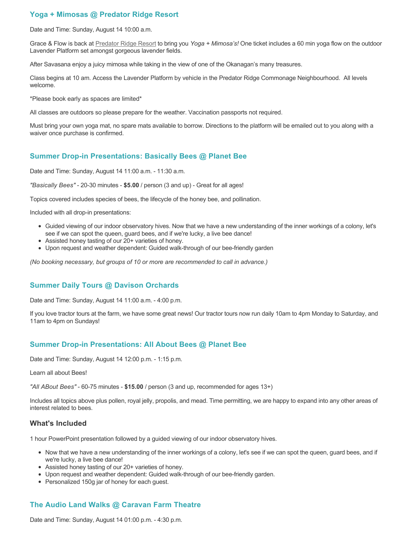### **Yoga + Mimosas @ Predator Ridge Resort**

Date and Time: Sunday, August 14 10:00 a.m.

Grace & Flow is back at [Predator Ridge Resort](https://www.predatorridge.com/events) to bring you *Yoga + Mimosa's!* One ticket includes a 60 min yoga flow on the outdoor Lavender Platform set amongst gorgeous lavender fields.

After Savasana enjoy a juicy mimosa while taking in the view of one of the Okanagan's many treasures.

Class begins at 10 am. Access the Lavender Platform by vehicle in the Predator Ridge Commonage Neighbourhood. All levels welcome.

\*Please book early as spaces are limited\*

All classes are outdoors so please prepare for the weather. Vaccination passports not required.

Must bring your own yoga mat, no spare mats available to borrow. Directions to the platform will be emailed out to you along with a waiver once purchase is confirmed.

### **Summer Drop-in Presentations: Basically Bees @ Planet Bee**

Date and Time: Sunday, August 14 11:00 a.m. - 11:30 a.m.

*"Basically Bees"* - 20-30 minutes - **\$5.00** / person (3 and up) - Great for all ages!

Topics covered includes species of bees, the lifecycle of the honey bee, and pollination.

Included with all drop-in presentations:

- Guided viewing of our indoor observatory hives. Now that we have a new understanding of the inner workings of a colony, let's see if we can spot the queen, guard bees, and if we're lucky, a live bee dance!
- Assisted honey tasting of our 20+ varieties of honey.
- Upon request and weather dependent: Guided walk-through of our bee-friendly garden

*(No booking necessary, but groups of 10 or more are recommended to call in advance.)*

### **Summer Daily Tours @ Davison Orchards**

Date and Time: Sunday, August 14 11:00 a.m. - 4:00 p.m.

If you love tractor tours at the farm, we have some great news! Our tractor tours now run daily 10am to 4pm Monday to Saturday, and 11am to 4pm on Sundays!

### **Summer Drop-in Presentations: All About Bees @ Planet Bee**

Date and Time: Sunday, August 14 12:00 p.m. - 1:15 p.m.

Learn all about Bees!

*"All ABout Bees"* - 60-75 minutes - **\$15.00** / person (3 and up, recommended for ages 13+)

Includes all topics above plus pollen, royal jelly, propolis, and mead. Time permitting, we are happy to expand into any other areas of interest related to bees.

### **What's Included**

1 hour PowerPoint presentation followed by a guided viewing of our indoor observatory hives.

- Now that we have a new understanding of the inner workings of a colony, let's see if we can spot the queen, guard bees, and if we're lucky, a live bee dance!
- Assisted honey tasting of our 20+ varieties of honey.
- Upon request and weather dependent: Guided walk-through of our bee-friendly garden.
- Personalized 150g jar of honey for each guest.

### **The Audio Land Walks @ Caravan Farm Theatre**

Date and Time: Sunday, August 14 01:00 p.m. - 4:30 p.m.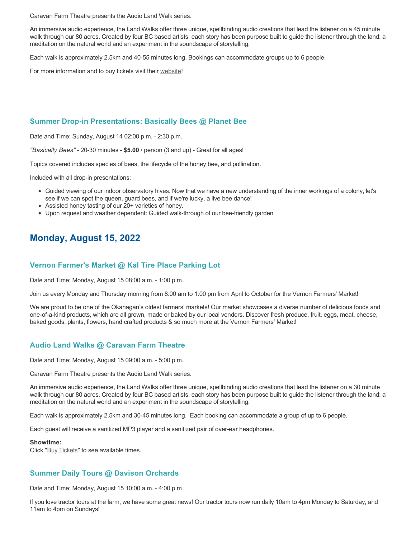Caravan Farm Theatre presents the Audio Land Walk series.

An immersive audio experience, the Land Walks offer three unique, spellbinding audio creations that lead the listener on a 45 minute walk through our 80 acres. Created by four BC based artists, each story has been purpose built to guide the listener through the land: a meditation on the natural world and an experiment in the soundscape of storytelling.

Each walk is approximately 2.5km and 40-55 minutes long. Bookings can accommodate groups up to 6 people.

For more information and to buy tickets visit their [website!](https://caravanfarmtheatre.com/show/the-land-walks/)

### **Summer Drop-in Presentations: Basically Bees @ Planet Bee**

Date and Time: Sunday, August 14 02:00 p.m. - 2:30 p.m.

*"Basically Bees"* - 20-30 minutes - **\$5.00** / person (3 and up) - Great for all ages!

Topics covered includes species of bees, the lifecycle of the honey bee, and pollination.

Included with all drop-in presentations:

- Guided viewing of our indoor observatory hives. Now that we have a new understanding of the inner workings of a colony, let's see if we can spot the queen, guard bees, and if we're lucky, a live bee dance!
- Assisted honey tasting of our 20+ varieties of honey.
- Upon request and weather dependent: Guided walk-through of our bee-friendly garden

# **Monday, August 15, 2022**

### **Vernon Farmer's Market @ Kal Tire Place Parking Lot**

Date and Time: Monday, August 15 08:00 a.m. - 1:00 p.m.

Join us every Monday and Thursday morning from 8:00 am to 1:00 pm from April to October for the Vernon Farmers' Market!

We are proud to be one of the Okanagan's oldest farmers' markets! Our market showcases a diverse number of delicious foods and one-of-a-kind products, which are all grown, made or baked by our local vendors. Discover fresh produce, fruit, eggs, meat, cheese, baked goods, plants, flowers, hand crafted products & so much more at the Vernon Farmers' Market!

### **Audio Land Walks @ Caravan Farm Theatre**

Date and Time: Monday, August 15 09:00 a.m. - 5:00 p.m.

Caravan Farm Theatre presents the Audio Land Walk series.

An immersive audio experience, the Land Walks offer three unique, spellbinding audio creations that lead the listener on a 30 minute walk through our 80 acres. Created by four BC based artists, each story has been purpose built to guide the listener through the land: a meditation on the natural world and an experiment in the soundscape of storytelling.

Each walk is approximately 2.5km and 30-45 minutes long. Each booking can accommodate a group of up to 6 people.

Each guest will receive a sanitized MP3 player and a sanitized pair of over-ear headphones.

#### **Showtime:**

Click "[Buy Tickets](https://caravanfarmtheatre.com/show/the-land-walks/?ct=t%28EMAIL_CAMPAIGN_4_19_2022_13_43SEASON+2022%29&mc_cid=c02afad356&mc_eid=4778eb8892)" to see available times.

### **Summer Daily Tours @ Davison Orchards**

Date and Time: Monday, August 15 10:00 a.m. - 4:00 p.m.

If you love tractor tours at the farm, we have some great news! Our tractor tours now run daily 10am to 4pm Monday to Saturday, and 11am to 4pm on Sundays!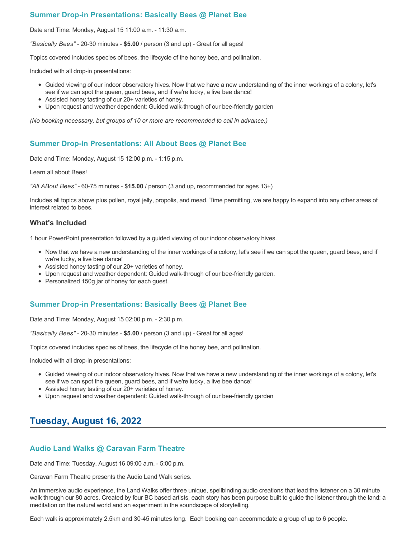### **Summer Drop-in Presentations: Basically Bees @ Planet Bee**

Date and Time: Monday, August 15 11:00 a.m. - 11:30 a.m.

*"Basically Bees"* - 20-30 minutes - **\$5.00** / person (3 and up) - Great for all ages!

Topics covered includes species of bees, the lifecycle of the honey bee, and pollination.

Included with all drop-in presentations:

- Guided viewing of our indoor observatory hives. Now that we have a new understanding of the inner workings of a colony, let's see if we can spot the queen, guard bees, and if we're lucky, a live bee dance!
- Assisted honey tasting of our 20+ varieties of honey.
- Upon request and weather dependent: Guided walk-through of our bee-friendly garden

*(No booking necessary, but groups of 10 or more are recommended to call in advance.)*

### **Summer Drop-in Presentations: All About Bees @ Planet Bee**

Date and Time: Monday, August 15 12:00 p.m. - 1:15 p.m.

Learn all about Bees!

*"All ABout Bees"* - 60-75 minutes - **\$15.00** / person (3 and up, recommended for ages 13+)

Includes all topics above plus pollen, royal jelly, propolis, and mead. Time permitting, we are happy to expand into any other areas of interest related to bees.

### **What's Included**

1 hour PowerPoint presentation followed by a guided viewing of our indoor observatory hives.

- Now that we have a new understanding of the inner workings of a colony, let's see if we can spot the queen, guard bees, and if we're lucky, a live bee dance!
- Assisted honey tasting of our 20+ varieties of honey.
- Upon request and weather dependent: Guided walk-through of our bee-friendly garden.
- Personalized 150g jar of honey for each guest.

### **Summer Drop-in Presentations: Basically Bees @ Planet Bee**

Date and Time: Monday, August 15 02:00 p.m. - 2:30 p.m.

*"Basically Bees"* - 20-30 minutes - **\$5.00** / person (3 and up) - Great for all ages!

Topics covered includes species of bees, the lifecycle of the honey bee, and pollination.

Included with all drop-in presentations:

- Guided viewing of our indoor observatory hives. Now that we have a new understanding of the inner workings of a colony, let's see if we can spot the queen, guard bees, and if we're lucky, a live bee dance!
- Assisted honey tasting of our 20+ varieties of honey.
- Upon request and weather dependent: Guided walk-through of our bee-friendly garden

## **Tuesday, August 16, 2022**

### **Audio Land Walks @ Caravan Farm Theatre**

Date and Time: Tuesday, August 16 09:00 a.m. - 5:00 p.m.

Caravan Farm Theatre presents the Audio Land Walk series.

An immersive audio experience, the Land Walks offer three unique, spellbinding audio creations that lead the listener on a 30 minute walk through our 80 acres. Created by four BC based artists, each story has been purpose built to guide the listener through the land: a meditation on the natural world and an experiment in the soundscape of storytelling.

Each walk is approximately 2.5km and 30-45 minutes long. Each booking can accommodate a group of up to 6 people.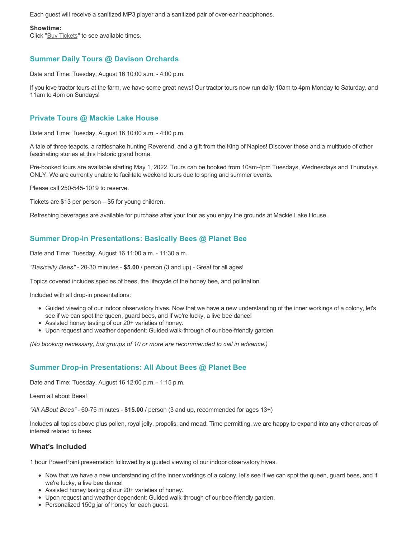Each guest will receive a sanitized MP3 player and a sanitized pair of over-ear headphones.

#### **Showtime:**

Click "[Buy Tickets](https://caravanfarmtheatre.com/show/the-land-walks/?ct=t%28EMAIL_CAMPAIGN_4_19_2022_13_43SEASON+2022%29&mc_cid=c02afad356&mc_eid=4778eb8892)" to see available times.

### **Summer Daily Tours @ Davison Orchards**

Date and Time: Tuesday, August 16 10:00 a.m. - 4:00 p.m.

If you love tractor tours at the farm, we have some great news! Our tractor tours now run daily 10am to 4pm Monday to Saturday, and 11am to 4pm on Sundays!

### **Private Tours @ Mackie Lake House**

Date and Time: Tuesday, August 16 10:00 a.m. - 4:00 p.m.

A tale of three teapots, a rattlesnake hunting Reverend, and a gift from the King of Naples! Discover these and a multitude of other fascinating stories at this historic grand home.

Pre-booked tours are available starting May 1, 2022. Tours can be booked from 10am-4pm Tuesdays, Wednesdays and Thursdays ONLY. We are currently unable to facilitate weekend tours due to spring and summer events.

Please call 250-545-1019 to reserve.

Tickets are \$13 per person – \$5 for young children.

Refreshing beverages are available for purchase after your tour as you enjoy the grounds at Mackie Lake House.

### **Summer Drop-in Presentations: Basically Bees @ Planet Bee**

Date and Time: Tuesday, August 16 11:00 a.m. - 11:30 a.m.

*"Basically Bees"* - 20-30 minutes - **\$5.00** / person (3 and up) - Great for all ages!

Topics covered includes species of bees, the lifecycle of the honey bee, and pollination.

Included with all drop-in presentations:

- Guided viewing of our indoor observatory hives. Now that we have a new understanding of the inner workings of a colony, let's see if we can spot the queen, guard bees, and if we're lucky, a live bee dance!
- Assisted honey tasting of our 20+ varieties of honey.
- Upon request and weather dependent: Guided walk-through of our bee-friendly garden

*(No booking necessary, but groups of 10 or more are recommended to call in advance.)*

### **Summer Drop-in Presentations: All About Bees @ Planet Bee**

Date and Time: Tuesday, August 16 12:00 p.m. - 1:15 p.m.

Learn all about Bees!

*"All ABout Bees"* - 60-75 minutes - **\$15.00** / person (3 and up, recommended for ages 13+)

Includes all topics above plus pollen, royal jelly, propolis, and mead. Time permitting, we are happy to expand into any other areas of interest related to bees.

### **What's Included**

1 hour PowerPoint presentation followed by a guided viewing of our indoor observatory hives.

- Now that we have a new understanding of the inner workings of a colony, let's see if we can spot the queen, guard bees, and if we're lucky, a live bee dance!
- Assisted honey tasting of our 20+ varieties of honey.
- Upon request and weather dependent: Guided walk-through of our bee-friendly garden.
- Personalized 150g jar of honey for each guest.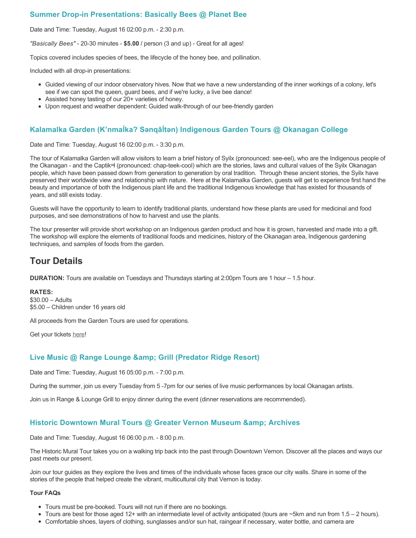### **Summer Drop-in Presentations: Basically Bees @ Planet Bee**

Date and Time: Tuesday, August 16 02:00 p.m. - 2:30 p.m.

*"Basically Bees"* - 20-30 minutes - **\$5.00** / person (3 and up) - Great for all ages!

Topics covered includes species of bees, the lifecycle of the honey bee, and pollination.

Included with all drop-in presentations:

- Guided viewing of our indoor observatory hives. Now that we have a new understanding of the inner workings of a colony, let's see if we can spot the queen, guard bees, and if we're lucky, a live bee dance!
- Assisted honey tasting of our 20+ varieties of honey.
- Upon request and weather dependent: Guided walk-through of our bee-friendly garden

### **Kalamalka Garden (K'nmaĺka? Sәnqâĺtәn) Indigenous Garden Tours @ Okanagan College**

Date and Time: Tuesday, August 16 02:00 p.m. - 3:30 p.m.

The tour of Kalamalka Garden will allow visitors to learn a brief history of Syilx (pronounced: see-eel), who are the Indigenous people of the Okanagan - and the Captikʷł (pronounced: chap-teek-cool) which are the stories, laws and cultural values of the Syilx Okanagan people, which have been passed down from generation to generation by oral tradition. Through these ancient stories, the Syilx have preserved their worldwide view and relationship with nature. Here at the Kalamalka Garden, guests will get to experience first hand the beauty and importance of both the Indigenous plant life and the traditional Indigenous knowledge that has existed for thousands of years, and still exists today.

Guests will have the opportunity to learn to identify traditional plants, understand how these plants are used for medicinal and food purposes, and see demonstrations of how to harvest and use the plants.

The tour presenter will provide short workshop on an Indigenous garden product and how it is grown, harvested and made into a gift. The workshop will explore the elements of traditional foods and medicines, history of the Okanagan area, Indigenous gardening techniques, and samples of foods from the garden.

## **Tour Details**

**DURATION:** Tours are available on Tuesdays and Thursdays starting at 2:00pm Tours are 1 hour – 1.5 hour.

**RATES:** \$30.00 – Adults \$5.00 – Children under 16 years old

All proceeds from the Garden Tours are used for operations.

Get your tickets [here!](https://www.eventbrite.ca/e/kalamalka-garden-tour-tickets-158617843239)

### **Live Music @ Range Lounge & Grill (Predator Ridge Resort)**

Date and Time: Tuesday, August 16 05:00 p.m. - 7:00 p.m.

During the summer, join us every Tuesday from 5 -7pm for our series of live music performances by local Okanagan artists.

Join us in Range & Lounge Grill to enjoy dinner during the event (dinner reservations are recommended).

### **Historic Downtown Mural Tours @ Greater Vernon Museum & Archives**

Date and Time: Tuesday, August 16 06:00 p.m. - 8:00 p.m.

The Historic Mural Tour takes you on a walking trip back into the past through Downtown Vernon. Discover all the places and ways our past meets our present.

Join our tour guides as they explore the lives and times of the individuals whose faces grace our city walls. Share in some of the stories of the people that helped create the vibrant, multicultural city that Vernon is today.

#### **Tour FAQs**

- Tours must be pre-booked. Tours will not run if there are no bookings.
- $\bullet$  Tours are best for those aged 12+ with an intermediate level of activity anticipated (tours are  $\sim$ 5km and run from 1.5 2 hours).
- Comfortable shoes, layers of clothing, sunglasses and/or sun hat, raingear if necessary, water bottle, and camera are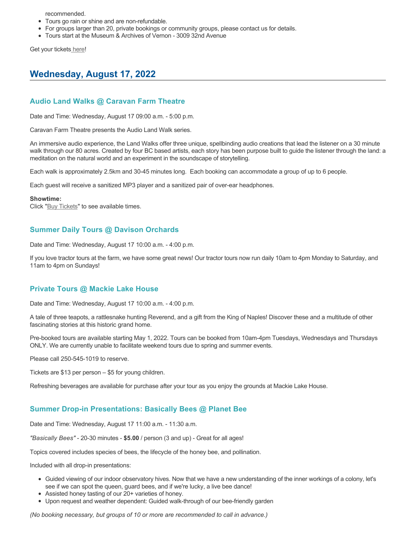recommended.

- Tours go rain or shine and are non-refundable.
- For groups larger than 20, private bookings or community groups, please contact us for details.
- Tours start at the Museum & Archives of Vernon 3009 32nd Avenue

Get your tickets [here!](https://www.eventbrite.com/e/historic-downtown-mural-tours-tickets-304983342387)

# **Wednesday, August 17, 2022**

### **Audio Land Walks @ Caravan Farm Theatre**

Date and Time: Wednesday, August 17 09:00 a.m. - 5:00 p.m.

Caravan Farm Theatre presents the Audio Land Walk series.

An immersive audio experience, the Land Walks offer three unique, spellbinding audio creations that lead the listener on a 30 minute walk through our 80 acres. Created by four BC based artists, each story has been purpose built to guide the listener through the land: a meditation on the natural world and an experiment in the soundscape of storytelling.

Each walk is approximately 2.5km and 30-45 minutes long. Each booking can accommodate a group of up to 6 people.

Each guest will receive a sanitized MP3 player and a sanitized pair of over-ear headphones.

#### **Showtime:**

Click "[Buy Tickets](https://caravanfarmtheatre.com/show/the-land-walks/?ct=t%28EMAIL_CAMPAIGN_4_19_2022_13_43SEASON+2022%29&mc_cid=c02afad356&mc_eid=4778eb8892)" to see available times.

### **Summer Daily Tours @ Davison Orchards**

Date and Time: Wednesday, August 17 10:00 a.m. - 4:00 p.m.

If you love tractor tours at the farm, we have some great news! Our tractor tours now run daily 10am to 4pm Monday to Saturday, and 11am to 4pm on Sundays!

### **Private Tours @ Mackie Lake House**

Date and Time: Wednesday, August 17 10:00 a.m. - 4:00 p.m.

A tale of three teapots, a rattlesnake hunting Reverend, and a gift from the King of Naples! Discover these and a multitude of other fascinating stories at this historic grand home.

Pre-booked tours are available starting May 1, 2022. Tours can be booked from 10am-4pm Tuesdays, Wednesdays and Thursdays ONLY. We are currently unable to facilitate weekend tours due to spring and summer events.

Please call 250-545-1019 to reserve.

Tickets are \$13 per person – \$5 for young children.

Refreshing beverages are available for purchase after your tour as you enjoy the grounds at Mackie Lake House.

### **Summer Drop-in Presentations: Basically Bees @ Planet Bee**

Date and Time: Wednesday, August 17 11:00 a.m. - 11:30 a.m.

*"Basically Bees"* - 20-30 minutes - **\$5.00** / person (3 and up) - Great for all ages!

Topics covered includes species of bees, the lifecycle of the honey bee, and pollination.

Included with all drop-in presentations:

- Guided viewing of our indoor observatory hives. Now that we have a new understanding of the inner workings of a colony, let's see if we can spot the queen, guard bees, and if we're lucky, a live bee dance!
- Assisted honey tasting of our 20+ varieties of honey.
- Upon request and weather dependent: Guided walk-through of our bee-friendly garden

*(No booking necessary, but groups of 10 or more are recommended to call in advance.)*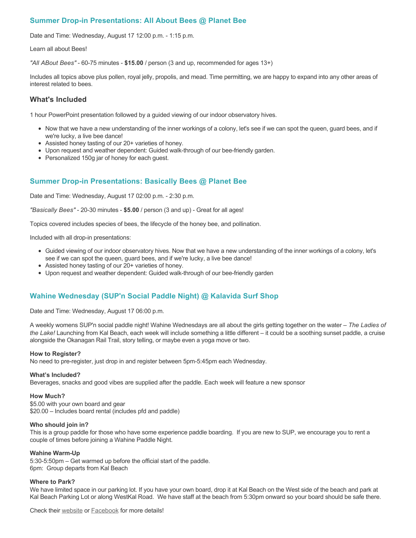### **Summer Drop-in Presentations: All About Bees @ Planet Bee**

Date and Time: Wednesday, August 17 12:00 p.m. - 1:15 p.m.

Learn all about Bees!

*"All ABout Bees"* - 60-75 minutes - **\$15.00** / person (3 and up, recommended for ages 13+)

Includes all topics above plus pollen, royal jelly, propolis, and mead. Time permitting, we are happy to expand into any other areas of interest related to bees.

### **What's Included**

1 hour PowerPoint presentation followed by a guided viewing of our indoor observatory hives.

- Now that we have a new understanding of the inner workings of a colony, let's see if we can spot the queen, guard bees, and if we're lucky, a live bee dance!
- Assisted honey tasting of our 20+ varieties of honey.
- Upon request and weather dependent: Guided walk-through of our bee-friendly garden.
- Personalized 150g jar of honey for each quest.

### **Summer Drop-in Presentations: Basically Bees @ Planet Bee**

Date and Time: Wednesday, August 17 02:00 p.m. - 2:30 p.m.

*"Basically Bees"* - 20-30 minutes - **\$5.00** / person (3 and up) - Great for all ages!

Topics covered includes species of bees, the lifecycle of the honey bee, and pollination.

Included with all drop-in presentations:

- Guided viewing of our indoor observatory hives. Now that we have a new understanding of the inner workings of a colony, let's see if we can spot the queen, guard bees, and if we're lucky, a live bee dance!
- Assisted honey tasting of our 20+ varieties of honey.
- Upon request and weather dependent: Guided walk-through of our bee-friendly garden

### **Wahine Wednesday (SUP'n Social Paddle Night) @ Kalavida Surf Shop**

Date and Time: Wednesday, August 17 06:00 p.m.

A weekly womens SUP'n social paddle night! Wahine Wednesdays are all about the girls getting together on the water – *The Ladies of the Lake!* Launching from Kal Beach, each week will include something a little different – it could be a soothing sunset paddle, a cruise alongside the Okanagan Rail Trail, story telling, or maybe even a yoga move or two.

#### **How to Register?**

No need to pre-register, just drop in and register between 5pm-5:45pm each Wednesday.

#### **What's Included?**

Beverages, snacks and good vibes are supplied after the paddle. Each week will feature a new sponsor

#### **How Much?**

\$5.00 with your own board and gear \$20.00 – Includes board rental (includes pfd and paddle)

#### **Who should join in?**

This is a group paddle for those who have some experience paddle boarding. If you are new to SUP, we encourage you to rent a couple of times before joining a Wahine Paddle Night.

#### **Wahine Warm-Up**

5:30-5:50pm – Get warmed up before the official start of the paddle. 6pm: Group departs from Kal Beach

#### **Where to Park?**

We have limited space in our parking lot. If you have your own board, drop it at Kal Beach on the West side of the beach and park at Kal Beach Parking Lot or along WestKal Road. We have staff at the beach from 5:30pm onward so your board should be safe there.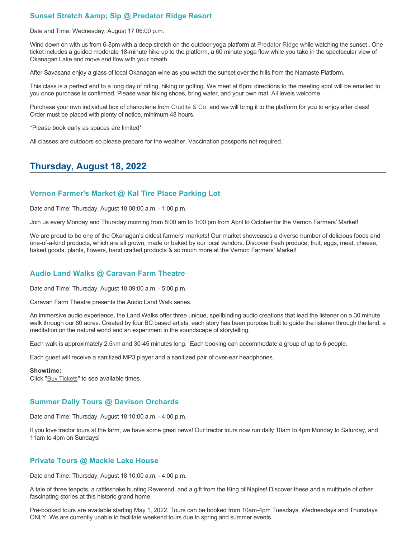### **Sunset Stretch & amp: Sip @ Predator Ridge Resort**

Date and Time: Wednesday, August 17 06:00 p.m.

Wind down on with us from 6-8pm with a deep stretch on the outdoor yoga platform at [Predator Ridge](https://www.predatorridge.com/events) while watching the sunset. One ticket includes a guided moderate 18-minute hike up to the platform, a 60 minute yoga flow while you take in the spectacular view of Okanagan Lake and move and flow with your breath.

After Savasana enjoy a glass of local Okanagan wine as you watch the sunset over the hills from the Namaste Platform.

This class is a perfect end to a long day of riding, hiking or golfing. We meet at 6pm: directions to the meeting spot will be emailed to you once purchase is confirmed. Please wear hiking shoes, bring water, and your own mat. All levels welcome.

Purchase your own individual box of charcuterie from [Crudité & Co.](https://cruditeandco.com/product/picnic-platter/) and we will bring it to the platform for you to enjoy after class! Order must be placed with plenty of notice, minimum 48 hours.

\*Please book early as spaces are limited\*

All classes are outdoors so please prepare for the weather. Vaccination passports not required.

## **Thursday, August 18, 2022**

### **Vernon Farmer's Market @ Kal Tire Place Parking Lot**

Date and Time: Thursday, August 18 08:00 a.m. - 1:00 p.m.

Join us every Monday and Thursday morning from 8:00 am to 1:00 pm from April to October for the Vernon Farmers' Market!

We are proud to be one of the Okanagan's oldest farmers' markets! Our market showcases a diverse number of delicious foods and one-of-a-kind products, which are all grown, made or baked by our local vendors. Discover fresh produce, fruit, eggs, meat, cheese, baked goods, plants, flowers, hand crafted products & so much more at the Vernon Farmers' Market!

### **Audio Land Walks @ Caravan Farm Theatre**

Date and Time: Thursday, August 18 09:00 a.m. - 5:00 p.m.

Caravan Farm Theatre presents the Audio Land Walk series.

An immersive audio experience, the Land Walks offer three unique, spellbinding audio creations that lead the listener on a 30 minute walk through our 80 acres. Created by four BC based artists, each story has been purpose built to guide the listener through the land: a meditation on the natural world and an experiment in the soundscape of storytelling.

Each walk is approximately 2.5km and 30-45 minutes long. Each booking can accommodate a group of up to 6 people.

Each guest will receive a sanitized MP3 player and a sanitized pair of over-ear headphones.

#### **Showtime:**

Click "[Buy Tickets](https://caravanfarmtheatre.com/show/the-land-walks/?ct=t%28EMAIL_CAMPAIGN_4_19_2022_13_43SEASON+2022%29&mc_cid=c02afad356&mc_eid=4778eb8892)" to see available times.

### **Summer Daily Tours @ Davison Orchards**

Date and Time: Thursday, August 18 10:00 a.m. - 4:00 p.m.

If you love tractor tours at the farm, we have some great news! Our tractor tours now run daily 10am to 4pm Monday to Saturday, and 11am to 4pm on Sundays!

### **Private Tours @ Mackie Lake House**

Date and Time: Thursday, August 18 10:00 a.m. - 4:00 p.m.

A tale of three teapots, a rattlesnake hunting Reverend, and a gift from the King of Naples! Discover these and a multitude of other fascinating stories at this historic grand home.

Pre-booked tours are available starting May 1, 2022. Tours can be booked from 10am-4pm Tuesdays, Wednesdays and Thursdays ONLY. We are currently unable to facilitate weekend tours due to spring and summer events.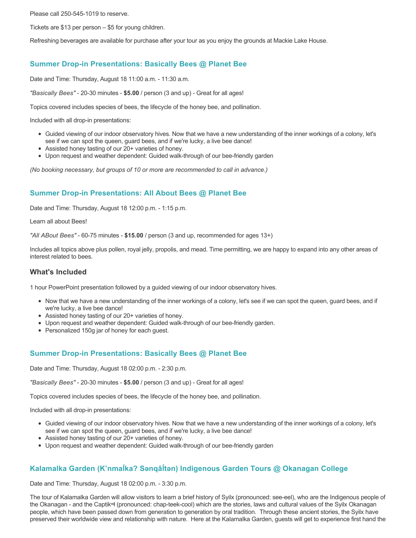Please call 250-545-1019 to reserve.

Tickets are \$13 per person – \$5 for young children.

Refreshing beverages are available for purchase after your tour as you enjoy the grounds at Mackie Lake House.

# **Summer Drop-in Presentations: Basically Bees @ Planet Bee**

Date and Time: Thursday, August 18 11:00 a.m. - 11:30 a.m.

*"Basically Bees"* - 20-30 minutes - **\$5.00** / person (3 and up) - Great for all ages!

Topics covered includes species of bees, the lifecycle of the honey bee, and pollination.

Included with all drop-in presentations:

- Guided viewing of our indoor observatory hives. Now that we have a new understanding of the inner workings of a colony, let's see if we can spot the queen, guard bees, and if we're lucky, a live bee dance!
- Assisted honey tasting of our 20+ varieties of honey.
- Upon request and weather dependent: Guided walk-through of our bee-friendly garden

*(No booking necessary, but groups of 10 or more are recommended to call in advance.)*

# **Summer Drop-in Presentations: All About Bees @ Planet Bee**

Date and Time: Thursday, August 18 12:00 p.m. - 1:15 p.m.

Learn all about Bees!

*"All ABout Bees"* - 60-75 minutes - **\$15.00** / person (3 and up, recommended for ages 13+)

Includes all topics above plus pollen, royal jelly, propolis, and mead. Time permitting, we are happy to expand into any other areas of interest related to bees.

### **What's Included**

1 hour PowerPoint presentation followed by a guided viewing of our indoor observatory hives.

- Now that we have a new understanding of the inner workings of a colony, let's see if we can spot the queen, guard bees, and if we're lucky, a live bee dance!
- Assisted honey tasting of our 20+ varieties of honey.
- Upon request and weather dependent: Guided walk-through of our bee-friendly garden.
- Personalized 150g jar of honey for each guest.

# **Summer Drop-in Presentations: Basically Bees @ Planet Bee**

Date and Time: Thursday, August 18 02:00 p.m. - 2:30 p.m.

*"Basically Bees"* - 20-30 minutes - **\$5.00** / person (3 and up) - Great for all ages!

Topics covered includes species of bees, the lifecycle of the honey bee, and pollination.

Included with all drop-in presentations:

- Guided viewing of our indoor observatory hives. Now that we have a new understanding of the inner workings of a colony, let's see if we can spot the queen, guard bees, and if we're lucky, a live bee dance!
- Assisted honey tasting of our 20+ varieties of honey.
- Upon request and weather dependent: Guided walk-through of our bee-friendly garden

# **Kalamalka Garden (K'nmaĺka? Sәnqâĺtәn) Indigenous Garden Tours @ Okanagan College**

Date and Time: Thursday, August 18 02:00 p.m. - 3:30 p.m.

The tour of Kalamalka Garden will allow visitors to learn a brief history of Syilx (pronounced: see-eel), who are the Indigenous people of the Okanagan - and the Captikʷł (pronounced: chap-teek-cool) which are the stories, laws and cultural values of the Syilx Okanagan people, which have been passed down from generation to generation by oral tradition. Through these ancient stories, the Syilx have preserved their worldwide view and relationship with nature. Here at the Kalamalka Garden, guests will get to experience first hand the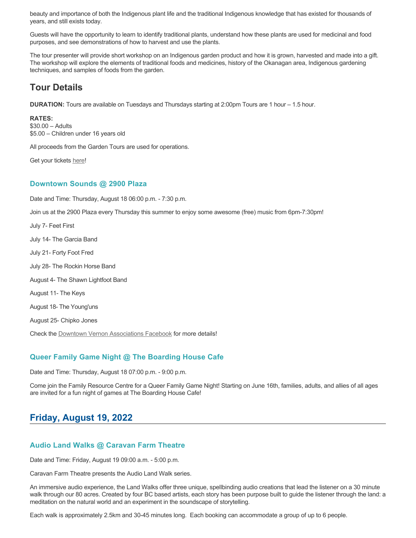beauty and importance of both the Indigenous plant life and the traditional Indigenous knowledge that has existed for thousands of years, and still exists today.

Guests will have the opportunity to learn to identify traditional plants, understand how these plants are used for medicinal and food purposes, and see demonstrations of how to harvest and use the plants.

The tour presenter will provide short workshop on an Indigenous garden product and how it is grown, harvested and made into a gift. The workshop will explore the elements of traditional foods and medicines, history of the Okanagan area, Indigenous gardening techniques, and samples of foods from the garden.

# **Tour Details**

**DURATION:** Tours are available on Tuesdays and Thursdays starting at 2:00pm Tours are 1 hour – 1.5 hour.

**RATES:**

\$30.00 – Adults \$5.00 – Children under 16 years old

All proceeds from the Garden Tours are used for operations.

Get your tickets [here!](https://www.eventbrite.ca/e/kalamalka-garden-tour-tickets-158617843239)

# **Downtown Sounds @ 2900 Plaza**

Date and Time: Thursday, August 18 06:00 p.m. - 7:30 p.m. Join us at the 2900 Plaza every Thursday this summer to enjoy some awesome (free) music from 6pm-7:30pm! July 7- Feet First July 14- The Garcia Band July 21- Forty Foot Fred July 28- The Rockin Horse Band August 4- The Shawn Lightfoot Band August 11- The Keys August 18- The Young'uns August 25- Chipko Jones Check the [Downtown Vernon Associations Facebook](https://www.facebook.com/downtownvernon/) for more details!

# **Queer Family Game Night @ The Boarding House Cafe**

Date and Time: Thursday, August 18 07:00 p.m. - 9:00 p.m.

Come join the Family Resource Centre for a Queer Family Game Night! Starting on June 16th, families, adults, and allies of all ages are invited for a fun night of games at The Boarding House Cafe!

# **Friday, August 19, 2022**

# **Audio Land Walks @ Caravan Farm Theatre**

Date and Time: Friday, August 19 09:00 a.m. - 5:00 p.m.

Caravan Farm Theatre presents the Audio Land Walk series.

An immersive audio experience, the Land Walks offer three unique, spellbinding audio creations that lead the listener on a 30 minute walk through our 80 acres. Created by four BC based artists, each story has been purpose built to guide the listener through the land: a meditation on the natural world and an experiment in the soundscape of storytelling.

Each walk is approximately 2.5km and 30-45 minutes long. Each booking can accommodate a group of up to 6 people.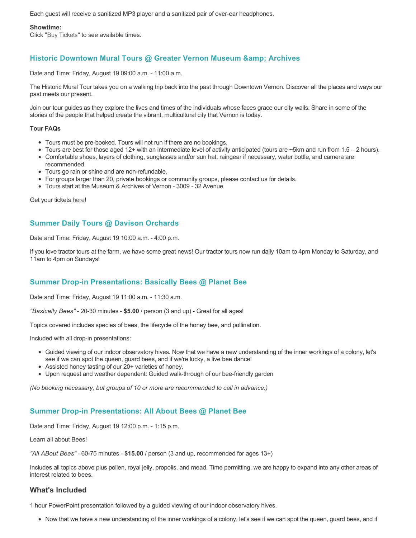Each guest will receive a sanitized MP3 player and a sanitized pair of over-ear headphones.

#### **Showtime:**

Click "[Buy Tickets](https://caravanfarmtheatre.com/show/the-land-walks/?ct=t%28EMAIL_CAMPAIGN_4_19_2022_13_43SEASON+2022%29&mc_cid=c02afad356&mc_eid=4778eb8892)" to see available times.

# **Historic Downtown Mural Tours @ Greater Vernon Museum & Archives**

Date and Time: Friday, August 19 09:00 a.m. - 11:00 a.m.

The Historic Mural Tour takes you on a walking trip back into the past through Downtown Vernon. Discover all the places and ways our past meets our present.

Join our tour guides as they explore the lives and times of the individuals whose faces grace our city walls. Share in some of the stories of the people that helped create the vibrant, multicultural city that Vernon is today.

#### **Tour FAQs**

- Tours must be pre-booked. Tours will not run if there are no bookings.
- Tours are best for those aged 12+ with an intermediate level of activity anticipated (tours are ~5km and run from 1.5 2 hours).
- Comfortable shoes, layers of clothing, sunglasses and/or sun hat, raingear if necessary, water bottle, and camera are recommended.
- Tours go rain or shine and are non-refundable.
- For groups larger than 20, private bookings or community groups, please contact us for details.
- Tours start at the Museum & Archives of Vernon 3009 32 Avenue

Get your tickets [here!](https://www.eventbrite.com/e/historic-downtown-mural-tours-tickets-304983342387)

# **Summer Daily Tours @ Davison Orchards**

Date and Time: Friday, August 19 10:00 a.m. - 4:00 p.m.

If you love tractor tours at the farm, we have some great news! Our tractor tours now run daily 10am to 4pm Monday to Saturday, and 11am to 4pm on Sundays!

# **Summer Drop-in Presentations: Basically Bees @ Planet Bee**

Date and Time: Friday, August 19 11:00 a.m. - 11:30 a.m.

*"Basically Bees"* - 20-30 minutes - **\$5.00** / person (3 and up) - Great for all ages!

Topics covered includes species of bees, the lifecycle of the honey bee, and pollination.

Included with all drop-in presentations:

- Guided viewing of our indoor observatory hives. Now that we have a new understanding of the inner workings of a colony, let's see if we can spot the queen, guard bees, and if we're lucky, a live bee dance!
- Assisted honey tasting of our 20+ varieties of honey.
- Upon request and weather dependent: Guided walk-through of our bee-friendly garden

*(No booking necessary, but groups of 10 or more are recommended to call in advance.)*

# **Summer Drop-in Presentations: All About Bees @ Planet Bee**

Date and Time: Friday, August 19 12:00 p.m. - 1:15 p.m.

Learn all about Bees!

*"All ABout Bees"* - 60-75 minutes - **\$15.00** / person (3 and up, recommended for ages 13+)

Includes all topics above plus pollen, royal jelly, propolis, and mead. Time permitting, we are happy to expand into any other areas of interest related to bees.

# **What's Included**

1 hour PowerPoint presentation followed by a guided viewing of our indoor observatory hives.

Now that we have a new understanding of the inner workings of a colony, let's see if we can spot the queen, guard bees, and if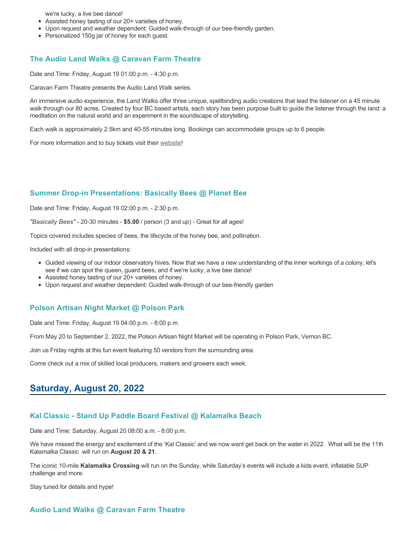we're lucky, a live bee dance!

- Assisted honey tasting of our 20+ varieties of honey.
- Upon request and weather dependent: Guided walk-through of our bee-friendly garden.
- Personalized 150g jar of honey for each guest.

### **The Audio Land Walks @ Caravan Farm Theatre**

Date and Time: Friday, August 19 01:00 p.m. - 4:30 p.m.

Caravan Farm Theatre presents the Audio Land Walk series.

An immersive audio experience, the Land Walks offer three unique, spellbinding audio creations that lead the listener on a 45 minute walk through our 80 acres. Created by four BC based artists, each story has been purpose built to guide the listener through the land: a meditation on the natural world and an experiment in the soundscape of storytelling.

Each walk is approximately 2.5km and 40-55 minutes long. Bookings can accommodate groups up to 6 people.

For more information and to buy tickets visit their [website!](https://caravanfarmtheatre.com/show/the-land-walks/)

#### **Summer Drop-in Presentations: Basically Bees @ Planet Bee**

Date and Time: Friday, August 19 02:00 p.m. - 2:30 p.m.

*"Basically Bees"* - 20-30 minutes - **\$5.00** / person (3 and up) - Great for all ages!

Topics covered includes species of bees, the lifecycle of the honey bee, and pollination.

Included with all drop-in presentations:

- Guided viewing of our indoor observatory hives. Now that we have a new understanding of the inner workings of a colony, let's see if we can spot the queen, guard bees, and if we're lucky, a live bee dance!
- Assisted honey tasting of our 20+ varieties of honey.
- Upon request and weather dependent: Guided walk-through of our bee-friendly garden

#### **Polson Artisan Night Market @ Polson Park**

Date and Time: Friday, August 19 04:00 p.m. - 8:00 p.m.

From May 20 to September 2, 2022, the Polson Artisan Night Market will be operating in Polson Park, Vernon BC.

Join us Friday nights at this fun event featuring 50 vendors from the surrounding area.

Come check out a mix of skilled local producers, makers and growers each week.

# **Saturday, August 20, 2022**

#### **Kal Classic - Stand Up Paddle Board Festival @ Kalamalka Beach**

Date and Time: Saturday, August 20 08:00 a.m. - 8:00 p.m.

We have missed the energy and excitement of the 'Kal Classic' and we now want get back on the water in 2022. What will be the 11th Kalamalka Classic will run on **August 20 & 21**.

The iconic 10-mile **Kalamalka Crossing** will run on the Sunday, while Saturday's events will include a kids event, inflatable SUP challenge and more.

Stay tuned for details and hype!

#### **Audio Land Walks @ Caravan Farm Theatre**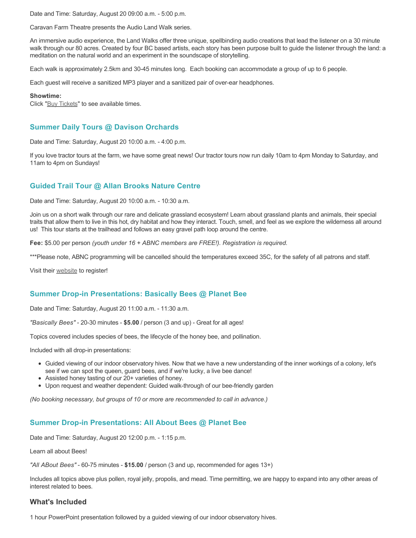Date and Time: Saturday, August 20 09:00 a.m. - 5:00 p.m.

Caravan Farm Theatre presents the Audio Land Walk series.

An immersive audio experience, the Land Walks offer three unique, spellbinding audio creations that lead the listener on a 30 minute walk through our 80 acres. Created by four BC based artists, each story has been purpose built to guide the listener through the land: a meditation on the natural world and an experiment in the soundscape of storytelling.

Each walk is approximately 2.5km and 30-45 minutes long. Each booking can accommodate a group of up to 6 people.

Each guest will receive a sanitized MP3 player and a sanitized pair of over-ear headphones.

#### **Showtime:**

Click "[Buy Tickets](https://caravanfarmtheatre.com/show/the-land-walks/?ct=t%28EMAIL_CAMPAIGN_4_19_2022_13_43SEASON+2022%29&mc_cid=c02afad356&mc_eid=4778eb8892)" to see available times.

# **Summer Daily Tours @ Davison Orchards**

Date and Time: Saturday, August 20 10:00 a.m. - 4:00 p.m.

If you love tractor tours at the farm, we have some great news! Our tractor tours now run daily 10am to 4pm Monday to Saturday, and 11am to 4pm on Sundays!

# **Guided Trail Tour @ Allan Brooks Nature Centre**

Date and Time: Saturday, August 20 10:00 a.m. - 10:30 a.m.

Join us on a short walk through our rare and delicate grassland ecosystem! Learn about grassland plants and animals, their special traits that allow them to live in this hot, dry habitat and how they interact. Touch, smell, and feel as we explore the wilderness all around us! This tour starts at the trailhead and follows an easy gravel path loop around the centre.

**Fee:** \$5.00 per person *(youth under 16 + ABNC members are FREE!). Registration is required.* 

\*\*\*Please note, ABNC programming will be cancelled should the temperatures exceed 35C, for the safety of all patrons and staff.

Visit their [website](https://abnc.ca/events/events-calendar/) to register!

# **Summer Drop-in Presentations: Basically Bees @ Planet Bee**

Date and Time: Saturday, August 20 11:00 a.m. - 11:30 a.m.

*"Basically Bees"* - 20-30 minutes - **\$5.00** / person (3 and up) - Great for all ages!

Topics covered includes species of bees, the lifecycle of the honey bee, and pollination.

Included with all drop-in presentations:

- Guided viewing of our indoor observatory hives. Now that we have a new understanding of the inner workings of a colony, let's see if we can spot the queen, guard bees, and if we're lucky, a live bee dance!
- Assisted honey tasting of our 20+ varieties of honey.
- Upon request and weather dependent: Guided walk-through of our bee-friendly garden

*(No booking necessary, but groups of 10 or more are recommended to call in advance.)*

# **Summer Drop-in Presentations: All About Bees @ Planet Bee**

Date and Time: Saturday, August 20 12:00 p.m. - 1:15 p.m.

Learn all about Bees!

*"All ABout Bees"* - 60-75 minutes - **\$15.00** / person (3 and up, recommended for ages 13+)

Includes all topics above plus pollen, royal jelly, propolis, and mead. Time permitting, we are happy to expand into any other areas of interest related to bees.

### **What's Included**

1 hour PowerPoint presentation followed by a guided viewing of our indoor observatory hives.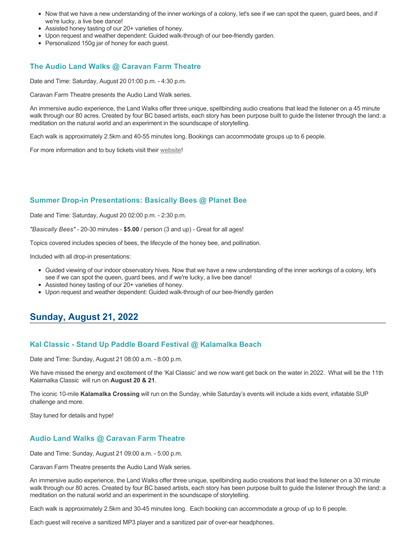- Now that we have a new understanding of the inner workings of a colony, let's see if we can spot the queen, guard bees, and if we're lucky, a live bee dance!
- Assisted honey tasting of our 20+ varieties of honey.
- Upon request and weather dependent: Guided walk-through of our bee-friendly garden.
- Personalized 150g jar of honey for each guest.

# **The Audio Land Walks @ Caravan Farm Theatre**

Date and Time: Saturday, August 20 01:00 p.m. - 4:30 p.m.

Caravan Farm Theatre presents the Audio Land Walk series.

An immersive audio experience, the Land Walks offer three unique, spellbinding audio creations that lead the listener on a 45 minute walk through our 80 acres. Created by four BC based artists, each story has been purpose built to guide the listener through the land: a meditation on the natural world and an experiment in the soundscape of storytelling.

Each walk is approximately 2.5km and 40-55 minutes long. Bookings can accommodate groups up to 6 people.

For more information and to buy tickets visit their [website!](https://caravanfarmtheatre.com/show/the-land-walks/)

# **Summer Drop-in Presentations: Basically Bees @ Planet Bee**

Date and Time: Saturday, August 20 02:00 p.m. - 2:30 p.m.

*"Basically Bees"* - 20-30 minutes - **\$5.00** / person (3 and up) - Great for all ages!

Topics covered includes species of bees, the lifecycle of the honey bee, and pollination.

Included with all drop-in presentations:

- Guided viewing of our indoor observatory hives. Now that we have a new understanding of the inner workings of a colony, let's see if we can spot the queen, guard bees, and if we're lucky, a live bee dance!
- Assisted honey tasting of our 20+ varieties of honey.
- Upon request and weather dependent: Guided walk-through of our bee-friendly garden

# **Sunday, August 21, 2022**

# **Kal Classic - Stand Up Paddle Board Festival @ Kalamalka Beach**

Date and Time: Sunday, August 21 08:00 a.m. - 8:00 p.m.

We have missed the energy and excitement of the 'Kal Classic' and we now want get back on the water in 2022. What will be the 11th Kalamalka Classic will run on **August 20 & 21**.

The iconic 10-mile **Kalamalka Crossing** will run on the Sunday, while Saturday's events will include a kids event, inflatable SUP challenge and more.

Stay tuned for details and hype!

# **Audio Land Walks @ Caravan Farm Theatre**

Date and Time: Sunday, August 21 09:00 a.m. - 5:00 p.m.

Caravan Farm Theatre presents the Audio Land Walk series.

An immersive audio experience, the Land Walks offer three unique, spellbinding audio creations that lead the listener on a 30 minute walk through our 80 acres. Created by four BC based artists, each story has been purpose built to guide the listener through the land: a meditation on the natural world and an experiment in the soundscape of storytelling.

Each walk is approximately 2.5km and 30-45 minutes long. Each booking can accommodate a group of up to 6 people.

Each guest will receive a sanitized MP3 player and a sanitized pair of over-ear headphones.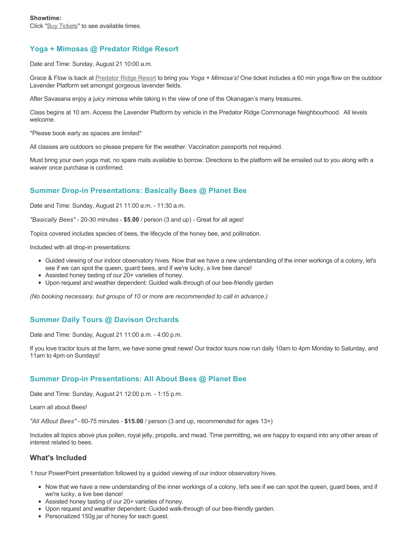# **Yoga + Mimosas @ Predator Ridge Resort**

Date and Time: Sunday, August 21 10:00 a.m.

Grace & Flow is back at [Predator Ridge Resort](https://www.predatorridge.com/events) to bring you *Yoga + Mimosa's!* One ticket includes a 60 min yoga flow on the outdoor Lavender Platform set amongst gorgeous lavender fields.

After Savasana enjoy a juicy mimosa while taking in the view of one of the Okanagan's many treasures.

Class begins at 10 am. Access the Lavender Platform by vehicle in the Predator Ridge Commonage Neighbourhood. All levels welcome.

\*Please book early as spaces are limited\*

All classes are outdoors so please prepare for the weather. Vaccination passports not required.

Must bring your own yoga mat, no spare mats available to borrow. Directions to the platform will be emailed out to you along with a waiver once purchase is confirmed.

# **Summer Drop-in Presentations: Basically Bees @ Planet Bee**

Date and Time: Sunday, August 21 11:00 a.m. - 11:30 a.m.

*"Basically Bees"* - 20-30 minutes - **\$5.00** / person (3 and up) - Great for all ages!

Topics covered includes species of bees, the lifecycle of the honey bee, and pollination.

Included with all drop-in presentations:

- Guided viewing of our indoor observatory hives. Now that we have a new understanding of the inner workings of a colony, let's see if we can spot the queen, guard bees, and if we're lucky, a live bee dance!
- Assisted honey tasting of our 20+ varieties of honey.
- Upon request and weather dependent: Guided walk-through of our bee-friendly garden

*(No booking necessary, but groups of 10 or more are recommended to call in advance.)*

# **Summer Daily Tours @ Davison Orchards**

Date and Time: Sunday, August 21 11:00 a.m. - 4:00 p.m.

If you love tractor tours at the farm, we have some great news! Our tractor tours now run daily 10am to 4pm Monday to Saturday, and 11am to 4pm on Sundays!

# **Summer Drop-in Presentations: All About Bees @ Planet Bee**

Date and Time: Sunday, August 21 12:00 p.m. - 1:15 p.m.

Learn all about Bees!

*"All ABout Bees"* - 60-75 minutes - **\$15.00** / person (3 and up, recommended for ages 13+)

Includes all topics above plus pollen, royal jelly, propolis, and mead. Time permitting, we are happy to expand into any other areas of interest related to bees.

### **What's Included**

1 hour PowerPoint presentation followed by a guided viewing of our indoor observatory hives.

- Now that we have a new understanding of the inner workings of a colony, let's see if we can spot the queen, guard bees, and if we're lucky, a live bee dance!
- Assisted honey tasting of our 20+ varieties of honey.
- Upon request and weather dependent: Guided walk-through of our bee-friendly garden.
- Personalized 150g jar of honey for each guest.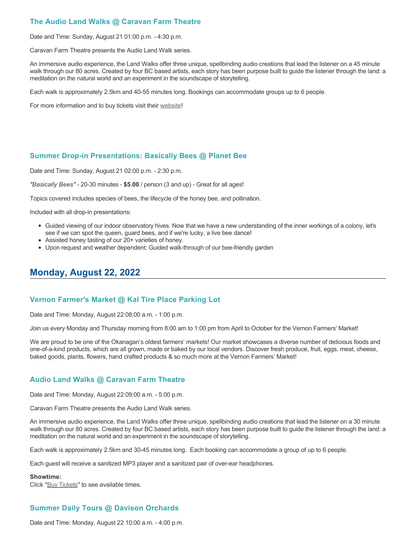# **The Audio Land Walks @ Caravan Farm Theatre**

Date and Time: Sunday, August 21 01:00 p.m. - 4:30 p.m.

Caravan Farm Theatre presents the Audio Land Walk series.

An immersive audio experience, the Land Walks offer three unique, spellbinding audio creations that lead the listener on a 45 minute walk through our 80 acres. Created by four BC based artists, each story has been purpose built to guide the listener through the land: a meditation on the natural world and an experiment in the soundscape of storytelling.

Each walk is approximately 2.5km and 40-55 minutes long. Bookings can accommodate groups up to 6 people.

For more information and to buy tickets visit their [website!](https://caravanfarmtheatre.com/show/the-land-walks/)

# **Summer Drop-in Presentations: Basically Bees @ Planet Bee**

Date and Time: Sunday, August 21 02:00 p.m. - 2:30 p.m.

*"Basically Bees"* - 20-30 minutes - **\$5.00** / person (3 and up) - Great for all ages!

Topics covered includes species of bees, the lifecycle of the honey bee, and pollination.

Included with all drop-in presentations:

- Guided viewing of our indoor observatory hives. Now that we have a new understanding of the inner workings of a colony, let's see if we can spot the queen, guard bees, and if we're lucky, a live bee dance!
- Assisted honey tasting of our 20+ varieties of honey.
- Upon request and weather dependent: Guided walk-through of our bee-friendly garden

# **Monday, August 22, 2022**

# **Vernon Farmer's Market @ Kal Tire Place Parking Lot**

Date and Time: Monday, August 22 08:00 a.m. - 1:00 p.m.

Join us every Monday and Thursday morning from 8:00 am to 1:00 pm from April to October for the Vernon Farmers' Market!

We are proud to be one of the Okanagan's oldest farmers' markets! Our market showcases a diverse number of delicious foods and one-of-a-kind products, which are all grown, made or baked by our local vendors. Discover fresh produce, fruit, eggs, meat, cheese, baked goods, plants, flowers, hand crafted products & so much more at the Vernon Farmers' Market!

# **Audio Land Walks @ Caravan Farm Theatre**

Date and Time: Monday, August 22 09:00 a.m. - 5:00 p.m.

Caravan Farm Theatre presents the Audio Land Walk series.

An immersive audio experience, the Land Walks offer three unique, spellbinding audio creations that lead the listener on a 30 minute walk through our 80 acres. Created by four BC based artists, each story has been purpose built to guide the listener through the land: a meditation on the natural world and an experiment in the soundscape of storytelling.

Each walk is approximately 2.5km and 30-45 minutes long. Each booking can accommodate a group of up to 6 people.

Each guest will receive a sanitized MP3 player and a sanitized pair of over-ear headphones.

#### **Showtime:**

Click "[Buy Tickets](https://caravanfarmtheatre.com/show/the-land-walks/?ct=t%28EMAIL_CAMPAIGN_4_19_2022_13_43SEASON+2022%29&mc_cid=c02afad356&mc_eid=4778eb8892)" to see available times.

# **Summer Daily Tours @ Davison Orchards**

Date and Time: Monday, August 22 10:00 a.m. - 4:00 p.m.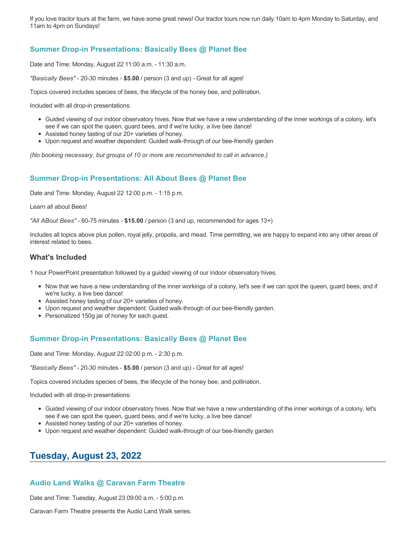If you love tractor tours at the farm, we have some great news! Our tractor tours now run daily 10am to 4pm Monday to Saturday, and 11am to 4pm on Sundays!

# **Summer Drop-in Presentations: Basically Bees @ Planet Bee**

Date and Time: Monday, August 22 11:00 a.m. - 11:30 a.m.

*"Basically Bees"* - 20-30 minutes - **\$5.00** / person (3 and up) - Great for all ages!

Topics covered includes species of bees, the lifecycle of the honey bee, and pollination.

Included with all drop-in presentations:

- Guided viewing of our indoor observatory hives. Now that we have a new understanding of the inner workings of a colony, let's see if we can spot the queen, guard bees, and if we're lucky, a live bee dance!
- Assisted honey tasting of our 20+ varieties of honey.
- Upon request and weather dependent: Guided walk-through of our bee-friendly garden

*(No booking necessary, but groups of 10 or more are recommended to call in advance.)*

# **Summer Drop-in Presentations: All About Bees @ Planet Bee**

Date and Time: Monday, August 22 12:00 p.m. - 1:15 p.m.

Learn all about Bees!

*"All ABout Bees"* - 60-75 minutes - **\$15.00** / person (3 and up, recommended for ages 13+)

Includes all topics above plus pollen, royal jelly, propolis, and mead. Time permitting, we are happy to expand into any other areas of interest related to bees.

### **What's Included**

1 hour PowerPoint presentation followed by a guided viewing of our indoor observatory hives.

- Now that we have a new understanding of the inner workings of a colony, let's see if we can spot the queen, guard bees, and if we're lucky, a live bee dance!
- Assisted honey tasting of our 20+ varieties of honey.
- Upon request and weather dependent: Guided walk-through of our bee-friendly garden.
- Personalized 150g jar of honey for each guest.

# **Summer Drop-in Presentations: Basically Bees @ Planet Bee**

Date and Time: Monday, August 22 02:00 p.m. - 2:30 p.m.

*"Basically Bees"* - 20-30 minutes - **\$5.00** / person (3 and up) - Great for all ages!

Topics covered includes species of bees, the lifecycle of the honey bee, and pollination.

Included with all drop-in presentations:

- Guided viewing of our indoor observatory hives. Now that we have a new understanding of the inner workings of a colony, let's see if we can spot the queen, guard bees, and if we're lucky, a live bee dance!
- Assisted honey tasting of our 20+ varieties of honey.
- Upon request and weather dependent: Guided walk-through of our bee-friendly garden

# **Tuesday, August 23, 2022**

# **Audio Land Walks @ Caravan Farm Theatre**

Date and Time: Tuesday, August 23 09:00 a.m. - 5:00 p.m.

Caravan Farm Theatre presents the Audio Land Walk series.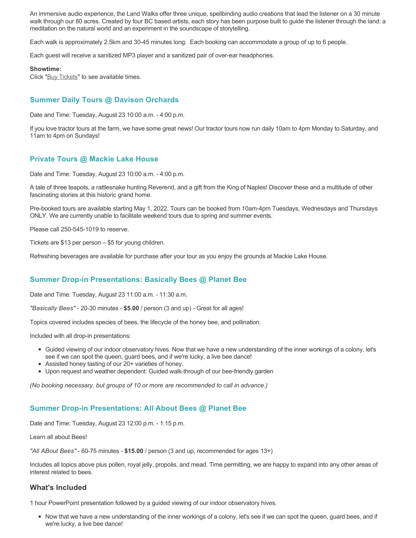An immersive audio experience, the Land Walks offer three unique, spellbinding audio creations that lead the listener on a 30 minute walk through our 80 acres. Created by four BC based artists, each story has been purpose built to guide the listener through the land: a meditation on the natural world and an experiment in the soundscape of storytelling.

Each walk is approximately 2.5km and 30-45 minutes long. Each booking can accommodate a group of up to 6 people.

Each guest will receive a sanitized MP3 player and a sanitized pair of over-ear headphones.

#### **Showtime:**

Click "[Buy Tickets](https://caravanfarmtheatre.com/show/the-land-walks/?ct=t%28EMAIL_CAMPAIGN_4_19_2022_13_43SEASON+2022%29&mc_cid=c02afad356&mc_eid=4778eb8892)" to see available times.

# **Summer Daily Tours @ Davison Orchards**

Date and Time: Tuesday, August 23 10:00 a.m. - 4:00 p.m.

If you love tractor tours at the farm, we have some great news! Our tractor tours now run daily 10am to 4pm Monday to Saturday, and 11am to 4pm on Sundays!

### **Private Tours @ Mackie Lake House**

Date and Time: Tuesday, August 23 10:00 a.m. - 4:00 p.m.

A tale of three teapots, a rattlesnake hunting Reverend, and a gift from the King of Naples! Discover these and a multitude of other fascinating stories at this historic grand home.

Pre-booked tours are available starting May 1, 2022. Tours can be booked from 10am-4pm Tuesdays, Wednesdays and Thursdays ONLY. We are currently unable to facilitate weekend tours due to spring and summer events.

Please call 250-545-1019 to reserve.

Tickets are \$13 per person – \$5 for young children.

Refreshing beverages are available for purchase after your tour as you enjoy the grounds at Mackie Lake House.

# **Summer Drop-in Presentations: Basically Bees @ Planet Bee**

Date and Time: Tuesday, August 23 11:00 a.m. - 11:30 a.m.

*"Basically Bees"* - 20-30 minutes - **\$5.00** / person (3 and up) - Great for all ages!

Topics covered includes species of bees, the lifecycle of the honey bee, and pollination.

Included with all drop-in presentations:

- Guided viewing of our indoor observatory hives. Now that we have a new understanding of the inner workings of a colony, let's see if we can spot the queen, guard bees, and if we're lucky, a live bee dance!
- Assisted honey tasting of our 20+ varieties of honey.
- Upon request and weather dependent: Guided walk-through of our bee-friendly garden

*(No booking necessary, but groups of 10 or more are recommended to call in advance.)*

### **Summer Drop-in Presentations: All About Bees @ Planet Bee**

Date and Time: Tuesday, August 23 12:00 p.m. - 1:15 p.m.

Learn all about Bees!

*"All ABout Bees"* - 60-75 minutes - **\$15.00** / person (3 and up, recommended for ages 13+)

Includes all topics above plus pollen, royal jelly, propolis, and mead. Time permitting, we are happy to expand into any other areas of interest related to bees.

### **What's Included**

1 hour PowerPoint presentation followed by a guided viewing of our indoor observatory hives.

Now that we have a new understanding of the inner workings of a colony, let's see if we can spot the queen, guard bees, and if we're lucky, a live bee dance!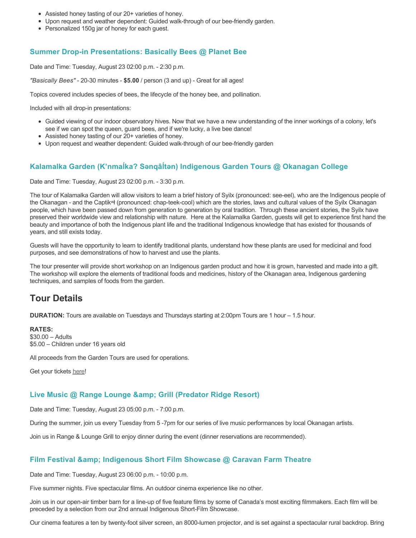- Assisted honey tasting of our 20+ varieties of honey.
- Upon request and weather dependent: Guided walk-through of our bee-friendly garden.
- Personalized 150g jar of honey for each guest.

### **Summer Drop-in Presentations: Basically Bees @ Planet Bee**

Date and Time: Tuesday, August 23 02:00 p.m. - 2:30 p.m.

*"Basically Bees"* - 20-30 minutes - **\$5.00** / person (3 and up) - Great for all ages!

Topics covered includes species of bees, the lifecycle of the honey bee, and pollination.

Included with all drop-in presentations:

- Guided viewing of our indoor observatory hives. Now that we have a new understanding of the inner workings of a colony, let's see if we can spot the queen, guard bees, and if we're lucky, a live bee dance!
- Assisted honey tasting of our 20+ varieties of honey.
- Upon request and weather dependent: Guided walk-through of our bee-friendly garden

# **Kalamalka Garden (K'nmaĺka? Sәnqâĺtәn) Indigenous Garden Tours @ Okanagan College**

Date and Time: Tuesday, August 23 02:00 p.m. - 3:30 p.m.

The tour of Kalamalka Garden will allow visitors to learn a brief history of Syilx (pronounced: see-eel), who are the Indigenous people of the Okanagan - and the Captikʷł (pronounced: chap-teek-cool) which are the stories, laws and cultural values of the Syilx Okanagan people, which have been passed down from generation to generation by oral tradition. Through these ancient stories, the Syilx have preserved their worldwide view and relationship with nature. Here at the Kalamalka Garden, guests will get to experience first hand the beauty and importance of both the Indigenous plant life and the traditional Indigenous knowledge that has existed for thousands of years, and still exists today.

Guests will have the opportunity to learn to identify traditional plants, understand how these plants are used for medicinal and food purposes, and see demonstrations of how to harvest and use the plants.

The tour presenter will provide short workshop on an Indigenous garden product and how it is grown, harvested and made into a gift. The workshop will explore the elements of traditional foods and medicines, history of the Okanagan area, Indigenous gardening techniques, and samples of foods from the garden.

# **Tour Details**

**DURATION:** Tours are available on Tuesdays and Thursdays starting at 2:00pm Tours are 1 hour – 1.5 hour.

#### **RATES:**

\$30.00 – Adults \$5.00 – Children under 16 years old

All proceeds from the Garden Tours are used for operations.

Get your tickets [here!](https://www.eventbrite.ca/e/kalamalka-garden-tour-tickets-158617843239)

### **Live Music @ Range Lounge & Grill (Predator Ridge Resort)**

Date and Time: Tuesday, August 23 05:00 p.m. - 7:00 p.m.

During the summer, join us every Tuesday from 5 -7pm for our series of live music performances by local Okanagan artists.

Join us in Range & Lounge Grill to enjoy dinner during the event (dinner reservations are recommended).

### **Film Festival & Indigenous Short Film Showcase @ Caravan Farm Theatre**

Date and Time: Tuesday, August 23 06:00 p.m. - 10:00 p.m.

Five summer nights. Five spectacular films. An outdoor cinema experience like no other.

Join us in our open-air timber barn for a line-up of five feature films by some of Canada's most exciting filmmakers. Each film will be preceded by a selection from our 2nd annual Indigenous Short-Film Showcase.

Our cinema features a ten by twenty-foot silver screen, an 8000-lumen projector, and is set against a spectacular rural backdrop. Bring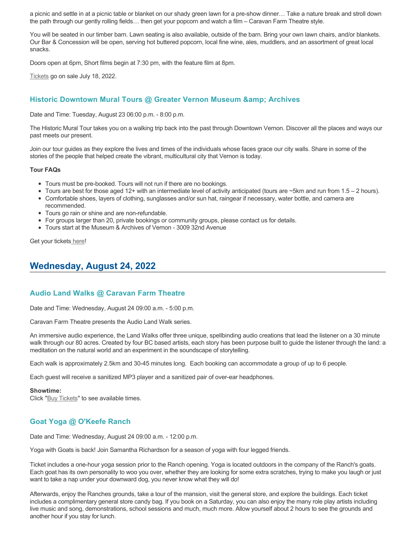a picnic and settle in at a picnic table or blanket on our shady green lawn for a pre-show dinner… Take a nature break and stroll down the path through our gently rolling fields… then get your popcorn and watch a film – Caravan Farm Theatre style.

You will be seated in our timber barn. Lawn seating is also available, outside of the barn. Bring your own lawn chairs, and/or blankets. Our Bar & Concession will be open, serving hot buttered popcorn, local fine wine, ales, muddlers, and an assortment of great local snacks.

Doors open at 6pm, Short films begin at 7:30 pm, with the feature film at 8pm.

[Tickets](https://caravanfarmtheatre.com/show/film-festival/?ct=t%28EMAIL_CAMPAIGN_4_19_2022_13_43SEASON+2022%29&mc_cid=c02afad356&mc_eid=4778eb8892) go on sale July 18, 2022.

# **Historic Downtown Mural Tours @ Greater Vernon Museum & Archives**

Date and Time: Tuesday, August 23 06:00 p.m. - 8:00 p.m.

The Historic Mural Tour takes you on a walking trip back into the past through Downtown Vernon. Discover all the places and ways our past meets our present.

Join our tour guides as they explore the lives and times of the individuals whose faces grace our city walls. Share in some of the stories of the people that helped create the vibrant, multicultural city that Vernon is today.

#### **Tour FAQs**

- Tours must be pre-booked. Tours will not run if there are no bookings.
- Tours are best for those aged 12+ with an intermediate level of activity anticipated (tours are ~5km and run from 1.5 2 hours).
- Comfortable shoes, layers of clothing, sunglasses and/or sun hat, raingear if necessary, water bottle, and camera are recommended.
- Tours go rain or shine and are non-refundable.
- For groups larger than 20, private bookings or community groups, please contact us for details.
- Tours start at the Museum & Archives of Vernon 3009 32nd Avenue

Get your tickets [here!](https://www.eventbrite.com/e/historic-downtown-mural-tours-tickets-304983342387)

# **Wednesday, August 24, 2022**

# **Audio Land Walks @ Caravan Farm Theatre**

Date and Time: Wednesday, August 24 09:00 a.m. - 5:00 p.m.

Caravan Farm Theatre presents the Audio Land Walk series.

An immersive audio experience, the Land Walks offer three unique, spellbinding audio creations that lead the listener on a 30 minute walk through our 80 acres. Created by four BC based artists, each story has been purpose built to guide the listener through the land: a meditation on the natural world and an experiment in the soundscape of storytelling.

Each walk is approximately 2.5km and 30-45 minutes long. Each booking can accommodate a group of up to 6 people.

Each guest will receive a sanitized MP3 player and a sanitized pair of over-ear headphones.

#### **Showtime:**

Click "[Buy Tickets](https://caravanfarmtheatre.com/show/the-land-walks/?ct=t%28EMAIL_CAMPAIGN_4_19_2022_13_43SEASON+2022%29&mc_cid=c02afad356&mc_eid=4778eb8892)" to see available times.

# **Goat Yoga @ O'Keefe Ranch**

Date and Time: Wednesday, August 24 09:00 a.m. - 12:00 p.m.

Yoga with Goats is back! Join Samantha Richardson for a season of yoga with four legged friends.

Ticket includes a one-hour yoga session prior to the Ranch opening. Yoga is located outdoors in the company of the Ranch's goats. Each goat has its own personality to woo you over, whether they are looking for some extra scratches, trying to make you laugh or just want to take a nap under your downward dog, you never know what they will do!

Afterwards, enjoy the Ranches grounds, take a tour of the mansion, visit the general store, and explore the buildings. Each ticket includes a complimentary general store candy bag. If you book on a Saturday, you can also enjoy the many role play artists including live music and song, demonstrations, school sessions and much, much more. Allow yourself about 2 hours to see the grounds and another hour if you stay for lunch.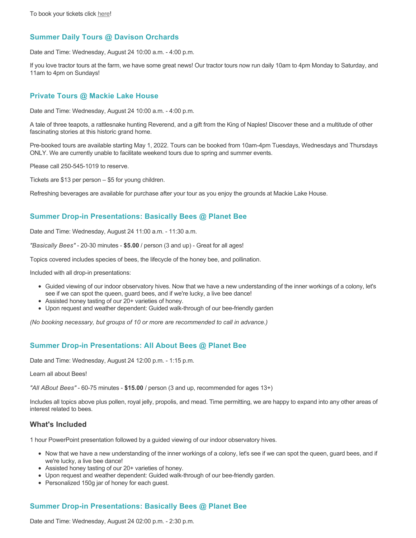# **Summer Daily Tours @ Davison Orchards**

Date and Time: Wednesday, August 24 10:00 a.m. - 4:00 p.m.

If you love tractor tours at the farm, we have some great news! Our tractor tours now run daily 10am to 4pm Monday to Saturday, and 11am to 4pm on Sundays!

### **Private Tours @ Mackie Lake House**

Date and Time: Wednesday, August 24 10:00 a.m. - 4:00 p.m.

A tale of three teapots, a rattlesnake hunting Reverend, and a gift from the King of Naples! Discover these and a multitude of other fascinating stories at this historic grand home.

Pre-booked tours are available starting May 1, 2022. Tours can be booked from 10am-4pm Tuesdays, Wednesdays and Thursdays ONLY. We are currently unable to facilitate weekend tours due to spring and summer events.

Please call 250-545-1019 to reserve.

Tickets are \$13 per person – \$5 for young children.

Refreshing beverages are available for purchase after your tour as you enjoy the grounds at Mackie Lake House.

# **Summer Drop-in Presentations: Basically Bees @ Planet Bee**

Date and Time: Wednesday, August 24 11:00 a.m. - 11:30 a.m.

*"Basically Bees"* - 20-30 minutes - **\$5.00** / person (3 and up) - Great for all ages!

Topics covered includes species of bees, the lifecycle of the honey bee, and pollination.

Included with all drop-in presentations:

- Guided viewing of our indoor observatory hives. Now that we have a new understanding of the inner workings of a colony, let's see if we can spot the queen, guard bees, and if we're lucky, a live bee dance!
- Assisted honey tasting of our 20+ varieties of honey.
- Upon request and weather dependent: Guided walk-through of our bee-friendly garden

*(No booking necessary, but groups of 10 or more are recommended to call in advance.)*

# **Summer Drop-in Presentations: All About Bees @ Planet Bee**

Date and Time: Wednesday, August 24 12:00 p.m. - 1:15 p.m.

Learn all about Bees!

*"All ABout Bees"* - 60-75 minutes - **\$15.00** / person (3 and up, recommended for ages 13+)

Includes all topics above plus pollen, royal jelly, propolis, and mead. Time permitting, we are happy to expand into any other areas of interest related to bees.

# **What's Included**

1 hour PowerPoint presentation followed by a guided viewing of our indoor observatory hives.

- Now that we have a new understanding of the inner workings of a colony, let's see if we can spot the queen, guard bees, and if we're lucky, a live bee dance!
- Assisted honey tasting of our 20+ varieties of honey.
- Upon request and weather dependent: Guided walk-through of our bee-friendly garden.
- Personalized 150g jar of honey for each guest.

# **Summer Drop-in Presentations: Basically Bees @ Planet Bee**

Date and Time: Wednesday, August 24 02:00 p.m. - 2:30 p.m.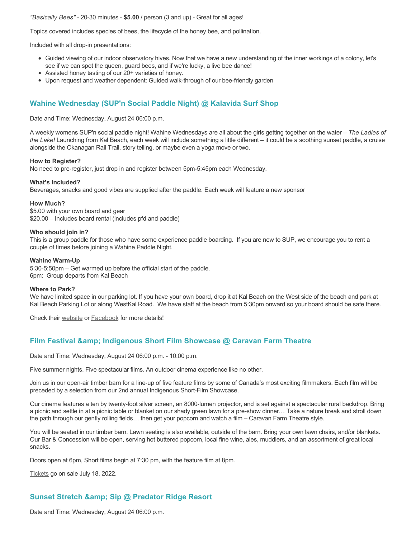#### *"Basically Bees"* - 20-30 minutes - **\$5.00** / person (3 and up) - Great for all ages!

Topics covered includes species of bees, the lifecycle of the honey bee, and pollination.

Included with all drop-in presentations:

- Guided viewing of our indoor observatory hives. Now that we have a new understanding of the inner workings of a colony, let's see if we can spot the queen, guard bees, and if we're lucky, a live bee dance!
- Assisted honey tasting of our 20+ varieties of honey.
- Upon request and weather dependent: Guided walk-through of our bee-friendly garden

# **Wahine Wednesday (SUP'n Social Paddle Night) @ Kalavida Surf Shop**

Date and Time: Wednesday, August 24 06:00 p.m.

A weekly womens SUP'n social paddle night! Wahine Wednesdays are all about the girls getting together on the water – *The Ladies of the Lake!* Launching from Kal Beach, each week will include something a little different – it could be a soothing sunset paddle, a cruise alongside the Okanagan Rail Trail, story telling, or maybe even a yoga move or two.

#### **How to Register?**

No need to pre-register, just drop in and register between 5pm-5:45pm each Wednesday.

#### **What's Included?**

Beverages, snacks and good vibes are supplied after the paddle. Each week will feature a new sponsor

#### **How Much?**

\$5.00 with your own board and gear \$20.00 – Includes board rental (includes pfd and paddle)

#### **Who should join in?**

This is a group paddle for those who have some experience paddle boarding. If you are new to SUP, we encourage you to rent a couple of times before joining a Wahine Paddle Night.

#### **Wahine Warm-Up**

5:30-5:50pm – Get warmed up before the official start of the paddle. 6pm: Group departs from Kal Beach

#### **Where to Park?**

We have limited space in our parking lot. If you have your own board, drop it at Kal Beach on the West side of the beach and park at Kal Beach Parking Lot or along WestKal Road. We have staff at the beach from 5:30pm onward so your board should be safe there.

Check their [website](https://kalavidasurfshop.com/wahine-wednesday-kalavida/) or [Facebook](https://www.facebook.com/kalavidasurfshop/) for more details!

# **Film Festival & Indigenous Short Film Showcase @ Caravan Farm Theatre**

Date and Time: Wednesday, August 24 06:00 p.m. - 10:00 p.m.

Five summer nights. Five spectacular films. An outdoor cinema experience like no other.

Join us in our open-air timber barn for a line-up of five feature films by some of Canada's most exciting filmmakers. Each film will be preceded by a selection from our 2nd annual Indigenous Short-Film Showcase.

Our cinema features a ten by twenty-foot silver screen, an 8000-lumen projector, and is set against a spectacular rural backdrop. Bring a picnic and settle in at a picnic table or blanket on our shady green lawn for a pre-show dinner… Take a nature break and stroll down the path through our gently rolling fields… then get your popcorn and watch a film – Caravan Farm Theatre style.

You will be seated in our timber barn. Lawn seating is also available, outside of the barn. Bring your own lawn chairs, and/or blankets. Our Bar & Concession will be open, serving hot buttered popcorn, local fine wine, ales, muddlers, and an assortment of great local snacks.

Doors open at 6pm, Short films begin at 7:30 pm, with the feature film at 8pm.

[Tickets](https://caravanfarmtheatre.com/show/film-festival/?ct=t%28EMAIL_CAMPAIGN_4_19_2022_13_43SEASON+2022%29&mc_cid=c02afad356&mc_eid=4778eb8892) go on sale July 18, 2022.

# **Sunset Stretch & amp; Sip @ Predator Ridge Resort**

Date and Time: Wednesday, August 24 06:00 p.m.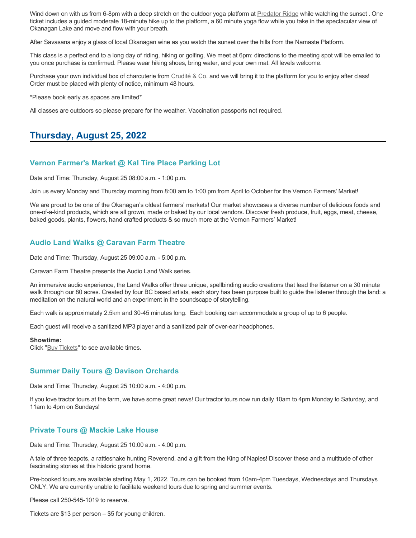Wind down on with us from 6-8pm with a deep stretch on the outdoor yoga platform at [Predator Ridge](https://www.predatorridge.com/events) while watching the sunset. One ticket includes a guided moderate 18-minute hike up to the platform, a 60 minute yoga flow while you take in the spectacular view of Okanagan Lake and move and flow with your breath.

After Savasana enjoy a glass of local Okanagan wine as you watch the sunset over the hills from the Namaste Platform.

This class is a perfect end to a long day of riding, hiking or golfing. We meet at 6pm: directions to the meeting spot will be emailed to you once purchase is confirmed. Please wear hiking shoes, bring water, and your own mat. All levels welcome.

Purchase your own individual box of charcuterie from [Crudité & Co.](https://cruditeandco.com/product/picnic-platter/) and we will bring it to the platform for you to enjoy after class! Order must be placed with plenty of notice, minimum 48 hours.

\*Please book early as spaces are limited\*

All classes are outdoors so please prepare for the weather. Vaccination passports not required.

# **Thursday, August 25, 2022**

# **Vernon Farmer's Market @ Kal Tire Place Parking Lot**

Date and Time: Thursday, August 25 08:00 a.m. - 1:00 p.m.

Join us every Monday and Thursday morning from 8:00 am to 1:00 pm from April to October for the Vernon Farmers' Market!

We are proud to be one of the Okanagan's oldest farmers' markets! Our market showcases a diverse number of delicious foods and one-of-a-kind products, which are all grown, made or baked by our local vendors. Discover fresh produce, fruit, eggs, meat, cheese, baked goods, plants, flowers, hand crafted products & so much more at the Vernon Farmers' Market!

# **Audio Land Walks @ Caravan Farm Theatre**

Date and Time: Thursday, August 25 09:00 a.m. - 5:00 p.m.

Caravan Farm Theatre presents the Audio Land Walk series.

An immersive audio experience, the Land Walks offer three unique, spellbinding audio creations that lead the listener on a 30 minute walk through our 80 acres. Created by four BC based artists, each story has been purpose built to guide the listener through the land: a meditation on the natural world and an experiment in the soundscape of storytelling.

Each walk is approximately 2.5km and 30-45 minutes long. Each booking can accommodate a group of up to 6 people.

Each guest will receive a sanitized MP3 player and a sanitized pair of over-ear headphones.

#### **Showtime:**

Click "[Buy Tickets](https://caravanfarmtheatre.com/show/the-land-walks/?ct=t%28EMAIL_CAMPAIGN_4_19_2022_13_43SEASON+2022%29&mc_cid=c02afad356&mc_eid=4778eb8892)" to see available times.

### **Summer Daily Tours @ Davison Orchards**

Date and Time: Thursday, August 25 10:00 a.m. - 4:00 p.m.

If you love tractor tours at the farm, we have some great news! Our tractor tours now run daily 10am to 4pm Monday to Saturday, and 11am to 4pm on Sundays!

### **Private Tours @ Mackie Lake House**

Date and Time: Thursday, August 25 10:00 a.m. - 4:00 p.m.

A tale of three teapots, a rattlesnake hunting Reverend, and a gift from the King of Naples! Discover these and a multitude of other fascinating stories at this historic grand home.

Pre-booked tours are available starting May 1, 2022. Tours can be booked from 10am-4pm Tuesdays, Wednesdays and Thursdays ONLY. We are currently unable to facilitate weekend tours due to spring and summer events.

Please call 250-545-1019 to reserve.

Tickets are \$13 per person – \$5 for young children.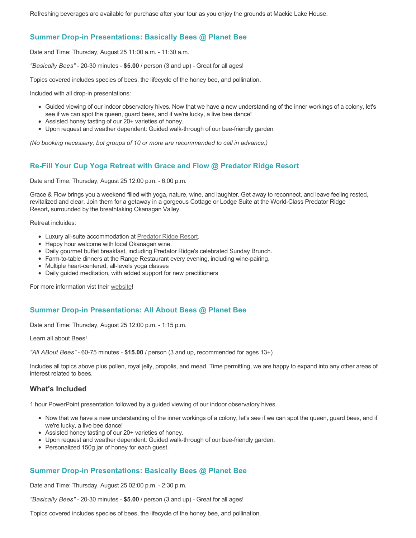Refreshing beverages are available for purchase after your tour as you enjoy the grounds at Mackie Lake House.

# **Summer Drop-in Presentations: Basically Bees @ Planet Bee**

Date and Time: Thursday, August 25 11:00 a.m. - 11:30 a.m.

*"Basically Bees"* - 20-30 minutes - **\$5.00** / person (3 and up) - Great for all ages!

Topics covered includes species of bees, the lifecycle of the honey bee, and pollination.

Included with all drop-in presentations:

- Guided viewing of our indoor observatory hives. Now that we have a new understanding of the inner workings of a colony, let's see if we can spot the queen, guard bees, and if we're lucky, a live bee dance!
- Assisted honey tasting of our 20+ varieties of honey.
- Upon request and weather dependent: Guided walk-through of our bee-friendly garden

*(No booking necessary, but groups of 10 or more are recommended to call in advance.)*

# **Re-Fill Your Cup Yoga Retreat with Grace and Flow @ Predator Ridge Resort**

Date and Time: Thursday, August 25 12:00 p.m. - 6:00 p.m.

Grace & Flow brings you a weekend filled with yoga, nature, wine, and laughter. Get away to reconnect, and leave feeling rested, revitalized and clear. Join them for a getaway in a gorgeous Cottage or Lodge Suite at the World-Class Predator Ridge Resort**,** surrounded by the breathtaking Okanagan Valley.

Retreat incluides:

- Luxury all-suite accommodation at [Predator Ridge Resort](https://www.predatorridge.com/).
- Happy hour welcome with local Okanagan wine.
- Daily gourmet buffet breakfast, including Predator Ridge's celebrated Sunday Brunch.
- Farm-to-table dinners at the Range Restaurant every evening, including wine-pairing.
- Multiple heart-centered, all-levels yoga classes
- Daily guided meditation, with added support for new practitioners

For more information vist their [website](https://graceandflow.ca/products/re-fill-your-cup-yoga-retreat-august-25-28-2022)!

# **Summer Drop-in Presentations: All About Bees @ Planet Bee**

Date and Time: Thursday, August 25 12:00 p.m. - 1:15 p.m.

Learn all about Bees!

*"All ABout Bees"* - 60-75 minutes - **\$15.00** / person (3 and up, recommended for ages 13+)

Includes all topics above plus pollen, royal jelly, propolis, and mead. Time permitting, we are happy to expand into any other areas of interest related to bees.

### **What's Included**

1 hour PowerPoint presentation followed by a guided viewing of our indoor observatory hives.

- Now that we have a new understanding of the inner workings of a colony, let's see if we can spot the queen, guard bees, and if we're lucky, a live bee dance!
- Assisted honey tasting of our 20+ varieties of honey.
- Upon request and weather dependent: Guided walk-through of our bee-friendly garden.
- Personalized 150g jar of honey for each guest.

# **Summer Drop-in Presentations: Basically Bees @ Planet Bee**

Date and Time: Thursday, August 25 02:00 p.m. - 2:30 p.m.

*"Basically Bees"* - 20-30 minutes - **\$5.00** / person (3 and up) - Great for all ages!

Topics covered includes species of bees, the lifecycle of the honey bee, and pollination.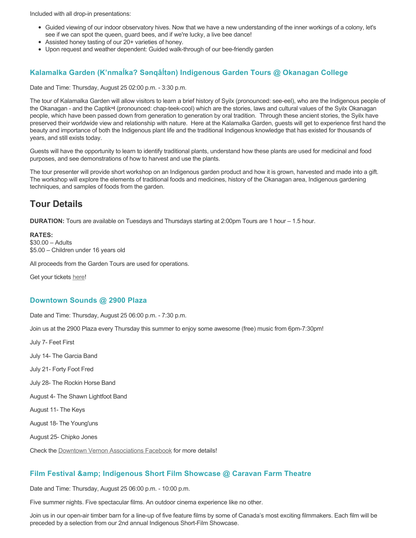Included with all drop-in presentations:

- Guided viewing of our indoor observatory hives. Now that we have a new understanding of the inner workings of a colony, let's see if we can spot the queen, guard bees, and if we're lucky, a live bee dance!
- Assisted honey tasting of our 20+ varieties of honey.
- Upon request and weather dependent: Guided walk-through of our bee-friendly garden

# **Kalamalka Garden (K'nmaĺka? Sәnqâĺtәn) Indigenous Garden Tours @ Okanagan College**

Date and Time: Thursday, August 25 02:00 p.m. - 3:30 p.m.

The tour of Kalamalka Garden will allow visitors to learn a brief history of Syilx (pronounced: see-eel), who are the Indigenous people of the Okanagan - and the Captikʷł (pronounced: chap-teek-cool) which are the stories, laws and cultural values of the Syilx Okanagan people, which have been passed down from generation to generation by oral tradition. Through these ancient stories, the Syilx have preserved their worldwide view and relationship with nature. Here at the Kalamalka Garden, guests will get to experience first hand the beauty and importance of both the Indigenous plant life and the traditional Indigenous knowledge that has existed for thousands of years, and still exists today.

Guests will have the opportunity to learn to identify traditional plants, understand how these plants are used for medicinal and food purposes, and see demonstrations of how to harvest and use the plants.

The tour presenter will provide short workshop on an Indigenous garden product and how it is grown, harvested and made into a gift. The workshop will explore the elements of traditional foods and medicines, history of the Okanagan area, Indigenous gardening techniques, and samples of foods from the garden.

# **Tour Details**

**DURATION:** Tours are available on Tuesdays and Thursdays starting at 2:00pm Tours are 1 hour – 1.5 hour.

#### **RATES:** \$30.00 – Adults \$5.00 – Children under 16 years old

All proceeds from the Garden Tours are used for operations.

Get your tickets [here!](https://www.eventbrite.ca/e/kalamalka-garden-tour-tickets-158617843239)

# **Downtown Sounds @ 2900 Plaza**

Date and Time: Thursday, August 25 06:00 p.m. - 7:30 p.m.

Join us at the 2900 Plaza every Thursday this summer to enjoy some awesome (free) music from 6pm-7:30pm!

July 7- Feet First

July 14- The Garcia Band

July 21- Forty Foot Fred

July 28- The Rockin Horse Band

August 4- The Shawn Lightfoot Band

August 11- The Keys

August 18- The Young'uns

August 25- Chipko Jones

Check the [Downtown Vernon Associations Facebook](https://www.facebook.com/downtownvernon/) for more details!

# **Film Festival & Indigenous Short Film Showcase @ Caravan Farm Theatre**

Date and Time: Thursday, August 25 06:00 p.m. - 10:00 p.m.

Five summer nights. Five spectacular films. An outdoor cinema experience like no other.

Join us in our open-air timber barn for a line-up of five feature films by some of Canada's most exciting filmmakers. Each film will be preceded by a selection from our 2nd annual Indigenous Short-Film Showcase.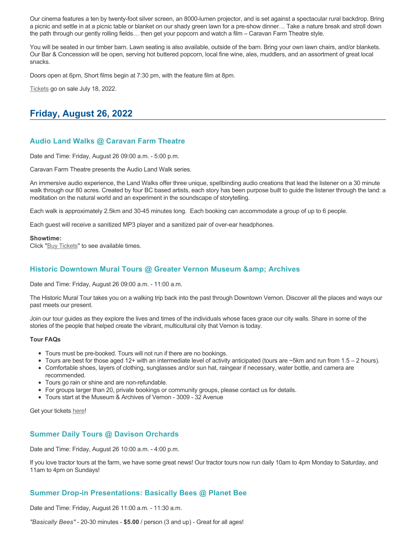Our cinema features a ten by twenty-foot silver screen, an 8000-lumen projector, and is set against a spectacular rural backdrop. Bring a picnic and settle in at a picnic table or blanket on our shady green lawn for a pre-show dinner… Take a nature break and stroll down the path through our gently rolling fields… then get your popcorn and watch a film – Caravan Farm Theatre style.

You will be seated in our timber barn. Lawn seating is also available, outside of the barn. Bring your own lawn chairs, and/or blankets. Our Bar & Concession will be open, serving hot buttered popcorn, local fine wine, ales, muddlers, and an assortment of great local snacks.

Doors open at 6pm, Short films begin at 7:30 pm, with the feature film at 8pm.

[Tickets](https://caravanfarmtheatre.com/show/film-festival/?ct=t%28EMAIL_CAMPAIGN_4_19_2022_13_43SEASON+2022%29&mc_cid=c02afad356&mc_eid=4778eb8892) go on sale July 18, 2022.

# **Friday, August 26, 2022**

# **Audio Land Walks @ Caravan Farm Theatre**

Date and Time: Friday, August 26 09:00 a.m. - 5:00 p.m.

Caravan Farm Theatre presents the Audio Land Walk series.

An immersive audio experience, the Land Walks offer three unique, spellbinding audio creations that lead the listener on a 30 minute walk through our 80 acres. Created by four BC based artists, each story has been purpose built to guide the listener through the land: a meditation on the natural world and an experiment in the soundscape of storytelling.

Each walk is approximately 2.5km and 30-45 minutes long. Each booking can accommodate a group of up to 6 people.

Each guest will receive a sanitized MP3 player and a sanitized pair of over-ear headphones.

#### **Showtime:**

Click "[Buy Tickets](https://caravanfarmtheatre.com/show/the-land-walks/?ct=t%28EMAIL_CAMPAIGN_4_19_2022_13_43SEASON+2022%29&mc_cid=c02afad356&mc_eid=4778eb8892)" to see available times.

# **Historic Downtown Mural Tours @ Greater Vernon Museum & Archives**

Date and Time: Friday, August 26 09:00 a.m. - 11:00 a.m.

The Historic Mural Tour takes you on a walking trip back into the past through Downtown Vernon. Discover all the places and ways our past meets our present.

Join our tour guides as they explore the lives and times of the individuals whose faces grace our city walls. Share in some of the stories of the people that helped create the vibrant, multicultural city that Vernon is today.

#### **Tour FAQs**

- Tours must be pre-booked. Tours will not run if there are no bookings.
- Tours are best for those aged 12+ with an intermediate level of activity anticipated (tours are  $\sim$ 5km and run from 1.5 2 hours).
- Comfortable shoes, layers of clothing, sunglasses and/or sun hat, raingear if necessary, water bottle, and camera are recommended.
- Tours go rain or shine and are non-refundable.
- For groups larger than 20, private bookings or community groups, please contact us for details.
- Tours start at the Museum & Archives of Vernon 3009 32 Avenue

Get your tickets [here!](https://www.eventbrite.com/e/historic-downtown-mural-tours-tickets-304983342387)

# **Summer Daily Tours @ Davison Orchards**

Date and Time: Friday, August 26 10:00 a.m. - 4:00 p.m.

If you love tractor tours at the farm, we have some great news! Our tractor tours now run daily 10am to 4pm Monday to Saturday, and 11am to 4pm on Sundays!

# **Summer Drop-in Presentations: Basically Bees @ Planet Bee**

Date and Time: Friday, August 26 11:00 a.m. - 11:30 a.m.

*"Basically Bees"* - 20-30 minutes - **\$5.00** / person (3 and up) - Great for all ages!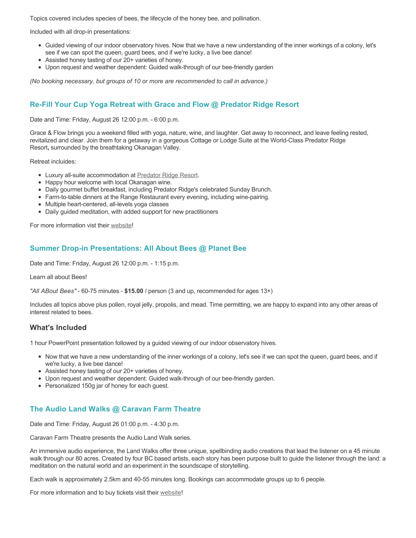Topics covered includes species of bees, the lifecycle of the honey bee, and pollination.

Included with all drop-in presentations:

- Guided viewing of our indoor observatory hives. Now that we have a new understanding of the inner workings of a colony, let's see if we can spot the queen, guard bees, and if we're lucky, a live bee dance!
- Assisted honey tasting of our 20+ varieties of honey.
- Upon request and weather dependent: Guided walk-through of our bee-friendly garden

*(No booking necessary, but groups of 10 or more are recommended to call in advance.)*

# **Re-Fill Your Cup Yoga Retreat with Grace and Flow @ Predator Ridge Resort**

Date and Time: Friday, August 26 12:00 p.m. - 6:00 p.m.

Grace & Flow brings you a weekend filled with yoga, nature, wine, and laughter. Get away to reconnect, and leave feeling rested, revitalized and clear. Join them for a getaway in a gorgeous Cottage or Lodge Suite at the World-Class Predator Ridge Resort**,** surrounded by the breathtaking Okanagan Valley.

Retreat incluides:

- Luxury all-suite accommodation at [Predator Ridge Resort](https://www.predatorridge.com/).
- Happy hour welcome with local Okanagan wine.
- Daily gourmet buffet breakfast, including Predator Ridge's celebrated Sunday Brunch.
- Farm-to-table dinners at the Range Restaurant every evening, including wine-pairing.
- Multiple heart-centered, all-levels yoga classes
- Daily guided meditation, with added support for new practitioners

For more information vist their [website](https://graceandflow.ca/products/re-fill-your-cup-yoga-retreat-august-25-28-2022)!

# **Summer Drop-in Presentations: All About Bees @ Planet Bee**

Date and Time: Friday, August 26 12:00 p.m. - 1:15 p.m.

Learn all about Bees!

*"All ABout Bees"* - 60-75 minutes - **\$15.00** / person (3 and up, recommended for ages 13+)

Includes all topics above plus pollen, royal jelly, propolis, and mead. Time permitting, we are happy to expand into any other areas of interest related to bees.

# **What's Included**

1 hour PowerPoint presentation followed by a guided viewing of our indoor observatory hives.

- Now that we have a new understanding of the inner workings of a colony, let's see if we can spot the queen, guard bees, and if we're lucky, a live bee dance!
- Assisted honey tasting of our 20+ varieties of honey.
- Upon request and weather dependent: Guided walk-through of our bee-friendly garden.
- Personalized 150g jar of honey for each guest.

# **The Audio Land Walks @ Caravan Farm Theatre**

Date and Time: Friday, August 26 01:00 p.m. - 4:30 p.m.

Caravan Farm Theatre presents the Audio Land Walk series.

An immersive audio experience, the Land Walks offer three unique, spellbinding audio creations that lead the listener on a 45 minute walk through our 80 acres. Created by four BC based artists, each story has been purpose built to guide the listener through the land: a meditation on the natural world and an experiment in the soundscape of storytelling.

Each walk is approximately 2.5km and 40-55 minutes long. Bookings can accommodate groups up to 6 people.

For more information and to buy tickets visit their [website!](https://caravanfarmtheatre.com/show/the-land-walks/)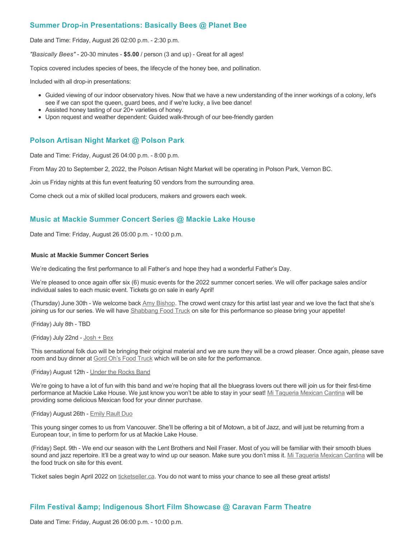# **Summer Drop-in Presentations: Basically Bees @ Planet Bee**

Date and Time: Friday, August 26 02:00 p.m. - 2:30 p.m.

*"Basically Bees"* - 20-30 minutes - **\$5.00** / person (3 and up) - Great for all ages!

Topics covered includes species of bees, the lifecycle of the honey bee, and pollination.

Included with all drop-in presentations:

- Guided viewing of our indoor observatory hives. Now that we have a new understanding of the inner workings of a colony, let's see if we can spot the queen, guard bees, and if we're lucky, a live bee dance!
- Assisted honey tasting of our 20+ varieties of honey.
- Upon request and weather dependent: Guided walk-through of our bee-friendly garden

# **Polson Artisan Night Market @ Polson Park**

Date and Time: Friday, August 26 04:00 p.m. - 8:00 p.m.

From May 20 to September 2, 2022, the Polson Artisan Night Market will be operating in Polson Park, Vernon BC.

Join us Friday nights at this fun event featuring 50 vendors from the surrounding area.

Come check out a mix of skilled local producers, makers and growers each week.

# **Music at Mackie Summer Concert Series @ Mackie Lake House**

Date and Time: Friday, August 26 05:00 p.m. - 10:00 p.m.

#### **Music at Mackie Summer Concert Series**

We're dedicating the first performance to all Father's and hope they had a wonderful Father's Day.

We're pleased to once again offer six (6) music events for the 2022 summer concert series. We will offer package sales and/or individual sales to each music event. Tickets go on sale in early April!

(Thursday) June 30th - We welcome back [Amy Bishop.](https://protect-ca.mimecast.com/s/97KDCk8v46IYY8Pc4eTtT?domain=mackiehouse.us3.list-manage.com) The crowd went crazy for this artist last year and we love the fact that she's joining us for our series. We will have [Shabbang Food Truck](https://protect-ca.mimecast.com/s/hGWiClxw48FOO0jTKiFD6?domain=mackiehouse.us3.list-manage.com) on site for this performance so please bring your appetite!

(Friday) July 8th - TBD

(Friday) July 22nd - [Josh + Bex](https://protect-ca.mimecast.com/s/LfcBCmOx47s11B9u0QwFr?domain=mackiehouse.us3.list-manage.com)

This sensational folk duo will be bringing their original material and we are sure they will be a crowd pleaser. Once again, please save room and buy dinner at [Gord Oh's Food Truck](https://protect-ca.mimecast.com/s/oREECnxy4GFllAkujC-Hs?domain=mackiehouse.us3.list-manage.com) which will be on site for the performance.

#### (Friday) August 12th - [Under the Rocks Band](https://protect-ca.mimecast.com/s/wmzjCoVz4AhlljQujeM8P?domain=mackiehouse.us3.list-manage.com)

We're going to have a lot of fun with this band and we're hoping that all the bluegrass lovers out there will join us for their first-time performance at Mackie Lake House. We just know you won't be able to stay in your seat! [Mi Taqueria Mexican Cantina](https://protect-ca.mimecast.com/s/IidvCp8A59IQQ17s1mbiS?domain=mackiehouse.us3.list-manage.com) will be providing some delicious Mexican food for your dinner purchase.

#### (Friday) August 26th - [Emily Rault Duo](https://protect-ca.mimecast.com/s/1ZJZCq7B4AsLLKVczxAAc?domain=mackiehouse.us3.list-manage.com)

This young singer comes to us from Vancouver. She'll be offering a bit of Motown, a bit of Jazz, and will just be returning from a European tour, in time to perform for us at Mackie Lake House.

(Friday) Sept. 9th - We end our season with the Lent Brothers and Neil Fraser. Most of you will be familiar with their smooth blues sound and jazz repertoire. It'll be a great way to wind up our season. Make sure you don't miss it. [Mi Taqueria Mexican Cantina](https://protect-ca.mimecast.com/s/mUjmCr8D4gIwwPWTPinKw?domain=mackiehouse.us3.list-manage.com) will be the food truck on site for this event.

Ticket sales begin April 2022 on [ticketseller.ca.](https://ticketseller.ca/) You do not want to miss your chance to see all these great artists!

# **Film Festival & Indigenous Short Film Showcase @ Caravan Farm Theatre**

Date and Time: Friday, August 26 06:00 p.m. - 10:00 p.m.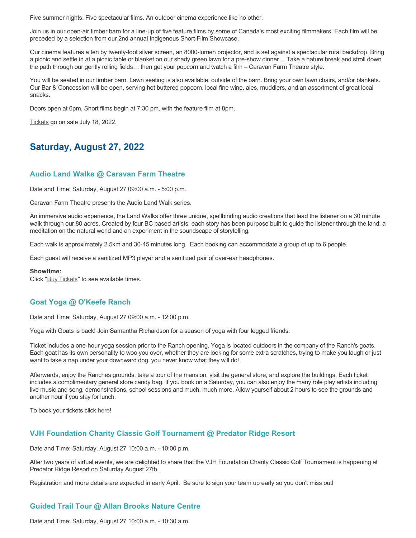Five summer nights. Five spectacular films. An outdoor cinema experience like no other.

Join us in our open-air timber barn for a line-up of five feature films by some of Canada's most exciting filmmakers. Each film will be preceded by a selection from our 2nd annual Indigenous Short-Film Showcase.

Our cinema features a ten by twenty-foot silver screen, an 8000-lumen projector, and is set against a spectacular rural backdrop. Bring a picnic and settle in at a picnic table or blanket on our shady green lawn for a pre-show dinner… Take a nature break and stroll down the path through our gently rolling fields… then get your popcorn and watch a film – Caravan Farm Theatre style.

You will be seated in our timber barn. Lawn seating is also available, outside of the barn. Bring your own lawn chairs, and/or blankets. Our Bar & Concession will be open, serving hot buttered popcorn, local fine wine, ales, muddlers, and an assortment of great local snacks.

Doors open at 6pm, Short films begin at 7:30 pm, with the feature film at 8pm.

[Tickets](https://caravanfarmtheatre.com/show/film-festival/?ct=t%28EMAIL_CAMPAIGN_4_19_2022_13_43SEASON+2022%29&mc_cid=c02afad356&mc_eid=4778eb8892) go on sale July 18, 2022.

# **Saturday, August 27, 2022**

# **Audio Land Walks @ Caravan Farm Theatre**

Date and Time: Saturday, August 27 09:00 a.m. - 5:00 p.m.

Caravan Farm Theatre presents the Audio Land Walk series.

An immersive audio experience, the Land Walks offer three unique, spellbinding audio creations that lead the listener on a 30 minute walk through our 80 acres. Created by four BC based artists, each story has been purpose built to guide the listener through the land: a meditation on the natural world and an experiment in the soundscape of storytelling.

Each walk is approximately 2.5km and 30-45 minutes long. Each booking can accommodate a group of up to 6 people.

Each guest will receive a sanitized MP3 player and a sanitized pair of over-ear headphones.

#### **Showtime:**

Click "[Buy Tickets](https://caravanfarmtheatre.com/show/the-land-walks/?ct=t%28EMAIL_CAMPAIGN_4_19_2022_13_43SEASON+2022%29&mc_cid=c02afad356&mc_eid=4778eb8892)" to see available times.

# **Goat Yoga @ O'Keefe Ranch**

Date and Time: Saturday, August 27 09:00 a.m. - 12:00 p.m.

Yoga with Goats is back! Join Samantha Richardson for a season of yoga with four legged friends.

Ticket includes a one-hour yoga session prior to the Ranch opening. Yoga is located outdoors in the company of the Ranch's goats. Each goat has its own personality to woo you over, whether they are looking for some extra scratches, trying to make you laugh or just want to take a nap under your downward dog, you never know what they will do!

Afterwards, enjoy the Ranches grounds, take a tour of the mansion, visit the general store, and explore the buildings. Each ticket includes a complimentary general store candy bag. If you book on a Saturday, you can also enjoy the many role play artists including live music and song, demonstrations, school sessions and much, much more. Allow yourself about 2 hours to see the grounds and another hour if you stay for lunch.

To book your tickets click [here!](https://tickets.ticketseller.ca/TheatreManager/1/login&event=3417)

# **VJH Foundation Charity Classic Golf Tournament @ Predator Ridge Resort**

Date and Time: Saturday, August 27 10:00 a.m. - 10:00 p.m.

After two years of virtual events, we are delighted to share that the VJH Foundation Charity Classic Golf Tournament is happening at Predator Ridge Resort on Saturday August 27th.

Registration and more details are expected in early April. Be sure to sign your team up early so you don't miss out!

# **Guided Trail Tour @ Allan Brooks Nature Centre**

Date and Time: Saturday, August 27 10:00 a.m. - 10:30 a.m.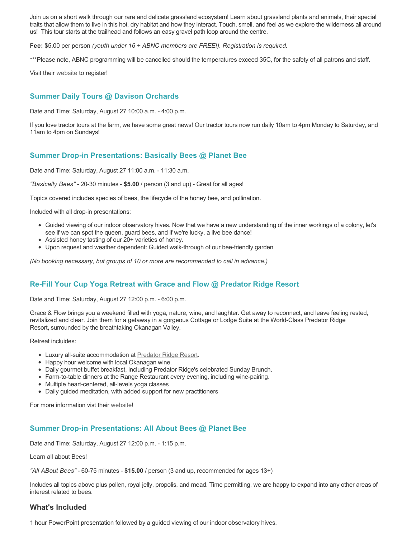Join us on a short walk through our rare and delicate grassland ecosystem! Learn about grassland plants and animals, their special traits that allow them to live in this hot, dry habitat and how they interact. Touch, smell, and feel as we explore the wilderness all around us! This tour starts at the trailhead and follows an easy gravel path loop around the centre.

**Fee:** \$5.00 per person *(youth under 16 + ABNC members are FREE!). Registration is required.* 

\*\*\*Please note, ABNC programming will be cancelled should the temperatures exceed 35C, for the safety of all patrons and staff.

Visit their [website](https://abnc.ca/events/events-calendar/) to register!

# **Summer Daily Tours @ Davison Orchards**

Date and Time: Saturday, August 27 10:00 a.m. - 4:00 p.m.

If you love tractor tours at the farm, we have some great news! Our tractor tours now run daily 10am to 4pm Monday to Saturday, and 11am to 4pm on Sundays!

# **Summer Drop-in Presentations: Basically Bees @ Planet Bee**

Date and Time: Saturday, August 27 11:00 a.m. - 11:30 a.m.

*"Basically Bees"* - 20-30 minutes - **\$5.00** / person (3 and up) - Great for all ages!

Topics covered includes species of bees, the lifecycle of the honey bee, and pollination.

Included with all drop-in presentations:

- Guided viewing of our indoor observatory hives. Now that we have a new understanding of the inner workings of a colony, let's see if we can spot the queen, guard bees, and if we're lucky, a live bee dance!
- Assisted honey tasting of our 20+ varieties of honey.
- Upon request and weather dependent: Guided walk-through of our bee-friendly garden

*(No booking necessary, but groups of 10 or more are recommended to call in advance.)*

# **Re-Fill Your Cup Yoga Retreat with Grace and Flow @ Predator Ridge Resort**

Date and Time: Saturday, August 27 12:00 p.m. - 6:00 p.m.

Grace & Flow brings you a weekend filled with yoga, nature, wine, and laughter. Get away to reconnect, and leave feeling rested, revitalized and clear. Join them for a getaway in a gorgeous Cottage or Lodge Suite at the World-Class Predator Ridge Resort**,** surrounded by the breathtaking Okanagan Valley.

Retreat incluides:

- Luxury all-suite accommodation at [Predator Ridge Resort](https://www.predatorridge.com/).
- Happy hour welcome with local Okanagan wine.
- Daily gourmet buffet breakfast, including Predator Ridge's celebrated Sunday Brunch.
- Farm-to-table dinners at the Range Restaurant every evening, including wine-pairing.
- Multiple heart-centered, all-levels yoga classes
- Daily guided meditation, with added support for new practitioners

For more information vist their [website](https://graceandflow.ca/products/re-fill-your-cup-yoga-retreat-august-25-28-2022)!

### **Summer Drop-in Presentations: All About Bees @ Planet Bee**

Date and Time: Saturday, August 27 12:00 p.m. - 1:15 p.m.

Learn all about Bees!

*"All ABout Bees"* - 60-75 minutes - **\$15.00** / person (3 and up, recommended for ages 13+)

Includes all topics above plus pollen, royal jelly, propolis, and mead. Time permitting, we are happy to expand into any other areas of interest related to bees.

### **What's Included**

1 hour PowerPoint presentation followed by a guided viewing of our indoor observatory hives.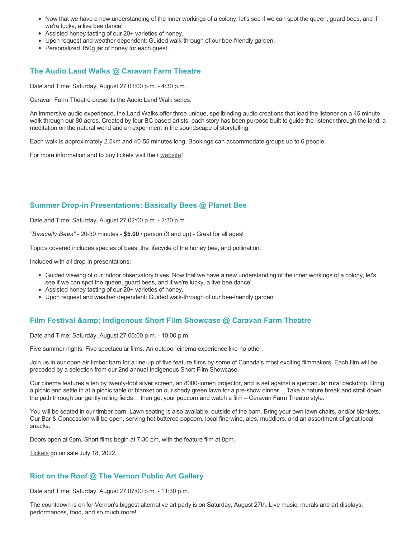- Now that we have a new understanding of the inner workings of a colony, let's see if we can spot the queen, guard bees, and if we're lucky, a live bee dance!
- Assisted honey tasting of our 20+ varieties of honey.
- Upon request and weather dependent: Guided walk-through of our bee-friendly garden.
- Personalized 150g jar of honey for each guest.

# **The Audio Land Walks @ Caravan Farm Theatre**

Date and Time: Saturday, August 27 01:00 p.m. - 4:30 p.m.

Caravan Farm Theatre presents the Audio Land Walk series.

An immersive audio experience, the Land Walks offer three unique, spellbinding audio creations that lead the listener on a 45 minute walk through our 80 acres. Created by four BC based artists, each story has been purpose built to guide the listener through the land: a meditation on the natural world and an experiment in the soundscape of storytelling.

Each walk is approximately 2.5km and 40-55 minutes long. Bookings can accommodate groups up to 6 people.

For more information and to buy tickets visit their [website!](https://caravanfarmtheatre.com/show/the-land-walks/)

### **Summer Drop-in Presentations: Basically Bees @ Planet Bee**

Date and Time: Saturday, August 27 02:00 p.m. - 2:30 p.m.

*"Basically Bees"* - 20-30 minutes - **\$5.00** / person (3 and up) - Great for all ages!

Topics covered includes species of bees, the lifecycle of the honey bee, and pollination.

Included with all drop-in presentations:

- Guided viewing of our indoor observatory hives. Now that we have a new understanding of the inner workings of a colony, let's see if we can spot the queen, guard bees, and if we're lucky, a live bee dance!
- Assisted honey tasting of our 20+ varieties of honey.
- Upon request and weather dependent: Guided walk-through of our bee-friendly garden

# **Film Festival & Indigenous Short Film Showcase @ Caravan Farm Theatre**

Date and Time: Saturday, August 27 06:00 p.m. - 10:00 p.m.

Five summer nights. Five spectacular films. An outdoor cinema experience like no other.

Join us in our open-air timber barn for a line-up of five feature films by some of Canada's most exciting filmmakers. Each film will be preceded by a selection from our 2nd annual Indigenous Short-Film Showcase.

Our cinema features a ten by twenty-foot silver screen, an 8000-lumen projector, and is set against a spectacular rural backdrop. Bring a picnic and settle in at a picnic table or blanket on our shady green lawn for a pre-show dinner… Take a nature break and stroll down the path through our gently rolling fields… then get your popcorn and watch a film – Caravan Farm Theatre style.

You will be seated in our timber barn. Lawn seating is also available, outside of the barn. Bring your own lawn chairs, and/or blankets. Our Bar & Concession will be open, serving hot buttered popcorn, local fine wine, ales, muddlers, and an assortment of great local snacks.

Doors open at 6pm, Short films begin at 7:30 pm, with the feature film at 8pm.

[Tickets](https://caravanfarmtheatre.com/show/film-festival/?ct=t%28EMAIL_CAMPAIGN_4_19_2022_13_43SEASON+2022%29&mc_cid=c02afad356&mc_eid=4778eb8892) go on sale July 18, 2022.

# **Riot on the Roof @ The Vernon Public Art Gallery**

Date and Time: Saturday, August 27 07:00 p.m. - 11:30 p.m.

The countdown is on for Vernon's biggest alternative art party is on Saturday, August 27th. Live music, murals and art displays, performances, food, and so much more!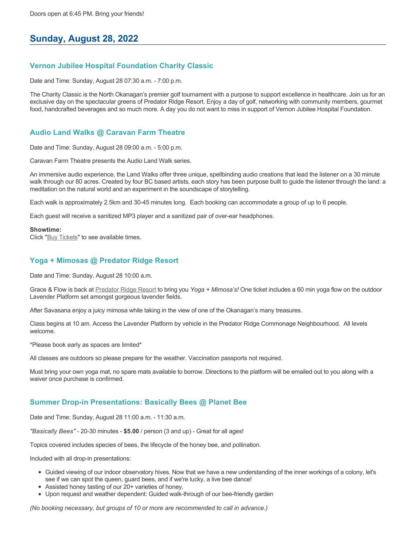# **Sunday, August 28, 2022**

### **Vernon Jubilee Hospital Foundation Charity Classic**

Date and Time: Sunday, August 28 07:30 a.m. - 7:00 p.m.

The Charity Classic is the North Okanagan's premier golf tournament with a purpose to support excellence in healthcare. Join us for an exclusive day on the spectacular greens of Predator Ridge Resort. Enjoy a day of golf, networking with community members, gourmet food, handcrafted beverages and so much more. A day you do not want to miss in support of Vernon Jubilee Hospital Foundation.

# **Audio Land Walks @ Caravan Farm Theatre**

Date and Time: Sunday, August 28 09:00 a.m. - 5:00 p.m.

Caravan Farm Theatre presents the Audio Land Walk series.

An immersive audio experience, the Land Walks offer three unique, spellbinding audio creations that lead the listener on a 30 minute walk through our 80 acres. Created by four BC based artists, each story has been purpose built to guide the listener through the land: a meditation on the natural world and an experiment in the soundscape of storytelling.

Each walk is approximately 2.5km and 30-45 minutes long. Each booking can accommodate a group of up to 6 people.

Each guest will receive a sanitized MP3 player and a sanitized pair of over-ear headphones.

#### **Showtime:**

Click "[Buy Tickets](https://caravanfarmtheatre.com/show/the-land-walks/?ct=t%28EMAIL_CAMPAIGN_4_19_2022_13_43SEASON+2022%29&mc_cid=c02afad356&mc_eid=4778eb8892)" to see available times.

### **Yoga + Mimosas @ Predator Ridge Resort**

Date and Time: Sunday, August 28 10:00 a.m.

Grace & Flow is back at [Predator Ridge Resort](https://www.predatorridge.com/events) to bring you *Yoga + Mimosa's!* One ticket includes a 60 min yoga flow on the outdoor Lavender Platform set amongst gorgeous lavender fields.

After Savasana enjoy a juicy mimosa while taking in the view of one of the Okanagan's many treasures.

Class begins at 10 am. Access the Lavender Platform by vehicle in the Predator Ridge Commonage Neighbourhood. All levels welcome.

\*Please book early as spaces are limited\*

All classes are outdoors so please prepare for the weather. Vaccination passports not required.

Must bring your own yoga mat, no spare mats available to borrow. Directions to the platform will be emailed out to you along with a waiver once purchase is confirmed.

### **Summer Drop-in Presentations: Basically Bees @ Planet Bee**

Date and Time: Sunday, August 28 11:00 a.m. - 11:30 a.m.

*"Basically Bees"* - 20-30 minutes - **\$5.00** / person (3 and up) - Great for all ages!

Topics covered includes species of bees, the lifecycle of the honey bee, and pollination.

Included with all drop-in presentations:

- Guided viewing of our indoor observatory hives. Now that we have a new understanding of the inner workings of a colony, let's see if we can spot the queen, guard bees, and if we're lucky, a live bee dance!
- Assisted honey tasting of our 20+ varieties of honey.
- Upon request and weather dependent: Guided walk-through of our bee-friendly garden

*(No booking necessary, but groups of 10 or more are recommended to call in advance.)*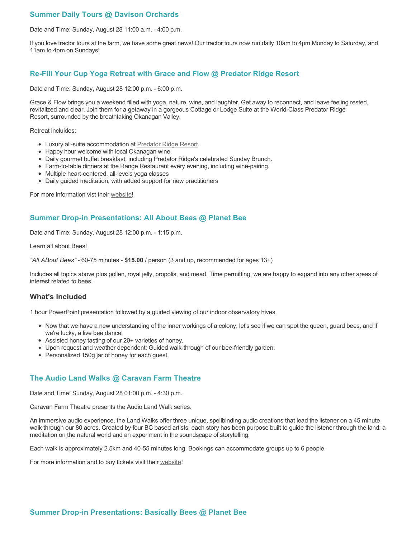# **Summer Daily Tours @ Davison Orchards**

Date and Time: Sunday, August 28 11:00 a.m. - 4:00 p.m.

If you love tractor tours at the farm, we have some great news! Our tractor tours now run daily 10am to 4pm Monday to Saturday, and 11am to 4pm on Sundays!

### **Re-Fill Your Cup Yoga Retreat with Grace and Flow @ Predator Ridge Resort**

Date and Time: Sunday, August 28 12:00 p.m. - 6:00 p.m.

Grace & Flow brings you a weekend filled with yoga, nature, wine, and laughter. Get away to reconnect, and leave feeling rested, revitalized and clear. Join them for a getaway in a gorgeous Cottage or Lodge Suite at the World-Class Predator Ridge Resort**,** surrounded by the breathtaking Okanagan Valley.

Retreat incluides:

- Luxury all-suite accommodation at [Predator Ridge Resort](https://www.predatorridge.com/).
- Happy hour welcome with local Okanagan wine.
- Daily gourmet buffet breakfast, including Predator Ridge's celebrated Sunday Brunch.
- Farm-to-table dinners at the Range Restaurant every evening, including wine-pairing.
- Multiple heart-centered, all-levels yoga classes
- Daily guided meditation, with added support for new practitioners

For more information vist their [website](https://graceandflow.ca/products/re-fill-your-cup-yoga-retreat-august-25-28-2022)!

### **Summer Drop-in Presentations: All About Bees @ Planet Bee**

Date and Time: Sunday, August 28 12:00 p.m. - 1:15 p.m.

Learn all about Bees!

*"All ABout Bees"* - 60-75 minutes - **\$15.00** / person (3 and up, recommended for ages 13+)

Includes all topics above plus pollen, royal jelly, propolis, and mead. Time permitting, we are happy to expand into any other areas of interest related to bees.

### **What's Included**

1 hour PowerPoint presentation followed by a guided viewing of our indoor observatory hives.

- Now that we have a new understanding of the inner workings of a colony, let's see if we can spot the queen, guard bees, and if we're lucky, a live bee dance!
- Assisted honey tasting of our 20+ varieties of honey.
- Upon request and weather dependent: Guided walk-through of our bee-friendly garden.
- Personalized 150g jar of honey for each quest.

# **The Audio Land Walks @ Caravan Farm Theatre**

Date and Time: Sunday, August 28 01:00 p.m. - 4:30 p.m.

Caravan Farm Theatre presents the Audio Land Walk series.

An immersive audio experience, the Land Walks offer three unique, spellbinding audio creations that lead the listener on a 45 minute walk through our 80 acres. Created by four BC based artists, each story has been purpose built to guide the listener through the land: a meditation on the natural world and an experiment in the soundscape of storytelling.

Each walk is approximately 2.5km and 40-55 minutes long. Bookings can accommodate groups up to 6 people.

For more information and to buy tickets visit their [website!](https://caravanfarmtheatre.com/show/the-land-walks/)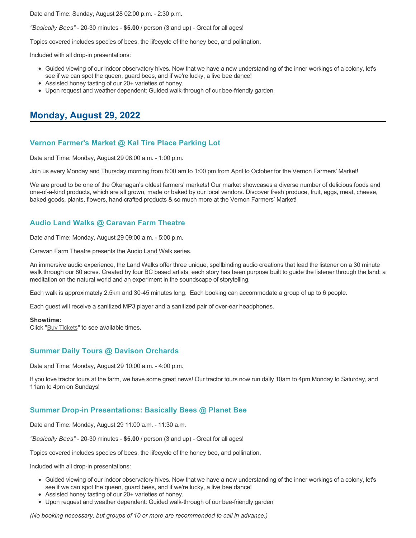Date and Time: Sunday, August 28 02:00 p.m. - 2:30 p.m.

*"Basically Bees"* - 20-30 minutes - **\$5.00** / person (3 and up) - Great for all ages!

Topics covered includes species of bees, the lifecycle of the honey bee, and pollination.

Included with all drop-in presentations:

- Guided viewing of our indoor observatory hives. Now that we have a new understanding of the inner workings of a colony, let's see if we can spot the queen, guard bees, and if we're lucky, a live bee dance!
- Assisted honey tasting of our 20+ varieties of honey.
- Upon request and weather dependent: Guided walk-through of our bee-friendly garden

# **Monday, August 29, 2022**

# **Vernon Farmer's Market @ Kal Tire Place Parking Lot**

Date and Time: Monday, August 29 08:00 a.m. - 1:00 p.m.

Join us every Monday and Thursday morning from 8:00 am to 1:00 pm from April to October for the Vernon Farmers' Market!

We are proud to be one of the Okanagan's oldest farmers' markets! Our market showcases a diverse number of delicious foods and one-of-a-kind products, which are all grown, made or baked by our local vendors. Discover fresh produce, fruit, eggs, meat, cheese, baked goods, plants, flowers, hand crafted products & so much more at the Vernon Farmers' Market!

# **Audio Land Walks @ Caravan Farm Theatre**

Date and Time: Monday, August 29 09:00 a.m. - 5:00 p.m.

Caravan Farm Theatre presents the Audio Land Walk series.

An immersive audio experience, the Land Walks offer three unique, spellbinding audio creations that lead the listener on a 30 minute walk through our 80 acres. Created by four BC based artists, each story has been purpose built to guide the listener through the land: a meditation on the natural world and an experiment in the soundscape of storytelling.

Each walk is approximately 2.5km and 30-45 minutes long. Each booking can accommodate a group of up to 6 people.

Each guest will receive a sanitized MP3 player and a sanitized pair of over-ear headphones.

#### **Showtime:**

Click "[Buy Tickets](https://caravanfarmtheatre.com/show/the-land-walks/?ct=t%28EMAIL_CAMPAIGN_4_19_2022_13_43SEASON+2022%29&mc_cid=c02afad356&mc_eid=4778eb8892)" to see available times.

# **Summer Daily Tours @ Davison Orchards**

Date and Time: Monday, August 29 10:00 a.m. - 4:00 p.m.

If you love tractor tours at the farm, we have some great news! Our tractor tours now run daily 10am to 4pm Monday to Saturday, and 11am to 4pm on Sundays!

# **Summer Drop-in Presentations: Basically Bees @ Planet Bee**

Date and Time: Monday, August 29 11:00 a.m. - 11:30 a.m.

*"Basically Bees"* - 20-30 minutes - **\$5.00** / person (3 and up) - Great for all ages!

Topics covered includes species of bees, the lifecycle of the honey bee, and pollination.

Included with all drop-in presentations:

- Guided viewing of our indoor observatory hives. Now that we have a new understanding of the inner workings of a colony, let's see if we can spot the queen, guard bees, and if we're lucky, a live bee dance!
- Assisted honey tasting of our 20+ varieties of honey.
- Upon request and weather dependent: Guided walk-through of our bee-friendly garden

*(No booking necessary, but groups of 10 or more are recommended to call in advance.)*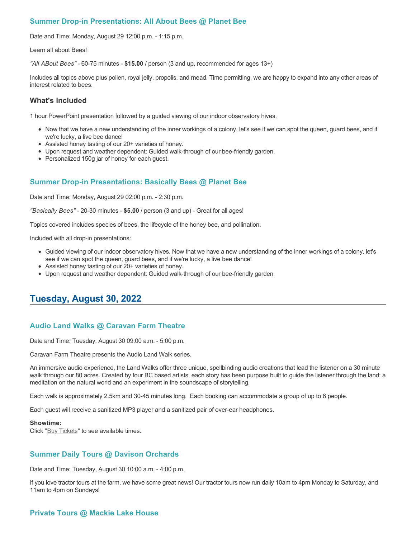# **Summer Drop-in Presentations: All About Bees @ Planet Bee**

Date and Time: Monday, August 29 12:00 p.m. - 1:15 p.m.

Learn all about Bees!

*"All ABout Bees"* - 60-75 minutes - **\$15.00** / person (3 and up, recommended for ages 13+)

Includes all topics above plus pollen, royal jelly, propolis, and mead. Time permitting, we are happy to expand into any other areas of interest related to bees.

### **What's Included**

1 hour PowerPoint presentation followed by a guided viewing of our indoor observatory hives.

- Now that we have a new understanding of the inner workings of a colony, let's see if we can spot the queen, guard bees, and if we're lucky, a live bee dance!
- Assisted honey tasting of our 20+ varieties of honey.
- Upon request and weather dependent: Guided walk-through of our bee-friendly garden.
- Personalized 150g jar of honey for each guest.

# **Summer Drop-in Presentations: Basically Bees @ Planet Bee**

Date and Time: Monday, August 29 02:00 p.m. - 2:30 p.m.

*"Basically Bees"* - 20-30 minutes - **\$5.00** / person (3 and up) - Great for all ages!

Topics covered includes species of bees, the lifecycle of the honey bee, and pollination.

Included with all drop-in presentations:

- Guided viewing of our indoor observatory hives. Now that we have a new understanding of the inner workings of a colony, let's see if we can spot the queen, guard bees, and if we're lucky, a live bee dance!
- Assisted honey tasting of our 20+ varieties of honey.
- Upon request and weather dependent: Guided walk-through of our bee-friendly garden

# **Tuesday, August 30, 2022**

# **Audio Land Walks @ Caravan Farm Theatre**

Date and Time: Tuesday, August 30 09:00 a.m. - 5:00 p.m.

Caravan Farm Theatre presents the Audio Land Walk series.

An immersive audio experience, the Land Walks offer three unique, spellbinding audio creations that lead the listener on a 30 minute walk through our 80 acres. Created by four BC based artists, each story has been purpose built to guide the listener through the land: a meditation on the natural world and an experiment in the soundscape of storytelling.

Each walk is approximately 2.5km and 30-45 minutes long. Each booking can accommodate a group of up to 6 people.

Each guest will receive a sanitized MP3 player and a sanitized pair of over-ear headphones.

#### **Showtime:**

Click "[Buy Tickets](https://caravanfarmtheatre.com/show/the-land-walks/?ct=t%28EMAIL_CAMPAIGN_4_19_2022_13_43SEASON+2022%29&mc_cid=c02afad356&mc_eid=4778eb8892)" to see available times.

# **Summer Daily Tours @ Davison Orchards**

Date and Time: Tuesday, August 30 10:00 a.m. - 4:00 p.m.

If you love tractor tours at the farm, we have some great news! Our tractor tours now run daily 10am to 4pm Monday to Saturday, and 11am to 4pm on Sundays!

# **Private Tours @ Mackie Lake House**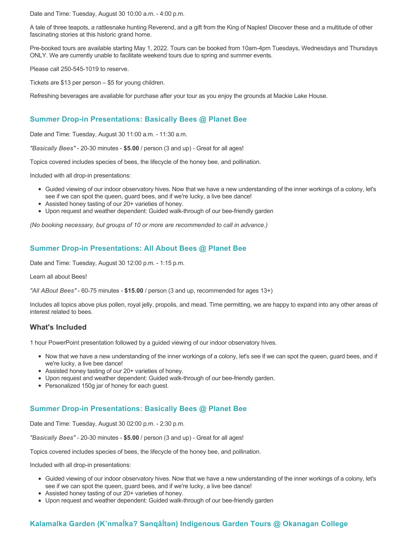Date and Time: Tuesday, August 30 10:00 a.m. - 4:00 p.m.

A tale of three teapots, a rattlesnake hunting Reverend, and a gift from the King of Naples! Discover these and a multitude of other fascinating stories at this historic grand home.

Pre-booked tours are available starting May 1, 2022. Tours can be booked from 10am-4pm Tuesdays, Wednesdays and Thursdays ONLY. We are currently unable to facilitate weekend tours due to spring and summer events.

Please call 250-545-1019 to reserve.

Tickets are \$13 per person – \$5 for young children.

Refreshing beverages are available for purchase after your tour as you enjoy the grounds at Mackie Lake House.

# **Summer Drop-in Presentations: Basically Bees @ Planet Bee**

Date and Time: Tuesday, August 30 11:00 a.m. - 11:30 a.m.

*"Basically Bees"* - 20-30 minutes - **\$5.00** / person (3 and up) - Great for all ages!

Topics covered includes species of bees, the lifecycle of the honey bee, and pollination.

Included with all drop-in presentations:

- Guided viewing of our indoor observatory hives. Now that we have a new understanding of the inner workings of a colony, let's see if we can spot the queen, guard bees, and if we're lucky, a live bee dance!
- Assisted honey tasting of our 20+ varieties of honey.
- Upon request and weather dependent: Guided walk-through of our bee-friendly garden

*(No booking necessary, but groups of 10 or more are recommended to call in advance.)*

# **Summer Drop-in Presentations: All About Bees @ Planet Bee**

Date and Time: Tuesday, August 30 12:00 p.m. - 1:15 p.m.

Learn all about Bees!

*"All ABout Bees"* - 60-75 minutes - **\$15.00** / person (3 and up, recommended for ages 13+)

Includes all topics above plus pollen, royal jelly, propolis, and mead. Time permitting, we are happy to expand into any other areas of interest related to bees.

# **What's Included**

1 hour PowerPoint presentation followed by a guided viewing of our indoor observatory hives.

- Now that we have a new understanding of the inner workings of a colony, let's see if we can spot the queen, guard bees, and if we're lucky, a live bee dance!
- Assisted honey tasting of our 20+ varieties of honey.
- Upon request and weather dependent: Guided walk-through of our bee-friendly garden.
- Personalized 150g jar of honey for each guest.

# **Summer Drop-in Presentations: Basically Bees @ Planet Bee**

Date and Time: Tuesday, August 30 02:00 p.m. - 2:30 p.m.

*"Basically Bees"* - 20-30 minutes - **\$5.00** / person (3 and up) - Great for all ages!

Topics covered includes species of bees, the lifecycle of the honey bee, and pollination.

Included with all drop-in presentations:

- Guided viewing of our indoor observatory hives. Now that we have a new understanding of the inner workings of a colony, let's see if we can spot the queen, guard bees, and if we're lucky, a live bee dance!
- Assisted honey tasting of our 20+ varieties of honey.
- Upon request and weather dependent: Guided walk-through of our bee-friendly garden

# **Kalamalka Garden (K'nmaĺka? Sәnqâĺtәn) Indigenous Garden Tours @ Okanagan College**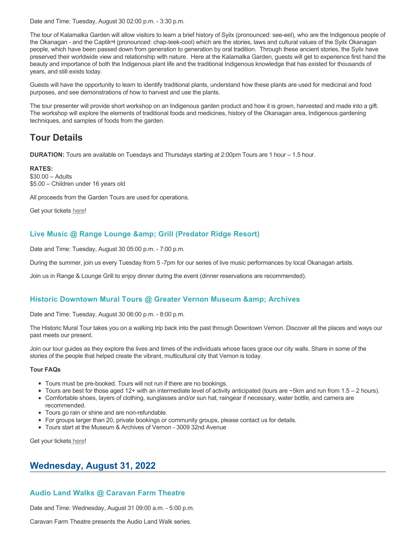Date and Time: Tuesday, August 30 02:00 p.m. - 3:30 p.m.

The tour of Kalamalka Garden will allow visitors to learn a brief history of Syilx (pronounced: see-eel), who are the Indigenous people of the Okanagan - and the Captikʷł (pronounced: chap-teek-cool) which are the stories, laws and cultural values of the Syilx Okanagan people, which have been passed down from generation to generation by oral tradition. Through these ancient stories, the Syilx have preserved their worldwide view and relationship with nature. Here at the Kalamalka Garden, guests will get to experience first hand the beauty and importance of both the Indigenous plant life and the traditional Indigenous knowledge that has existed for thousands of years, and still exists today.

Guests will have the opportunity to learn to identify traditional plants, understand how these plants are used for medicinal and food purposes, and see demonstrations of how to harvest and use the plants.

The tour presenter will provide short workshop on an Indigenous garden product and how it is grown, harvested and made into a gift. The workshop will explore the elements of traditional foods and medicines, history of the Okanagan area, Indigenous gardening techniques, and samples of foods from the garden.

# **Tour Details**

**DURATION:** Tours are available on Tuesdays and Thursdays starting at 2:00pm Tours are 1 hour – 1.5 hour.

**RATES:** \$30.00 – Adults \$5.00 – Children under 16 years old

All proceeds from the Garden Tours are used for operations.

Get your tickets [here!](https://www.eventbrite.ca/e/kalamalka-garden-tour-tickets-158617843239)

# **Live Music @ Range Lounge & Grill (Predator Ridge Resort)**

Date and Time: Tuesday, August 30 05:00 p.m. - 7:00 p.m.

During the summer, join us every Tuesday from 5 -7pm for our series of live music performances by local Okanagan artists.

Join us in Range & Lounge Grill to enjoy dinner during the event (dinner reservations are recommended).

# **Historic Downtown Mural Tours @ Greater Vernon Museum & Archives**

Date and Time: Tuesday, August 30 06:00 p.m. - 8:00 p.m.

The Historic Mural Tour takes you on a walking trip back into the past through Downtown Vernon. Discover all the places and ways our past meets our present.

Join our tour guides as they explore the lives and times of the individuals whose faces grace our city walls. Share in some of the stories of the people that helped create the vibrant, multicultural city that Vernon is today.

#### **Tour FAQs**

- Tours must be pre-booked. Tours will not run if there are no bookings.
- Tours are best for those aged 12+ with an intermediate level of activity anticipated (tours are  $\sim$ 5km and run from 1.5 2 hours).
- Comfortable shoes, layers of clothing, sunglasses and/or sun hat, raingear if necessary, water bottle, and camera are
- recommended. • Tours go rain or shine and are non-refundable.
- For groups larger than 20, private bookings or community groups, please contact us for details.
- Tours start at the Museum & Archives of Vernon 3009 32nd Avenue

Get your tickets [here!](https://www.eventbrite.com/e/historic-downtown-mural-tours-tickets-304983342387)

# **Wednesday, August 31, 2022**

# **Audio Land Walks @ Caravan Farm Theatre**

Date and Time: Wednesday, August 31 09:00 a.m. - 5:00 p.m.

Caravan Farm Theatre presents the Audio Land Walk series.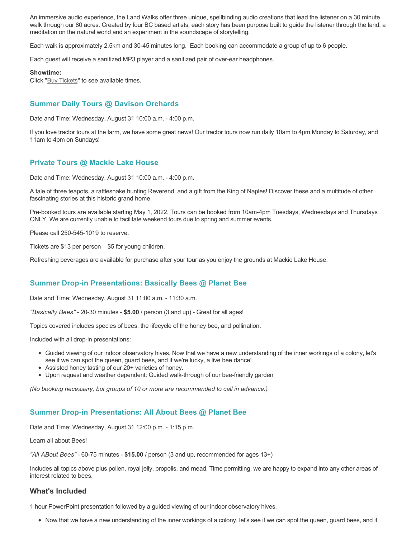An immersive audio experience, the Land Walks offer three unique, spellbinding audio creations that lead the listener on a 30 minute walk through our 80 acres. Created by four BC based artists, each story has been purpose built to guide the listener through the land: a meditation on the natural world and an experiment in the soundscape of storytelling.

Each walk is approximately 2.5km and 30-45 minutes long. Each booking can accommodate a group of up to 6 people.

Each guest will receive a sanitized MP3 player and a sanitized pair of over-ear headphones.

#### **Showtime:**

Click "[Buy Tickets](https://caravanfarmtheatre.com/show/the-land-walks/?ct=t%28EMAIL_CAMPAIGN_4_19_2022_13_43SEASON+2022%29&mc_cid=c02afad356&mc_eid=4778eb8892)" to see available times.

# **Summer Daily Tours @ Davison Orchards**

Date and Time: Wednesday, August 31 10:00 a.m. - 4:00 p.m.

If you love tractor tours at the farm, we have some great news! Our tractor tours now run daily 10am to 4pm Monday to Saturday, and 11am to 4pm on Sundays!

### **Private Tours @ Mackie Lake House**

Date and Time: Wednesday, August 31 10:00 a.m. - 4:00 p.m.

A tale of three teapots, a rattlesnake hunting Reverend, and a gift from the King of Naples! Discover these and a multitude of other fascinating stories at this historic grand home.

Pre-booked tours are available starting May 1, 2022. Tours can be booked from 10am-4pm Tuesdays, Wednesdays and Thursdays ONLY. We are currently unable to facilitate weekend tours due to spring and summer events.

Please call 250-545-1019 to reserve.

Tickets are \$13 per person – \$5 for young children.

Refreshing beverages are available for purchase after your tour as you enjoy the grounds at Mackie Lake House.

### **Summer Drop-in Presentations: Basically Bees @ Planet Bee**

Date and Time: Wednesday, August 31 11:00 a.m. - 11:30 a.m.

*"Basically Bees"* - 20-30 minutes - **\$5.00** / person (3 and up) - Great for all ages!

Topics covered includes species of bees, the lifecycle of the honey bee, and pollination.

Included with all drop-in presentations:

- Guided viewing of our indoor observatory hives. Now that we have a new understanding of the inner workings of a colony, let's see if we can spot the queen, guard bees, and if we're lucky, a live bee dance!
- Assisted honey tasting of our 20+ varieties of honey.
- Upon request and weather dependent: Guided walk-through of our bee-friendly garden

*(No booking necessary, but groups of 10 or more are recommended to call in advance.)*

### **Summer Drop-in Presentations: All About Bees @ Planet Bee**

Date and Time: Wednesday, August 31 12:00 p.m. - 1:15 p.m.

Learn all about Bees!

*"All ABout Bees"* - 60-75 minutes - **\$15.00** / person (3 and up, recommended for ages 13+)

Includes all topics above plus pollen, royal jelly, propolis, and mead. Time permitting, we are happy to expand into any other areas of interest related to bees.

### **What's Included**

1 hour PowerPoint presentation followed by a guided viewing of our indoor observatory hives.

Now that we have a new understanding of the inner workings of a colony, let's see if we can spot the queen, guard bees, and if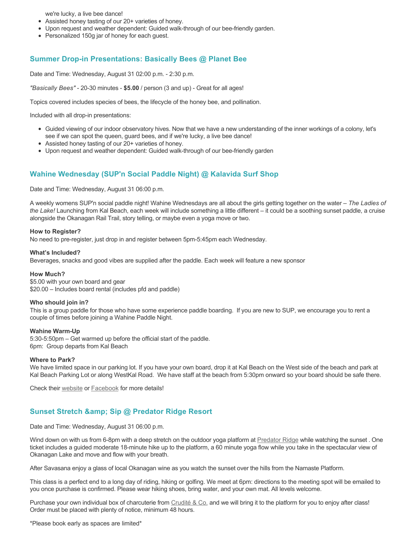we're lucky, a live bee dance!

- Assisted honey tasting of our 20+ varieties of honey.
- Upon request and weather dependent: Guided walk-through of our bee-friendly garden.
- Personalized 150g jar of honey for each guest.

#### **Summer Drop-in Presentations: Basically Bees @ Planet Bee**

Date and Time: Wednesday, August 31 02:00 p.m. - 2:30 p.m.

*"Basically Bees"* - 20-30 minutes - **\$5.00** / person (3 and up) - Great for all ages!

Topics covered includes species of bees, the lifecycle of the honey bee, and pollination.

Included with all drop-in presentations:

- Guided viewing of our indoor observatory hives. Now that we have a new understanding of the inner workings of a colony, let's see if we can spot the queen, guard bees, and if we're lucky, a live bee dance!
- Assisted honey tasting of our 20+ varieties of honey.
- Upon request and weather dependent: Guided walk-through of our bee-friendly garden

### **Wahine Wednesday (SUP'n Social Paddle Night) @ Kalavida Surf Shop**

Date and Time: Wednesday, August 31 06:00 p.m.

A weekly womens SUP'n social paddle night! Wahine Wednesdays are all about the girls getting together on the water – *The Ladies of the Lake!* Launching from Kal Beach, each week will include something a little different – it could be a soothing sunset paddle, a cruise alongside the Okanagan Rail Trail, story telling, or maybe even a yoga move or two.

#### **How to Register?**

No need to pre-register, just drop in and register between 5pm-5:45pm each Wednesday.

#### **What's Included?**

Beverages, snacks and good vibes are supplied after the paddle. Each week will feature a new sponsor

#### **How Much?**

\$5.00 with your own board and gear \$20.00 – Includes board rental (includes pfd and paddle)

#### **Who should join in?**

This is a group paddle for those who have some experience paddle boarding. If you are new to SUP, we encourage you to rent a couple of times before joining a Wahine Paddle Night.

#### **Wahine Warm-Up**

5:30-5:50pm – Get warmed up before the official start of the paddle. 6pm: Group departs from Kal Beach

#### **Where to Park?**

We have limited space in our parking lot. If you have your own board, drop it at Kal Beach on the West side of the beach and park at Kal Beach Parking Lot or along WestKal Road. We have staff at the beach from 5:30pm onward so your board should be safe there.

Check their [website](https://kalavidasurfshop.com/wahine-wednesday-kalavida/) or [Facebook](https://www.facebook.com/kalavidasurfshop/) for more details!

### **Sunset Stretch & Sip @ Predator Ridge Resort**

Date and Time: Wednesday, August 31 06:00 p.m.

Wind down on with us from 6-8pm with a deep stretch on the outdoor yoga platform at [Predator Ridge](https://www.predatorridge.com/events) while watching the sunset. One ticket includes a guided moderate 18-minute hike up to the platform, a 60 minute yoga flow while you take in the spectacular view of Okanagan Lake and move and flow with your breath.

After Savasana enjoy a glass of local Okanagan wine as you watch the sunset over the hills from the Namaste Platform.

This class is a perfect end to a long day of riding, hiking or golfing. We meet at 6pm: directions to the meeting spot will be emailed to you once purchase is confirmed. Please wear hiking shoes, bring water, and your own mat. All levels welcome.

Purchase your own individual box of charcuterie from [Crudité & Co.](https://cruditeandco.com/product/picnic-platter/) and we will bring it to the platform for you to enjoy after class! Order must be placed with plenty of notice, minimum 48 hours.

\*Please book early as spaces are limited\*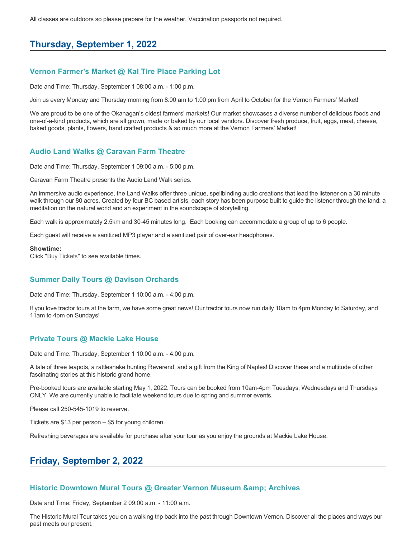All classes are outdoors so please prepare for the weather. Vaccination passports not required.

# **Thursday, September 1, 2022**

### **Vernon Farmer's Market @ Kal Tire Place Parking Lot**

Date and Time: Thursday, September 1 08:00 a.m. - 1:00 p.m.

Join us every Monday and Thursday morning from 8:00 am to 1:00 pm from April to October for the Vernon Farmers' Market!

We are proud to be one of the Okanagan's oldest farmers' markets! Our market showcases a diverse number of delicious foods and one-of-a-kind products, which are all grown, made or baked by our local vendors. Discover fresh produce, fruit, eggs, meat, cheese, baked goods, plants, flowers, hand crafted products & so much more at the Vernon Farmers' Market!

# **Audio Land Walks @ Caravan Farm Theatre**

Date and Time: Thursday, September 1 09:00 a.m. - 5:00 p.m.

Caravan Farm Theatre presents the Audio Land Walk series.

An immersive audio experience, the Land Walks offer three unique, spellbinding audio creations that lead the listener on a 30 minute walk through our 80 acres. Created by four BC based artists, each story has been purpose built to guide the listener through the land: a meditation on the natural world and an experiment in the soundscape of storytelling.

Each walk is approximately 2.5km and 30-45 minutes long. Each booking can accommodate a group of up to 6 people.

Each guest will receive a sanitized MP3 player and a sanitized pair of over-ear headphones.

#### **Showtime:**

Click "[Buy Tickets](https://caravanfarmtheatre.com/show/the-land-walks/?ct=t%28EMAIL_CAMPAIGN_4_19_2022_13_43SEASON+2022%29&mc_cid=c02afad356&mc_eid=4778eb8892)" to see available times.

# **Summer Daily Tours @ Davison Orchards**

Date and Time: Thursday, September 1 10:00 a.m. - 4:00 p.m.

If you love tractor tours at the farm, we have some great news! Our tractor tours now run daily 10am to 4pm Monday to Saturday, and 11am to 4pm on Sundays!

### **Private Tours @ Mackie Lake House**

Date and Time: Thursday, September 1 10:00 a.m. - 4:00 p.m.

A tale of three teapots, a rattlesnake hunting Reverend, and a gift from the King of Naples! Discover these and a multitude of other fascinating stories at this historic grand home.

Pre-booked tours are available starting May 1, 2022. Tours can be booked from 10am-4pm Tuesdays, Wednesdays and Thursdays ONLY. We are currently unable to facilitate weekend tours due to spring and summer events.

Please call 250-545-1019 to reserve.

Tickets are \$13 per person – \$5 for young children.

Refreshing beverages are available for purchase after your tour as you enjoy the grounds at Mackie Lake House.

# **Friday, September 2, 2022**

### **Historic Downtown Mural Tours @ Greater Vernon Museum & Archives**

Date and Time: Friday, September 2 09:00 a.m. - 11:00 a.m.

The Historic Mural Tour takes you on a walking trip back into the past through Downtown Vernon. Discover all the places and ways our past meets our present.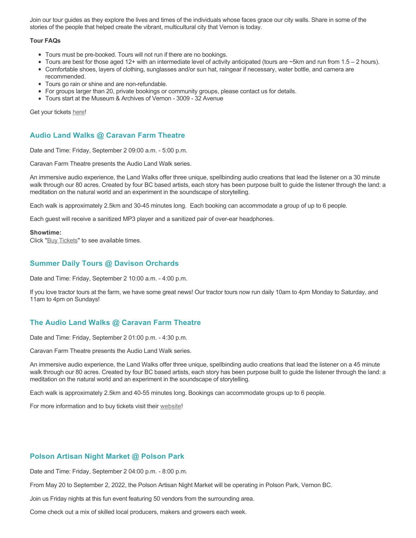Join our tour guides as they explore the lives and times of the individuals whose faces grace our city walls. Share in some of the stories of the people that helped create the vibrant, multicultural city that Vernon is today.

#### **Tour FAQs**

- Tours must be pre-booked. Tours will not run if there are no bookings.
- Tours are best for those aged 12+ with an intermediate level of activity anticipated (tours are ~5km and run from 1.5 2 hours).
- Comfortable shoes, layers of clothing, sunglasses and/or sun hat, raingear if necessary, water bottle, and camera are recommended.
- Tours go rain or shine and are non-refundable.
- For groups larger than 20, private bookings or community groups, please contact us for details.
- Tours start at the Museum & Archives of Vernon 3009 32 Avenue

Get your tickets [here!](https://www.eventbrite.com/e/historic-downtown-mural-tours-tickets-304983342387)

### **Audio Land Walks @ Caravan Farm Theatre**

Date and Time: Friday, September 2 09:00 a.m. - 5:00 p.m.

Caravan Farm Theatre presents the Audio Land Walk series.

An immersive audio experience, the Land Walks offer three unique, spellbinding audio creations that lead the listener on a 30 minute walk through our 80 acres. Created by four BC based artists, each story has been purpose built to guide the listener through the land: a meditation on the natural world and an experiment in the soundscape of storytelling.

Each walk is approximately 2.5km and 30-45 minutes long. Each booking can accommodate a group of up to 6 people.

Each guest will receive a sanitized MP3 player and a sanitized pair of over-ear headphones.

#### **Showtime:**

Click "[Buy Tickets](https://caravanfarmtheatre.com/show/the-land-walks/?ct=t%28EMAIL_CAMPAIGN_4_19_2022_13_43SEASON+2022%29&mc_cid=c02afad356&mc_eid=4778eb8892)" to see available times.

# **Summer Daily Tours @ Davison Orchards**

Date and Time: Friday, September 2 10:00 a.m. - 4:00 p.m.

If you love tractor tours at the farm, we have some great news! Our tractor tours now run daily 10am to 4pm Monday to Saturday, and 11am to 4pm on Sundays!

# **The Audio Land Walks @ Caravan Farm Theatre**

Date and Time: Friday, September 2 01:00 p.m. - 4:30 p.m.

Caravan Farm Theatre presents the Audio Land Walk series.

An immersive audio experience, the Land Walks offer three unique, spellbinding audio creations that lead the listener on a 45 minute walk through our 80 acres. Created by four BC based artists, each story has been purpose built to guide the listener through the land: a meditation on the natural world and an experiment in the soundscape of storytelling.

Each walk is approximately 2.5km and 40-55 minutes long. Bookings can accommodate groups up to 6 people.

For more information and to buy tickets visit their [website!](https://caravanfarmtheatre.com/show/the-land-walks/)

# **Polson Artisan Night Market @ Polson Park**

Date and Time: Friday, September 2 04:00 p.m. - 8:00 p.m.

From May 20 to September 2, 2022, the Polson Artisan Night Market will be operating in Polson Park, Vernon BC.

Join us Friday nights at this fun event featuring 50 vendors from the surrounding area.

Come check out a mix of skilled local producers, makers and growers each week.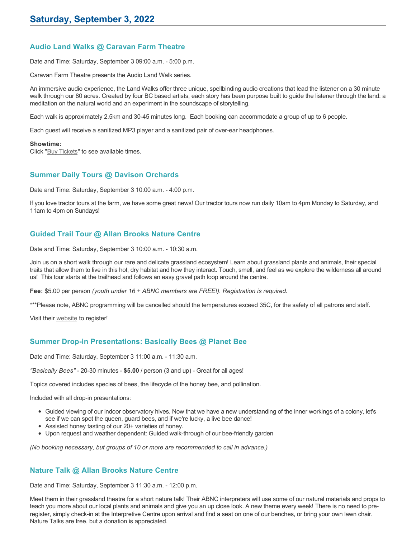# **Audio Land Walks @ Caravan Farm Theatre**

Date and Time: Saturday, September 3 09:00 a.m. - 5:00 p.m.

Caravan Farm Theatre presents the Audio Land Walk series.

An immersive audio experience, the Land Walks offer three unique, spellbinding audio creations that lead the listener on a 30 minute walk through our 80 acres. Created by four BC based artists, each story has been purpose built to guide the listener through the land: a meditation on the natural world and an experiment in the soundscape of storytelling.

Each walk is approximately 2.5km and 30-45 minutes long. Each booking can accommodate a group of up to 6 people.

Each guest will receive a sanitized MP3 player and a sanitized pair of over-ear headphones.

#### **Showtime:**

Click "[Buy Tickets](https://caravanfarmtheatre.com/show/the-land-walks/?ct=t%28EMAIL_CAMPAIGN_4_19_2022_13_43SEASON+2022%29&mc_cid=c02afad356&mc_eid=4778eb8892)" to see available times.

### **Summer Daily Tours @ Davison Orchards**

Date and Time: Saturday, September 3 10:00 a.m. - 4:00 p.m.

If you love tractor tours at the farm, we have some great news! Our tractor tours now run daily 10am to 4pm Monday to Saturday, and 11am to 4pm on Sundays!

# **Guided Trail Tour @ Allan Brooks Nature Centre**

Date and Time: Saturday, September 3 10:00 a.m. - 10:30 a.m.

Join us on a short walk through our rare and delicate grassland ecosystem! Learn about grassland plants and animals, their special traits that allow them to live in this hot, dry habitat and how they interact. Touch, smell, and feel as we explore the wilderness all around us! This tour starts at the trailhead and follows an easy gravel path loop around the centre.

**Fee:** \$5.00 per person *(youth under 16 + ABNC members are FREE!). Registration is required.* 

\*\*\*Please note, ABNC programming will be cancelled should the temperatures exceed 35C, for the safety of all patrons and staff.

Visit their [website](https://abnc.ca/events/events-calendar/) to register!

# **Summer Drop-in Presentations: Basically Bees @ Planet Bee**

Date and Time: Saturday, September 3 11:00 a.m. - 11:30 a.m.

*"Basically Bees"* - 20-30 minutes - **\$5.00** / person (3 and up) - Great for all ages!

Topics covered includes species of bees, the lifecycle of the honey bee, and pollination.

Included with all drop-in presentations:

- Guided viewing of our indoor observatory hives. Now that we have a new understanding of the inner workings of a colony, let's see if we can spot the queen, guard bees, and if we're lucky, a live bee dance!
- Assisted honey tasting of our 20+ varieties of honey.
- Upon request and weather dependent: Guided walk-through of our bee-friendly garden

*(No booking necessary, but groups of 10 or more are recommended to call in advance.)*

# **Nature Talk @ Allan Brooks Nature Centre**

Date and Time: Saturday, September 3 11:30 a.m. - 12:00 p.m.

Meet them in their grassland theatre for a short nature talk! Their ABNC interpreters will use some of our natural materials and props to teach you more about our local plants and animals and give you an up close look. A new theme every week! There is no need to preregister, simply check-in at the Interpretive Centre upon arrival and find a seat on one of our benches, or bring your own lawn chair. Nature Talks are free, but a donation is appreciated.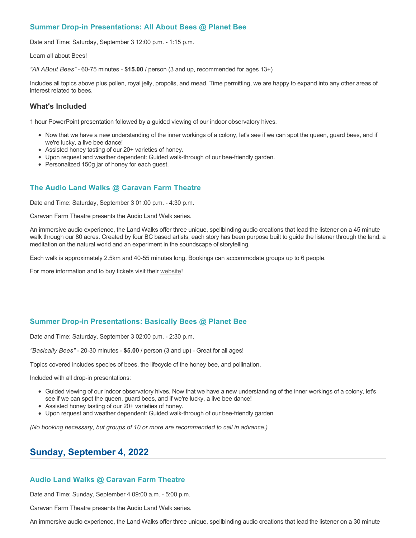# **Summer Drop-in Presentations: All About Bees @ Planet Bee**

Date and Time: Saturday, September 3 12:00 p.m. - 1:15 p.m.

Learn all about Bees!

*"All ABout Bees"* - 60-75 minutes - **\$15.00** / person (3 and up, recommended for ages 13+)

Includes all topics above plus pollen, royal jelly, propolis, and mead. Time permitting, we are happy to expand into any other areas of interest related to bees.

# **What's Included**

1 hour PowerPoint presentation followed by a guided viewing of our indoor observatory hives.

- Now that we have a new understanding of the inner workings of a colony, let's see if we can spot the queen, guard bees, and if we're lucky, a live bee dance!
- Assisted honey tasting of our 20+ varieties of honey.
- Upon request and weather dependent: Guided walk-through of our bee-friendly garden.
- Personalized 150g jar of honey for each guest.

# **The Audio Land Walks @ Caravan Farm Theatre**

Date and Time: Saturday, September 3 01:00 p.m. - 4:30 p.m.

Caravan Farm Theatre presents the Audio Land Walk series.

An immersive audio experience, the Land Walks offer three unique, spellbinding audio creations that lead the listener on a 45 minute walk through our 80 acres. Created by four BC based artists, each story has been purpose built to guide the listener through the land: a meditation on the natural world and an experiment in the soundscape of storytelling.

Each walk is approximately 2.5km and 40-55 minutes long. Bookings can accommodate groups up to 6 people.

For more information and to buy tickets visit their [website!](https://caravanfarmtheatre.com/show/the-land-walks/)

# **Summer Drop-in Presentations: Basically Bees @ Planet Bee**

Date and Time: Saturday, September 3 02:00 p.m. - 2:30 p.m.

*"Basically Bees"* - 20-30 minutes - **\$5.00** / person (3 and up) - Great for all ages!

Topics covered includes species of bees, the lifecycle of the honey bee, and pollination.

Included with all drop-in presentations:

- Guided viewing of our indoor observatory hives. Now that we have a new understanding of the inner workings of a colony, let's see if we can spot the queen, guard bees, and if we're lucky, a live bee dance!
- Assisted honey tasting of our 20+ varieties of honey.
- Upon request and weather dependent: Guided walk-through of our bee-friendly garden

*(No booking necessary, but groups of 10 or more are recommended to call in advance.)*

# **Sunday, September 4, 2022**

# **Audio Land Walks @ Caravan Farm Theatre**

Date and Time: Sunday, September 4 09:00 a.m. - 5:00 p.m.

Caravan Farm Theatre presents the Audio Land Walk series.

An immersive audio experience, the Land Walks offer three unique, spellbinding audio creations that lead the listener on a 30 minute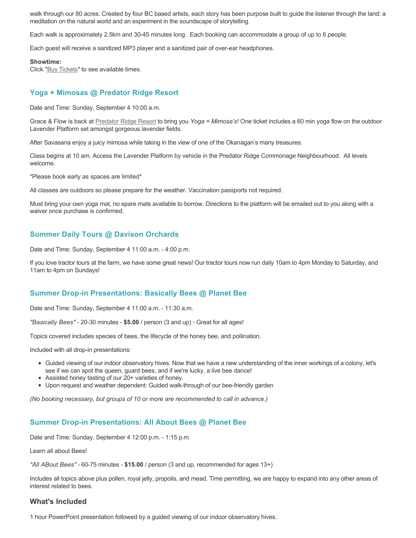walk through our 80 acres. Created by four BC based artists, each story has been purpose built to guide the listener through the land: a meditation on the natural world and an experiment in the soundscape of storytelling.

Each walk is approximately 2.5km and 30-45 minutes long. Each booking can accommodate a group of up to 6 people.

Each guest will receive a sanitized MP3 player and a sanitized pair of over-ear headphones.

#### **Showtime:**

Click "**[Buy Tickets](https://caravanfarmtheatre.com/show/the-land-walks/?ct=t%28EMAIL_CAMPAIGN_4_19_2022_13_43SEASON+2022%29&mc_cid=c02afad356&mc_eid=4778eb8892)**" to see available times.

# **Yoga + Mimosas @ Predator Ridge Resort**

Date and Time: Sunday, September 4 10:00 a.m.

Grace & Flow is back at [Predator Ridge Resort](https://www.predatorridge.com/events) to bring you *Yoga + Mimosa's!* One ticket includes a 60 min yoga flow on the outdoor Lavender Platform set amongst gorgeous lavender fields.

After Savasana enjoy a juicy mimosa while taking in the view of one of the Okanagan's many treasures.

Class begins at 10 am. Access the Lavender Platform by vehicle in the Predator Ridge Commonage Neighbourhood. All levels welcome.

\*Please book early as spaces are limited\*

All classes are outdoors so please prepare for the weather. Vaccination passports not required.

Must bring your own yoga mat, no spare mats available to borrow. Directions to the platform will be emailed out to you along with a waiver once purchase is confirmed.

# **Summer Daily Tours @ Davison Orchards**

Date and Time: Sunday, September 4 11:00 a.m. - 4:00 p.m.

If you love tractor tours at the farm, we have some great news! Our tractor tours now run daily 10am to 4pm Monday to Saturday, and 11am to 4pm on Sundays!

### **Summer Drop-in Presentations: Basically Bees @ Planet Bee**

Date and Time: Sunday, September 4 11:00 a.m. - 11:30 a.m.

*"Basically Bees"* - 20-30 minutes - **\$5.00** / person (3 and up) - Great for all ages!

Topics covered includes species of bees, the lifecycle of the honey bee, and pollination.

Included with all drop-in presentations:

- Guided viewing of our indoor observatory hives. Now that we have a new understanding of the inner workings of a colony, let's see if we can spot the queen, guard bees, and if we're lucky, a live bee dance!
- Assisted honey tasting of our 20+ varieties of honey.
- Upon request and weather dependent: Guided walk-through of our bee-friendly garden

*(No booking necessary, but groups of 10 or more are recommended to call in advance.)*

### **Summer Drop-in Presentations: All About Bees @ Planet Bee**

Date and Time: Sunday, September 4 12:00 p.m. - 1:15 p.m.

Learn all about Bees!

*"All ABout Bees"* - 60-75 minutes - **\$15.00** / person (3 and up, recommended for ages 13+)

Includes all topics above plus pollen, royal jelly, propolis, and mead. Time permitting, we are happy to expand into any other areas of interest related to bees.

### **What's Included**

1 hour PowerPoint presentation followed by a guided viewing of our indoor observatory hives.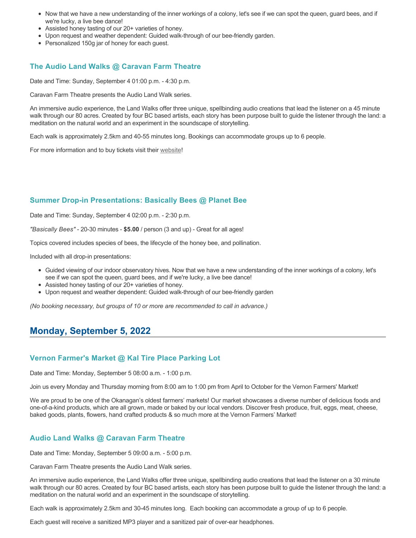- Now that we have a new understanding of the inner workings of a colony, let's see if we can spot the queen, guard bees, and if we're lucky, a live bee dance!
- Assisted honey tasting of our 20+ varieties of honey.
- Upon request and weather dependent: Guided walk-through of our bee-friendly garden.
- Personalized 150g jar of honey for each guest.

### **The Audio Land Walks @ Caravan Farm Theatre**

Date and Time: Sunday, September 4 01:00 p.m. - 4:30 p.m.

Caravan Farm Theatre presents the Audio Land Walk series.

An immersive audio experience, the Land Walks offer three unique, spellbinding audio creations that lead the listener on a 45 minute walk through our 80 acres. Created by four BC based artists, each story has been purpose built to guide the listener through the land: a meditation on the natural world and an experiment in the soundscape of storytelling.

Each walk is approximately 2.5km and 40-55 minutes long. Bookings can accommodate groups up to 6 people.

For more information and to buy tickets visit their [website!](https://caravanfarmtheatre.com/show/the-land-walks/)

### **Summer Drop-in Presentations: Basically Bees @ Planet Bee**

Date and Time: Sunday, September 4 02:00 p.m. - 2:30 p.m.

*"Basically Bees"* - 20-30 minutes - **\$5.00** / person (3 and up) - Great for all ages!

Topics covered includes species of bees, the lifecycle of the honey bee, and pollination.

Included with all drop-in presentations:

- Guided viewing of our indoor observatory hives. Now that we have a new understanding of the inner workings of a colony, let's see if we can spot the queen, guard bees, and if we're lucky, a live bee dance!
- Assisted honey tasting of our 20+ varieties of honey.
- Upon request and weather dependent: Guided walk-through of our bee-friendly garden

*(No booking necessary, but groups of 10 or more are recommended to call in advance.)*

## **Monday, September 5, 2022**

### **Vernon Farmer's Market @ Kal Tire Place Parking Lot**

Date and Time: Monday, September 5 08:00 a.m. - 1:00 p.m.

Join us every Monday and Thursday morning from 8:00 am to 1:00 pm from April to October for the Vernon Farmers' Market!

We are proud to be one of the Okanagan's oldest farmers' markets! Our market showcases a diverse number of delicious foods and one-of-a-kind products, which are all grown, made or baked by our local vendors. Discover fresh produce, fruit, eggs, meat, cheese, baked goods, plants, flowers, hand crafted products & so much more at the Vernon Farmers' Market!

### **Audio Land Walks @ Caravan Farm Theatre**

Date and Time: Monday, September 5 09:00 a.m. - 5:00 p.m.

Caravan Farm Theatre presents the Audio Land Walk series.

An immersive audio experience, the Land Walks offer three unique, spellbinding audio creations that lead the listener on a 30 minute walk through our 80 acres. Created by four BC based artists, each story has been purpose built to guide the listener through the land: a meditation on the natural world and an experiment in the soundscape of storytelling.

Each walk is approximately 2.5km and 30-45 minutes long. Each booking can accommodate a group of up to 6 people.

Each guest will receive a sanitized MP3 player and a sanitized pair of over-ear headphones.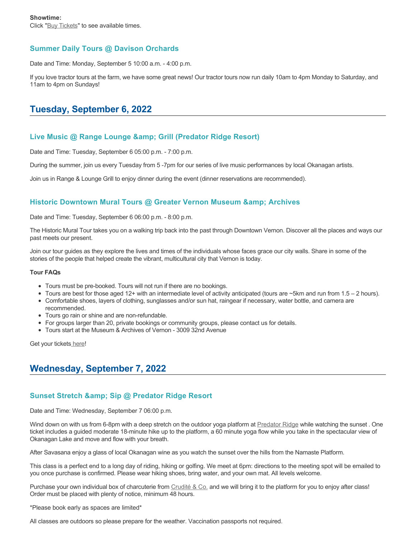## **Summer Daily Tours @ Davison Orchards**

Date and Time: Monday, September 5 10:00 a.m. - 4:00 p.m.

If you love tractor tours at the farm, we have some great news! Our tractor tours now run daily 10am to 4pm Monday to Saturday, and 11am to 4pm on Sundays!

# **Tuesday, September 6, 2022**

### **Live Music @ Range Lounge & Grill (Predator Ridge Resort)**

Date and Time: Tuesday, September 6 05:00 p.m. - 7:00 p.m.

During the summer, join us every Tuesday from 5 -7pm for our series of live music performances by local Okanagan artists.

Join us in Range & Lounge Grill to enjoy dinner during the event (dinner reservations are recommended).

## **Historic Downtown Mural Tours @ Greater Vernon Museum & Archives**

Date and Time: Tuesday, September 6 06:00 p.m. - 8:00 p.m.

The Historic Mural Tour takes you on a walking trip back into the past through Downtown Vernon. Discover all the places and ways our past meets our present.

Join our tour guides as they explore the lives and times of the individuals whose faces grace our city walls. Share in some of the stories of the people that helped create the vibrant, multicultural city that Vernon is today.

#### **Tour FAQs**

- Tours must be pre-booked. Tours will not run if there are no bookings.
- Tours are best for those aged 12+ with an intermediate level of activity anticipated (tours are  $\sim$ 5km and run from 1.5 2 hours).
- Comfortable shoes, layers of clothing, sunglasses and/or sun hat, raingear if necessary, water bottle, and camera are recommended.
- Tours go rain or shine and are non-refundable.
- For groups larger than 20, private bookings or community groups, please contact us for details.
- Tours start at the Museum & Archives of Vernon 3009 32nd Avenue

Get your tickets\_here!

# **Wednesday, September 7, 2022**

### **Sunset Stretch & amp; Sip @ Predator Ridge Resort**

Date and Time: Wednesday, September 7 06:00 p.m.

Wind down on with us from 6-8pm with a deep stretch on the outdoor yoga platform at [Predator Ridge](https://www.predatorridge.com/events) while watching the sunset. One ticket includes a guided moderate 18-minute hike up to the platform, a 60 minute yoga flow while you take in the spectacular view of Okanagan Lake and move and flow with your breath.

After Savasana enjoy a glass of local Okanagan wine as you watch the sunset over the hills from the Namaste Platform.

This class is a perfect end to a long day of riding, hiking or golfing. We meet at 6pm: directions to the meeting spot will be emailed to you once purchase is confirmed. Please wear hiking shoes, bring water, and your own mat. All levels welcome.

Purchase your own individual box of charcuterie from [Crudité & Co.](https://cruditeandco.com/product/picnic-platter/) and we will bring it to the platform for you to enjoy after class! Order must be placed with plenty of notice, minimum 48 hours.

\*Please book early as spaces are limited\*

All classes are outdoors so please prepare for the weather. Vaccination passports not required.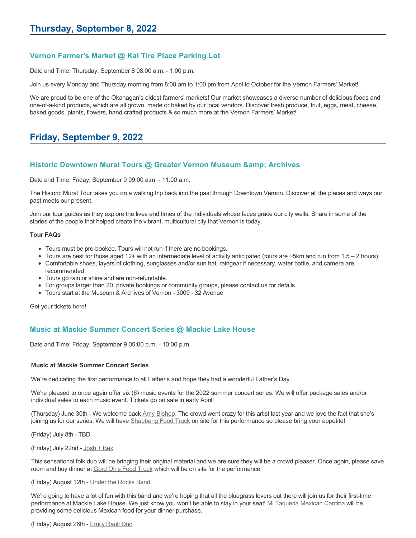## **Vernon Farmer's Market @ Kal Tire Place Parking Lot**

Date and Time: Thursday, September 8 08:00 a.m. - 1:00 p.m.

Join us every Monday and Thursday morning from 8:00 am to 1:00 pm from April to October for the Vernon Farmers' Market!

We are proud to be one of the Okanagan's oldest farmers' markets! Our market showcases a diverse number of delicious foods and one-of-a-kind products, which are all grown, made or baked by our local vendors. Discover fresh produce, fruit, eggs, meat, cheese, baked goods, plants, flowers, hand crafted products & so much more at the Vernon Farmers' Market!

# **Friday, September 9, 2022**

### **Historic Downtown Mural Tours @ Greater Vernon Museum & Archives**

Date and Time: Friday, September 9 09:00 a.m. - 11:00 a.m.

The Historic Mural Tour takes you on a walking trip back into the past through Downtown Vernon. Discover all the places and ways our past meets our present.

Join our tour guides as they explore the lives and times of the individuals whose faces grace our city walls. Share in some of the stories of the people that helped create the vibrant, multicultural city that Vernon is today.

#### **Tour FAQs**

- Tours must be pre-booked. Tours will not run if there are no bookings.
- Tours are best for those aged 12+ with an intermediate level of activity anticipated (tours are  $\sim$ 5km and run from 1.5 2 hours).
- Comfortable shoes, layers of clothing, sunglasses and/or sun hat, raingear if necessary, water bottle, and camera are
- recommended.
- Tours go rain or shine and are non-refundable.
- For groups larger than 20, private bookings or community groups, please contact us for details.
- Tours start at the Museum & Archives of Vernon 3009 32 Avenue

Get your tickets [here!](https://www.eventbrite.com/e/historic-downtown-mural-tours-tickets-304983342387)

### **Music at Mackie Summer Concert Series @ Mackie Lake House**

Date and Time: Friday, September 9 05:00 p.m. - 10:00 p.m.

#### **Music at Mackie Summer Concert Series**

We're dedicating the first performance to all Father's and hope they had a wonderful Father's Day.

We're pleased to once again offer six (6) music events for the 2022 summer concert series. We will offer package sales and/or individual sales to each music event. Tickets go on sale in early April!

(Thursday) June 30th - We welcome back [Amy Bishop.](https://protect-ca.mimecast.com/s/97KDCk8v46IYY8Pc4eTtT?domain=mackiehouse.us3.list-manage.com) The crowd went crazy for this artist last year and we love the fact that she's joining us for our series. We will have [Shabbang Food Truck](https://protect-ca.mimecast.com/s/hGWiClxw48FOO0jTKiFD6?domain=mackiehouse.us3.list-manage.com) on site for this performance so please bring your appetite!

(Friday) July 8th - TBD

#### (Friday) July 22nd - [Josh + Bex](https://protect-ca.mimecast.com/s/LfcBCmOx47s11B9u0QwFr?domain=mackiehouse.us3.list-manage.com)

This sensational folk duo will be bringing their original material and we are sure they will be a crowd pleaser. Once again, please save room and buy dinner at [Gord Oh's Food Truck](https://protect-ca.mimecast.com/s/oREECnxy4GFllAkujC-Hs?domain=mackiehouse.us3.list-manage.com) which will be on site for the performance.

#### (Friday) August 12th - [Under the Rocks Band](https://protect-ca.mimecast.com/s/wmzjCoVz4AhlljQujeM8P?domain=mackiehouse.us3.list-manage.com)

We're going to have a lot of fun with this band and we're hoping that all the bluegrass lovers out there will join us for their first-time performance at Mackie Lake House. We just know you won't be able to stay in your seat! [Mi Taqueria Mexican Cantina](https://protect-ca.mimecast.com/s/IidvCp8A59IQQ17s1mbiS?domain=mackiehouse.us3.list-manage.com) will be providing some delicious Mexican food for your dinner purchase.

(Friday) August 26th - [Emily Rault Duo](https://protect-ca.mimecast.com/s/1ZJZCq7B4AsLLKVczxAAc?domain=mackiehouse.us3.list-manage.com)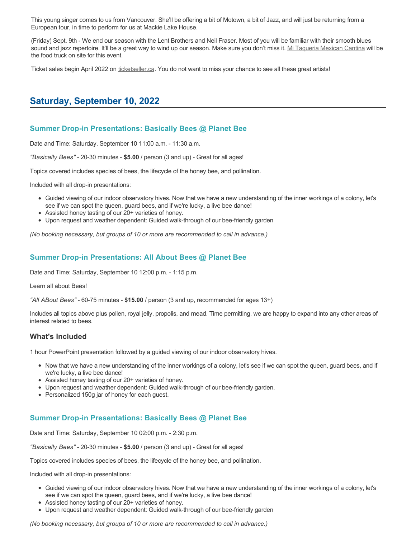This young singer comes to us from Vancouver. She'll be offering a bit of Motown, a bit of Jazz, and will just be returning from a European tour, in time to perform for us at Mackie Lake House.

(Friday) Sept. 9th - We end our season with the Lent Brothers and Neil Fraser. Most of you will be familiar with their smooth blues sound and jazz repertoire. It'll be a great way to wind up our season. Make sure you don't miss it. [Mi Taqueria Mexican Cantina](https://protect-ca.mimecast.com/s/mUjmCr8D4gIwwPWTPinKw?domain=mackiehouse.us3.list-manage.com) will be the food truck on site for this event.

Ticket sales begin April 2022 on [ticketseller.ca.](https://ticketseller.ca/) You do not want to miss your chance to see all these great artists!

## **Saturday, September 10, 2022**

### **Summer Drop-in Presentations: Basically Bees @ Planet Bee**

Date and Time: Saturday, September 10 11:00 a.m. - 11:30 a.m.

*"Basically Bees"* - 20-30 minutes - **\$5.00** / person (3 and up) - Great for all ages!

Topics covered includes species of bees, the lifecycle of the honey bee, and pollination.

Included with all drop-in presentations:

- Guided viewing of our indoor observatory hives. Now that we have a new understanding of the inner workings of a colony, let's see if we can spot the queen, guard bees, and if we're lucky, a live bee dance!
- Assisted honey tasting of our 20+ varieties of honey.
- Upon request and weather dependent: Guided walk-through of our bee-friendly garden

*(No booking necessary, but groups of 10 or more are recommended to call in advance.)*

### **Summer Drop-in Presentations: All About Bees @ Planet Bee**

Date and Time: Saturday, September 10 12:00 p.m. - 1:15 p.m.

Learn all about Bees!

*"All ABout Bees"* - 60-75 minutes - **\$15.00** / person (3 and up, recommended for ages 13+)

Includes all topics above plus pollen, royal jelly, propolis, and mead. Time permitting, we are happy to expand into any other areas of interest related to bees.

### **What's Included**

1 hour PowerPoint presentation followed by a guided viewing of our indoor observatory hives.

- Now that we have a new understanding of the inner workings of a colony, let's see if we can spot the queen, guard bees, and if we're lucky, a live bee dance!
- Assisted honey tasting of our 20+ varieties of honey.
- Upon request and weather dependent: Guided walk-through of our bee-friendly garden.
- Personalized 150g jar of honey for each quest.

#### **Summer Drop-in Presentations: Basically Bees @ Planet Bee**

Date and Time: Saturday, September 10 02:00 p.m. - 2:30 p.m.

*"Basically Bees"* - 20-30 minutes - **\$5.00** / person (3 and up) - Great for all ages!

Topics covered includes species of bees, the lifecycle of the honey bee, and pollination.

Included with all drop-in presentations:

- Guided viewing of our indoor observatory hives. Now that we have a new understanding of the inner workings of a colony, let's see if we can spot the queen, guard bees, and if we're lucky, a live bee dance!
- Assisted honey tasting of our 20+ varieties of honey.
- Upon request and weather dependent: Guided walk-through of our bee-friendly garden

*(No booking necessary, but groups of 10 or more are recommended to call in advance.)*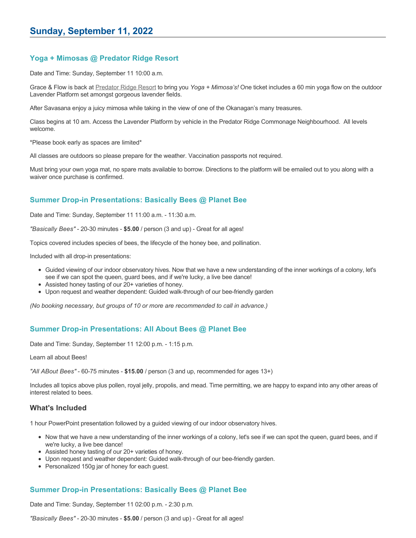## **Yoga + Mimosas @ Predator Ridge Resort**

Date and Time: Sunday, September 11 10:00 a.m.

Grace & Flow is back at [Predator Ridge Resort](https://www.predatorridge.com/events) to bring you *Yoga + Mimosa's!* One ticket includes a 60 min yoga flow on the outdoor Lavender Platform set amongst gorgeous lavender fields.

After Savasana enjoy a juicy mimosa while taking in the view of one of the Okanagan's many treasures.

Class begins at 10 am. Access the Lavender Platform by vehicle in the Predator Ridge Commonage Neighbourhood. All levels welcome.

\*Please book early as spaces are limited\*

All classes are outdoors so please prepare for the weather. Vaccination passports not required.

Must bring your own yoga mat, no spare mats available to borrow. Directions to the platform will be emailed out to you along with a waiver once purchase is confirmed.

### **Summer Drop-in Presentations: Basically Bees @ Planet Bee**

Date and Time: Sunday, September 11 11:00 a.m. - 11:30 a.m.

*"Basically Bees"* - 20-30 minutes - **\$5.00** / person (3 and up) - Great for all ages!

Topics covered includes species of bees, the lifecycle of the honey bee, and pollination.

Included with all drop-in presentations:

- Guided viewing of our indoor observatory hives. Now that we have a new understanding of the inner workings of a colony, let's see if we can spot the queen, guard bees, and if we're lucky, a live bee dance!
- Assisted honey tasting of our 20+ varieties of honey.
- Upon request and weather dependent: Guided walk-through of our bee-friendly garden

*(No booking necessary, but groups of 10 or more are recommended to call in advance.)*

### **Summer Drop-in Presentations: All About Bees @ Planet Bee**

Date and Time: Sunday, September 11 12:00 p.m. - 1:15 p.m.

Learn all about Bees!

*"All ABout Bees"* - 60-75 minutes - **\$15.00** / person (3 and up, recommended for ages 13+)

Includes all topics above plus pollen, royal jelly, propolis, and mead. Time permitting, we are happy to expand into any other areas of interest related to bees.

### **What's Included**

1 hour PowerPoint presentation followed by a guided viewing of our indoor observatory hives.

- Now that we have a new understanding of the inner workings of a colony, let's see if we can spot the queen, guard bees, and if we're lucky, a live bee dance!
- Assisted honey tasting of our 20+ varieties of honey.
- Upon request and weather dependent: Guided walk-through of our bee-friendly garden.
- Personalized 150g jar of honey for each guest.

### **Summer Drop-in Presentations: Basically Bees @ Planet Bee**

Date and Time: Sunday, September 11 02:00 p.m. - 2:30 p.m.

*"Basically Bees"* - 20-30 minutes - **\$5.00** / person (3 and up) - Great for all ages!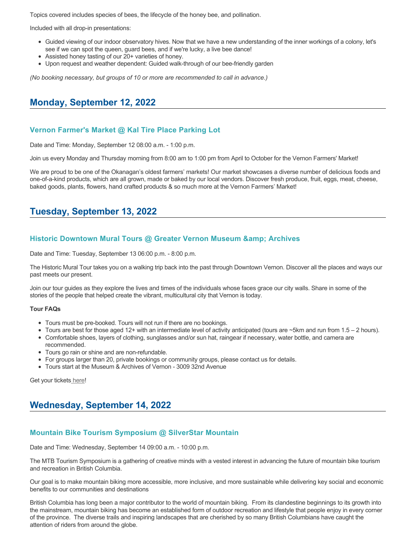Topics covered includes species of bees, the lifecycle of the honey bee, and pollination.

Included with all drop-in presentations:

- Guided viewing of our indoor observatory hives. Now that we have a new understanding of the inner workings of a colony, let's see if we can spot the queen, guard bees, and if we're lucky, a live bee dance!
- Assisted honey tasting of our 20+ varieties of honey.
- Upon request and weather dependent: Guided walk-through of our bee-friendly garden

*(No booking necessary, but groups of 10 or more are recommended to call in advance.)*

## **Monday, September 12, 2022**

#### **Vernon Farmer's Market @ Kal Tire Place Parking Lot**

Date and Time: Monday, September 12 08:00 a.m. - 1:00 p.m.

Join us every Monday and Thursday morning from 8:00 am to 1:00 pm from April to October for the Vernon Farmers' Market!

We are proud to be one of the Okanagan's oldest farmers' markets! Our market showcases a diverse number of delicious foods and one-of-a-kind products, which are all grown, made or baked by our local vendors. Discover fresh produce, fruit, eggs, meat, cheese, baked goods, plants, flowers, hand crafted products & so much more at the Vernon Farmers' Market!

# **Tuesday, September 13, 2022**

#### **Historic Downtown Mural Tours @ Greater Vernon Museum & Archives**

Date and Time: Tuesday, September 13 06:00 p.m. - 8:00 p.m.

The Historic Mural Tour takes you on a walking trip back into the past through Downtown Vernon. Discover all the places and ways our past meets our present.

Join our tour guides as they explore the lives and times of the individuals whose faces grace our city walls. Share in some of the stories of the people that helped create the vibrant, multicultural city that Vernon is today.

#### **Tour FAQs**

- Tours must be pre-booked. Tours will not run if there are no bookings.
- Tours are best for those aged 12+ with an intermediate level of activity anticipated (tours are  $\sim$ 5km and run from 1.5 2 hours).
- Comfortable shoes, layers of clothing, sunglasses and/or sun hat, raingear if necessary, water bottle, and camera are recommended.
- Tours go rain or shine and are non-refundable.
- For groups larger than 20, private bookings or community groups, please contact us for details.
- Tours start at the Museum & Archives of Vernon 3009 32nd Avenue

Get your tickets [here!](https://www.eventbrite.com/e/historic-downtown-mural-tours-tickets-304983342387)

# **Wednesday, September 14, 2022**

#### **Mountain Bike Tourism Symposium @ SilverStar Mountain**

Date and Time: Wednesday, September 14 09:00 a.m. - 10:00 p.m.

The MTB Tourism Symposium is a gathering of creative minds with a vested interest in advancing the future of mountain bike tourism and recreation in British Columbia.

Our goal is to make mountain biking more accessible, more inclusive, and more sustainable while delivering key social and economic benefits to our communities and destinations

British Columbia has long been a major contributor to the world of mountain biking. From its clandestine beginnings to its growth into the mainstream, mountain biking has become an established form of outdoor recreation and lifestyle that people enjoy in every corner of the province. The diverse trails and inspiring landscapes that are cherished by so many British Columbians have caught the attention of riders from around the globe.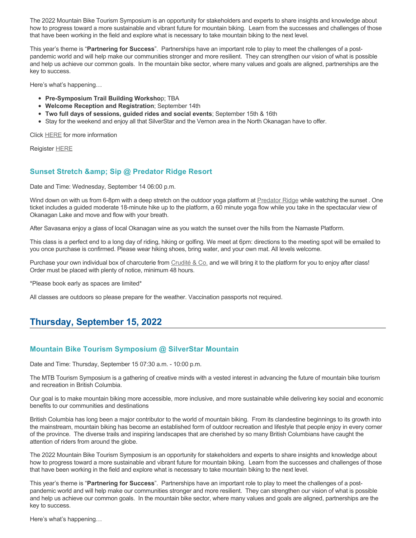The 2022 Mountain Bike Tourism Symposium is an opportunity for stakeholders and experts to share insights and knowledge about how to progress toward a more sustainable and vibrant future for mountain biking. Learn from the successes and challenges of those that have been working in the field and explore what is necessary to take mountain biking to the next level.

This year's theme is "**Partnering for Success**". Partnerships have an important role to play to meet the challenges of a postpandemic world and will help make our communities stronger and more resilient. They can strengthen our vision of what is possible and help us achieve our common goals. In the mountain bike sector, where many values and goals are aligned, partnerships are the key to success.

Here's what's happening…

- **Pre-Symposium Trail Building Worksho**p; TBA
- **Welcome Reception and Registration**; September 14th
- **Two full days of sessions, guided rides and social events**; September 15th & 16th
- Stay for the weekend and enjoy all that SilverStar and the Vernon area in the North Okanagan have to offer.

Click [HERE](http://mtbtourismsymposium.ca/) for more information

Reigister [HERE](https://ccnbikes.com/#!/events/mountain-bike-tourism-symposium-2022)

### **Sunset Stretch & amp; Sip @ Predator Ridge Resort**

Date and Time: Wednesday, September 14 06:00 p.m.

Wind down on with us from 6-8pm with a deep stretch on the outdoor yoga platform at **[Predator Ridge](https://www.predatorridge.com/events) while watching the sunset**. One ticket includes a guided moderate 18-minute hike up to the platform, a 60 minute yoga flow while you take in the spectacular view of Okanagan Lake and move and flow with your breath.

After Savasana enjoy a glass of local Okanagan wine as you watch the sunset over the hills from the Namaste Platform.

This class is a perfect end to a long day of riding, hiking or golfing. We meet at 6pm: directions to the meeting spot will be emailed to you once purchase is confirmed. Please wear hiking shoes, bring water, and your own mat. All levels welcome.

Purchase your own individual box of charcuterie from [Crudité & Co.](https://cruditeandco.com/product/picnic-platter/) and we will bring it to the platform for you to enjoy after class! Order must be placed with plenty of notice, minimum 48 hours.

\*Please book early as spaces are limited\*

All classes are outdoors so please prepare for the weather. Vaccination passports not required.

# **Thursday, September 15, 2022**

## **Mountain Bike Tourism Symposium @ SilverStar Mountain**

Date and Time: Thursday, September 15 07:30 a.m. - 10:00 p.m.

The MTB Tourism Symposium is a gathering of creative minds with a vested interest in advancing the future of mountain bike tourism and recreation in British Columbia.

Our goal is to make mountain biking more accessible, more inclusive, and more sustainable while delivering key social and economic benefits to our communities and destinations

British Columbia has long been a major contributor to the world of mountain biking. From its clandestine beginnings to its growth into the mainstream, mountain biking has become an established form of outdoor recreation and lifestyle that people enjoy in every corner of the province. The diverse trails and inspiring landscapes that are cherished by so many British Columbians have caught the attention of riders from around the globe.

The 2022 Mountain Bike Tourism Symposium is an opportunity for stakeholders and experts to share insights and knowledge about how to progress toward a more sustainable and vibrant future for mountain biking. Learn from the successes and challenges of those that have been working in the field and explore what is necessary to take mountain biking to the next level.

This year's theme is "**Partnering for Success**". Partnerships have an important role to play to meet the challenges of a postpandemic world and will help make our communities stronger and more resilient. They can strengthen our vision of what is possible and help us achieve our common goals. In the mountain bike sector, where many values and goals are aligned, partnerships are the key to success.

Here's what's happening…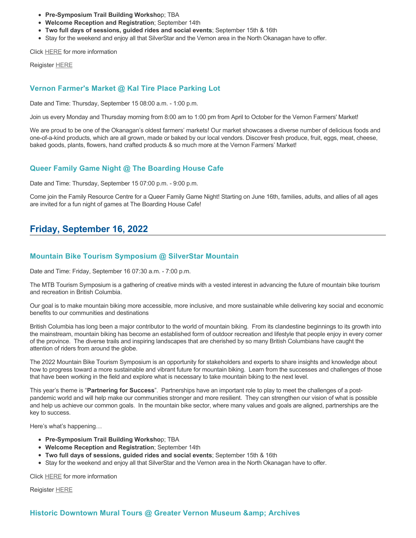- **Pre-Symposium Trail Building Worksho**p; TBA
- **Welcome Reception and Registration**; September 14th
- **Two full days of sessions, guided rides and social events**; September 15th & 16th
- Stay for the weekend and enjoy all that SilverStar and the Vernon area in the North Okanagan have to offer.

Click [HERE](http://mtbtourismsymposium.ca/) for more information

Reigister [HERE](https://ccnbikes.com/#!/events/mountain-bike-tourism-symposium-2022)

#### **Vernon Farmer's Market @ Kal Tire Place Parking Lot**

Date and Time: Thursday, September 15 08:00 a.m. - 1:00 p.m.

Join us every Monday and Thursday morning from 8:00 am to 1:00 pm from April to October for the Vernon Farmers' Market!

We are proud to be one of the Okanagan's oldest farmers' markets! Our market showcases a diverse number of delicious foods and one-of-a-kind products, which are all grown, made or baked by our local vendors. Discover fresh produce, fruit, eggs, meat, cheese, baked goods, plants, flowers, hand crafted products & so much more at the Vernon Farmers' Market!

### **Queer Family Game Night @ The Boarding House Cafe**

Date and Time: Thursday, September 15 07:00 p.m. - 9:00 p.m.

Come join the Family Resource Centre for a Queer Family Game Night! Starting on June 16th, families, adults, and allies of all ages are invited for a fun night of games at The Boarding House Cafe!

# **Friday, September 16, 2022**

### **Mountain Bike Tourism Symposium @ SilverStar Mountain**

Date and Time: Friday, September 16 07:30 a.m. - 7:00 p.m.

The MTB Tourism Symposium is a gathering of creative minds with a vested interest in advancing the future of mountain bike tourism and recreation in British Columbia.

Our goal is to make mountain biking more accessible, more inclusive, and more sustainable while delivering key social and economic benefits to our communities and destinations

British Columbia has long been a major contributor to the world of mountain biking. From its clandestine beginnings to its growth into the mainstream, mountain biking has become an established form of outdoor recreation and lifestyle that people enjoy in every corner of the province. The diverse trails and inspiring landscapes that are cherished by so many British Columbians have caught the attention of riders from around the globe.

The 2022 Mountain Bike Tourism Symposium is an opportunity for stakeholders and experts to share insights and knowledge about how to progress toward a more sustainable and vibrant future for mountain biking. Learn from the successes and challenges of those that have been working in the field and explore what is necessary to take mountain biking to the next level.

This year's theme is "**Partnering for Success**". Partnerships have an important role to play to meet the challenges of a postpandemic world and will help make our communities stronger and more resilient. They can strengthen our vision of what is possible and help us achieve our common goals. In the mountain bike sector, where many values and goals are aligned, partnerships are the key to success.

Here's what's happening…

- **Pre-Symposium Trail Building Worksho**p; TBA
- **Welcome Reception and Registration**; September 14th
- **Two full days of sessions, guided rides and social events**; September 15th & 16th
- Stay for the weekend and enjoy all that SilverStar and the Vernon area in the North Okanagan have to offer.

Click [HERE](http://mtbtourismsymposium.ca/) for more information

Reigister [HERE](https://ccnbikes.com/#!/events/mountain-bike-tourism-symposium-2022)

### **Historic Downtown Mural Tours @ Greater Vernon Museum & Archives**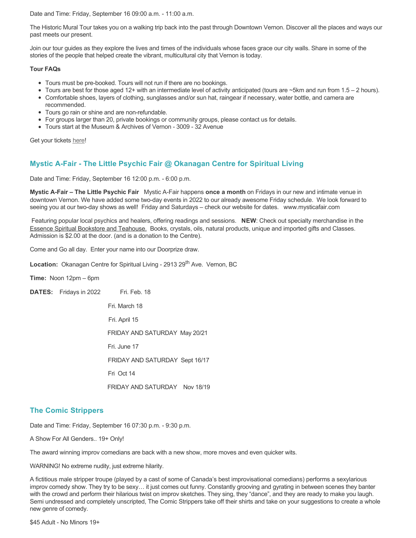Date and Time: Friday, September 16 09:00 a.m. - 11:00 a.m.

The Historic Mural Tour takes you on a walking trip back into the past through Downtown Vernon. Discover all the places and ways our past meets our present.

Join our tour guides as they explore the lives and times of the individuals whose faces grace our city walls. Share in some of the stories of the people that helped create the vibrant, multicultural city that Vernon is today.

#### **Tour FAQs**

- Tours must be pre-booked. Tours will not run if there are no bookings.
- Tours are best for those aged 12+ with an intermediate level of activity anticipated (tours are ~5km and run from 1.5 2 hours).
- Comfortable shoes, layers of clothing, sunglasses and/or sun hat, raingear if necessary, water bottle, and camera are recommended.
- Tours go rain or shine and are non-refundable.
- For groups larger than 20, private bookings or community groups, please contact us for details.
- Tours start at the Museum & Archives of Vernon 3009 32 Avenue

Get your tickets [here!](https://www.eventbrite.com/e/historic-downtown-mural-tours-tickets-304983342387)

### **Mystic A-Fair - The Little Psychic Fair @ Okanagan Centre for Spiritual Living**

Date and Time: Friday, September 16 12:00 p.m. - 6:00 p.m.

**Mystic A-Fair – The Little Psychic Fair** Mystic A-Fair happens **once a month** on Fridays in our new and intimate venue in downtown Vernon. We have added some two-day events in 2022 to our already awesome Friday schedule. We look forward to seeing you at our two-day shows as well! Friday and Saturdays – check our website for dates. www.mysticafair.com

 Featuring popular local psychics and healers, offering readings and sessions. **NEW**: Check out specialty merchandise in the Essence Spiritual Bookstore and Teahouse. Books, crystals, oils, natural products, unique and imported gifts and Classes. Admission is \$2.00 at the door. (and is a donation to the Centre).

Come and Go all day. Enter your name into our Doorprize draw.

**Location:** Okanagan Centre for Spiritual Living - 2913 29<sup>th</sup> Ave. Vernon, BC

**Time:** Noon 12pm – 6pm

**DATES:** Fridays in 2022 Fri. Feb. 18

Fri. March 18

Fri. April 15

FRIDAY AND SATURDAY May 20/21

Fri. June 17

FRIDAY AND SATURDAY Sept 16/17

Fri Oct 14

FRIDAY AND SATURDAY Nov 18/19

### **The Comic Strippers**

Date and Time: Friday, September 16 07:30 p.m. - 9:30 p.m.

A Show For All Genders.. 19+ Only!

The award winning improv comedians are back with a new show, more moves and even quicker wits.

WARNING! No extreme nudity, just extreme hilarity.

A fictitious male stripper troupe (played by a cast of some of Canada's best improvisational comedians) performs a sexylarious improv comedy show. They try to be sexy… it just comes out funny. Constantly grooving and gyrating in between scenes they banter with the crowd and perform their hilarious twist on improv sketches. They sing, they "dance", and they are ready to make you laugh. Semi undressed and completely unscripted, The Comic Strippers take off their shirts and take on your suggestions to create a whole new genre of comedy.

\$45 Adult - No Minors 19+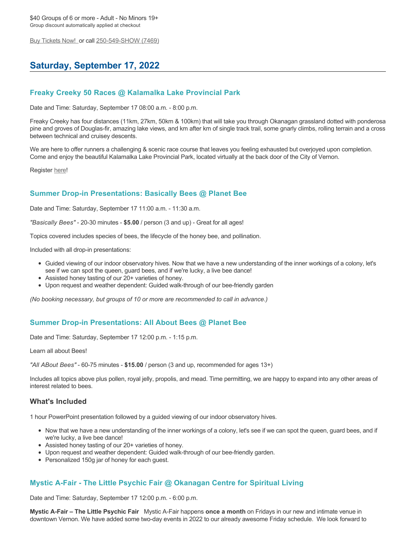[Buy Tickets Now!](https://tickets.ticketseller.ca/TheatreManager/1/login&event=3433) or call 250-549-SHOW (7469)

# **Saturday, September 17, 2022**

## **Freaky Creeky 50 Races @ Kalamalka Lake Provincial Park**

Date and Time: Saturday, September 17 08:00 a.m. - 8:00 p.m.

Freaky Creeky has four distances (11km, 27km, 50km & 100km) that will take you through Okanagan grassland dotted with ponderosa pine and groves of Douglas-fir, amazing lake views, and km after km of single track trail, some gnarly climbs, rolling terrain and a cross between technical and cruisey descents.

We are here to offer runners a challenging & scenic race course that leaves you feeling exhausted but overjoyed upon completion. Come and enjoy the beautiful Kalamalka Lake Provincial Park, located virtually at the back door of the City of Vernon.

Register [here](https://ultrasignup.com/register.aspx?did=88702)!

### **Summer Drop-in Presentations: Basically Bees @ Planet Bee**

Date and Time: Saturday, September 17 11:00 a.m. - 11:30 a.m.

*"Basically Bees"* - 20-30 minutes - **\$5.00** / person (3 and up) - Great for all ages!

Topics covered includes species of bees, the lifecycle of the honey bee, and pollination.

Included with all drop-in presentations:

- Guided viewing of our indoor observatory hives. Now that we have a new understanding of the inner workings of a colony, let's see if we can spot the queen, guard bees, and if we're lucky, a live bee dance!
- Assisted honey tasting of our 20+ varieties of honey.
- Upon request and weather dependent: Guided walk-through of our bee-friendly garden

*(No booking necessary, but groups of 10 or more are recommended to call in advance.)*

### **Summer Drop-in Presentations: All About Bees @ Planet Bee**

Date and Time: Saturday, September 17 12:00 p.m. - 1:15 p.m.

Learn all about Bees!

*"All ABout Bees"* - 60-75 minutes - **\$15.00** / person (3 and up, recommended for ages 13+)

Includes all topics above plus pollen, royal jelly, propolis, and mead. Time permitting, we are happy to expand into any other areas of interest related to bees.

#### **What's Included**

1 hour PowerPoint presentation followed by a guided viewing of our indoor observatory hives.

- Now that we have a new understanding of the inner workings of a colony, let's see if we can spot the queen, guard bees, and if we're lucky, a live bee dance!
- Assisted honey tasting of our 20+ varieties of honey.
- Upon request and weather dependent: Guided walk-through of our bee-friendly garden.
- Personalized 150g jar of honey for each guest.

### **Mystic A-Fair - The Little Psychic Fair @ Okanagan Centre for Spiritual Living**

Date and Time: Saturday, September 17 12:00 p.m. - 6:00 p.m.

**Mystic A-Fair – The Little Psychic Fair** Mystic A-Fair happens **once a month** on Fridays in our new and intimate venue in downtown Vernon. We have added some two-day events in 2022 to our already awesome Friday schedule. We look forward to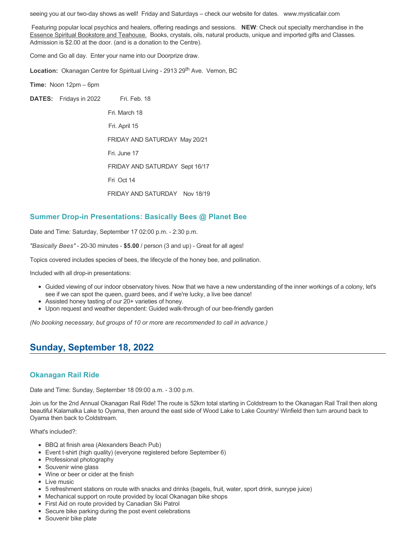seeing you at our two-day shows as well! Friday and Saturdays – check our website for dates. www.mysticafair.com

 Featuring popular local psychics and healers, offering readings and sessions. **NEW**: Check out specialty merchandise in the Essence Spiritual Bookstore and Teahouse. Books, crystals, oils, natural products, unique and imported gifts and Classes. Admission is \$2.00 at the door. (and is a donation to the Centre).

Come and Go all day. Enter your name into our Doorprize draw.

Location: Okanagan Centre for Spiritual Living - 2913 29<sup>th</sup> Ave. Vernon, BC

**Time:** Noon 12pm – 6pm

**DATES:** Fridays in 2022 Fri. Feb. 18

 Fri. March 18 Fri. April 15 FRIDAY AND SATURDAY May 20/21 Fri. June 17 FRIDAY AND SATURDAY Sept 16/17 Fri Oct 14 FRIDAY AND SATURDAY Nov 18/19

#### **Summer Drop-in Presentations: Basically Bees @ Planet Bee**

Date and Time: Saturday, September 17 02:00 p.m. - 2:30 p.m.

*"Basically Bees"* - 20-30 minutes - **\$5.00** / person (3 and up) - Great for all ages!

Topics covered includes species of bees, the lifecycle of the honey bee, and pollination.

Included with all drop-in presentations:

- Guided viewing of our indoor observatory hives. Now that we have a new understanding of the inner workings of a colony, let's see if we can spot the queen, guard bees, and if we're lucky, a live bee dance!
- Assisted honey tasting of our 20+ varieties of honey.
- Upon request and weather dependent: Guided walk-through of our bee-friendly garden

*(No booking necessary, but groups of 10 or more are recommended to call in advance.)*

## **Sunday, September 18, 2022**

#### **Okanagan Rail Ride**

Date and Time: Sunday, September 18 09:00 a.m. - 3:00 p.m.

Join us for the 2nd Annual Okanagan Rail Ride! The route is 52km total starting in Coldstream to the Okanagan Rail Trail then along beautiful Kalamalka Lake to Oyama, then around the east side of Wood Lake to Lake Country/ Winfield then turn around back to Oyama then back to Coldstream.

What's included?:

- BBQ at finish area (Alexanders Beach Pub)
- Event t-shirt (high quality) (everyone registered before September 6)
- Professional photography
- Souvenir wine glass
- Wine or beer or cider at the finish
- Live music
- 5 refreshment stations on route with snacks and drinks (bagels, fruit, water, sport drink, sunrype juice)
- Mechanical support on route provided by local Okanagan bike shops
- First Aid on route provided by Canadian Ski Patrol
- Secure bike parking during the post event celebrations
- Souvenir bike plate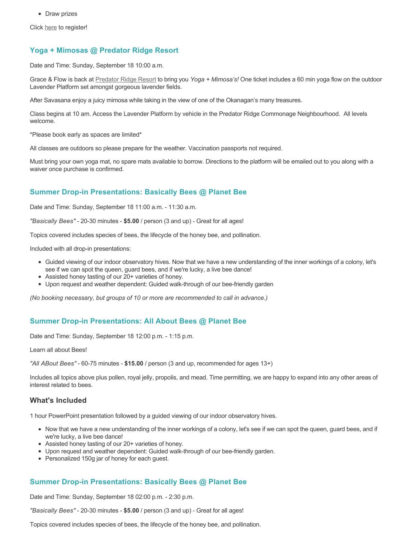• Draw prizes

Click [here](https://zone4.ca/register.asp?id=22184&lan=1&cartlevel=1) to register!

## **Yoga + Mimosas @ Predator Ridge Resort**

Date and Time: Sunday, September 18 10:00 a.m.

Grace & Flow is back at [Predator Ridge Resort](https://www.predatorridge.com/events) to bring you *Yoga + Mimosa's!* One ticket includes a 60 min yoga flow on the outdoor Lavender Platform set amongst gorgeous lavender fields.

After Savasana enjoy a juicy mimosa while taking in the view of one of the Okanagan's many treasures.

Class begins at 10 am. Access the Lavender Platform by vehicle in the Predator Ridge Commonage Neighbourhood. All levels welcome.

\*Please book early as spaces are limited\*

All classes are outdoors so please prepare for the weather. Vaccination passports not required.

Must bring your own yoga mat, no spare mats available to borrow. Directions to the platform will be emailed out to you along with a waiver once purchase is confirmed.

### **Summer Drop-in Presentations: Basically Bees @ Planet Bee**

Date and Time: Sunday, September 18 11:00 a.m. - 11:30 a.m.

*"Basically Bees"* - 20-30 minutes - **\$5.00** / person (3 and up) - Great for all ages!

Topics covered includes species of bees, the lifecycle of the honey bee, and pollination.

Included with all drop-in presentations:

- Guided viewing of our indoor observatory hives. Now that we have a new understanding of the inner workings of a colony, let's see if we can spot the queen, guard bees, and if we're lucky, a live bee dance!
- Assisted honey tasting of our 20+ varieties of honey.
- Upon request and weather dependent: Guided walk-through of our bee-friendly garden

*(No booking necessary, but groups of 10 or more are recommended to call in advance.)*

### **Summer Drop-in Presentations: All About Bees @ Planet Bee**

Date and Time: Sunday, September 18 12:00 p.m. - 1:15 p.m.

Learn all about Bees!

*"All ABout Bees"* - 60-75 minutes - **\$15.00** / person (3 and up, recommended for ages 13+)

Includes all topics above plus pollen, royal jelly, propolis, and mead. Time permitting, we are happy to expand into any other areas of interest related to bees.

### **What's Included**

1 hour PowerPoint presentation followed by a guided viewing of our indoor observatory hives.

- Now that we have a new understanding of the inner workings of a colony, let's see if we can spot the queen, guard bees, and if we're lucky, a live bee dance!
- Assisted honey tasting of our 20+ varieties of honey.
- Upon request and weather dependent: Guided walk-through of our bee-friendly garden.
- Personalized 150g jar of honey for each guest.

### **Summer Drop-in Presentations: Basically Bees @ Planet Bee**

Date and Time: Sunday, September 18 02:00 p.m. - 2:30 p.m.

*"Basically Bees"* - 20-30 minutes - **\$5.00** / person (3 and up) - Great for all ages!

Topics covered includes species of bees, the lifecycle of the honey bee, and pollination.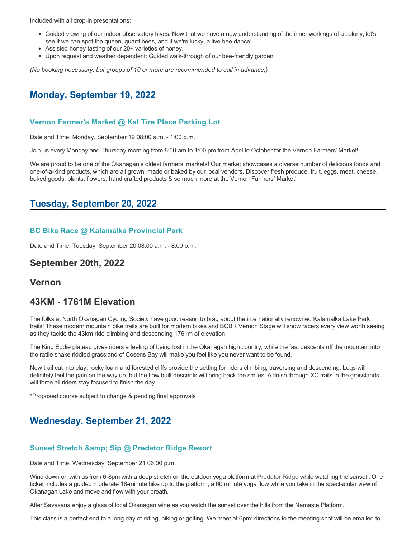Included with all drop-in presentations:

- Guided viewing of our indoor observatory hives. Now that we have a new understanding of the inner workings of a colony, let's see if we can spot the queen, guard bees, and if we're lucky, a live bee dance!
- Assisted honey tasting of our 20+ varieties of honey.
- Upon request and weather dependent: Guided walk-through of our bee-friendly garden

*(No booking necessary, but groups of 10 or more are recommended to call in advance.)*

## **Monday, September 19, 2022**

#### **Vernon Farmer's Market @ Kal Tire Place Parking Lot**

Date and Time: Monday, September 19 08:00 a.m. - 1:00 p.m.

Join us every Monday and Thursday morning from 8:00 am to 1:00 pm from April to October for the Vernon Farmers' Market!

We are proud to be one of the Okanagan's oldest farmers' markets! Our market showcases a diverse number of delicious foods and one-of-a-kind products, which are all grown, made or baked by our local vendors. Discover fresh produce, fruit, eggs, meat, cheese, baked goods, plants, flowers, hand crafted products & so much more at the Vernon Farmers' Market!

## **Tuesday, September 20, 2022**

#### **BC Bike Race @ Kalamalka Provincial Park**

Date and Time: Tuesday, September 20 08:00 a.m. - 8:00 p.m.

## **September 20th, 2022**

## **Vernon**

## **43KM - 1761M Elevation**

The folks at North Okanagan Cycling Society have good reason to brag about the internationally renowned Kalamalka Lake Park trails! These modern mountain bike trails are built for modern bikes and BCBR Vernon Stage will show racers every view worth seeing as they tackle the 43km ride climbing and descending 1761m of elevation.

The King Eddie plateau gives riders a feeling of being lost in the Okanagan high country, while the fast descents off the mountain into the rattle snake riddled grassland of Cosens Bay will make you feel like you never want to be found.

New trail cut into clay, rocky loam and forested cliffs provide the setting for riders climbing, traversing and descending. Legs will definitely feel the pain on the way up, but the flow built descents will bring back the smiles. A finish through XC trails in the grasslands will force all riders stay focused to finish the day.

\*Proposed course subject to change & pending final approvals

# **Wednesday, September 21, 2022**

### **Sunset Stretch & amp; Sip @ Predator Ridge Resort**

Date and Time: Wednesday, September 21 06:00 p.m.

Wind down on with us from 6-8pm with a deep stretch on the outdoor yoga platform at [Predator Ridge](https://www.predatorridge.com/events) while watching the sunset . One ticket includes a guided moderate 18-minute hike up to the platform, a 60 minute yoga flow while you take in the spectacular view of Okanagan Lake and move and flow with your breath.

After Savasana enjoy a glass of local Okanagan wine as you watch the sunset over the hills from the Namaste Platform.

This class is a perfect end to a long day of riding, hiking or golfing. We meet at 6pm: directions to the meeting spot will be emailed to